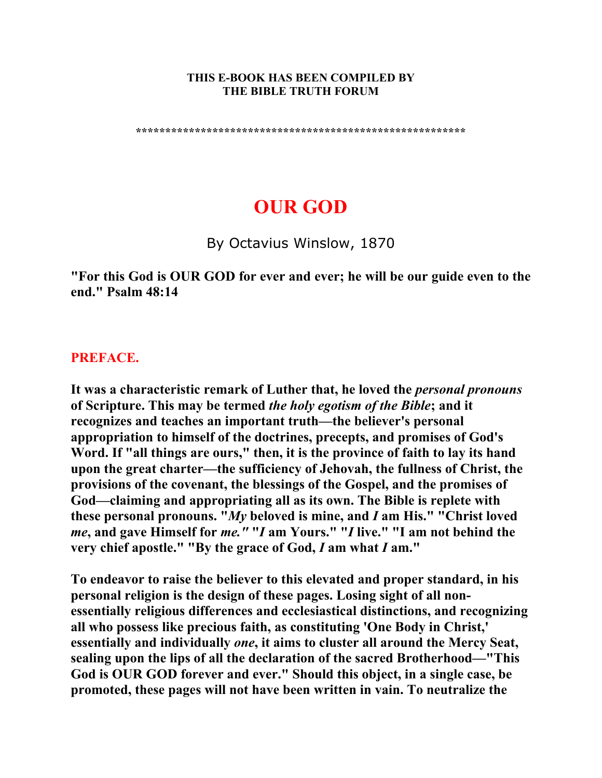#### **THIS E-BOOK HAS BEEN COMPILED BY THE BIBLE TRUTH FORUM**

**\*\*\*\*\*\*\*\*\*\*\*\*\*\*\*\*\*\*\*\*\*\*\*\*\*\*\*\*\*\*\*\*\*\*\*\*\*\*\*\*\*\*\*\*\*\*\*\*\*\*\*\*\*\*\*\*** 

# **OUR GOD**

By Octavius Winslow, 1870

**"For this God is OUR GOD for ever and ever; he will be our guide even to the end." Psalm 48:14** 

#### **PREFACE.**

**It was a characteristic remark of Luther that, he loved the** *personal pronouns* **of Scripture. This may be termed** *the holy egotism of the Bible***; and it recognizes and teaches an important truth—the believer's personal appropriation to himself of the doctrines, precepts, and promises of God's Word. If "all things are ours," then, it is the province of faith to lay its hand upon the great charter—the sufficiency of Jehovah, the fullness of Christ, the provisions of the covenant, the blessings of the Gospel, and the promises of God—claiming and appropriating all as its own. The Bible is replete with these personal pronouns. "***My* **beloved is mine, and** *I* **am His." "Christ loved**  *me***, and gave Himself for** *me."* **"***I* **am Yours." "***I* **live." "I am not behind the very chief apostle." "By the grace of God,** *I* **am what** *I* **am."** 

**To endeavor to raise the believer to this elevated and proper standard, in his personal religion is the design of these pages. Losing sight of all nonessentially religious differences and ecclesiastical distinctions, and recognizing all who possess like precious faith, as constituting 'One Body in Christ,' essentially and individually** *one***, it aims to cluster all around the Mercy Seat, sealing upon the lips of all the declaration of the sacred Brotherhood—"This God is OUR GOD forever and ever." Should this object, in a single case, be promoted, these pages will not have been written in vain. To neutralize the**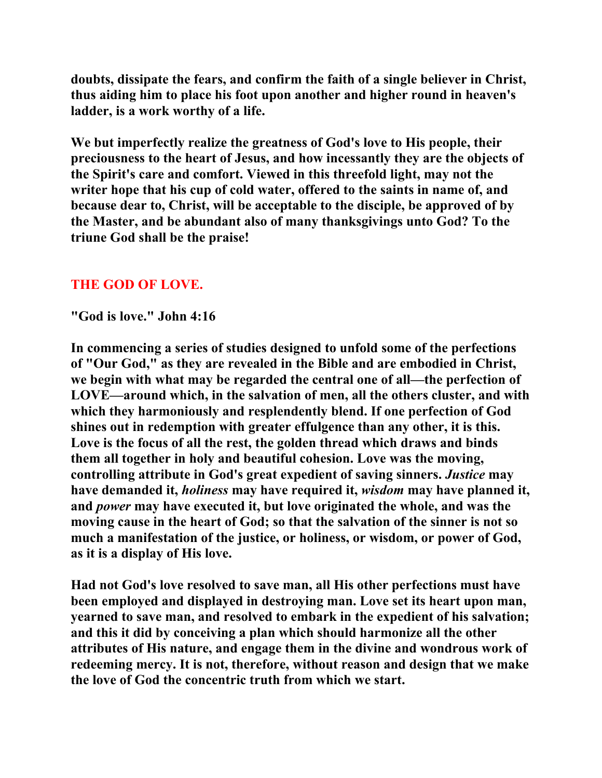**doubts, dissipate the fears, and confirm the faith of a single believer in Christ, thus aiding him to place his foot upon another and higher round in heaven's ladder, is a work worthy of a life.** 

**We but imperfectly realize the greatness of God's love to His people, their preciousness to the heart of Jesus, and how incessantly they are the objects of the Spirit's care and comfort. Viewed in this threefold light, may not the writer hope that his cup of cold water, offered to the saints in name of, and because dear to, Christ, will be acceptable to the disciple, be approved of by the Master, and be abundant also of many thanksgivings unto God? To the triune God shall be the praise!** 

#### **THE GOD OF LOVE.**

**"God is love." John 4:16** 

**In commencing a series of studies designed to unfold some of the perfections of "Our God," as they are revealed in the Bible and are embodied in Christ, we begin with what may be regarded the central one of all—the perfection of LOVE—around which, in the salvation of men, all the others cluster, and with which they harmoniously and resplendently blend. If one perfection of God shines out in redemption with greater effulgence than any other, it is this. Love is the focus of all the rest, the golden thread which draws and binds them all together in holy and beautiful cohesion. Love was the moving, controlling attribute in God's great expedient of saving sinners.** *Justice* **may have demanded it,** *holiness* **may have required it,** *wisdom* **may have planned it, and** *power* **may have executed it, but love originated the whole, and was the moving cause in the heart of God; so that the salvation of the sinner is not so much a manifestation of the justice, or holiness, or wisdom, or power of God, as it is a display of His love.** 

**Had not God's love resolved to save man, all His other perfections must have been employed and displayed in destroying man. Love set its heart upon man, yearned to save man, and resolved to embark in the expedient of his salvation; and this it did by conceiving a plan which should harmonize all the other attributes of His nature, and engage them in the divine and wondrous work of redeeming mercy. It is not, therefore, without reason and design that we make the love of God the concentric truth from which we start.**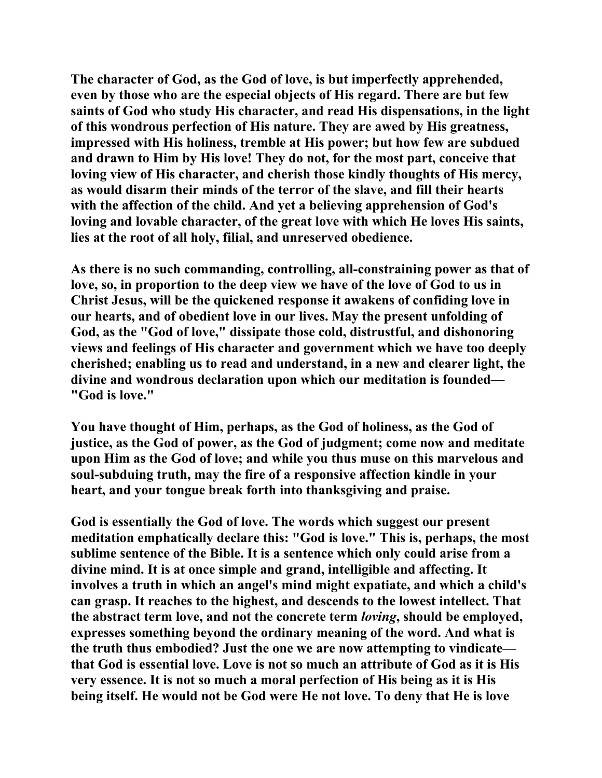**The character of God, as the God of love, is but imperfectly apprehended, even by those who are the especial objects of His regard. There are but few saints of God who study His character, and read His dispensations, in the light of this wondrous perfection of His nature. They are awed by His greatness, impressed with His holiness, tremble at His power; but how few are subdued and drawn to Him by His love! They do not, for the most part, conceive that loving view of His character, and cherish those kindly thoughts of His mercy, as would disarm their minds of the terror of the slave, and fill their hearts with the affection of the child. And yet a believing apprehension of God's loving and lovable character, of the great love with which He loves His saints, lies at the root of all holy, filial, and unreserved obedience.** 

**As there is no such commanding, controlling, all-constraining power as that of love, so, in proportion to the deep view we have of the love of God to us in Christ Jesus, will be the quickened response it awakens of confiding love in our hearts, and of obedient love in our lives. May the present unfolding of God, as the "God of love," dissipate those cold, distrustful, and dishonoring views and feelings of His character and government which we have too deeply cherished; enabling us to read and understand, in a new and clearer light, the divine and wondrous declaration upon which our meditation is founded— "God is love."** 

**You have thought of Him, perhaps, as the God of holiness, as the God of justice, as the God of power, as the God of judgment; come now and meditate upon Him as the God of love; and while you thus muse on this marvelous and soul-subduing truth, may the fire of a responsive affection kindle in your heart, and your tongue break forth into thanksgiving and praise.** 

**God is essentially the God of love. The words which suggest our present meditation emphatically declare this: "God is love." This is, perhaps, the most sublime sentence of the Bible. It is a sentence which only could arise from a divine mind. It is at once simple and grand, intelligible and affecting. It involves a truth in which an angel's mind might expatiate, and which a child's can grasp. It reaches to the highest, and descends to the lowest intellect. That the abstract term love, and not the concrete term** *loving***, should be employed, expresses something beyond the ordinary meaning of the word. And what is the truth thus embodied? Just the one we are now attempting to vindicate that God is essential love. Love is not so much an attribute of God as it is His very essence. It is not so much a moral perfection of His being as it is His being itself. He would not be God were He not love. To deny that He is love**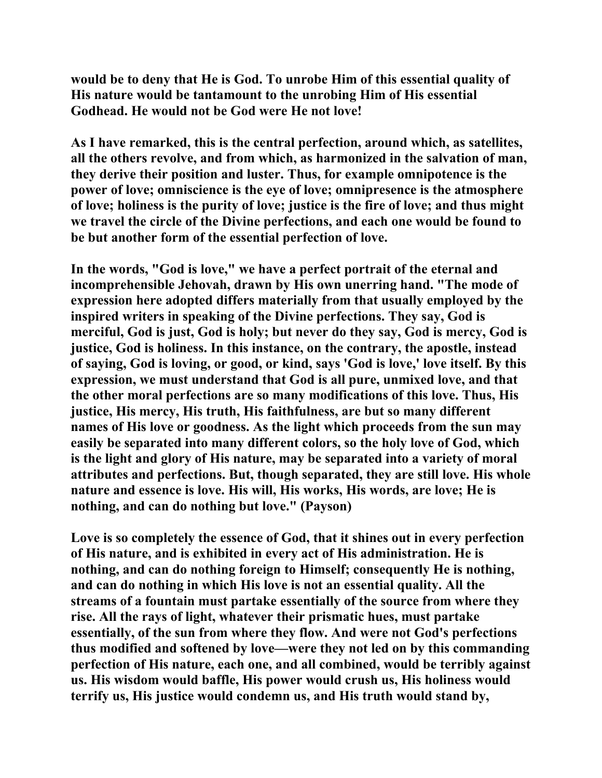**would be to deny that He is God. To unrobe Him of this essential quality of His nature would be tantamount to the unrobing Him of His essential Godhead. He would not be God were He not love!** 

**As I have remarked, this is the central perfection, around which, as satellites, all the others revolve, and from which, as harmonized in the salvation of man, they derive their position and luster. Thus, for example omnipotence is the power of love; omniscience is the eye of love; omnipresence is the atmosphere of love; holiness is the purity of love; justice is the fire of love; and thus might we travel the circle of the Divine perfections, and each one would be found to be but another form of the essential perfection of love.** 

**In the words, "God is love," we have a perfect portrait of the eternal and incomprehensible Jehovah, drawn by His own unerring hand. "The mode of expression here adopted differs materially from that usually employed by the inspired writers in speaking of the Divine perfections. They say, God is merciful, God is just, God is holy; but never do they say, God is mercy, God is justice, God is holiness. In this instance, on the contrary, the apostle, instead of saying, God is loving, or good, or kind, says 'God is love,' love itself. By this expression, we must understand that God is all pure, unmixed love, and that the other moral perfections are so many modifications of this love. Thus, His justice, His mercy, His truth, His faithfulness, are but so many different names of His love or goodness. As the light which proceeds from the sun may easily be separated into many different colors, so the holy love of God, which is the light and glory of His nature, may be separated into a variety of moral attributes and perfections. But, though separated, they are still love. His whole nature and essence is love. His will, His works, His words, are love; He is nothing, and can do nothing but love." (Payson)** 

**Love is so completely the essence of God, that it shines out in every perfection of His nature, and is exhibited in every act of His administration. He is nothing, and can do nothing foreign to Himself; consequently He is nothing, and can do nothing in which His love is not an essential quality. All the streams of a fountain must partake essentially of the source from where they rise. All the rays of light, whatever their prismatic hues, must partake essentially, of the sun from where they flow. And were not God's perfections thus modified and softened by love—were they not led on by this commanding perfection of His nature, each one, and all combined, would be terribly against us. His wisdom would baffle, His power would crush us, His holiness would terrify us, His justice would condemn us, and His truth would stand by,**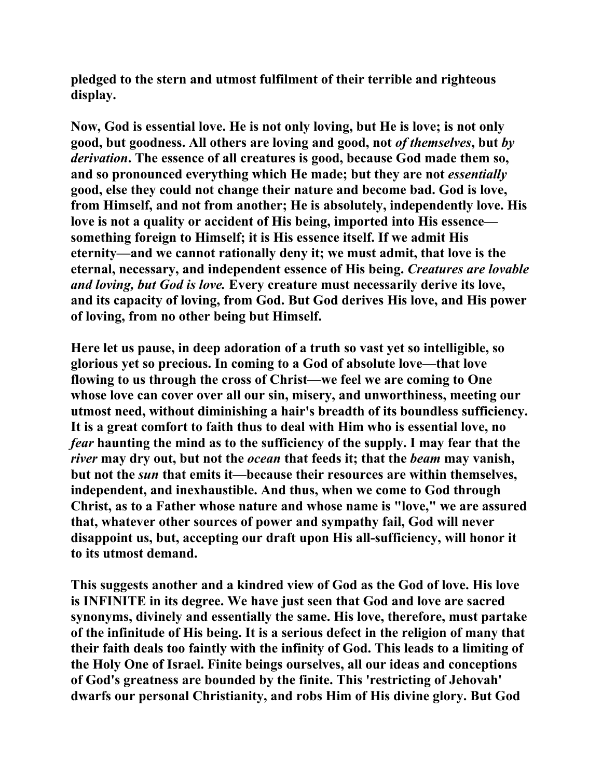**pledged to the stern and utmost fulfilment of their terrible and righteous display.** 

**Now, God is essential love. He is not only loving, but He is love; is not only good, but goodness. All others are loving and good, not** *of themselves***, but** *by derivation***. The essence of all creatures is good, because God made them so, and so pronounced everything which He made; but they are not** *essentially* **good, else they could not change their nature and become bad. God is love, from Himself, and not from another; He is absolutely, independently love. His love is not a quality or accident of His being, imported into His essence something foreign to Himself; it is His essence itself. If we admit His eternity—and we cannot rationally deny it; we must admit, that love is the eternal, necessary, and independent essence of His being.** *Creatures are lovable and loving, but God is love.* **Every creature must necessarily derive its love, and its capacity of loving, from God. But God derives His love, and His power of loving, from no other being but Himself.** 

**Here let us pause, in deep adoration of a truth so vast yet so intelligible, so glorious yet so precious. In coming to a God of absolute love—that love flowing to us through the cross of Christ—we feel we are coming to One whose love can cover over all our sin, misery, and unworthiness, meeting our utmost need, without diminishing a hair's breadth of its boundless sufficiency. It is a great comfort to faith thus to deal with Him who is essential love, no**  *fear* **haunting the mind as to the sufficiency of the supply. I may fear that the**  *river* **may dry out, but not the** *ocean* **that feeds it; that the** *beam* **may vanish, but not the** *sun* **that emits it—because their resources are within themselves, independent, and inexhaustible. And thus, when we come to God through Christ, as to a Father whose nature and whose name is "love," we are assured that, whatever other sources of power and sympathy fail, God will never disappoint us, but, accepting our draft upon His all-sufficiency, will honor it to its utmost demand.** 

**This suggests another and a kindred view of God as the God of love. His love is INFINITE in its degree. We have just seen that God and love are sacred synonyms, divinely and essentially the same. His love, therefore, must partake of the infinitude of His being. It is a serious defect in the religion of many that their faith deals too faintly with the infinity of God. This leads to a limiting of the Holy One of Israel. Finite beings ourselves, all our ideas and conceptions of God's greatness are bounded by the finite. This 'restricting of Jehovah' dwarfs our personal Christianity, and robs Him of His divine glory. But God**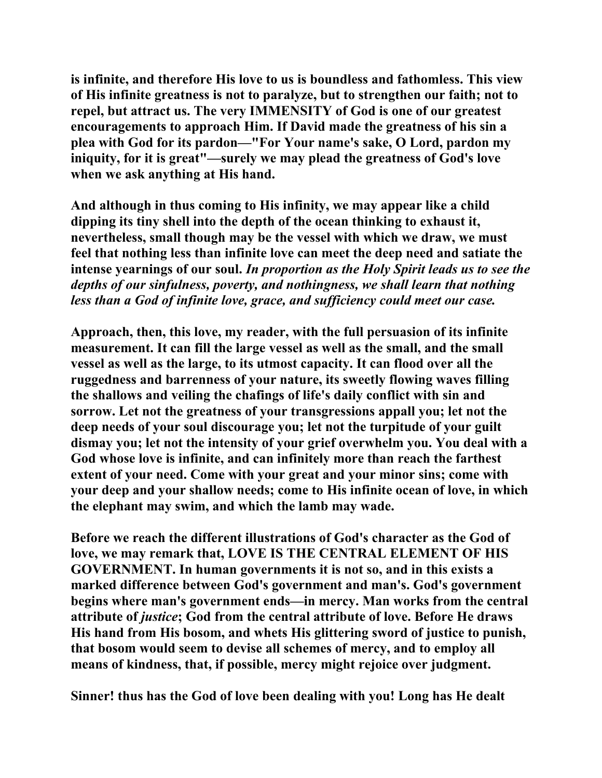**is infinite, and therefore His love to us is boundless and fathomless. This view of His infinite greatness is not to paralyze, but to strengthen our faith; not to repel, but attract us. The very IMMENSITY of God is one of our greatest encouragements to approach Him. If David made the greatness of his sin a plea with God for its pardon—"For Your name's sake, O Lord, pardon my iniquity, for it is great"—surely we may plead the greatness of God's love when we ask anything at His hand.** 

**And although in thus coming to His infinity, we may appear like a child dipping its tiny shell into the depth of the ocean thinking to exhaust it, nevertheless, small though may be the vessel with which we draw, we must feel that nothing less than infinite love can meet the deep need and satiate the intense yearnings of our soul.** *In proportion as the Holy Spirit leads us to see the depths of our sinfulness, poverty, and nothingness, we shall learn that nothing less than a God of infinite love, grace, and sufficiency could meet our case.*

**Approach, then, this love, my reader, with the full persuasion of its infinite measurement. It can fill the large vessel as well as the small, and the small vessel as well as the large, to its utmost capacity. It can flood over all the ruggedness and barrenness of your nature, its sweetly flowing waves filling the shallows and veiling the chafings of life's daily conflict with sin and sorrow. Let not the greatness of your transgressions appall you; let not the deep needs of your soul discourage you; let not the turpitude of your guilt dismay you; let not the intensity of your grief overwhelm you. You deal with a God whose love is infinite, and can infinitely more than reach the farthest extent of your need. Come with your great and your minor sins; come with your deep and your shallow needs; come to His infinite ocean of love, in which the elephant may swim, and which the lamb may wade.** 

**Before we reach the different illustrations of God's character as the God of love, we may remark that, LOVE IS THE CENTRAL ELEMENT OF HIS GOVERNMENT. In human governments it is not so, and in this exists a marked difference between God's government and man's. God's government begins where man's government ends—in mercy. Man works from the central attribute of** *justice***; God from the central attribute of love. Before He draws His hand from His bosom, and whets His glittering sword of justice to punish, that bosom would seem to devise all schemes of mercy, and to employ all means of kindness, that, if possible, mercy might rejoice over judgment.** 

**Sinner! thus has the God of love been dealing with you! Long has He dealt**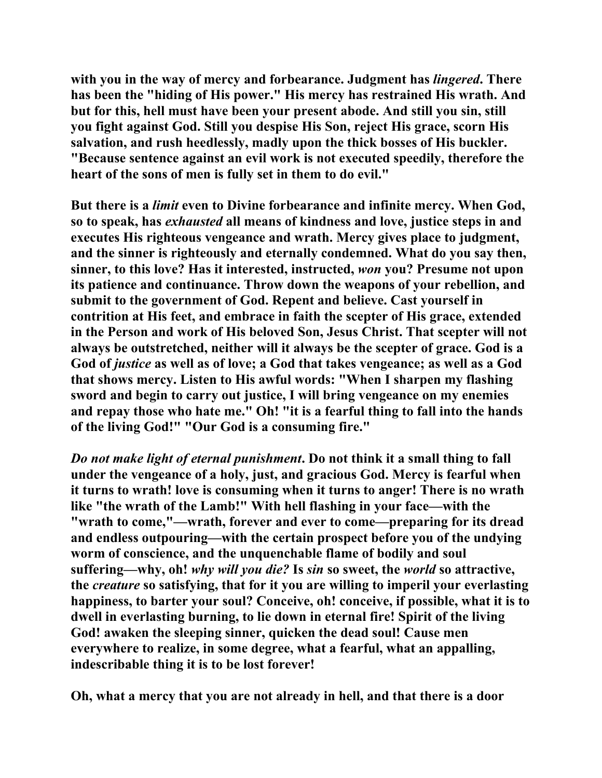**with you in the way of mercy and forbearance. Judgment has** *lingered***. There has been the "hiding of His power." His mercy has restrained His wrath. And but for this, hell must have been your present abode. And still you sin, still you fight against God. Still you despise His Son, reject His grace, scorn His salvation, and rush heedlessly, madly upon the thick bosses of His buckler. "Because sentence against an evil work is not executed speedily, therefore the heart of the sons of men is fully set in them to do evil."** 

**But there is a** *limit* **even to Divine forbearance and infinite mercy. When God, so to speak, has** *exhausted* **all means of kindness and love, justice steps in and executes His righteous vengeance and wrath. Mercy gives place to judgment, and the sinner is righteously and eternally condemned. What do you say then, sinner, to this love? Has it interested, instructed,** *won* **you? Presume not upon its patience and continuance. Throw down the weapons of your rebellion, and submit to the government of God. Repent and believe. Cast yourself in contrition at His feet, and embrace in faith the scepter of His grace, extended in the Person and work of His beloved Son, Jesus Christ. That scepter will not always be outstretched, neither will it always be the scepter of grace. God is a God of** *justice* **as well as of love; a God that takes vengeance; as well as a God that shows mercy. Listen to His awful words: "When I sharpen my flashing sword and begin to carry out justice, I will bring vengeance on my enemies and repay those who hate me." Oh! "it is a fearful thing to fall into the hands of the living God!" "Our God is a consuming fire."** 

*Do not make light of eternal punishment***. Do not think it a small thing to fall under the vengeance of a holy, just, and gracious God. Mercy is fearful when it turns to wrath! love is consuming when it turns to anger! There is no wrath like "the wrath of the Lamb!" With hell flashing in your face—with the "wrath to come,"—wrath, forever and ever to come—preparing for its dread and endless outpouring—with the certain prospect before you of the undying worm of conscience, and the unquenchable flame of bodily and soul suffering—why, oh!** *why will you die?* **Is** *sin* **so sweet, the** *world* **so attractive, the** *creature* **so satisfying, that for it you are willing to imperil your everlasting happiness, to barter your soul? Conceive, oh! conceive, if possible, what it is to dwell in everlasting burning, to lie down in eternal fire! Spirit of the living God! awaken the sleeping sinner, quicken the dead soul! Cause men everywhere to realize, in some degree, what a fearful, what an appalling, indescribable thing it is to be lost forever!** 

**Oh, what a mercy that you are not already in hell, and that there is a door**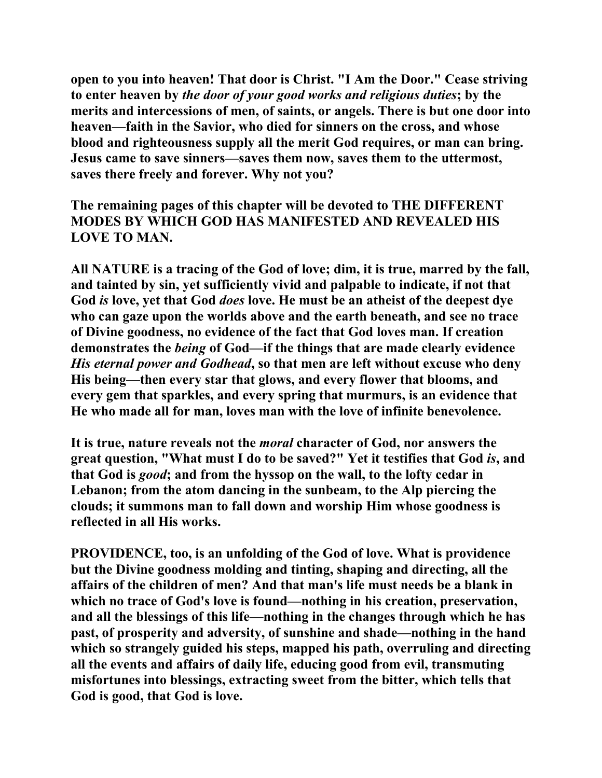**open to you into heaven! That door is Christ. "I Am the Door." Cease striving to enter heaven by** *the door of your good works and religious duties***; by the merits and intercessions of men, of saints, or angels. There is but one door into heaven—faith in the Savior, who died for sinners on the cross, and whose blood and righteousness supply all the merit God requires, or man can bring. Jesus came to save sinners—saves them now, saves them to the uttermost, saves there freely and forever. Why not you?** 

### **The remaining pages of this chapter will be devoted to THE DIFFERENT MODES BY WHICH GOD HAS MANIFESTED AND REVEALED HIS LOVE TO MAN.**

**All NATURE is a tracing of the God of love; dim, it is true, marred by the fall, and tainted by sin, yet sufficiently vivid and palpable to indicate, if not that God** *is* **love, yet that God** *does* **love. He must be an atheist of the deepest dye who can gaze upon the worlds above and the earth beneath, and see no trace of Divine goodness, no evidence of the fact that God loves man. If creation demonstrates the** *being* **of God—if the things that are made clearly evidence**  *His eternal power and Godhead***, so that men are left without excuse who deny His being—then every star that glows, and every flower that blooms, and every gem that sparkles, and every spring that murmurs, is an evidence that He who made all for man, loves man with the love of infinite benevolence.** 

**It is true, nature reveals not the** *moral* **character of God, nor answers the great question, "What must I do to be saved?" Yet it testifies that God** *is***, and that God is** *good***; and from the hyssop on the wall, to the lofty cedar in Lebanon; from the atom dancing in the sunbeam, to the Alp piercing the clouds; it summons man to fall down and worship Him whose goodness is reflected in all His works.** 

**PROVIDENCE, too, is an unfolding of the God of love. What is providence but the Divine goodness molding and tinting, shaping and directing, all the affairs of the children of men? And that man's life must needs be a blank in which no trace of God's love is found—nothing in his creation, preservation, and all the blessings of this life—nothing in the changes through which he has past, of prosperity and adversity, of sunshine and shade—nothing in the hand which so strangely guided his steps, mapped his path, overruling and directing all the events and affairs of daily life, educing good from evil, transmuting misfortunes into blessings, extracting sweet from the bitter, which tells that God is good, that God is love.**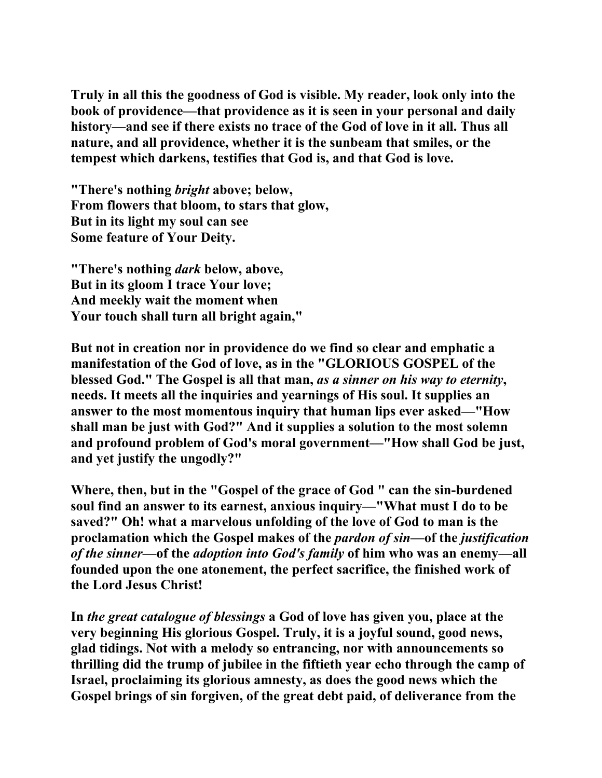**Truly in all this the goodness of God is visible. My reader, look only into the book of providence—that providence as it is seen in your personal and daily history—and see if there exists no trace of the God of love in it all. Thus all nature, and all providence, whether it is the sunbeam that smiles, or the tempest which darkens, testifies that God is, and that God is love.** 

**"There's nothing** *bright* **above; below, From flowers that bloom, to stars that glow, But in its light my soul can see Some feature of Your Deity.** 

**"There's nothing** *dark* **below, above, But in its gloom I trace Your love; And meekly wait the moment when Your touch shall turn all bright again,"** 

**But not in creation nor in providence do we find so clear and emphatic a manifestation of the God of love, as in the "GLORIOUS GOSPEL of the blessed God." The Gospel is all that man,** *as a sinner on his way to eternity***, needs. It meets all the inquiries and yearnings of His soul. It supplies an answer to the most momentous inquiry that human lips ever asked—"How shall man be just with God?" And it supplies a solution to the most solemn and profound problem of God's moral government—"How shall God be just, and yet justify the ungodly?"** 

**Where, then, but in the "Gospel of the grace of God " can the sin-burdened soul find an answer to its earnest, anxious inquiry—"What must I do to be saved?" Oh! what a marvelous unfolding of the love of God to man is the proclamation which the Gospel makes of the** *pardon of sin***—of the** *justification of the sinner***—of the** *adoption into God's family* **of him who was an enemy—all founded upon the one atonement, the perfect sacrifice, the finished work of the Lord Jesus Christ!** 

**In** *the great catalogue of blessings* **a God of love has given you, place at the very beginning His glorious Gospel. Truly, it is a joyful sound, good news, glad tidings. Not with a melody so entrancing, nor with announcements so thrilling did the trump of jubilee in the fiftieth year echo through the camp of Israel, proclaiming its glorious amnesty, as does the good news which the Gospel brings of sin forgiven, of the great debt paid, of deliverance from the**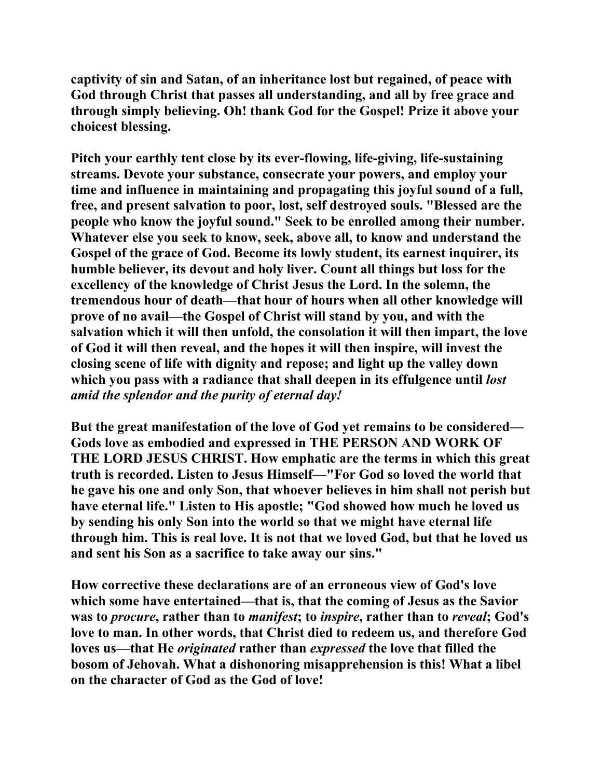**captivity of sin and Satan, of an inheritance lost but regained, of peace with God through Christ that passes all understanding, and all by free grace and through simply believing. Oh! thank God for the Gospel! Prize it above your choicest blessing.** 

**Pitch your earthly tent close by its ever-flowing, life-giving, life-sustaining streams. Devote your substance, consecrate your powers, and employ your time and influence in maintaining and propagating this joyful sound of a full, free, and present salvation to poor, lost, self destroyed souls. "Blessed are the people who know the joyful sound." Seek to be enrolled among their number. Whatever else you seek to know, seek, above all, to know and understand the Gospel of the grace of God. Become its lowly student, its earnest inquirer, its humble believer, its devout and holy liver. Count all things but loss for the excellency of the knowledge of Christ Jesus the Lord. In the solemn, the tremendous hour of death—that hour of hours when all other knowledge will prove of no avail—the Gospel of Christ will stand by you, and with the salvation which it will then unfold, the consolation it will then impart, the love of God it will then reveal, and the hopes it will then inspire, will invest the closing scene of life with dignity and repose; and light up the valley down which you pass with a radiance that shall deepen in its effulgence until** *lost amid the splendor and the purity of eternal day!*

**But the great manifestation of the love of God yet remains to be considered— Gods love as embodied and expressed in THE PERSON AND WORK OF THE LORD JESUS CHRIST. How emphatic are the terms in which this great truth is recorded. Listen to Jesus Himself—"For God so loved the world that he gave his one and only Son, that whoever believes in him shall not perish but have eternal life." Listen to His apostle; "God showed how much he loved us by sending his only Son into the world so that we might have eternal life through him. This is real love. It is not that we loved God, but that he loved us and sent his Son as a sacrifice to take away our sins."** 

**How corrective these declarations are of an erroneous view of God's love which some have entertained—that is, that the coming of Jesus as the Savior was to** *procure***, rather than to** *manifest***; to** *inspire***, rather than to** *reveal***; God's love to man. In other words, that Christ died to redeem us, and therefore God loves us—that He** *originated* **rather than** *expressed* **the love that filled the bosom of Jehovah. What a dishonoring misapprehension is this! What a libel on the character of God as the God of love!**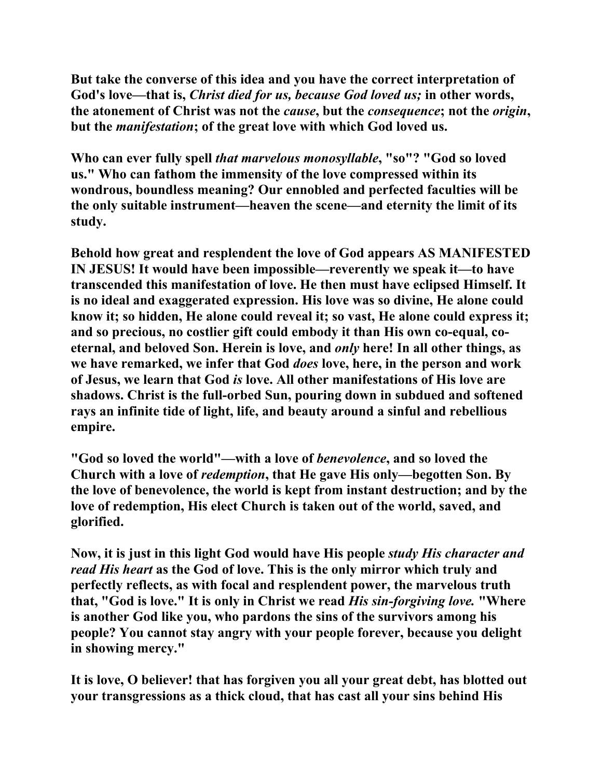**But take the converse of this idea and you have the correct interpretation of God's love—that is,** *Christ died for us, because God loved us;* **in other words, the atonement of Christ was not the** *cause***, but the** *consequence***; not the** *origin***, but the** *manifestation***; of the great love with which God loved us.** 

**Who can ever fully spell** *that marvelous monosyllable***, "so"? "God so loved us." Who can fathom the immensity of the love compressed within its wondrous, boundless meaning? Our ennobled and perfected faculties will be the only suitable instrument—heaven the scene—and eternity the limit of its study.** 

**Behold how great and resplendent the love of God appears AS MANIFESTED IN JESUS! It would have been impossible—reverently we speak it—to have transcended this manifestation of love. He then must have eclipsed Himself. It is no ideal and exaggerated expression. His love was so divine, He alone could know it; so hidden, He alone could reveal it; so vast, He alone could express it; and so precious, no costlier gift could embody it than His own co-equal, coeternal, and beloved Son. Herein is love, and** *only* **here! In all other things, as we have remarked, we infer that God** *does* **love, here, in the person and work of Jesus, we learn that God** *is* **love. All other manifestations of His love are shadows. Christ is the full-orbed Sun, pouring down in subdued and softened rays an infinite tide of light, life, and beauty around a sinful and rebellious empire.** 

**"God so loved the world"—with a love of** *benevolence***, and so loved the Church with a love of** *redemption***, that He gave His only—begotten Son. By the love of benevolence, the world is kept from instant destruction; and by the love of redemption, His elect Church is taken out of the world, saved, and glorified.** 

**Now, it is just in this light God would have His people** *study His character and read His heart* **as the God of love. This is the only mirror which truly and perfectly reflects, as with focal and resplendent power, the marvelous truth that, "God is love." It is only in Christ we read** *His sin-forgiving love.* **"Where is another God like you, who pardons the sins of the survivors among his people? You cannot stay angry with your people forever, because you delight in showing mercy."** 

**It is love, O believer! that has forgiven you all your great debt, has blotted out your transgressions as a thick cloud, that has cast all your sins behind His**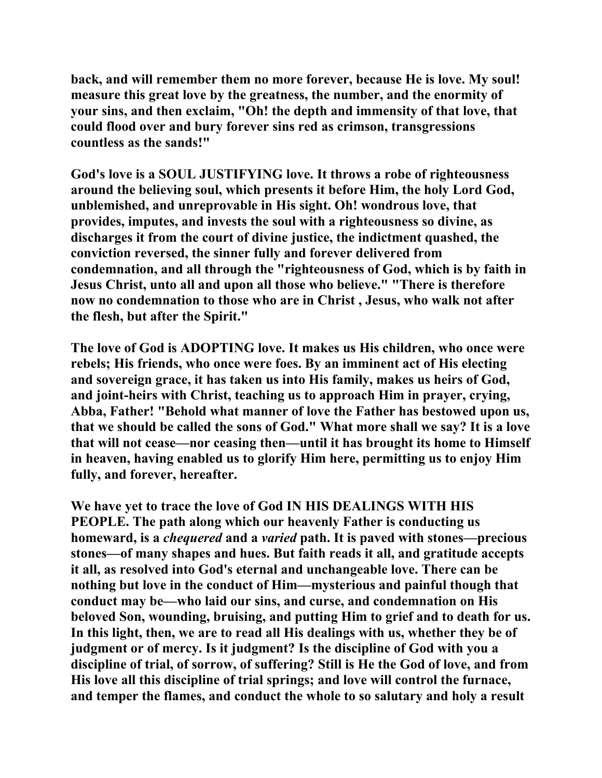**back, and will remember them no more forever, because He is love. My soul! measure this great love by the greatness, the number, and the enormity of your sins, and then exclaim, "Oh! the depth and immensity of that love, that could flood over and bury forever sins red as crimson, transgressions countless as the sands!"** 

**God's love is a SOUL JUSTIFYING love. It throws a robe of righteousness around the believing soul, which presents it before Him, the holy Lord God, unblemished, and unreprovable in His sight. Oh! wondrous love, that provides, imputes, and invests the soul with a righteousness so divine, as discharges it from the court of divine justice, the indictment quashed, the conviction reversed, the sinner fully and forever delivered from condemnation, and all through the "righteousness of God, which is by faith in Jesus Christ, unto all and upon all those who believe." "There is therefore now no condemnation to those who are in Christ , Jesus, who walk not after the flesh, but after the Spirit."** 

**The love of God is ADOPTING love. It makes us His children, who once were rebels; His friends, who once were foes. By an imminent act of His electing and sovereign grace, it has taken us into His family, makes us heirs of God, and joint-heirs with Christ, teaching us to approach Him in prayer, crying, Abba, Father! "Behold what manner of love the Father has bestowed upon us, that we should be called the sons of God." What more shall we say? It is a love that will not cease—nor ceasing then—until it has brought its home to Himself in heaven, having enabled us to glorify Him here, permitting us to enjoy Him fully, and forever, hereafter.** 

**We have yet to trace the love of God IN HIS DEALINGS WITH HIS PEOPLE. The path along which our heavenly Father is conducting us homeward, is a** *chequered* **and a** *varied* **path. It is paved with stones—precious stones—of many shapes and hues. But faith reads it all, and gratitude accepts it all, as resolved into God's eternal and unchangeable love. There can be nothing but love in the conduct of Him—mysterious and painful though that conduct may be—who laid our sins, and curse, and condemnation on His beloved Son, wounding, bruising, and putting Him to grief and to death for us. In this light, then, we are to read all His dealings with us, whether they be of judgment or of mercy. Is it judgment? Is the discipline of God with you a discipline of trial, of sorrow, of suffering? Still is He the God of love, and from His love all this discipline of trial springs; and love will control the furnace, and temper the flames, and conduct the whole to so salutary and holy a result**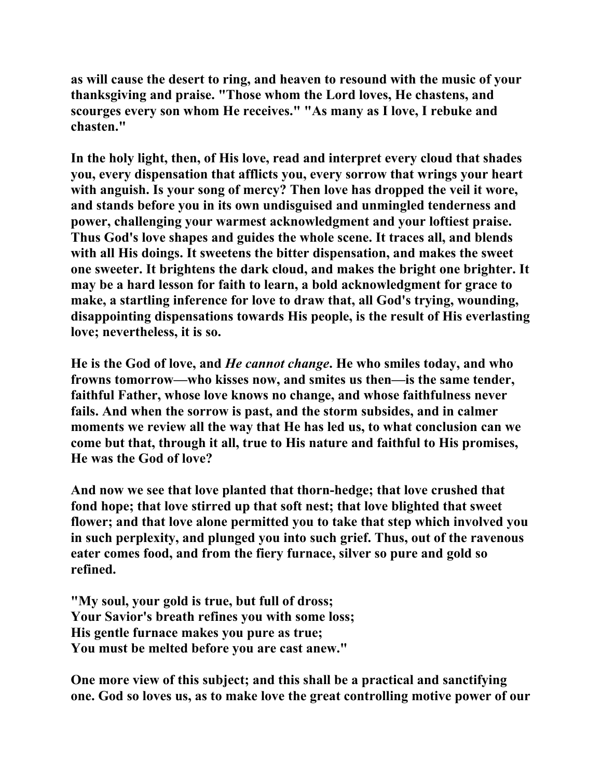**as will cause the desert to ring, and heaven to resound with the music of your thanksgiving and praise. "Those whom the Lord loves, He chastens, and scourges every son whom He receives." "As many as I love, I rebuke and chasten."** 

**In the holy light, then, of His love, read and interpret every cloud that shades you, every dispensation that afflicts you, every sorrow that wrings your heart with anguish. Is your song of mercy? Then love has dropped the veil it wore, and stands before you in its own undisguised and unmingled tenderness and power, challenging your warmest acknowledgment and your loftiest praise. Thus God's love shapes and guides the whole scene. It traces all, and blends with all His doings. It sweetens the bitter dispensation, and makes the sweet one sweeter. It brightens the dark cloud, and makes the bright one brighter. It may be a hard lesson for faith to learn, a bold acknowledgment for grace to make, a startling inference for love to draw that, all God's trying, wounding, disappointing dispensations towards His people, is the result of His everlasting love; nevertheless, it is so.** 

**He is the God of love, and** *He cannot change***. He who smiles today, and who frowns tomorrow—who kisses now, and smites us then—is the same tender, faithful Father, whose love knows no change, and whose faithfulness never fails. And when the sorrow is past, and the storm subsides, and in calmer moments we review all the way that He has led us, to what conclusion can we come but that, through it all, true to His nature and faithful to His promises, He was the God of love?** 

**And now we see that love planted that thorn-hedge; that love crushed that fond hope; that love stirred up that soft nest; that love blighted that sweet flower; and that love alone permitted you to take that step which involved you in such perplexity, and plunged you into such grief. Thus, out of the ravenous eater comes food, and from the fiery furnace, silver so pure and gold so refined.** 

**"My soul, your gold is true, but full of dross; Your Savior's breath refines you with some loss; His gentle furnace makes you pure as true; You must be melted before you are cast anew."** 

**One more view of this subject; and this shall be a practical and sanctifying one. God so loves us, as to make love the great controlling motive power of our**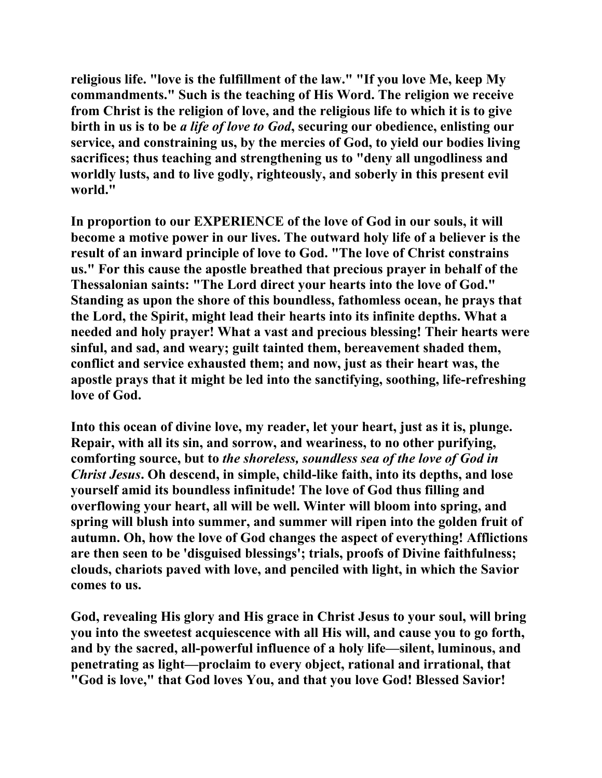**religious life. "love is the fulfillment of the law." "If you love Me, keep My commandments." Such is the teaching of His Word. The religion we receive from Christ is the religion of love, and the religious life to which it is to give birth in us is to be** *a life of love to God***, securing our obedience, enlisting our service, and constraining us, by the mercies of God, to yield our bodies living sacrifices; thus teaching and strengthening us to "deny all ungodliness and worldly lusts, and to live godly, righteously, and soberly in this present evil world."** 

**In proportion to our EXPERIENCE of the love of God in our souls, it will become a motive power in our lives. The outward holy life of a believer is the result of an inward principle of love to God. "The love of Christ constrains us." For this cause the apostle breathed that precious prayer in behalf of the Thessalonian saints: "The Lord direct your hearts into the love of God." Standing as upon the shore of this boundless, fathomless ocean, he prays that the Lord, the Spirit, might lead their hearts into its infinite depths. What a needed and holy prayer! What a vast and precious blessing! Their hearts were sinful, and sad, and weary; guilt tainted them, bereavement shaded them, conflict and service exhausted them; and now, just as their heart was, the apostle prays that it might be led into the sanctifying, soothing, life-refreshing love of God.** 

**Into this ocean of divine love, my reader, let your heart, just as it is, plunge. Repair, with all its sin, and sorrow, and weariness, to no other purifying, comforting source, but to** *the shoreless, soundless sea of the love of God in Christ Jesus***. Oh descend, in simple, child-like faith, into its depths, and lose yourself amid its boundless infinitude! The love of God thus filling and overflowing your heart, all will be well. Winter will bloom into spring, and spring will blush into summer, and summer will ripen into the golden fruit of autumn. Oh, how the love of God changes the aspect of everything! Afflictions are then seen to be 'disguised blessings'; trials, proofs of Divine faithfulness; clouds, chariots paved with love, and penciled with light, in which the Savior comes to us.** 

**God, revealing His glory and His grace in Christ Jesus to your soul, will bring you into the sweetest acquiescence with all His will, and cause you to go forth, and by the sacred, all-powerful influence of a holy life—silent, luminous, and penetrating as light—proclaim to every object, rational and irrational, that "God is love," that God loves You, and that you love God! Blessed Savior!**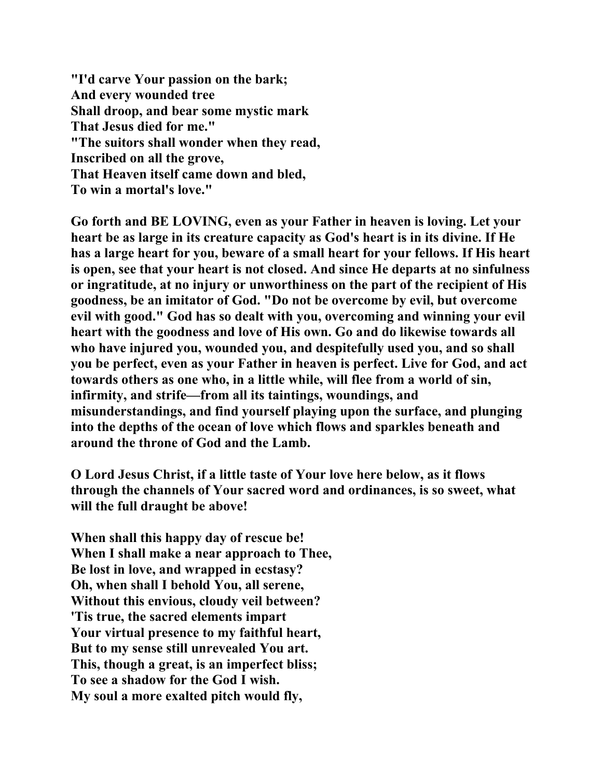**"I'd carve Your passion on the bark; And every wounded tree Shall droop, and bear some mystic mark That Jesus died for me." "The suitors shall wonder when they read, Inscribed on all the grove, That Heaven itself came down and bled, To win a mortal's love."** 

**Go forth and BE LOVING, even as your Father in heaven is loving. Let your heart be as large in its creature capacity as God's heart is in its divine. If He has a large heart for you, beware of a small heart for your fellows. If His heart is open, see that your heart is not closed. And since He departs at no sinfulness or ingratitude, at no injury or unworthiness on the part of the recipient of His goodness, be an imitator of God. "Do not be overcome by evil, but overcome evil with good." God has so dealt with you, overcoming and winning your evil heart with the goodness and love of His own. Go and do likewise towards all who have injured you, wounded you, and despitefully used you, and so shall you be perfect, even as your Father in heaven is perfect. Live for God, and act towards others as one who, in a little while, will flee from a world of sin, infirmity, and strife—from all its taintings, woundings, and misunderstandings, and find yourself playing upon the surface, and plunging into the depths of the ocean of love which flows and sparkles beneath and around the throne of God and the Lamb.** 

**O Lord Jesus Christ, if a little taste of Your love here below, as it flows through the channels of Your sacred word and ordinances, is so sweet, what will the full draught be above!** 

**When shall this happy day of rescue be! When I shall make a near approach to Thee, Be lost in love, and wrapped in ecstasy? Oh, when shall I behold You, all serene, Without this envious, cloudy veil between? 'Tis true, the sacred elements impart Your virtual presence to my faithful heart, But to my sense still unrevealed You art. This, though a great, is an imperfect bliss; To see a shadow for the God I wish. My soul a more exalted pitch would fly,**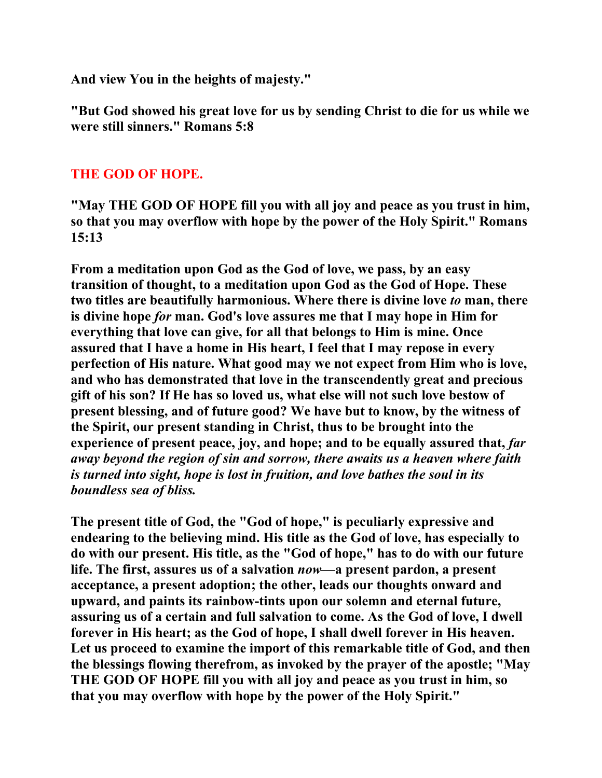**And view You in the heights of majesty."** 

**"But God showed his great love for us by sending Christ to die for us while we were still sinners." Romans 5:8** 

### **THE GOD OF HOPE.**

**"May THE GOD OF HOPE fill you with all joy and peace as you trust in him, so that you may overflow with hope by the power of the Holy Spirit." Romans 15:13** 

**From a meditation upon God as the God of love, we pass, by an easy transition of thought, to a meditation upon God as the God of Hope. These two titles are beautifully harmonious. Where there is divine love** *to* **man, there is divine hope** *for* **man. God's love assures me that I may hope in Him for everything that love can give, for all that belongs to Him is mine. Once assured that I have a home in His heart, I feel that I may repose in every perfection of His nature. What good may we not expect from Him who is love, and who has demonstrated that love in the transcendently great and precious gift of his son? If He has so loved us, what else will not such love bestow of present blessing, and of future good? We have but to know, by the witness of the Spirit, our present standing in Christ, thus to be brought into the experience of present peace, joy, and hope; and to be equally assured that,** *far away beyond the region of sin and sorrow, there awaits us a heaven where faith is turned into sight, hope is lost in fruition, and love bathes the soul in its boundless sea of bliss.*

**The present title of God, the "God of hope," is peculiarly expressive and endearing to the believing mind. His title as the God of love, has especially to do with our present. His title, as the "God of hope," has to do with our future life. The first, assures us of a salvation** *now***—a present pardon, a present acceptance, a present adoption; the other, leads our thoughts onward and upward, and paints its rainbow-tints upon our solemn and eternal future, assuring us of a certain and full salvation to come. As the God of love, I dwell forever in His heart; as the God of hope, I shall dwell forever in His heaven. Let us proceed to examine the import of this remarkable title of God, and then the blessings flowing therefrom, as invoked by the prayer of the apostle; "May THE GOD OF HOPE fill you with all joy and peace as you trust in him, so that you may overflow with hope by the power of the Holy Spirit."**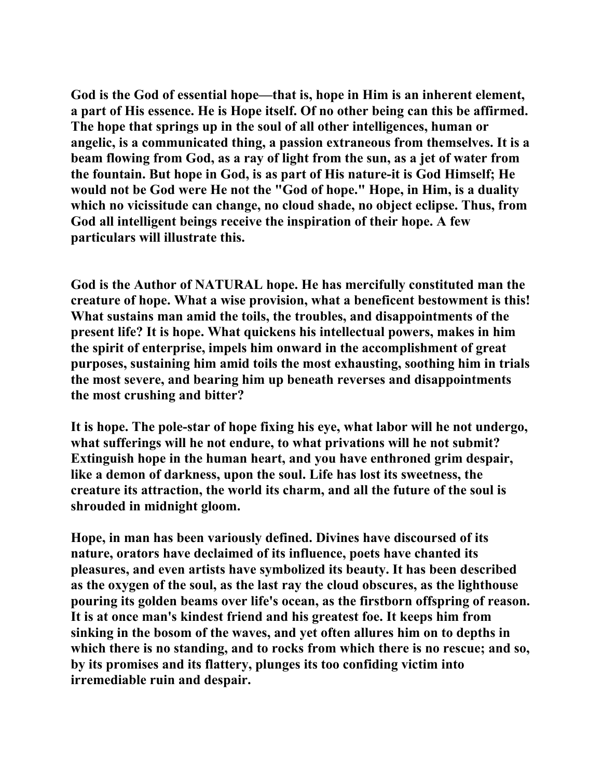**God is the God of essential hope—that is, hope in Him is an inherent element, a part of His essence. He is Hope itself. Of no other being can this be affirmed. The hope that springs up in the soul of all other intelligences, human or angelic, is a communicated thing, a passion extraneous from themselves. It is a beam flowing from God, as a ray of light from the sun, as a jet of water from the fountain. But hope in God, is as part of His nature-it is God Himself; He would not be God were He not the "God of hope." Hope, in Him, is a duality which no vicissitude can change, no cloud shade, no object eclipse. Thus, from God all intelligent beings receive the inspiration of their hope. A few particulars will illustrate this.** 

**God is the Author of NATURAL hope. He has mercifully constituted man the creature of hope. What a wise provision, what a beneficent bestowment is this! What sustains man amid the toils, the troubles, and disappointments of the present life? It is hope. What quickens his intellectual powers, makes in him the spirit of enterprise, impels him onward in the accomplishment of great purposes, sustaining him amid toils the most exhausting, soothing him in trials the most severe, and bearing him up beneath reverses and disappointments the most crushing and bitter?** 

**It is hope. The pole-star of hope fixing his eye, what labor will he not undergo, what sufferings will he not endure, to what privations will he not submit? Extinguish hope in the human heart, and you have enthroned grim despair, like a demon of darkness, upon the soul. Life has lost its sweetness, the creature its attraction, the world its charm, and all the future of the soul is shrouded in midnight gloom.** 

**Hope, in man has been variously defined. Divines have discoursed of its nature, orators have declaimed of its influence, poets have chanted its pleasures, and even artists have symbolized its beauty. It has been described as the oxygen of the soul, as the last ray the cloud obscures, as the lighthouse pouring its golden beams over life's ocean, as the firstborn offspring of reason. It is at once man's kindest friend and his greatest foe. It keeps him from sinking in the bosom of the waves, and yet often allures him on to depths in which there is no standing, and to rocks from which there is no rescue; and so, by its promises and its flattery, plunges its too confiding victim into irremediable ruin and despair.**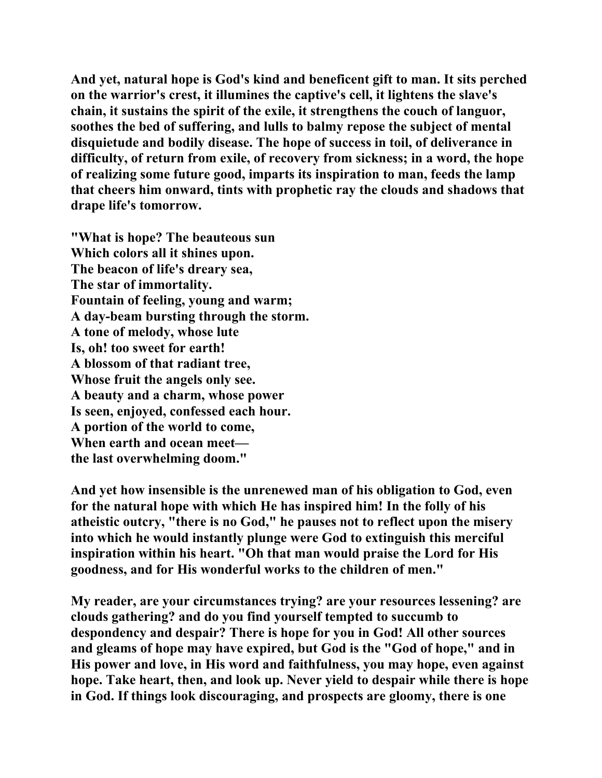**And yet, natural hope is God's kind and beneficent gift to man. It sits perched on the warrior's crest, it illumines the captive's cell, it lightens the slave's chain, it sustains the spirit of the exile, it strengthens the couch of languor, soothes the bed of suffering, and lulls to balmy repose the subject of mental disquietude and bodily disease. The hope of success in toil, of deliverance in difficulty, of return from exile, of recovery from sickness; in a word, the hope of realizing some future good, imparts its inspiration to man, feeds the lamp that cheers him onward, tints with prophetic ray the clouds and shadows that drape life's tomorrow.** 

**"What is hope? The beauteous sun Which colors all it shines upon. The beacon of life's dreary sea, The star of immortality. Fountain of feeling, young and warm; A day-beam bursting through the storm. A tone of melody, whose lute Is, oh! too sweet for earth! A blossom of that radiant tree, Whose fruit the angels only see. A beauty and a charm, whose power Is seen, enjoyed, confessed each hour. A portion of the world to come, When earth and ocean meet the last overwhelming doom."** 

**And yet how insensible is the unrenewed man of his obligation to God, even for the natural hope with which He has inspired him! In the folly of his atheistic outcry, "there is no God," he pauses not to reflect upon the misery into which he would instantly plunge were God to extinguish this merciful inspiration within his heart. "Oh that man would praise the Lord for His goodness, and for His wonderful works to the children of men."** 

**My reader, are your circumstances trying? are your resources lessening? are clouds gathering? and do you find yourself tempted to succumb to despondency and despair? There is hope for you in God! All other sources and gleams of hope may have expired, but God is the "God of hope," and in His power and love, in His word and faithfulness, you may hope, even against hope. Take heart, then, and look up. Never yield to despair while there is hope in God. If things look discouraging, and prospects are gloomy, there is one**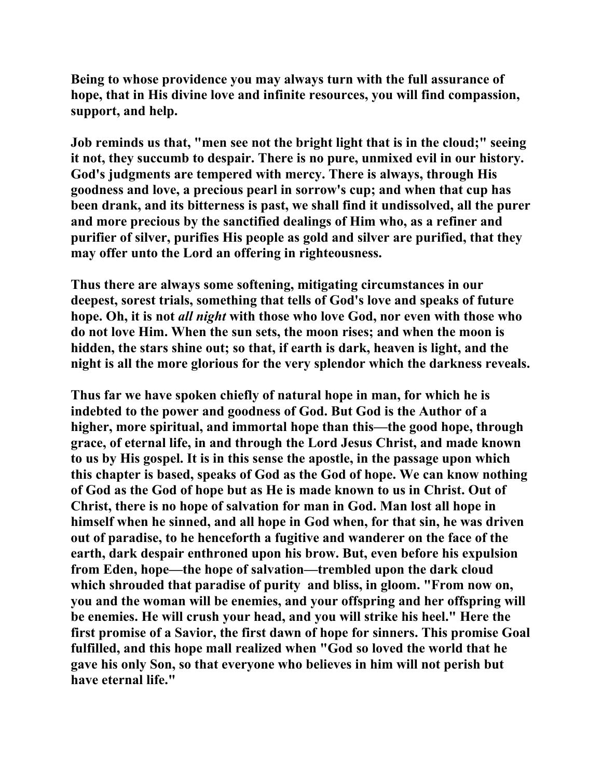**Being to whose providence you may always turn with the full assurance of hope, that in His divine love and infinite resources, you will find compassion, support, and help.** 

**Job reminds us that, "men see not the bright light that is in the cloud;" seeing it not, they succumb to despair. There is no pure, unmixed evil in our history. God's judgments are tempered with mercy. There is always, through His goodness and love, a precious pearl in sorrow's cup; and when that cup has been drank, and its bitterness is past, we shall find it undissolved, all the purer and more precious by the sanctified dealings of Him who, as a refiner and purifier of silver, purifies His people as gold and silver are purified, that they may offer unto the Lord an offering in righteousness.** 

**Thus there are always some softening, mitigating circumstances in our deepest, sorest trials, something that tells of God's love and speaks of future hope. Oh, it is not** *all night* **with those who love God, nor even with those who do not love Him. When the sun sets, the moon rises; and when the moon is hidden, the stars shine out; so that, if earth is dark, heaven is light, and the night is all the more glorious for the very splendor which the darkness reveals.** 

**Thus far we have spoken chiefly of natural hope in man, for which he is indebted to the power and goodness of God. But God is the Author of a higher, more spiritual, and immortal hope than this—the good hope, through grace, of eternal life, in and through the Lord Jesus Christ, and made known to us by His gospel. It is in this sense the apostle, in the passage upon which this chapter is based, speaks of God as the God of hope. We can know nothing of God as the God of hope but as He is made known to us in Christ. Out of Christ, there is no hope of salvation for man in God. Man lost all hope in himself when he sinned, and all hope in God when, for that sin, he was driven out of paradise, to he henceforth a fugitive and wanderer on the face of the earth, dark despair enthroned upon his brow. But, even before his expulsion from Eden, hope—the hope of salvation—trembled upon the dark cloud which shrouded that paradise of purity and bliss, in gloom. "From now on, you and the woman will be enemies, and your offspring and her offspring will be enemies. He will crush your head, and you will strike his heel." Here the first promise of a Savior, the first dawn of hope for sinners. This promise Goal fulfilled, and this hope mall realized when "God so loved the world that he gave his only Son, so that everyone who believes in him will not perish but have eternal life."**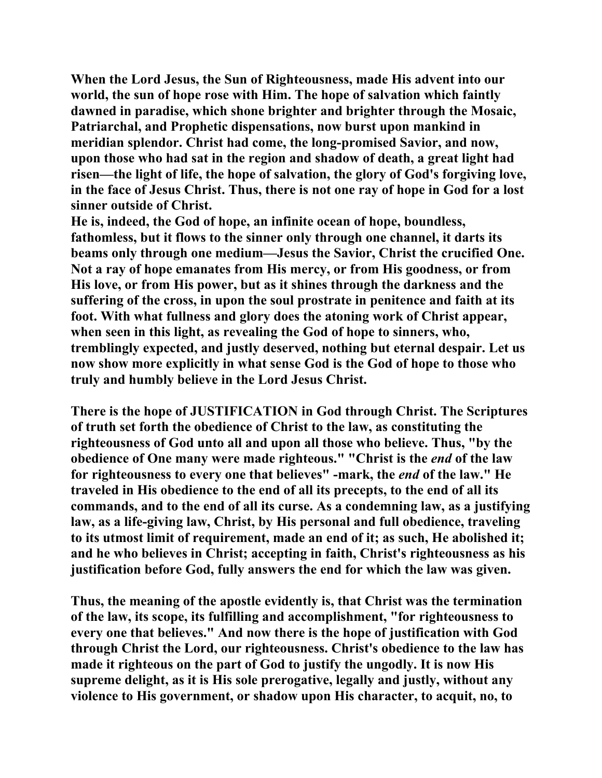**When the Lord Jesus, the Sun of Righteousness, made His advent into our world, the sun of hope rose with Him. The hope of salvation which faintly dawned in paradise, which shone brighter and brighter through the Mosaic, Patriarchal, and Prophetic dispensations, now burst upon mankind in meridian splendor. Christ had come, the long-promised Savior, and now, upon those who had sat in the region and shadow of death, a great light had risen—the light of life, the hope of salvation, the glory of God's forgiving love, in the face of Jesus Christ. Thus, there is not one ray of hope in God for a lost sinner outside of Christ.** 

**He is, indeed, the God of hope, an infinite ocean of hope, boundless, fathomless, but it flows to the sinner only through one channel, it darts its beams only through one medium—Jesus the Savior, Christ the crucified One. Not a ray of hope emanates from His mercy, or from His goodness, or from His love, or from His power, but as it shines through the darkness and the suffering of the cross, in upon the soul prostrate in penitence and faith at its foot. With what fullness and glory does the atoning work of Christ appear, when seen in this light, as revealing the God of hope to sinners, who, tremblingly expected, and justly deserved, nothing but eternal despair. Let us now show more explicitly in what sense God is the God of hope to those who truly and humbly believe in the Lord Jesus Christ.** 

**There is the hope of JUSTIFICATION in God through Christ. The Scriptures of truth set forth the obedience of Christ to the law, as constituting the righteousness of God unto all and upon all those who believe. Thus, "by the obedience of One many were made righteous." "Christ is the** *end* **of the law for righteousness to every one that believes" -mark, the** *end* **of the law." He traveled in His obedience to the end of all its precepts, to the end of all its commands, and to the end of all its curse. As a condemning law, as a justifying law, as a life-giving law, Christ, by His personal and full obedience, traveling to its utmost limit of requirement, made an end of it; as such, He abolished it; and he who believes in Christ; accepting in faith, Christ's righteousness as his justification before God, fully answers the end for which the law was given.** 

**Thus, the meaning of the apostle evidently is, that Christ was the termination of the law, its scope, its fulfilling and accomplishment, "for righteousness to every one that believes." And now there is the hope of justification with God through Christ the Lord, our righteousness. Christ's obedience to the law has made it righteous on the part of God to justify the ungodly. It is now His supreme delight, as it is His sole prerogative, legally and justly, without any violence to His government, or shadow upon His character, to acquit, no, to**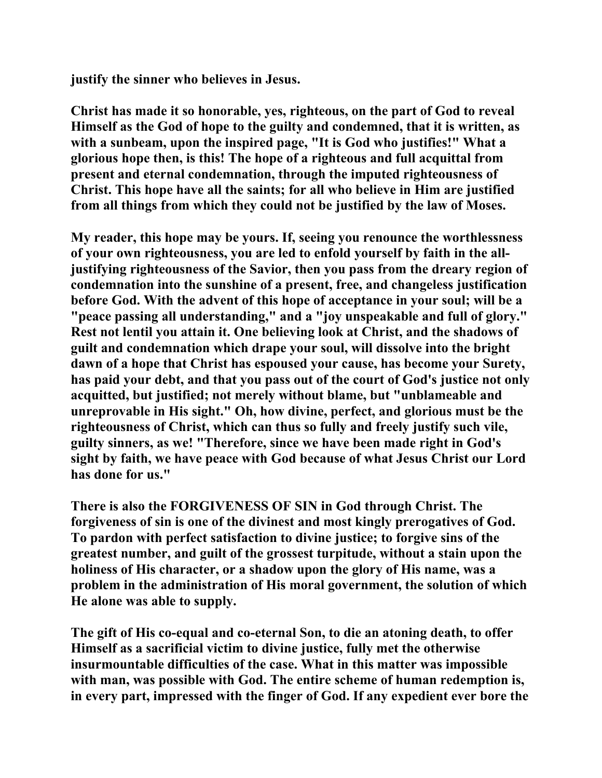**justify the sinner who believes in Jesus.** 

**Christ has made it so honorable, yes, righteous, on the part of God to reveal Himself as the God of hope to the guilty and condemned, that it is written, as with a sunbeam, upon the inspired page, "It is God who justifies!" What a glorious hope then, is this! The hope of a righteous and full acquittal from present and eternal condemnation, through the imputed righteousness of Christ. This hope have all the saints; for all who believe in Him are justified from all things from which they could not be justified by the law of Moses.** 

**My reader, this hope may be yours. If, seeing you renounce the worthlessness of your own righteousness, you are led to enfold yourself by faith in the alljustifying righteousness of the Savior, then you pass from the dreary region of condemnation into the sunshine of a present, free, and changeless justification before God. With the advent of this hope of acceptance in your soul; will be a "peace passing all understanding," and a "joy unspeakable and full of glory." Rest not lentil you attain it. One believing look at Christ, and the shadows of guilt and condemnation which drape your soul, will dissolve into the bright dawn of a hope that Christ has espoused your cause, has become your Surety, has paid your debt, and that you pass out of the court of God's justice not only acquitted, but justified; not merely without blame, but "unblameable and unreprovable in His sight." Oh, how divine, perfect, and glorious must be the righteousness of Christ, which can thus so fully and freely justify such vile, guilty sinners, as we! "Therefore, since we have been made right in God's sight by faith, we have peace with God because of what Jesus Christ our Lord has done for us."** 

**There is also the FORGIVENESS OF SIN in God through Christ. The forgiveness of sin is one of the divinest and most kingly prerogatives of God. To pardon with perfect satisfaction to divine justice; to forgive sins of the greatest number, and guilt of the grossest turpitude, without a stain upon the holiness of His character, or a shadow upon the glory of His name, was a problem in the administration of His moral government, the solution of which He alone was able to supply.** 

**The gift of His co-equal and co-eternal Son, to die an atoning death, to offer Himself as a sacrificial victim to divine justice, fully met the otherwise insurmountable difficulties of the case. What in this matter was impossible with man, was possible with God. The entire scheme of human redemption is, in every part, impressed with the finger of God. If any expedient ever bore the**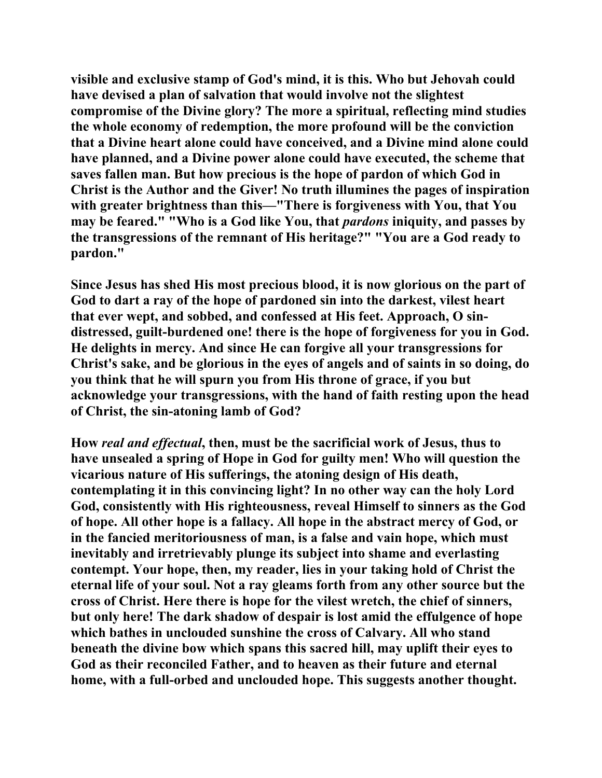**visible and exclusive stamp of God's mind, it is this. Who but Jehovah could have devised a plan of salvation that would involve not the slightest compromise of the Divine glory? The more a spiritual, reflecting mind studies the whole economy of redemption, the more profound will be the conviction that a Divine heart alone could have conceived, and a Divine mind alone could have planned, and a Divine power alone could have executed, the scheme that saves fallen man. But how precious is the hope of pardon of which God in Christ is the Author and the Giver! No truth illumines the pages of inspiration with greater brightness than this—"There is forgiveness with You, that You may be feared." "Who is a God like You, that** *pardons* **iniquity, and passes by the transgressions of the remnant of His heritage?" "You are a God ready to pardon."** 

**Since Jesus has shed His most precious blood, it is now glorious on the part of God to dart a ray of the hope of pardoned sin into the darkest, vilest heart that ever wept, and sobbed, and confessed at His feet. Approach, O sindistressed, guilt-burdened one! there is the hope of forgiveness for you in God. He delights in mercy. And since He can forgive all your transgressions for Christ's sake, and be glorious in the eyes of angels and of saints in so doing, do you think that he will spurn you from His throne of grace, if you but acknowledge your transgressions, with the hand of faith resting upon the head of Christ, the sin-atoning lamb of God?** 

**How** *real and effectual***, then, must be the sacrificial work of Jesus, thus to have unsealed a spring of Hope in God for guilty men! Who will question the vicarious nature of His sufferings, the atoning design of His death, contemplating it in this convincing light? In no other way can the holy Lord God, consistently with His righteousness, reveal Himself to sinners as the God of hope. All other hope is a fallacy. All hope in the abstract mercy of God, or in the fancied meritoriousness of man, is a false and vain hope, which must inevitably and irretrievably plunge its subject into shame and everlasting contempt. Your hope, then, my reader, lies in your taking hold of Christ the eternal life of your soul. Not a ray gleams forth from any other source but the cross of Christ. Here there is hope for the vilest wretch, the chief of sinners, but only here! The dark shadow of despair is lost amid the effulgence of hope which bathes in unclouded sunshine the cross of Calvary. All who stand beneath the divine bow which spans this sacred hill, may uplift their eyes to God as their reconciled Father, and to heaven as their future and eternal home, with a full-orbed and unclouded hope. This suggests another thought.**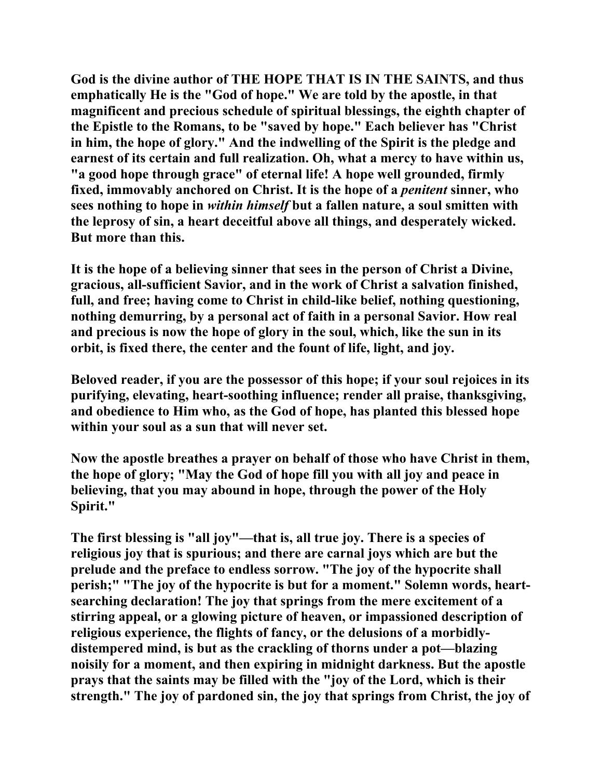**God is the divine author of THE HOPE THAT IS IN THE SAINTS, and thus emphatically He is the "God of hope." We are told by the apostle, in that magnificent and precious schedule of spiritual blessings, the eighth chapter of the Epistle to the Romans, to be "saved by hope." Each believer has "Christ in him, the hope of glory." And the indwelling of the Spirit is the pledge and earnest of its certain and full realization. Oh, what a mercy to have within us, "a good hope through grace" of eternal life! A hope well grounded, firmly fixed, immovably anchored on Christ. It is the hope of a** *penitent* **sinner, who sees nothing to hope in** *within himself* **but a fallen nature, a soul smitten with the leprosy of sin, a heart deceitful above all things, and desperately wicked. But more than this.** 

**It is the hope of a believing sinner that sees in the person of Christ a Divine, gracious, all-sufficient Savior, and in the work of Christ a salvation finished, full, and free; having come to Christ in child-like belief, nothing questioning, nothing demurring, by a personal act of faith in a personal Savior. How real and precious is now the hope of glory in the soul, which, like the sun in its orbit, is fixed there, the center and the fount of life, light, and joy.** 

**Beloved reader, if you are the possessor of this hope; if your soul rejoices in its purifying, elevating, heart-soothing influence; render all praise, thanksgiving, and obedience to Him who, as the God of hope, has planted this blessed hope within your soul as a sun that will never set.** 

**Now the apostle breathes a prayer on behalf of those who have Christ in them, the hope of glory; "May the God of hope fill you with all joy and peace in believing, that you may abound in hope, through the power of the Holy Spirit."** 

**The first blessing is "all joy"—that is, all true joy. There is a species of religious joy that is spurious; and there are carnal joys which are but the prelude and the preface to endless sorrow. "The joy of the hypocrite shall perish;" "The joy of the hypocrite is but for a moment." Solemn words, heartsearching declaration! The joy that springs from the mere excitement of a stirring appeal, or a glowing picture of heaven, or impassioned description of religious experience, the flights of fancy, or the delusions of a morbidlydistempered mind, is but as the crackling of thorns under a pot—blazing noisily for a moment, and then expiring in midnight darkness. But the apostle prays that the saints may be filled with the "joy of the Lord, which is their strength." The joy of pardoned sin, the joy that springs from Christ, the joy of**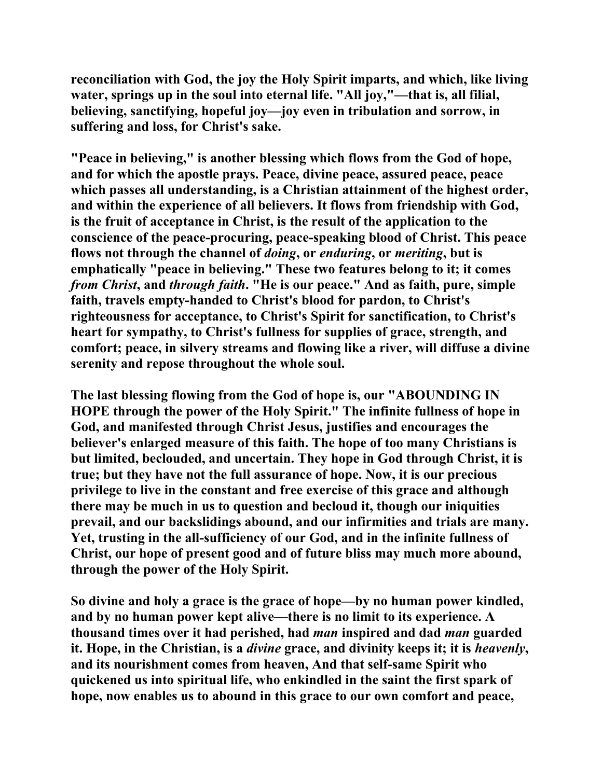**reconciliation with God, the joy the Holy Spirit imparts, and which, like living water, springs up in the soul into eternal life. "All joy,"—that is, all filial, believing, sanctifying, hopeful joy—joy even in tribulation and sorrow, in suffering and loss, for Christ's sake.** 

**"Peace in believing," is another blessing which flows from the God of hope, and for which the apostle prays. Peace, divine peace, assured peace, peace which passes all understanding, is a Christian attainment of the highest order, and within the experience of all believers. It flows from friendship with God, is the fruit of acceptance in Christ, is the result of the application to the conscience of the peace-procuring, peace-speaking blood of Christ. This peace flows not through the channel of** *doing***, or** *enduring***, or** *meriting***, but is emphatically "peace in believing." These two features belong to it; it comes**  *from Christ***, and** *through faith***. "He is our peace." And as faith, pure, simple faith, travels empty-handed to Christ's blood for pardon, to Christ's righteousness for acceptance, to Christ's Spirit for sanctification, to Christ's heart for sympathy, to Christ's fullness for supplies of grace, strength, and comfort; peace, in silvery streams and flowing like a river, will diffuse a divine serenity and repose throughout the whole soul.** 

**The last blessing flowing from the God of hope is, our "ABOUNDING IN HOPE through the power of the Holy Spirit." The infinite fullness of hope in God, and manifested through Christ Jesus, justifies and encourages the believer's enlarged measure of this faith. The hope of too many Christians is but limited, beclouded, and uncertain. They hope in God through Christ, it is true; but they have not the full assurance of hope. Now, it is our precious privilege to live in the constant and free exercise of this grace and although there may be much in us to question and becloud it, though our iniquities prevail, and our backslidings abound, and our infirmities and trials are many. Yet, trusting in the all-sufficiency of our God, and in the infinite fullness of Christ, our hope of present good and of future bliss may much more abound, through the power of the Holy Spirit.** 

**So divine and holy a grace is the grace of hope—by no human power kindled, and by no human power kept alive—there is no limit to its experience. A thousand times over it had perished, had** *man* **inspired and dad** *man* **guarded it. Hope, in the Christian, is a** *divine* **grace, and divinity keeps it; it is** *heavenly***, and its nourishment comes from heaven, And that self-same Spirit who quickened us into spiritual life, who enkindled in the saint the first spark of hope, now enables us to abound in this grace to our own comfort and peace,**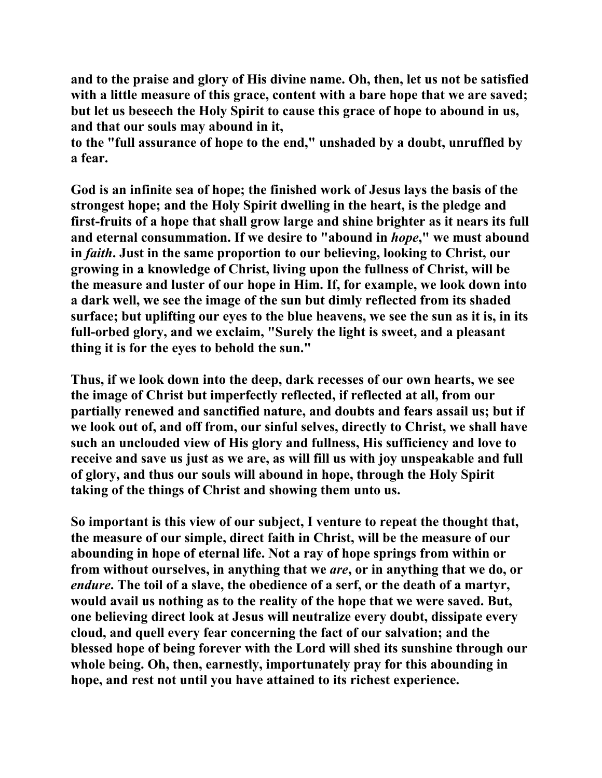**and to the praise and glory of His divine name. Oh, then, let us not be satisfied with a little measure of this grace, content with a bare hope that we are saved; but let us beseech the Holy Spirit to cause this grace of hope to abound in us, and that our souls may abound in it,** 

**to the "full assurance of hope to the end," unshaded by a doubt, unruffled by a fear.** 

**God is an infinite sea of hope; the finished work of Jesus lays the basis of the strongest hope; and the Holy Spirit dwelling in the heart, is the pledge and first-fruits of a hope that shall grow large and shine brighter as it nears its full and eternal consummation. If we desire to "abound in** *hope***," we must abound in** *faith***. Just in the same proportion to our believing, looking to Christ, our growing in a knowledge of Christ, living upon the fullness of Christ, will be the measure and luster of our hope in Him. If, for example, we look down into a dark well, we see the image of the sun but dimly reflected from its shaded surface; but uplifting our eyes to the blue heavens, we see the sun as it is, in its full-orbed glory, and we exclaim, "Surely the light is sweet, and a pleasant thing it is for the eyes to behold the sun."** 

**Thus, if we look down into the deep, dark recesses of our own hearts, we see the image of Christ but imperfectly reflected, if reflected at all, from our partially renewed and sanctified nature, and doubts and fears assail us; but if we look out of, and off from, our sinful selves, directly to Christ, we shall have such an unclouded view of His glory and fullness, His sufficiency and love to receive and save us just as we are, as will fill us with joy unspeakable and full of glory, and thus our souls will abound in hope, through the Holy Spirit taking of the things of Christ and showing them unto us.** 

**So important is this view of our subject, I venture to repeat the thought that, the measure of our simple, direct faith in Christ, will be the measure of our abounding in hope of eternal life. Not a ray of hope springs from within or from without ourselves, in anything that we** *are***, or in anything that we do, or**  *endure***. The toil of a slave, the obedience of a serf, or the death of a martyr, would avail us nothing as to the reality of the hope that we were saved. But, one believing direct look at Jesus will neutralize every doubt, dissipate every cloud, and quell every fear concerning the fact of our salvation; and the blessed hope of being forever with the Lord will shed its sunshine through our whole being. Oh, then, earnestly, importunately pray for this abounding in hope, and rest not until you have attained to its richest experience.**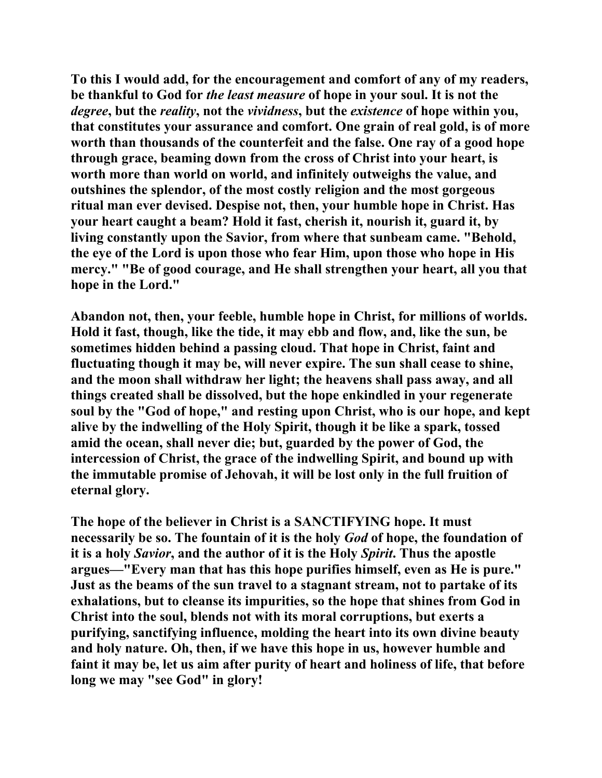**To this I would add, for the encouragement and comfort of any of my readers, be thankful to God for** *the least measure* **of hope in your soul. It is not the**  *degree***, but the** *reality***, not the** *vividness***, but the** *existence* **of hope within you, that constitutes your assurance and comfort. One grain of real gold, is of more worth than thousands of the counterfeit and the false. One ray of a good hope through grace, beaming down from the cross of Christ into your heart, is worth more than world on world, and infinitely outweighs the value, and outshines the splendor, of the most costly religion and the most gorgeous ritual man ever devised. Despise not, then, your humble hope in Christ. Has your heart caught a beam? Hold it fast, cherish it, nourish it, guard it, by living constantly upon the Savior, from where that sunbeam came. "Behold, the eye of the Lord is upon those who fear Him, upon those who hope in His mercy." "Be of good courage, and He shall strengthen your heart, all you that hope in the Lord."** 

**Abandon not, then, your feeble, humble hope in Christ, for millions of worlds. Hold it fast, though, like the tide, it may ebb and flow, and, like the sun, be sometimes hidden behind a passing cloud. That hope in Christ, faint and fluctuating though it may be, will never expire. The sun shall cease to shine, and the moon shall withdraw her light; the heavens shall pass away, and all things created shall be dissolved, but the hope enkindled in your regenerate soul by the "God of hope," and resting upon Christ, who is our hope, and kept alive by the indwelling of the Holy Spirit, though it be like a spark, tossed amid the ocean, shall never die; but, guarded by the power of God, the intercession of Christ, the grace of the indwelling Spirit, and bound up with the immutable promise of Jehovah, it will be lost only in the full fruition of eternal glory.** 

**The hope of the believer in Christ is a SANCTIFYING hope. It must necessarily be so. The fountain of it is the holy** *God* **of hope, the foundation of it is a holy** *Savior***, and the author of it is the Holy** *Spirit***. Thus the apostle argues—"Every man that has this hope purifies himself, even as He is pure." Just as the beams of the sun travel to a stagnant stream, not to partake of its exhalations, but to cleanse its impurities, so the hope that shines from God in Christ into the soul, blends not with its moral corruptions, but exerts a purifying, sanctifying influence, molding the heart into its own divine beauty and holy nature. Oh, then, if we have this hope in us, however humble and faint it may be, let us aim after purity of heart and holiness of life, that before long we may "see God" in glory!**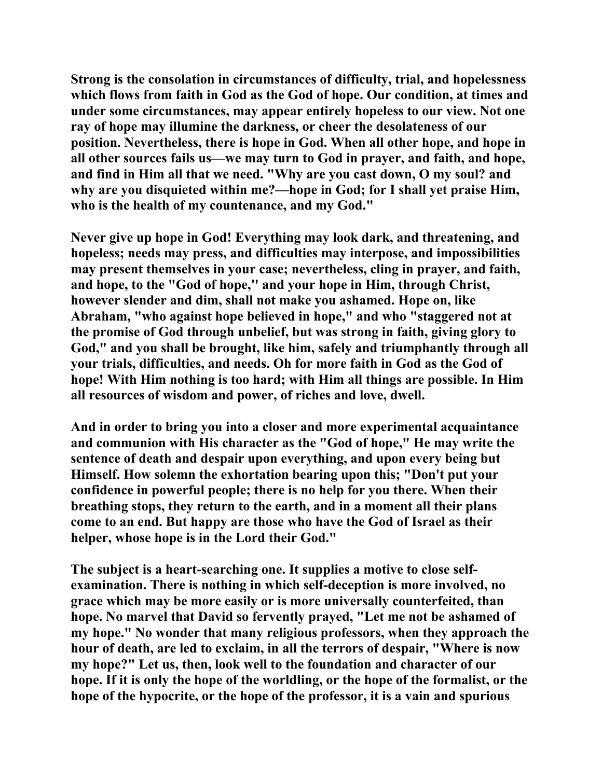**Strong is the consolation in circumstances of difficulty, trial, and hopelessness which flows from faith in God as the God of hope. Our condition, at times and under some circumstances, may appear entirely hopeless to our view. Not one ray of hope may illumine the darkness, or cheer the desolateness of our position. Nevertheless, there is hope in God. When all other hope, and hope in all other sources fails us—we may turn to God in prayer, and faith, and hope, and find in Him all that we need. "Why are you cast down, O my soul? and why are you disquieted within me?—hope in God; for I shall yet praise Him, who is the health of my countenance, and my God."** 

**Never give up hope in God! Everything may look dark, and threatening, and hopeless; needs may press, and difficulties may interpose, and impossibilities may present themselves in your case; nevertheless, cling in prayer, and faith, and hope, to the "God of hope,'' and your hope in Him, through Christ, however slender and dim, shall not make you ashamed. Hope on, like Abraham, "who against hope believed in hope," and who "staggered not at the promise of God through unbelief, but was strong in faith, giving glory to God," and you shall be brought, like him, safely and triumphantly through all your trials, difficulties, and needs. Oh for more faith in God as the God of hope! With Him nothing is too hard; with Him all things are possible. In Him all resources of wisdom and power, of riches and love, dwell.** 

**And in order to bring you into a closer and more experimental acquaintance and communion with His character as the "God of hope," He may write the sentence of death and despair upon everything, and upon every being but Himself. How solemn the exhortation bearing upon this; "Don't put your confidence in powerful people; there is no help for you there. When their breathing stops, they return to the earth, and in a moment all their plans come to an end. But happy are those who have the God of Israel as their helper, whose hope is in the Lord their God."** 

**The subject is a heart-searching one. It supplies a motive to close selfexamination. There is nothing in which self-deception is more involved, no grace which may be more easily or is more universally counterfeited, than hope. No marvel that David so fervently prayed, "Let me not be ashamed of my hope." No wonder that many religious professors, when they approach the hour of death, are led to exclaim, in all the terrors of despair, "Where is now my hope?" Let us, then, look well to the foundation and character of our hope. If it is only the hope of the worldling, or the hope of the formalist, or the hope of the hypocrite, or the hope of the professor, it is a vain and spurious**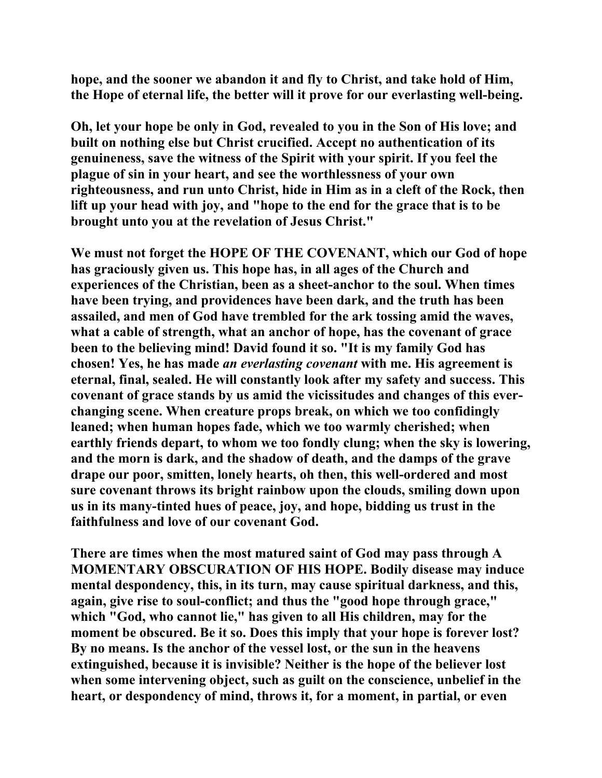**hope, and the sooner we abandon it and fly to Christ, and take hold of Him, the Hope of eternal life, the better will it prove for our everlasting well-being.** 

**Oh, let your hope be only in God, revealed to you in the Son of His love; and built on nothing else but Christ crucified. Accept no authentication of its genuineness, save the witness of the Spirit with your spirit. If you feel the plague of sin in your heart, and see the worthlessness of your own righteousness, and run unto Christ, hide in Him as in a cleft of the Rock, then lift up your head with joy, and "hope to the end for the grace that is to be brought unto you at the revelation of Jesus Christ."** 

**We must not forget the HOPE OF THE COVENANT, which our God of hope has graciously given us. This hope has, in all ages of the Church and experiences of the Christian, been as a sheet-anchor to the soul. When times have been trying, and providences have been dark, and the truth has been assailed, and men of God have trembled for the ark tossing amid the waves, what a cable of strength, what an anchor of hope, has the covenant of grace been to the believing mind! David found it so. "It is my family God has chosen! Yes, he has made** *an everlasting covenant* **with me. His agreement is eternal, final, sealed. He will constantly look after my safety and success. This covenant of grace stands by us amid the vicissitudes and changes of this everchanging scene. When creature props break, on which we too confidingly leaned; when human hopes fade, which we too warmly cherished; when earthly friends depart, to whom we too fondly clung; when the sky is lowering, and the morn is dark, and the shadow of death, and the damps of the grave drape our poor, smitten, lonely hearts, oh then, this well-ordered and most sure covenant throws its bright rainbow upon the clouds, smiling down upon us in its many-tinted hues of peace, joy, and hope, bidding us trust in the faithfulness and love of our covenant God.** 

**There are times when the most matured saint of God may pass through A MOMENTARY OBSCURATION OF HIS HOPE. Bodily disease may induce mental despondency, this, in its turn, may cause spiritual darkness, and this, again, give rise to soul-conflict; and thus the "good hope through grace," which "God, who cannot lie," has given to all His children, may for the moment be obscured. Be it so. Does this imply that your hope is forever lost? By no means. Is the anchor of the vessel lost, or the sun in the heavens extinguished, because it is invisible? Neither is the hope of the believer lost when some intervening object, such as guilt on the conscience, unbelief in the heart, or despondency of mind, throws it, for a moment, in partial, or even**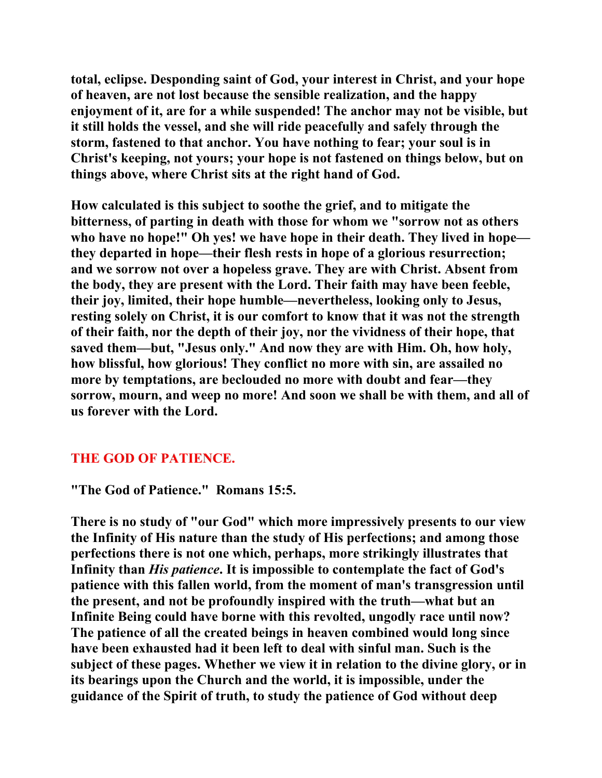**total, eclipse. Desponding saint of God, your interest in Christ, and your hope of heaven, are not lost because the sensible realization, and the happy enjoyment of it, are for a while suspended! The anchor may not be visible, but it still holds the vessel, and she will ride peacefully and safely through the storm, fastened to that anchor. You have nothing to fear; your soul is in Christ's keeping, not yours; your hope is not fastened on things below, but on things above, where Christ sits at the right hand of God.** 

**How calculated is this subject to soothe the grief, and to mitigate the bitterness, of parting in death with those for whom we "sorrow not as others who have no hope!" Oh yes! we have hope in their death. They lived in hope they departed in hope—their flesh rests in hope of a glorious resurrection; and we sorrow not over a hopeless grave. They are with Christ. Absent from the body, they are present with the Lord. Their faith may have been feeble, their joy, limited, their hope humble—nevertheless, looking only to Jesus, resting solely on Christ, it is our comfort to know that it was not the strength of their faith, nor the depth of their joy, nor the vividness of their hope, that saved them—but, "Jesus only." And now they are with Him. Oh, how holy, how blissful, how glorious! They conflict no more with sin, are assailed no more by temptations, are beclouded no more with doubt and fear—they sorrow, mourn, and weep no more! And soon we shall be with them, and all of us forever with the Lord.** 

## **THE GOD OF PATIENCE.**

#### **"The God of Patience." Romans 15:5.**

**There is no study of "our God" which more impressively presents to our view the Infinity of His nature than the study of His perfections; and among those perfections there is not one which, perhaps, more strikingly illustrates that Infinity than** *His patience***. It is impossible to contemplate the fact of God's patience with this fallen world, from the moment of man's transgression until the present, and not be profoundly inspired with the truth—what but an Infinite Being could have borne with this revolted, ungodly race until now? The patience of all the created beings in heaven combined would long since have been exhausted had it been left to deal with sinful man. Such is the subject of these pages. Whether we view it in relation to the divine glory, or in its bearings upon the Church and the world, it is impossible, under the guidance of the Spirit of truth, to study the patience of God without deep**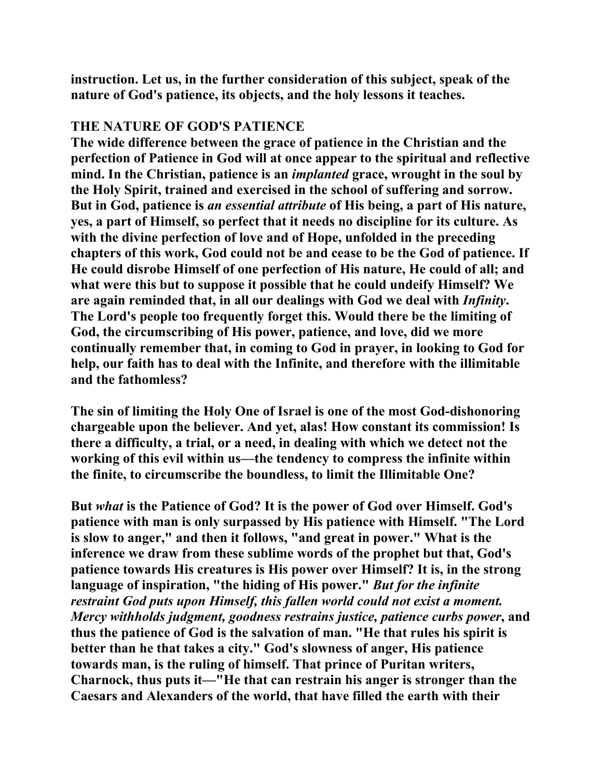**instruction. Let us, in the further consideration of this subject, speak of the nature of God's patience, its objects, and the holy lessons it teaches.** 

#### **THE NATURE OF GOD'S PATIENCE**

**The wide difference between the grace of patience in the Christian and the perfection of Patience in God will at once appear to the spiritual and reflective mind. In the Christian, patience is an** *implanted* **grace, wrought in the soul by the Holy Spirit, trained and exercised in the school of suffering and sorrow. But in God, patience is** *an essential attribute* **of His being, a part of His nature, yes, a part of Himself, so perfect that it needs no discipline for its culture. As with the divine perfection of love and of Hope, unfolded in the preceding chapters of this work, God could not be and cease to be the God of patience. If He could disrobe Himself of one perfection of His nature, He could of all; and what were this but to suppose it possible that he could undeify Himself? We are again reminded that, in all our dealings with God we deal with** *Infinity***. The Lord's people too frequently forget this. Would there be the limiting of God, the circumscribing of His power, patience, and love, did we more continually remember that, in coming to God in prayer, in looking to God for help, our faith has to deal with the Infinite, and therefore with the illimitable and the fathomless?** 

**The sin of limiting the Holy One of Israel is one of the most God-dishonoring chargeable upon the believer. And yet, alas! How constant its commission! Is there a difficulty, a trial, or a need, in dealing with which we detect not the working of this evil within us—the tendency to compress the infinite within the finite, to circumscribe the boundless, to limit the Illimitable One?** 

**But** *what* **is the Patience of God? It is the power of God over Himself. God's patience with man is only surpassed by His patience with Himself. "The Lord is slow to anger," and then it follows, "and great in power." What is the inference we draw from these sublime words of the prophet but that, God's patience towards His creatures is His power over Himself? It is, in the strong language of inspiration, "the hiding of His power."** *But for the infinite restraint God puts upon Himself, this fallen world could not exist a moment. Mercy withholds judgment, goodness restrains justice, patience curbs power***, and thus the patience of God is the salvation of man. "He that rules his spirit is better than he that takes a city." God's slowness of anger, His patience towards man, is the ruling of himself. That prince of Puritan writers, Charnock, thus puts it—"He that can restrain his anger is stronger than the Caesars and Alexanders of the world, that have filled the earth with their**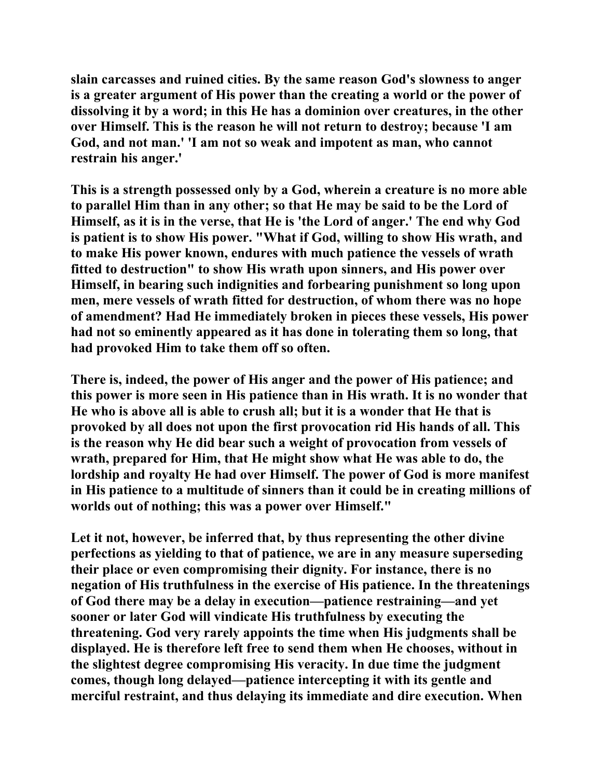**slain carcasses and ruined cities. By the same reason God's slowness to anger is a greater argument of His power than the creating a world or the power of dissolving it by a word; in this He has a dominion over creatures, in the other over Himself. This is the reason he will not return to destroy; because 'I am God, and not man.' 'I am not so weak and impotent as man, who cannot restrain his anger.'** 

**This is a strength possessed only by a God, wherein a creature is no more able to parallel Him than in any other; so that He may be said to be the Lord of Himself, as it is in the verse, that He is 'the Lord of anger.' The end why God is patient is to show His power. "What if God, willing to show His wrath, and to make His power known, endures with much patience the vessels of wrath fitted to destruction" to show His wrath upon sinners, and His power over Himself, in bearing such indignities and forbearing punishment so long upon men, mere vessels of wrath fitted for destruction, of whom there was no hope of amendment? Had He immediately broken in pieces these vessels, His power had not so eminently appeared as it has done in tolerating them so long, that had provoked Him to take them off so often.** 

**There is, indeed, the power of His anger and the power of His patience; and this power is more seen in His patience than in His wrath. It is no wonder that He who is above all is able to crush all; but it is a wonder that He that is provoked by all does not upon the first provocation rid His hands of all. This is the reason why He did bear such a weight of provocation from vessels of wrath, prepared for Him, that He might show what He was able to do, the lordship and royalty He had over Himself. The power of God is more manifest in His patience to a multitude of sinners than it could be in creating millions of worlds out of nothing; this was a power over Himself."** 

**Let it not, however, be inferred that, by thus representing the other divine perfections as yielding to that of patience, we are in any measure superseding their place or even compromising their dignity. For instance, there is no negation of His truthfulness in the exercise of His patience. In the threatenings of God there may be a delay in execution—patience restraining—and yet sooner or later God will vindicate His truthfulness by executing the threatening. God very rarely appoints the time when His judgments shall be displayed. He is therefore left free to send them when He chooses, without in the slightest degree compromising His veracity. In due time the judgment comes, though long delayed—patience intercepting it with its gentle and merciful restraint, and thus delaying its immediate and dire execution. When**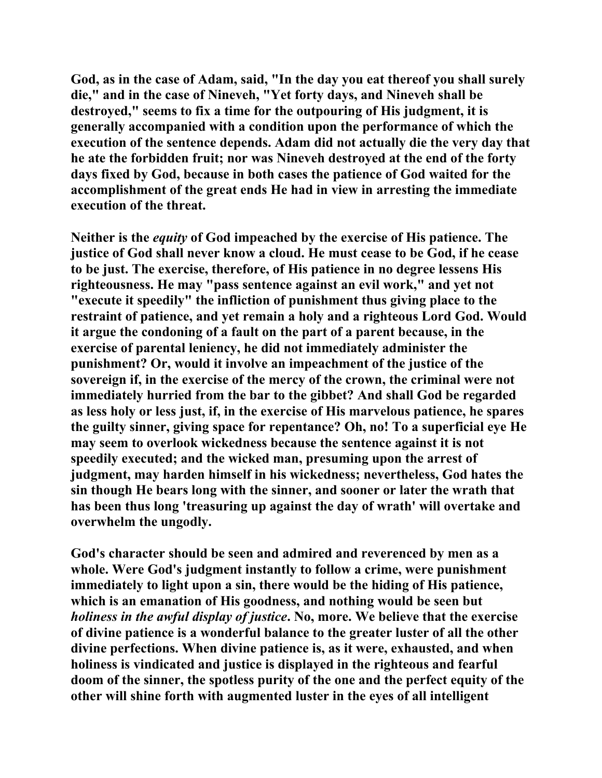**God, as in the case of Adam, said, "In the day you eat thereof you shall surely die," and in the case of Nineveh, "Yet forty days, and Nineveh shall be destroyed," seems to fix a time for the outpouring of His judgment, it is generally accompanied with a condition upon the performance of which the execution of the sentence depends. Adam did not actually die the very day that he ate the forbidden fruit; nor was Nineveh destroyed at the end of the forty days fixed by God, because in both cases the patience of God waited for the accomplishment of the great ends He had in view in arresting the immediate execution of the threat.** 

**Neither is the** *equity* **of God impeached by the exercise of His patience. The justice of God shall never know a cloud. He must cease to be God, if he cease to be just. The exercise, therefore, of His patience in no degree lessens His righteousness. He may "pass sentence against an evil work," and yet not "execute it speedily" the infliction of punishment thus giving place to the restraint of patience, and yet remain a holy and a righteous Lord God. Would it argue the condoning of a fault on the part of a parent because, in the exercise of parental leniency, he did not immediately administer the punishment? Or, would it involve an impeachment of the justice of the sovereign if, in the exercise of the mercy of the crown, the criminal were not immediately hurried from the bar to the gibbet? And shall God be regarded as less holy or less just, if, in the exercise of His marvelous patience, he spares the guilty sinner, giving space for repentance? Oh, no! To a superficial eye He may seem to overlook wickedness because the sentence against it is not speedily executed; and the wicked man, presuming upon the arrest of judgment, may harden himself in his wickedness; nevertheless, God hates the sin though He bears long with the sinner, and sooner or later the wrath that has been thus long 'treasuring up against the day of wrath' will overtake and overwhelm the ungodly.** 

**God's character should be seen and admired and reverenced by men as a whole. Were God's judgment instantly to follow a crime, were punishment immediately to light upon a sin, there would be the hiding of His patience, which is an emanation of His goodness, and nothing would be seen but**  *holiness in the awful display of justice***. No, more. We believe that the exercise of divine patience is a wonderful balance to the greater luster of all the other divine perfections. When divine patience is, as it were, exhausted, and when holiness is vindicated and justice is displayed in the righteous and fearful doom of the sinner, the spotless purity of the one and the perfect equity of the other will shine forth with augmented luster in the eyes of all intelligent**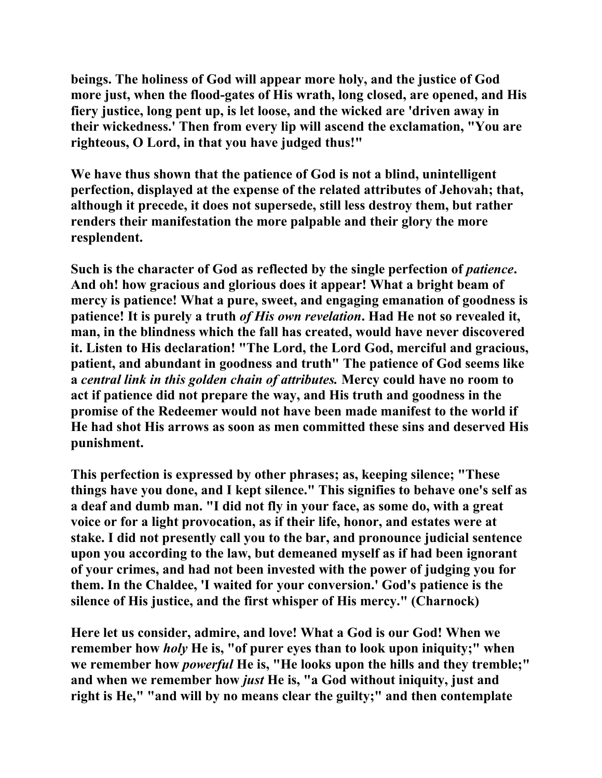**beings. The holiness of God will appear more holy, and the justice of God more just, when the flood-gates of His wrath, long closed, are opened, and His fiery justice, long pent up, is let loose, and the wicked are 'driven away in their wickedness.' Then from every lip will ascend the exclamation, "You are righteous, O Lord, in that you have judged thus!"** 

**We have thus shown that the patience of God is not a blind, unintelligent perfection, displayed at the expense of the related attributes of Jehovah; that, although it precede, it does not supersede, still less destroy them, but rather renders their manifestation the more palpable and their glory the more resplendent.** 

**Such is the character of God as reflected by the single perfection of** *patience***. And oh! how gracious and glorious does it appear! What a bright beam of mercy is patience! What a pure, sweet, and engaging emanation of goodness is patience! It is purely a truth** *of His own revelation***. Had He not so revealed it, man, in the blindness which the fall has created, would have never discovered it. Listen to His declaration! "The Lord, the Lord God, merciful and gracious, patient, and abundant in goodness and truth" The patience of God seems like a** *central link in this golden chain of attributes.* **Mercy could have no room to act if patience did not prepare the way, and His truth and goodness in the promise of the Redeemer would not have been made manifest to the world if He had shot His arrows as soon as men committed these sins and deserved His punishment.** 

**This perfection is expressed by other phrases; as, keeping silence; "These things have you done, and I kept silence." This signifies to behave one's self as a deaf and dumb man. "I did not fly in your face, as some do, with a great voice or for a light provocation, as if their life, honor, and estates were at stake. I did not presently call you to the bar, and pronounce judicial sentence upon you according to the law, but demeaned myself as if had been ignorant of your crimes, and had not been invested with the power of judging you for them. In the Chaldee, 'I waited for your conversion.' God's patience is the silence of His justice, and the first whisper of His mercy." (Charnock)** 

**Here let us consider, admire, and love! What a God is our God! When we remember how** *holy* **He is, "of purer eyes than to look upon iniquity;" when we remember how** *powerful* **He is, "He looks upon the hills and they tremble;" and when we remember how** *just* **He is, "a God without iniquity, just and right is He," "and will by no means clear the guilty;" and then contemplate**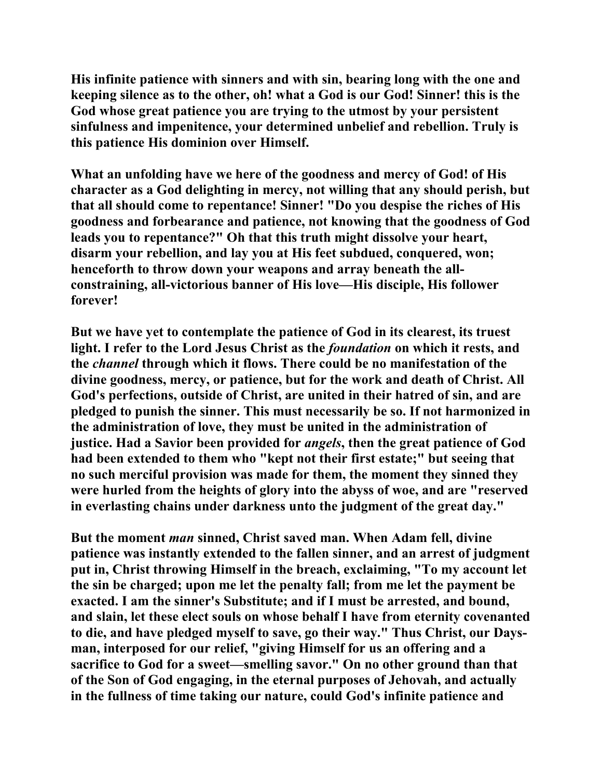**His infinite patience with sinners and with sin, bearing long with the one and keeping silence as to the other, oh! what a God is our God! Sinner! this is the God whose great patience you are trying to the utmost by your persistent sinfulness and impenitence, your determined unbelief and rebellion. Truly is this patience His dominion over Himself.** 

**What an unfolding have we here of the goodness and mercy of God! of His character as a God delighting in mercy, not willing that any should perish, but that all should come to repentance! Sinner! "Do you despise the riches of His goodness and forbearance and patience, not knowing that the goodness of God leads you to repentance?" Oh that this truth might dissolve your heart, disarm your rebellion, and lay you at His feet subdued, conquered, won; henceforth to throw down your weapons and array beneath the allconstraining, all-victorious banner of His love—His disciple, His follower forever!** 

**But we have yet to contemplate the patience of God in its clearest, its truest light. I refer to the Lord Jesus Christ as the** *foundation* **on which it rests, and the** *channel* **through which it flows. There could be no manifestation of the divine goodness, mercy, or patience, but for the work and death of Christ. All God's perfections, outside of Christ, are united in their hatred of sin, and are pledged to punish the sinner. This must necessarily be so. If not harmonized in the administration of love, they must be united in the administration of justice. Had a Savior been provided for** *angels***, then the great patience of God had been extended to them who "kept not their first estate;" but seeing that no such merciful provision was made for them, the moment they sinned they were hurled from the heights of glory into the abyss of woe, and are "reserved in everlasting chains under darkness unto the judgment of the great day."** 

**But the moment** *man* **sinned, Christ saved man. When Adam fell, divine patience was instantly extended to the fallen sinner, and an arrest of judgment put in, Christ throwing Himself in the breach, exclaiming, "To my account let the sin be charged; upon me let the penalty fall; from me let the payment be exacted. I am the sinner's Substitute; and if I must be arrested, and bound, and slain, let these elect souls on whose behalf I have from eternity covenanted to die, and have pledged myself to save, go their way." Thus Christ, our Daysman, interposed for our relief, "giving Himself for us an offering and a sacrifice to God for a sweet—smelling savor." On no other ground than that of the Son of God engaging, in the eternal purposes of Jehovah, and actually in the fullness of time taking our nature, could God's infinite patience and**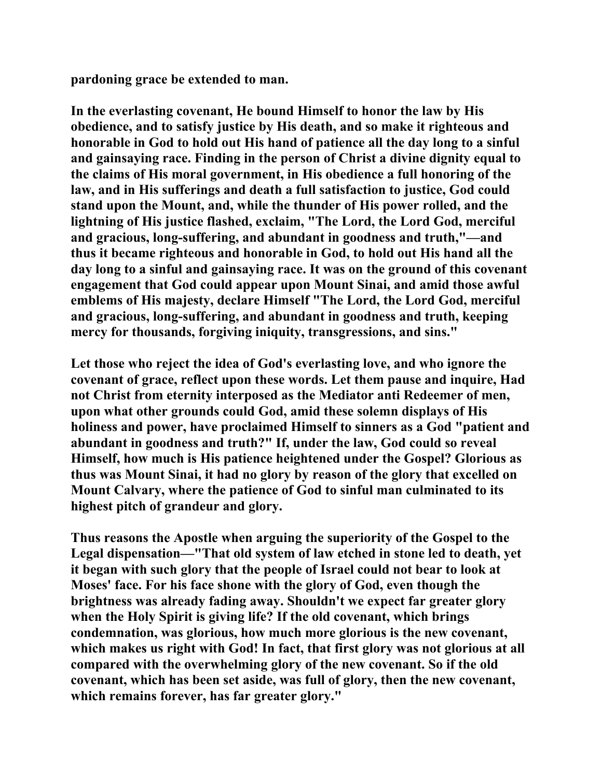**pardoning grace be extended to man.** 

**In the everlasting covenant, He bound Himself to honor the law by His obedience, and to satisfy justice by His death, and so make it righteous and honorable in God to hold out His hand of patience all the day long to a sinful and gainsaying race. Finding in the person of Christ a divine dignity equal to the claims of His moral government, in His obedience a full honoring of the law, and in His sufferings and death a full satisfaction to justice, God could stand upon the Mount, and, while the thunder of His power rolled, and the lightning of His justice flashed, exclaim, "The Lord, the Lord God, merciful and gracious, long-suffering, and abundant in goodness and truth,"—and thus it became righteous and honorable in God, to hold out His hand all the day long to a sinful and gainsaying race. It was on the ground of this covenant engagement that God could appear upon Mount Sinai, and amid those awful emblems of His majesty, declare Himself "The Lord, the Lord God, merciful and gracious, long-suffering, and abundant in goodness and truth, keeping mercy for thousands, forgiving iniquity, transgressions, and sins."** 

**Let those who reject the idea of God's everlasting love, and who ignore the covenant of grace, reflect upon these words. Let them pause and inquire, Had not Christ from eternity interposed as the Mediator anti Redeemer of men, upon what other grounds could God, amid these solemn displays of His holiness and power, have proclaimed Himself to sinners as a God "patient and abundant in goodness and truth?" If, under the law, God could so reveal Himself, how much is His patience heightened under the Gospel? Glorious as thus was Mount Sinai, it had no glory by reason of the glory that excelled on Mount Calvary, where the patience of God to sinful man culminated to its highest pitch of grandeur and glory.** 

**Thus reasons the Apostle when arguing the superiority of the Gospel to the Legal dispensation—"That old system of law etched in stone led to death, yet it began with such glory that the people of Israel could not bear to look at Moses' face. For his face shone with the glory of God, even though the brightness was already fading away. Shouldn't we expect far greater glory when the Holy Spirit is giving life? If the old covenant, which brings condemnation, was glorious, how much more glorious is the new covenant, which makes us right with God! In fact, that first glory was not glorious at all compared with the overwhelming glory of the new covenant. So if the old covenant, which has been set aside, was full of glory, then the new covenant, which remains forever, has far greater glory."**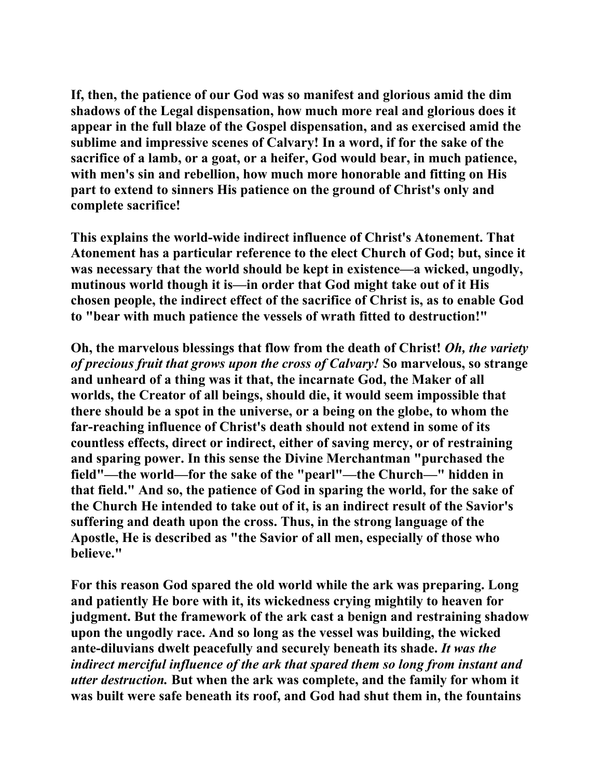**If, then, the patience of our God was so manifest and glorious amid the dim shadows of the Legal dispensation, how much more real and glorious does it appear in the full blaze of the Gospel dispensation, and as exercised amid the sublime and impressive scenes of Calvary! In a word, if for the sake of the sacrifice of a lamb, or a goat, or a heifer, God would bear, in much patience, with men's sin and rebellion, how much more honorable and fitting on His part to extend to sinners His patience on the ground of Christ's only and complete sacrifice!** 

**This explains the world-wide indirect influence of Christ's Atonement. That Atonement has a particular reference to the elect Church of God; but, since it was necessary that the world should be kept in existence—a wicked, ungodly, mutinous world though it is—in order that God might take out of it His chosen people, the indirect effect of the sacrifice of Christ is, as to enable God to "bear with much patience the vessels of wrath fitted to destruction!"** 

**Oh, the marvelous blessings that flow from the death of Christ!** *Oh, the variety of precious fruit that grows upon the cross of Calvary!* **So marvelous, so strange and unheard of a thing was it that, the incarnate God, the Maker of all worlds, the Creator of all beings, should die, it would seem impossible that there should be a spot in the universe, or a being on the globe, to whom the far-reaching influence of Christ's death should not extend in some of its countless effects, direct or indirect, either of saving mercy, or of restraining and sparing power. In this sense the Divine Merchantman "purchased the field"—the world—for the sake of the "pearl"—the Church—" hidden in that field." And so, the patience of God in sparing the world, for the sake of the Church He intended to take out of it, is an indirect result of the Savior's suffering and death upon the cross. Thus, in the strong language of the Apostle, He is described as "the Savior of all men, especially of those who believe."** 

**For this reason God spared the old world while the ark was preparing. Long and patiently He bore with it, its wickedness crying mightily to heaven for judgment. But the framework of the ark cast a benign and restraining shadow upon the ungodly race. And so long as the vessel was building, the wicked ante-diluvians dwelt peacefully and securely beneath its shade.** *It was the indirect merciful influence of the ark that spared them so long from instant and utter destruction.* **But when the ark was complete, and the family for whom it was built were safe beneath its roof, and God had shut them in, the fountains**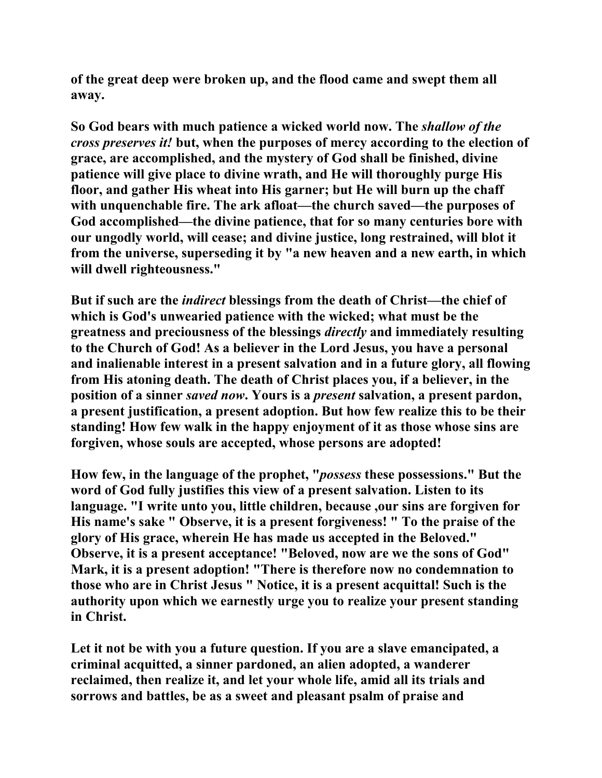**of the great deep were broken up, and the flood came and swept them all away.** 

**So God bears with much patience a wicked world now. The** *shallow of the cross preserves it!* **but, when the purposes of mercy according to the election of grace, are accomplished, and the mystery of God shall be finished, divine patience will give place to divine wrath, and He will thoroughly purge His floor, and gather His wheat into His garner; but He will burn up the chaff with unquenchable fire. The ark afloat—the church saved—the purposes of God accomplished—the divine patience, that for so many centuries bore with our ungodly world, will cease; and divine justice, long restrained, will blot it from the universe, superseding it by "a new heaven and a new earth, in which will dwell righteousness."** 

**But if such are the** *indirect* **blessings from the death of Christ—the chief of which is God's unwearied patience with the wicked; what must be the greatness and preciousness of the blessings** *directly* **and immediately resulting to the Church of God! As a believer in the Lord Jesus, you have a personal and inalienable interest in a present salvation and in a future glory, all flowing from His atoning death. The death of Christ places you, if a believer, in the position of a sinner** *saved now***. Yours is a** *present* **salvation, a present pardon, a present justification, a present adoption. But how few realize this to be their standing! How few walk in the happy enjoyment of it as those whose sins are forgiven, whose souls are accepted, whose persons are adopted!** 

**How few, in the language of the prophet, "***possess* **these possessions." But the word of God fully justifies this view of a present salvation. Listen to its language. "I write unto you, little children, because ,our sins are forgiven for His name's sake " Observe, it is a present forgiveness! " To the praise of the glory of His grace, wherein He has made us accepted in the Beloved." Observe, it is a present acceptance! "Beloved, now are we the sons of God" Mark, it is a present adoption! "There is therefore now no condemnation to those who are in Christ Jesus " Notice, it is a present acquittal! Such is the authority upon which we earnestly urge you to realize your present standing in Christ.** 

**Let it not be with you a future question. If you are a slave emancipated, a criminal acquitted, a sinner pardoned, an alien adopted, a wanderer reclaimed, then realize it, and let your whole life, amid all its trials and sorrows and battles, be as a sweet and pleasant psalm of praise and**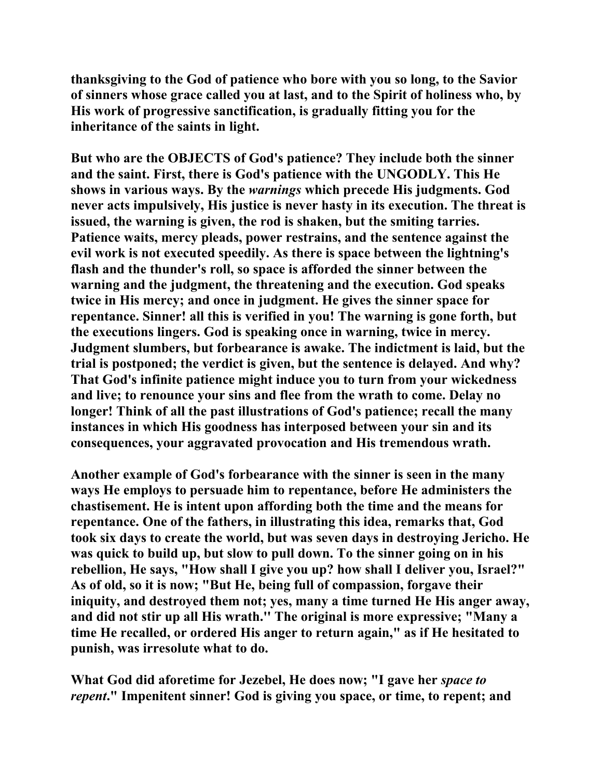**thanksgiving to the God of patience who bore with you so long, to the Savior of sinners whose grace called you at last, and to the Spirit of holiness who, by His work of progressive sanctification, is gradually fitting you for the inheritance of the saints in light.** 

**But who are the OBJECTS of God's patience? They include both the sinner and the saint. First, there is God's patience with the UNGODLY. This He shows in various ways. By the** *warnings* **which precede His judgments. God never acts impulsively, His justice is never hasty in its execution. The threat is issued, the warning is given, the rod is shaken, but the smiting tarries. Patience waits, mercy pleads, power restrains, and the sentence against the evil work is not executed speedily. As there is space between the lightning's flash and the thunder's roll, so space is afforded the sinner between the warning and the judgment, the threatening and the execution. God speaks twice in His mercy; and once in judgment. He gives the sinner space for repentance. Sinner! all this is verified in you! The warning is gone forth, but the executions lingers. God is speaking once in warning, twice in mercy. Judgment slumbers, but forbearance is awake. The indictment is laid, but the trial is postponed; the verdict is given, but the sentence is delayed. And why? That God's infinite patience might induce you to turn from your wickedness and live; to renounce your sins and flee from the wrath to come. Delay no longer! Think of all the past illustrations of God's patience; recall the many instances in which His goodness has interposed between your sin and its consequences, your aggravated provocation and His tremendous wrath.** 

**Another example of God's forbearance with the sinner is seen in the many ways He employs to persuade him to repentance, before He administers the chastisement. He is intent upon affording both the time and the means for repentance. One of the fathers, in illustrating this idea, remarks that, God took six days to create the world, but was seven days in destroying Jericho. He was quick to build up, but slow to pull down. To the sinner going on in his rebellion, He says, "How shall I give you up? how shall I deliver you, Israel?" As of old, so it is now; "But He, being full of compassion, forgave their iniquity, and destroyed them not; yes, many a time turned He His anger away, and did not stir up all His wrath.'' The original is more expressive; "Many a time He recalled, or ordered His anger to return again," as if He hesitated to punish, was irresolute what to do.** 

**What God did aforetime for Jezebel, He does now; "I gave her** *space to repent***." Impenitent sinner! God is giving you space, or time, to repent; and**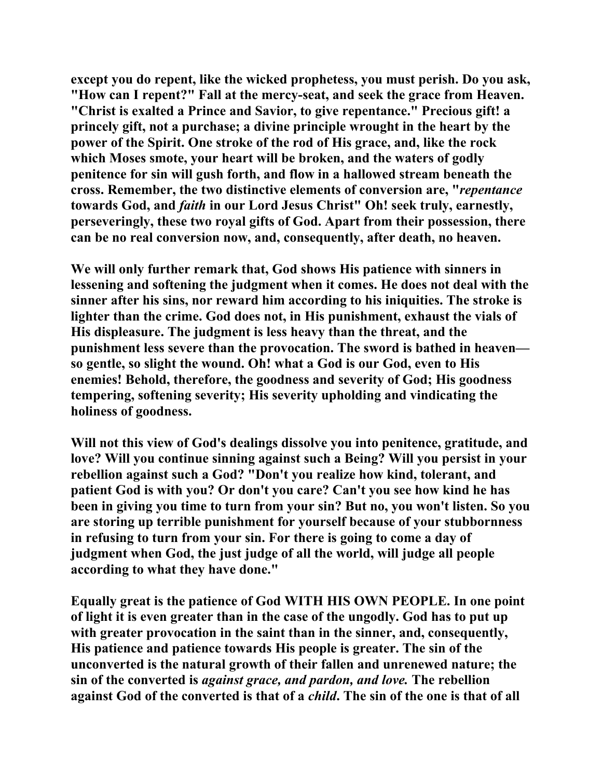**except you do repent, like the wicked prophetess, you must perish. Do you ask, "How can I repent?" Fall at the mercy-seat, and seek the grace from Heaven. "Christ is exalted a Prince and Savior, to give repentance." Precious gift! a princely gift, not a purchase; a divine principle wrought in the heart by the power of the Spirit. One stroke of the rod of His grace, and, like the rock which Moses smote, your heart will be broken, and the waters of godly penitence for sin will gush forth, and flow in a hallowed stream beneath the cross. Remember, the two distinctive elements of conversion are, "***repentance* **towards God, and** *faith* **in our Lord Jesus Christ" Oh! seek truly, earnestly, perseveringly, these two royal gifts of God. Apart from their possession, there can be no real conversion now, and, consequently, after death, no heaven.** 

**We will only further remark that, God shows His patience with sinners in lessening and softening the judgment when it comes. He does not deal with the sinner after his sins, nor reward him according to his iniquities. The stroke is lighter than the crime. God does not, in His punishment, exhaust the vials of His displeasure. The judgment is less heavy than the threat, and the punishment less severe than the provocation. The sword is bathed in heaven so gentle, so slight the wound. Oh! what a God is our God, even to His enemies! Behold, therefore, the goodness and severity of God; His goodness tempering, softening severity; His severity upholding and vindicating the holiness of goodness.** 

**Will not this view of God's dealings dissolve you into penitence, gratitude, and love? Will you continue sinning against such a Being? Will you persist in your rebellion against such a God? "Don't you realize how kind, tolerant, and patient God is with you? Or don't you care? Can't you see how kind he has been in giving you time to turn from your sin? But no, you won't listen. So you are storing up terrible punishment for yourself because of your stubbornness in refusing to turn from your sin. For there is going to come a day of judgment when God, the just judge of all the world, will judge all people according to what they have done."** 

**Equally great is the patience of God WITH HIS OWN PEOPLE. In one point of light it is even greater than in the case of the ungodly. God has to put up with greater provocation in the saint than in the sinner, and, consequently, His patience and patience towards His people is greater. The sin of the unconverted is the natural growth of their fallen and unrenewed nature; the sin of the converted is** *against grace, and pardon, and love.* **The rebellion against God of the converted is that of a** *child***. The sin of the one is that of all**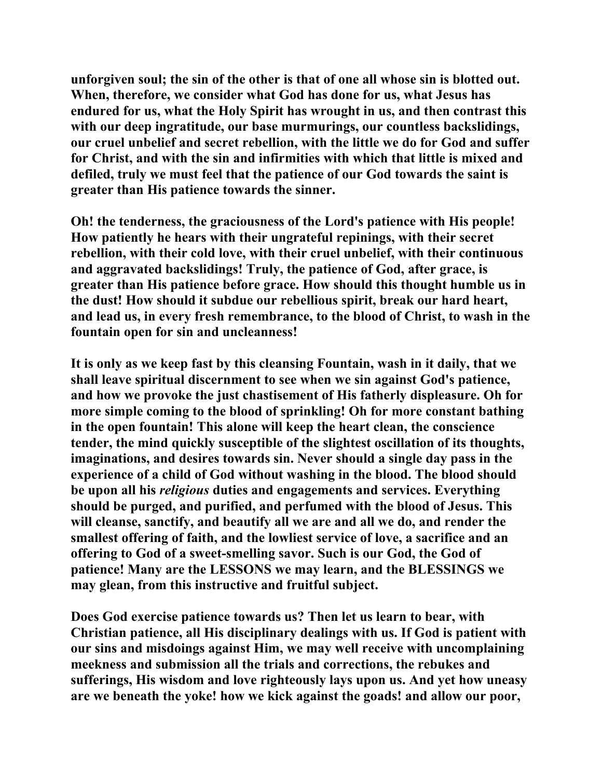**unforgiven soul; the sin of the other is that of one all whose sin is blotted out. When, therefore, we consider what God has done for us, what Jesus has endured for us, what the Holy Spirit has wrought in us, and then contrast this with our deep ingratitude, our base murmurings, our countless backslidings, our cruel unbelief and secret rebellion, with the little we do for God and suffer for Christ, and with the sin and infirmities with which that little is mixed and defiled, truly we must feel that the patience of our God towards the saint is greater than His patience towards the sinner.** 

**Oh! the tenderness, the graciousness of the Lord's patience with His people! How patiently he hears with their ungrateful repinings, with their secret rebellion, with their cold love, with their cruel unbelief, with their continuous and aggravated backslidings! Truly, the patience of God, after grace, is greater than His patience before grace. How should this thought humble us in the dust! How should it subdue our rebellious spirit, break our hard heart, and lead us, in every fresh remembrance, to the blood of Christ, to wash in the fountain open for sin and uncleanness!** 

**It is only as we keep fast by this cleansing Fountain, wash in it daily, that we shall leave spiritual discernment to see when we sin against God's patience, and how we provoke the just chastisement of His fatherly displeasure. Oh for more simple coming to the blood of sprinkling! Oh for more constant bathing in the open fountain! This alone will keep the heart clean, the conscience tender, the mind quickly susceptible of the slightest oscillation of its thoughts, imaginations, and desires towards sin. Never should a single day pass in the experience of a child of God without washing in the blood. The blood should be upon all his** *religious* **duties and engagements and services. Everything should be purged, and purified, and perfumed with the blood of Jesus. This will cleanse, sanctify, and beautify all we are and all we do, and render the smallest offering of faith, and the lowliest service of love, a sacrifice and an offering to God of a sweet-smelling savor. Such is our God, the God of patience! Many are the LESSONS we may learn, and the BLESSINGS we may glean, from this instructive and fruitful subject.** 

**Does God exercise patience towards us? Then let us learn to bear, with Christian patience, all His disciplinary dealings with us. If God is patient with our sins and misdoings against Him, we may well receive with uncomplaining meekness and submission all the trials and corrections, the rebukes and sufferings, His wisdom and love righteously lays upon us. And yet how uneasy are we beneath the yoke! how we kick against the goads! and allow our poor,**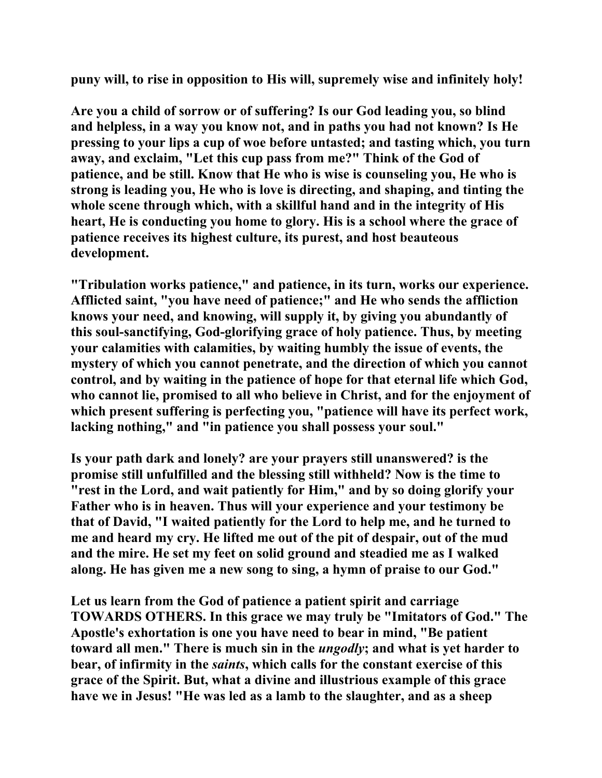**puny will, to rise in opposition to His will, supremely wise and infinitely holy!** 

**Are you a child of sorrow or of suffering? Is our God leading you, so blind and helpless, in a way you know not, and in paths you had not known? Is He pressing to your lips a cup of woe before untasted; and tasting which, you turn away, and exclaim, "Let this cup pass from me?" Think of the God of patience, and be still. Know that He who is wise is counseling you, He who is strong is leading you, He who is love is directing, and shaping, and tinting the whole scene through which, with a skillful hand and in the integrity of His heart, He is conducting you home to glory. His is a school where the grace of patience receives its highest culture, its purest, and host beauteous development.** 

**"Tribulation works patience," and patience, in its turn, works our experience. Afflicted saint, "you have need of patience;" and He who sends the affliction knows your need, and knowing, will supply it, by giving you abundantly of this soul-sanctifying, God-glorifying grace of holy patience. Thus, by meeting your calamities with calamities, by waiting humbly the issue of events, the mystery of which you cannot penetrate, and the direction of which you cannot control, and by waiting in the patience of hope for that eternal life which God, who cannot lie, promised to all who believe in Christ, and for the enjoyment of which present suffering is perfecting you, "patience will have its perfect work, lacking nothing," and "in patience you shall possess your soul."** 

**Is your path dark and lonely? are your prayers still unanswered? is the promise still unfulfilled and the blessing still withheld? Now is the time to "rest in the Lord, and wait patiently for Him," and by so doing glorify your Father who is in heaven. Thus will your experience and your testimony be that of David, "I waited patiently for the Lord to help me, and he turned to me and heard my cry. He lifted me out of the pit of despair, out of the mud and the mire. He set my feet on solid ground and steadied me as I walked along. He has given me a new song to sing, a hymn of praise to our God."** 

**Let us learn from the God of patience a patient spirit and carriage TOWARDS OTHERS. In this grace we may truly be "Imitators of God." The Apostle's exhortation is one you have need to bear in mind, "Be patient toward all men." There is much sin in the** *ungodly***; and what is yet harder to bear, of infirmity in the** *saints***, which calls for the constant exercise of this grace of the Spirit. But, what a divine and illustrious example of this grace have we in Jesus! "He was led as a lamb to the slaughter, and as a sheep**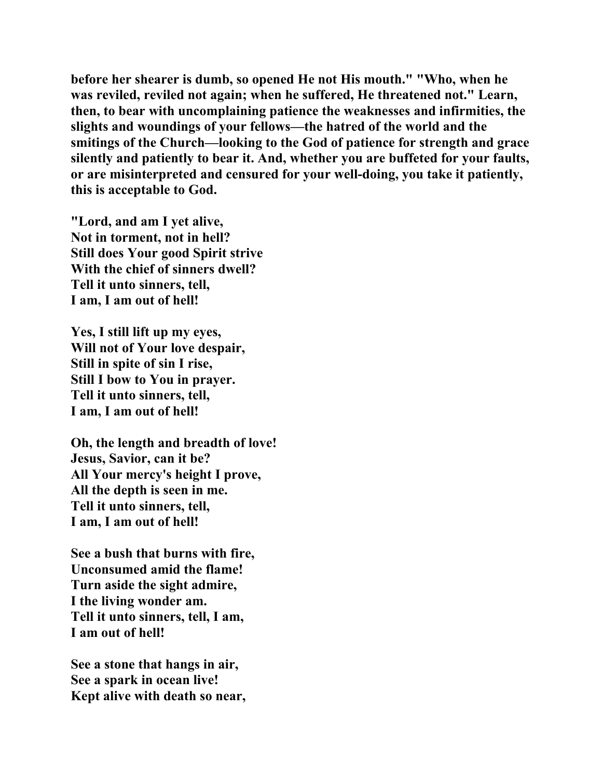**before her shearer is dumb, so opened He not His mouth." "Who, when he was reviled, reviled not again; when he suffered, He threatened not." Learn, then, to bear with uncomplaining patience the weaknesses and infirmities, the slights and woundings of your fellows—the hatred of the world and the smitings of the Church—looking to the God of patience for strength and grace silently and patiently to bear it. And, whether you are buffeted for your faults, or are misinterpreted and censured for your well-doing, you take it patiently, this is acceptable to God.** 

**"Lord, and am I yet alive, Not in torment, not in hell? Still does Your good Spirit strive With the chief of sinners dwell? Tell it unto sinners, tell, I am, I am out of hell!** 

**Yes, I still lift up my eyes, Will not of Your love despair, Still in spite of sin I rise, Still I bow to You in prayer. Tell it unto sinners, tell, I am, I am out of hell!** 

**Oh, the length and breadth of love! Jesus, Savior, can it be? All Your mercy's height I prove, All the depth is seen in me. Tell it unto sinners, tell, I am, I am out of hell!** 

**See a bush that burns with fire, Unconsumed amid the flame! Turn aside the sight admire, I the living wonder am. Tell it unto sinners, tell, I am, I am out of hell!** 

**See a stone that hangs in air, See a spark in ocean live! Kept alive with death so near,**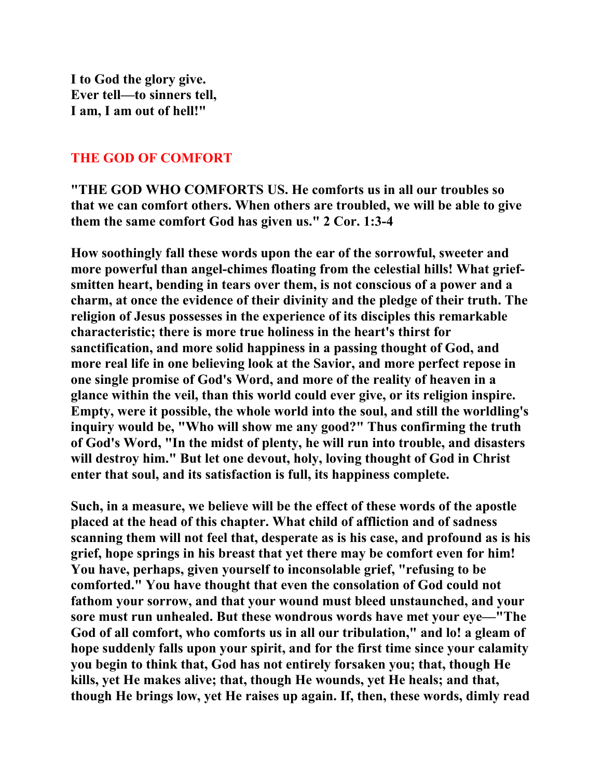**I to God the glory give. Ever tell—to sinners tell, I am, I am out of hell!"** 

## **THE GOD OF COMFORT**

**"THE GOD WHO COMFORTS US. He comforts us in all our troubles so that we can comfort others. When others are troubled, we will be able to give them the same comfort God has given us." 2 Cor. 1:3-4** 

**How soothingly fall these words upon the ear of the sorrowful, sweeter and more powerful than angel-chimes floating from the celestial hills! What griefsmitten heart, bending in tears over them, is not conscious of a power and a charm, at once the evidence of their divinity and the pledge of their truth. The religion of Jesus possesses in the experience of its disciples this remarkable characteristic; there is more true holiness in the heart's thirst for sanctification, and more solid happiness in a passing thought of God, and more real life in one believing look at the Savior, and more perfect repose in one single promise of God's Word, and more of the reality of heaven in a glance within the veil, than this world could ever give, or its religion inspire. Empty, were it possible, the whole world into the soul, and still the worldling's inquiry would be, "Who will show me any good?" Thus confirming the truth of God's Word, "In the midst of plenty, he will run into trouble, and disasters will destroy him." But let one devout, holy, loving thought of God in Christ enter that soul, and its satisfaction is full, its happiness complete.** 

**Such, in a measure, we believe will be the effect of these words of the apostle placed at the head of this chapter. What child of affliction and of sadness scanning them will not feel that, desperate as is his case, and profound as is his grief, hope springs in his breast that yet there may be comfort even for him! You have, perhaps, given yourself to inconsolable grief, "refusing to be comforted." You have thought that even the consolation of God could not fathom your sorrow, and that your wound must bleed unstaunched, and your sore must run unhealed. But these wondrous words have met your eye—"The God of all comfort, who comforts us in all our tribulation," and lo! a gleam of hope suddenly falls upon your spirit, and for the first time since your calamity you begin to think that, God has not entirely forsaken you; that, though He kills, yet He makes alive; that, though He wounds, yet He heals; and that, though He brings low, yet He raises up again. If, then, these words, dimly read**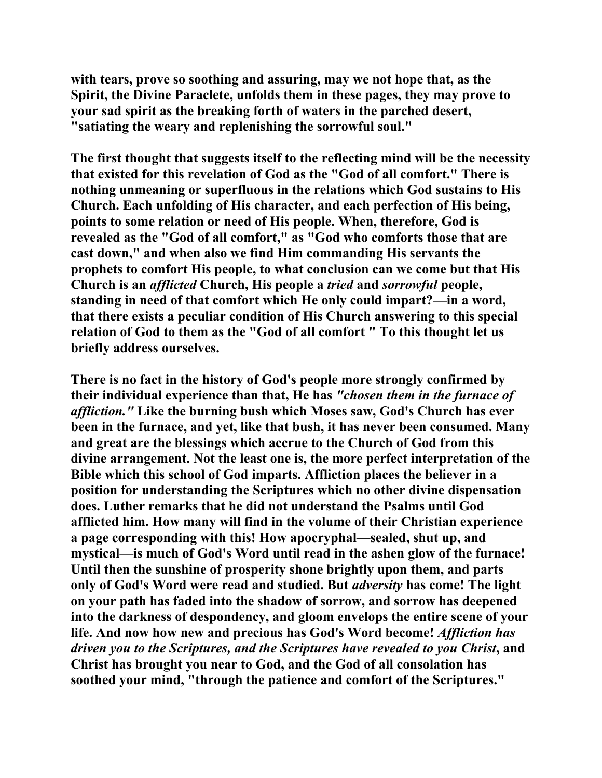**with tears, prove so soothing and assuring, may we not hope that, as the Spirit, the Divine Paraclete, unfolds them in these pages, they may prove to your sad spirit as the breaking forth of waters in the parched desert, "satiating the weary and replenishing the sorrowful soul."** 

**The first thought that suggests itself to the reflecting mind will be the necessity that existed for this revelation of God as the "God of all comfort." There is nothing unmeaning or superfluous in the relations which God sustains to His Church. Each unfolding of His character, and each perfection of His being, points to some relation or need of His people. When, therefore, God is revealed as the "God of all comfort," as "God who comforts those that are cast down," and when also we find Him commanding His servants the prophets to comfort His people, to what conclusion can we come but that His Church is an** *afflicted* **Church, His people a** *tried* **and** *sorrowful* **people, standing in need of that comfort which He only could impart?—in a word, that there exists a peculiar condition of His Church answering to this special relation of God to them as the "God of all comfort " To this thought let us briefly address ourselves.** 

**There is no fact in the history of God's people more strongly confirmed by their individual experience than that, He has** *"chosen them in the furnace of affliction."* **Like the burning bush which Moses saw, God's Church has ever been in the furnace, and yet, like that bush, it has never been consumed. Many and great are the blessings which accrue to the Church of God from this divine arrangement. Not the least one is, the more perfect interpretation of the Bible which this school of God imparts. Affliction places the believer in a position for understanding the Scriptures which no other divine dispensation does. Luther remarks that he did not understand the Psalms until God afflicted him. How many will find in the volume of their Christian experience a page corresponding with this! How apocryphal—sealed, shut up, and mystical—is much of God's Word until read in the ashen glow of the furnace! Until then the sunshine of prosperity shone brightly upon them, and parts only of God's Word were read and studied. But** *adversity* **has come! The light on your path has faded into the shadow of sorrow, and sorrow has deepened into the darkness of despondency, and gloom envelops the entire scene of your life. And now how new and precious has God's Word become!** *Affliction has driven you to the Scriptures, and the Scriptures have revealed to you Christ***, and Christ has brought you near to God, and the God of all consolation has soothed your mind, "through the patience and comfort of the Scriptures."**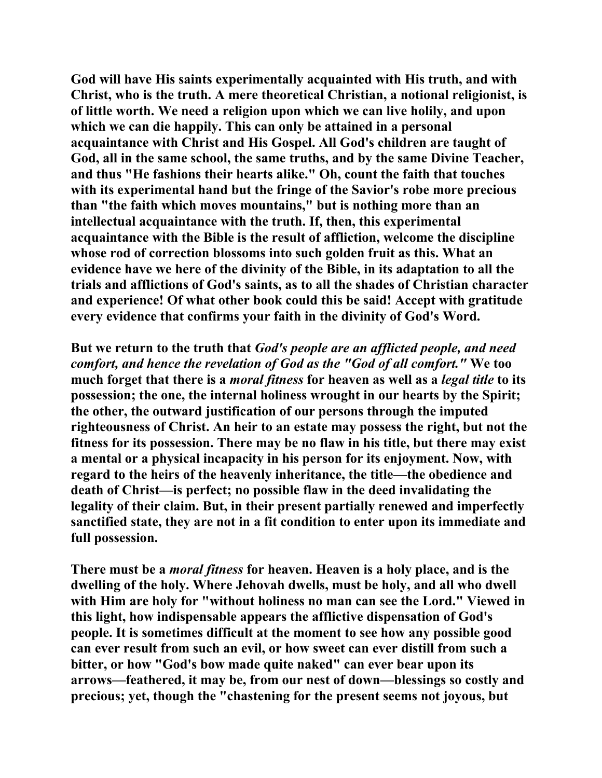**God will have His saints experimentally acquainted with His truth, and with Christ, who is the truth. A mere theoretical Christian, a notional religionist, is of little worth. We need a religion upon which we can live holily, and upon which we can die happily. This can only be attained in a personal acquaintance with Christ and His Gospel. All God's children are taught of God, all in the same school, the same truths, and by the same Divine Teacher, and thus "He fashions their hearts alike." Oh, count the faith that touches with its experimental hand but the fringe of the Savior's robe more precious than "the faith which moves mountains," but is nothing more than an intellectual acquaintance with the truth. If, then, this experimental acquaintance with the Bible is the result of affliction, welcome the discipline whose rod of correction blossoms into such golden fruit as this. What an evidence have we here of the divinity of the Bible, in its adaptation to all the trials and afflictions of God's saints, as to all the shades of Christian character and experience! Of what other book could this be said! Accept with gratitude every evidence that confirms your faith in the divinity of God's Word.** 

**But we return to the truth that** *God's people are an afflicted people, and need comfort, and hence the revelation of God as the "God of all comfort."* **We too much forget that there is a** *moral fitness* **for heaven as well as a** *legal title* **to its possession; the one, the internal holiness wrought in our hearts by the Spirit; the other, the outward justification of our persons through the imputed righteousness of Christ. An heir to an estate may possess the right, but not the fitness for its possession. There may be no flaw in his title, but there may exist a mental or a physical incapacity in his person for its enjoyment. Now, with regard to the heirs of the heavenly inheritance, the title—the obedience and death of Christ—is perfect; no possible flaw in the deed invalidating the legality of their claim. But, in their present partially renewed and imperfectly sanctified state, they are not in a fit condition to enter upon its immediate and full possession.** 

**There must be a** *moral fitness* **for heaven. Heaven is a holy place, and is the dwelling of the holy. Where Jehovah dwells, must be holy, and all who dwell with Him are holy for "without holiness no man can see the Lord." Viewed in this light, how indispensable appears the afflictive dispensation of God's people. It is sometimes difficult at the moment to see how any possible good can ever result from such an evil, or how sweet can ever distill from such a bitter, or how "God's bow made quite naked" can ever bear upon its arrows—feathered, it may be, from our nest of down—blessings so costly and precious; yet, though the "chastening for the present seems not joyous, but**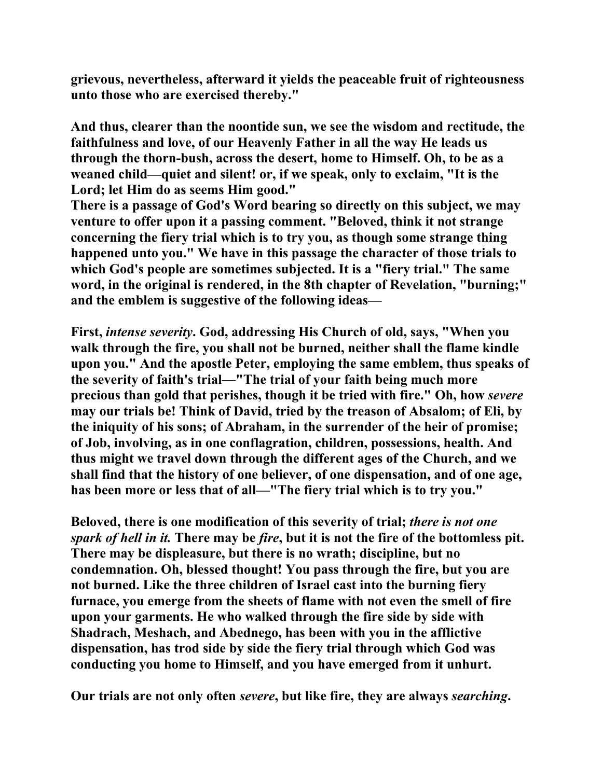**grievous, nevertheless, afterward it yields the peaceable fruit of righteousness unto those who are exercised thereby."** 

**And thus, clearer than the noontide sun, we see the wisdom and rectitude, the faithfulness and love, of our Heavenly Father in all the way He leads us through the thorn-bush, across the desert, home to Himself. Oh, to be as a weaned child—quiet and silent! or, if we speak, only to exclaim, "It is the Lord; let Him do as seems Him good."** 

**There is a passage of God's Word bearing so directly on this subject, we may venture to offer upon it a passing comment. "Beloved, think it not strange concerning the fiery trial which is to try you, as though some strange thing happened unto you." We have in this passage the character of those trials to which God's people are sometimes subjected. It is a "fiery trial." The same word, in the original is rendered, in the 8th chapter of Revelation, "burning;" and the emblem is suggestive of the following ideas—** 

**First,** *intense severity***. God, addressing His Church of old, says, "When you walk through the fire, you shall not be burned, neither shall the flame kindle upon you." And the apostle Peter, employing the same emblem, thus speaks of the severity of faith's trial—"The trial of your faith being much more precious than gold that perishes, though it be tried with fire." Oh, how** *severe* **may our trials be! Think of David, tried by the treason of Absalom; of Eli, by the iniquity of his sons; of Abraham, in the surrender of the heir of promise; of Job, involving, as in one conflagration, children, possessions, health. And thus might we travel down through the different ages of the Church, and we shall find that the history of one believer, of one dispensation, and of one age, has been more or less that of all—"The fiery trial which is to try you."** 

**Beloved, there is one modification of this severity of trial;** *there is not one spark of hell in it.* **There may be** *fire***, but it is not the fire of the bottomless pit. There may be displeasure, but there is no wrath; discipline, but no condemnation. Oh, blessed thought! You pass through the fire, but you are not burned. Like the three children of Israel cast into the burning fiery furnace, you emerge from the sheets of flame with not even the smell of fire upon your garments. He who walked through the fire side by side with Shadrach, Meshach, and Abednego, has been with you in the afflictive dispensation, has trod side by side the fiery trial through which God was conducting you home to Himself, and you have emerged from it unhurt.** 

**Our trials are not only often** *severe***, but like fire, they are always** *searching***.**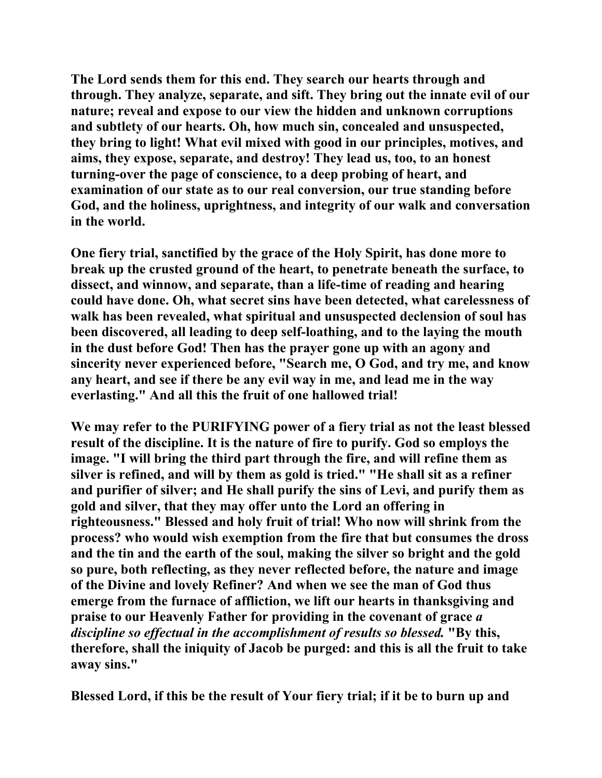**The Lord sends them for this end. They search our hearts through and through. They analyze, separate, and sift. They bring out the innate evil of our nature; reveal and expose to our view the hidden and unknown corruptions and subtlety of our hearts. Oh, how much sin, concealed and unsuspected, they bring to light! What evil mixed with good in our principles, motives, and aims, they expose, separate, and destroy! They lead us, too, to an honest turning-over the page of conscience, to a deep probing of heart, and examination of our state as to our real conversion, our true standing before God, and the holiness, uprightness, and integrity of our walk and conversation in the world.** 

**One fiery trial, sanctified by the grace of the Holy Spirit, has done more to break up the crusted ground of the heart, to penetrate beneath the surface, to dissect, and winnow, and separate, than a life-time of reading and hearing could have done. Oh, what secret sins have been detected, what carelessness of walk has been revealed, what spiritual and unsuspected declension of soul has been discovered, all leading to deep self-loathing, and to the laying the mouth in the dust before God! Then has the prayer gone up with an agony and sincerity never experienced before, "Search me, O God, and try me, and know any heart, and see if there be any evil way in me, and lead me in the way everlasting." And all this the fruit of one hallowed trial!** 

**We may refer to the PURIFYING power of a fiery trial as not the least blessed result of the discipline. It is the nature of fire to purify. God so employs the image. "I will bring the third part through the fire, and will refine them as silver is refined, and will by them as gold is tried." "He shall sit as a refiner and purifier of silver; and He shall purify the sins of Levi, and purify them as gold and silver, that they may offer unto the Lord an offering in righteousness." Blessed and holy fruit of trial! Who now will shrink from the process? who would wish exemption from the fire that but consumes the dross and the tin and the earth of the soul, making the silver so bright and the gold so pure, both reflecting, as they never reflected before, the nature and image of the Divine and lovely Refiner? And when we see the man of God thus emerge from the furnace of affliction, we lift our hearts in thanksgiving and praise to our Heavenly Father for providing in the covenant of grace** *a discipline so effectual in the accomplishment of results so blessed.* **"By this, therefore, shall the iniquity of Jacob be purged: and this is all the fruit to take away sins."** 

**Blessed Lord, if this be the result of Your fiery trial; if it be to burn up and**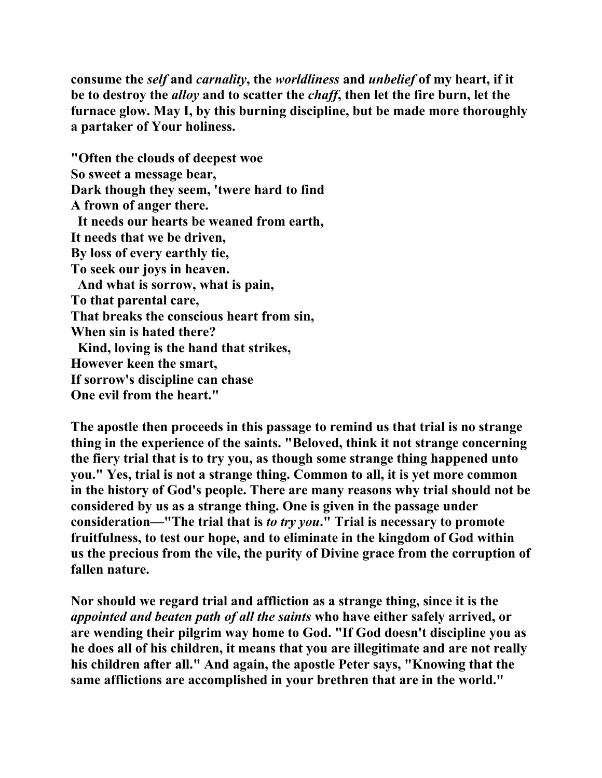**consume the** *self* **and** *carnality***, the** *worldliness* **and** *unbelief* **of my heart, if it be to destroy the** *alloy* **and to scatter the** *chaff***, then let the fire burn, let the furnace glow. May I, by this burning discipline, but be made more thoroughly a partaker of Your holiness.** 

**"Often the clouds of deepest woe So sweet a message bear, Dark though they seem, 'twere hard to find A frown of anger there. It needs our hearts be weaned from earth, It needs that we be driven, By loss of every earthly tie, To seek our joys in heaven. And what is sorrow, what is pain, To that parental care, That breaks the conscious heart from sin, When sin is hated there? Kind, loving is the hand that strikes, However keen the smart, If sorrow's discipline can chase One evil from the heart."** 

**The apostle then proceeds in this passage to remind us that trial is no strange thing in the experience of the saints. "Beloved, think it not strange concerning the fiery trial that is to try you, as though some strange thing happened unto you." Yes, trial is not a strange thing. Common to all, it is yet more common in the history of God's people. There are many reasons why trial should not be considered by us as a strange thing. One is given in the passage under consideration—"The trial that is** *to try you***." Trial is necessary to promote fruitfulness, to test our hope, and to eliminate in the kingdom of God within us the precious from the vile, the purity of Divine grace from the corruption of fallen nature.** 

**Nor should we regard trial and affliction as a strange thing, since it is the** *appointed and beaten path of all the saints* **who have either safely arrived, or are wending their pilgrim way home to God. "If God doesn't discipline you as he does all of his children, it means that you are illegitimate and are not really his children after all." And again, the apostle Peter says, "Knowing that the same afflictions are accomplished in your brethren that are in the world."**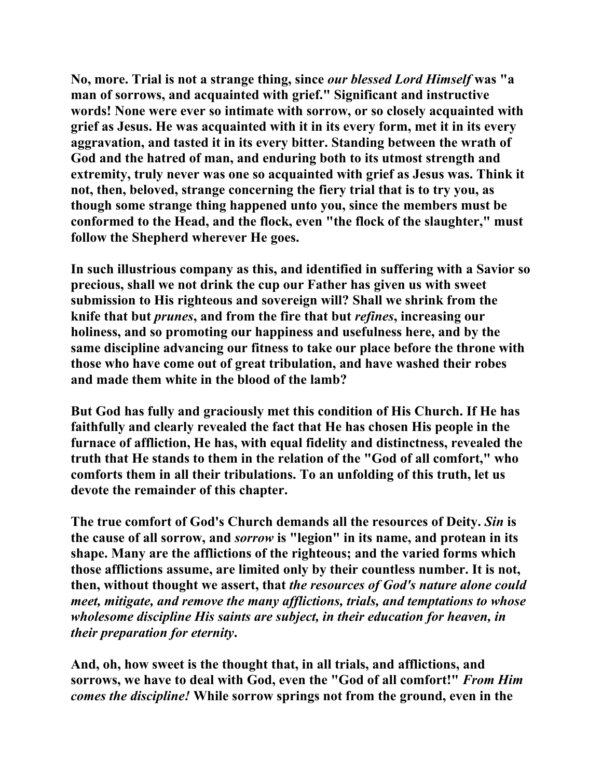**No, more. Trial is not a strange thing, since** *our blessed Lord Himself* **was "a man of sorrows, and acquainted with grief." Significant and instructive words! None were ever so intimate with sorrow, or so closely acquainted with grief as Jesus. He was acquainted with it in its every form, met it in its every aggravation, and tasted it in its every bitter. Standing between the wrath of God and the hatred of man, and enduring both to its utmost strength and extremity, truly never was one so acquainted with grief as Jesus was. Think it not, then, beloved, strange concerning the fiery trial that is to try you, as though some strange thing happened unto you, since the members must be conformed to the Head, and the flock, even "the flock of the slaughter," must follow the Shepherd wherever He goes.** 

**In such illustrious company as this, and identified in suffering with a Savior so precious, shall we not drink the cup our Father has given us with sweet submission to His righteous and sovereign will? Shall we shrink from the knife that but** *prunes***, and from the fire that but** *refines***, increasing our holiness, and so promoting our happiness and usefulness here, and by the same discipline advancing our fitness to take our place before the throne with those who have come out of great tribulation, and have washed their robes and made them white in the blood of the lamb?** 

**But God has fully and graciously met this condition of His Church. If He has faithfully and clearly revealed the fact that He has chosen His people in the furnace of affliction, He has, with equal fidelity and distinctness, revealed the truth that He stands to them in the relation of the "God of all comfort," who comforts them in all their tribulations. To an unfolding of this truth, let us devote the remainder of this chapter.** 

**The true comfort of God's Church demands all the resources of Deity.** *Sin* **is the cause of all sorrow, and** *sorrow* **is "legion" in its name, and protean in its shape. Many are the afflictions of the righteous; and the varied forms which those afflictions assume, are limited only by their countless number. It is not, then, without thought we assert, that** *the resources of God's nature alone could meet, mitigate, and remove the many afflictions, trials, and temptations to whose wholesome discipline His saints are subject, in their education for heaven, in their preparation for eternity***.** 

**And, oh, how sweet is the thought that, in all trials, and afflictions, and sorrows, we have to deal with God, even the "God of all comfort!"** *From Him comes the discipline!* **While sorrow springs not from the ground, even in the**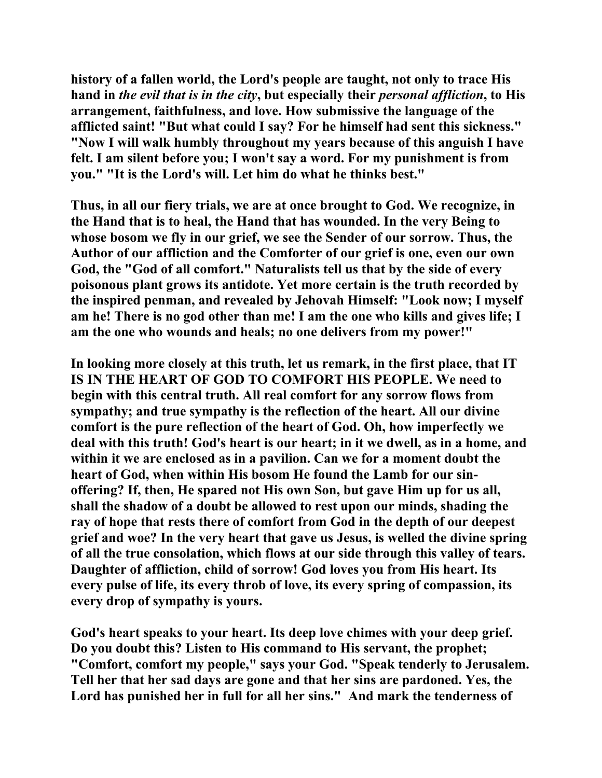**history of a fallen world, the Lord's people are taught, not only to trace His hand in** *the evil that is in the city***, but especially their** *personal affliction***, to His arrangement, faithfulness, and love. How submissive the language of the afflicted saint! "But what could I say? For he himself had sent this sickness." "Now I will walk humbly throughout my years because of this anguish I have felt. I am silent before you; I won't say a word. For my punishment is from you." "It is the Lord's will. Let him do what he thinks best."** 

**Thus, in all our fiery trials, we are at once brought to God. We recognize, in the Hand that is to heal, the Hand that has wounded. In the very Being to whose bosom we fly in our grief, we see the Sender of our sorrow. Thus, the Author of our affliction and the Comforter of our grief is one, even our own God, the "God of all comfort." Naturalists tell us that by the side of every poisonous plant grows its antidote. Yet more certain is the truth recorded by the inspired penman, and revealed by Jehovah Himself: "Look now; I myself am he! There is no god other than me! I am the one who kills and gives life; I am the one who wounds and heals; no one delivers from my power!"** 

**In looking more closely at this truth, let us remark, in the first place, that IT IS IN THE HEART OF GOD TO COMFORT HIS PEOPLE. We need to begin with this central truth. All real comfort for any sorrow flows from sympathy; and true sympathy is the reflection of the heart. All our divine comfort is the pure reflection of the heart of God. Oh, how imperfectly we deal with this truth! God's heart is our heart; in it we dwell, as in a home, and within it we are enclosed as in a pavilion. Can we for a moment doubt the heart of God, when within His bosom He found the Lamb for our sinoffering? If, then, He spared not His own Son, but gave Him up for us all, shall the shadow of a doubt be allowed to rest upon our minds, shading the ray of hope that rests there of comfort from God in the depth of our deepest grief and woe? In the very heart that gave us Jesus, is welled the divine spring of all the true consolation, which flows at our side through this valley of tears. Daughter of affliction, child of sorrow! God loves you from His heart. Its every pulse of life, its every throb of love, its every spring of compassion, its every drop of sympathy is yours.** 

**God's heart speaks to your heart. Its deep love chimes with your deep grief. Do you doubt this? Listen to His command to His servant, the prophet; "Comfort, comfort my people," says your God. "Speak tenderly to Jerusalem. Tell her that her sad days are gone and that her sins are pardoned. Yes, the Lord has punished her in full for all her sins." And mark the tenderness of**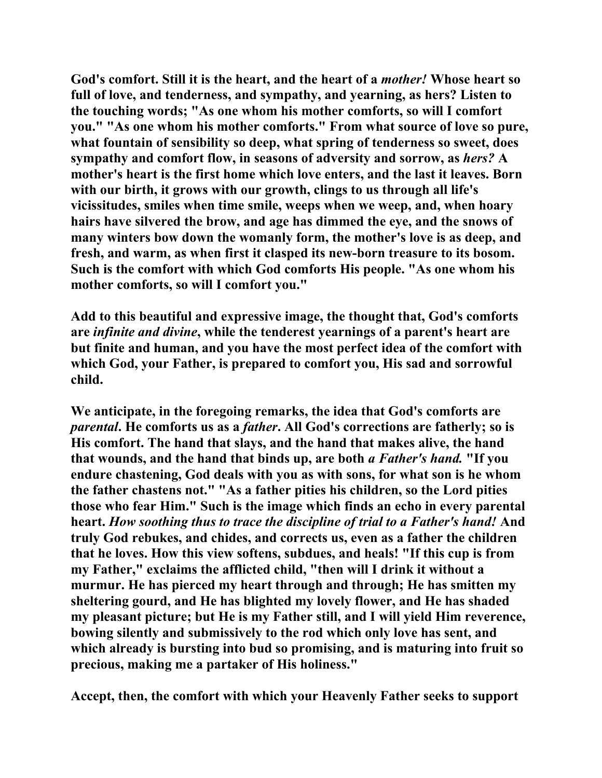**God's comfort. Still it is the heart, and the heart of a** *mother!* **Whose heart so full of love, and tenderness, and sympathy, and yearning, as hers? Listen to the touching words; "As one whom his mother comforts, so will I comfort you." "As one whom his mother comforts." From what source of love so pure, what fountain of sensibility so deep, what spring of tenderness so sweet, does sympathy and comfort flow, in seasons of adversity and sorrow, as** *hers?* **A mother's heart is the first home which love enters, and the last it leaves. Born with our birth, it grows with our growth, clings to us through all life's vicissitudes, smiles when time smile, weeps when we weep, and, when hoary hairs have silvered the brow, and age has dimmed the eye, and the snows of many winters bow down the womanly form, the mother's love is as deep, and fresh, and warm, as when first it clasped its new-born treasure to its bosom. Such is the comfort with which God comforts His people. "As one whom his mother comforts, so will I comfort you."** 

**Add to this beautiful and expressive image, the thought that, God's comforts are** *infinite and divine***, while the tenderest yearnings of a parent's heart are but finite and human, and you have the most perfect idea of the comfort with which God, your Father, is prepared to comfort you, His sad and sorrowful child.** 

**We anticipate, in the foregoing remarks, the idea that God's comforts are**  *parental***. He comforts us as a** *father***. All God's corrections are fatherly; so is His comfort. The hand that slays, and the hand that makes alive, the hand that wounds, and the hand that binds up, are both** *a Father's hand.* **"If you endure chastening, God deals with you as with sons, for what son is he whom the father chastens not." "As a father pities his children, so the Lord pities those who fear Him." Such is the image which finds an echo in every parental heart.** *How soothing thus to trace the discipline of trial to a Father's hand!* **And truly God rebukes, and chides, and corrects us, even as a father the children that he loves. How this view softens, subdues, and heals! "If this cup is from my Father," exclaims the afflicted child, "then will I drink it without a murmur. He has pierced my heart through and through; He has smitten my sheltering gourd, and He has blighted my lovely flower, and He has shaded my pleasant picture; but He is my Father still, and I will yield Him reverence, bowing silently and submissively to the rod which only love has sent, and which already is bursting into bud so promising, and is maturing into fruit so precious, making me a partaker of His holiness."** 

**Accept, then, the comfort with which your Heavenly Father seeks to support**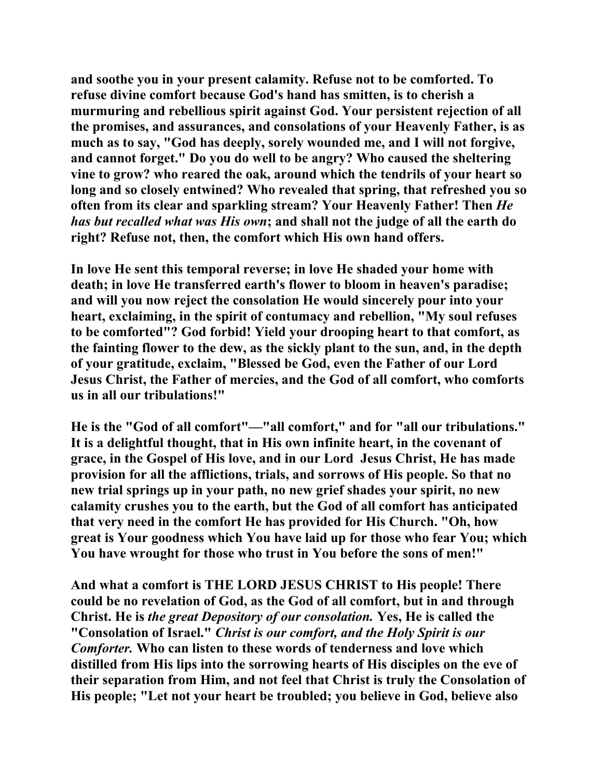**and soothe you in your present calamity. Refuse not to be comforted. To refuse divine comfort because God's hand has smitten, is to cherish a murmuring and rebellious spirit against God. Your persistent rejection of all the promises, and assurances, and consolations of your Heavenly Father, is as much as to say, "God has deeply, sorely wounded me, and I will not forgive, and cannot forget." Do you do well to be angry? Who caused the sheltering vine to grow? who reared the oak, around which the tendrils of your heart so long and so closely entwined? Who revealed that spring, that refreshed you so often from its clear and sparkling stream? Your Heavenly Father! Then** *He has but recalled what was His own***; and shall not the judge of all the earth do right? Refuse not, then, the comfort which His own hand offers.** 

**In love He sent this temporal reverse; in love He shaded your home with death; in love He transferred earth's flower to bloom in heaven's paradise; and will you now reject the consolation He would sincerely pour into your heart, exclaiming, in the spirit of contumacy and rebellion, "My soul refuses to be comforted"? God forbid! Yield your drooping heart to that comfort, as the fainting flower to the dew, as the sickly plant to the sun, and, in the depth of your gratitude, exclaim, "Blessed be God, even the Father of our Lord Jesus Christ, the Father of mercies, and the God of all comfort, who comforts us in all our tribulations!"** 

**He is the "God of all comfort"—"all comfort," and for "all our tribulations." It is a delightful thought, that in His own infinite heart, in the covenant of grace, in the Gospel of His love, and in our Lord Jesus Christ, He has made provision for all the afflictions, trials, and sorrows of His people. So that no new trial springs up in your path, no new grief shades your spirit, no new calamity crushes you to the earth, but the God of all comfort has anticipated that very need in the comfort He has provided for His Church. "Oh, how great is Your goodness which You have laid up for those who fear You; which You have wrought for those who trust in You before the sons of men!"** 

**And what a comfort is THE LORD JESUS CHRIST to His people! There could be no revelation of God, as the God of all comfort, but in and through Christ. He is** *the great Depository of our consolation.* **Yes, He is called the "Consolation of Israel."** *Christ is our comfort, and the Holy Spirit is our Comforter.* **Who can listen to these words of tenderness and love which distilled from His lips into the sorrowing hearts of His disciples on the eve of their separation from Him, and not feel that Christ is truly the Consolation of His people; "Let not your heart be troubled; you believe in God, believe also**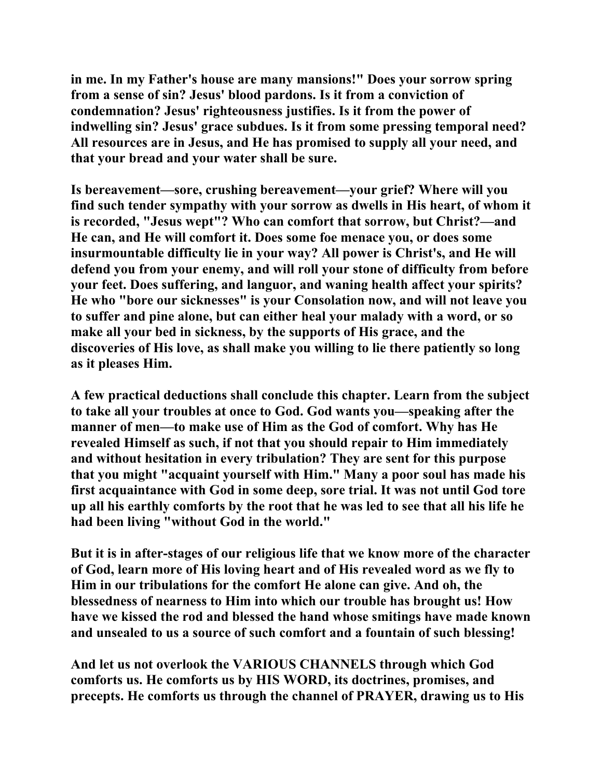**in me. In my Father's house are many mansions!" Does your sorrow spring from a sense of sin? Jesus' blood pardons. Is it from a conviction of condemnation? Jesus' righteousness justifies. Is it from the power of indwelling sin? Jesus' grace subdues. Is it from some pressing temporal need? All resources are in Jesus, and He has promised to supply all your need, and that your bread and your water shall be sure.** 

**Is bereavement—sore, crushing bereavement—your grief? Where will you find such tender sympathy with your sorrow as dwells in His heart, of whom it is recorded, "Jesus wept"? Who can comfort that sorrow, but Christ?—and He can, and He will comfort it. Does some foe menace you, or does some insurmountable difficulty lie in your way? All power is Christ's, and He will defend you from your enemy, and will roll your stone of difficulty from before your feet. Does suffering, and languor, and waning health affect your spirits? He who "bore our sicknesses" is your Consolation now, and will not leave you to suffer and pine alone, but can either heal your malady with a word, or so make all your bed in sickness, by the supports of His grace, and the discoveries of His love, as shall make you willing to lie there patiently so long as it pleases Him.** 

**A few practical deductions shall conclude this chapter. Learn from the subject to take all your troubles at once to God. God wants you—speaking after the manner of men—to make use of Him as the God of comfort. Why has He revealed Himself as such, if not that you should repair to Him immediately and without hesitation in every tribulation? They are sent for this purpose that you might "acquaint yourself with Him." Many a poor soul has made his first acquaintance with God in some deep, sore trial. It was not until God tore up all his earthly comforts by the root that he was led to see that all his life he had been living "without God in the world."** 

**But it is in after-stages of our religious life that we know more of the character of God, learn more of His loving heart and of His revealed word as we fly to Him in our tribulations for the comfort He alone can give. And oh, the blessedness of nearness to Him into which our trouble has brought us! How have we kissed the rod and blessed the hand whose smitings have made known and unsealed to us a source of such comfort and a fountain of such blessing!** 

**And let us not overlook the VARIOUS CHANNELS through which God comforts us. He comforts us by HIS WORD, its doctrines, promises, and precepts. He comforts us through the channel of PRAYER, drawing us to His**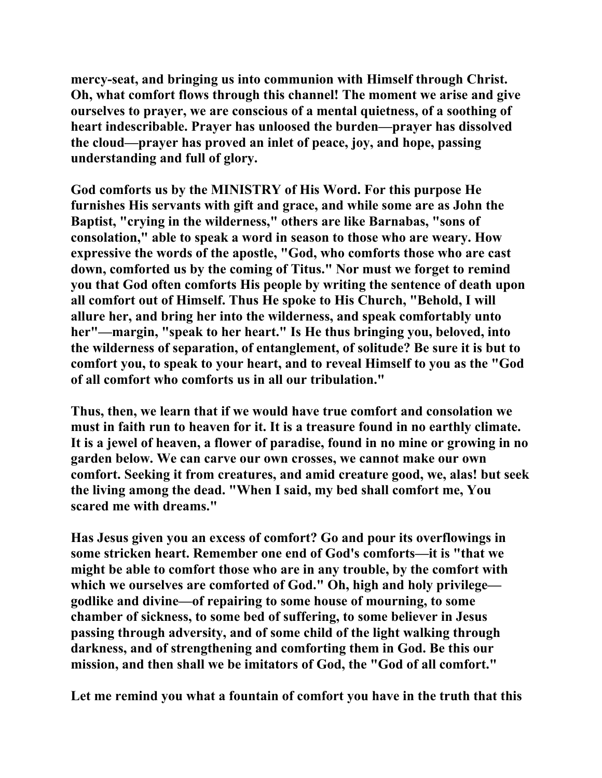**mercy-seat, and bringing us into communion with Himself through Christ. Oh, what comfort flows through this channel! The moment we arise and give ourselves to prayer, we are conscious of a mental quietness, of a soothing of heart indescribable. Prayer has unloosed the burden—prayer has dissolved the cloud—prayer has proved an inlet of peace, joy, and hope, passing understanding and full of glory.** 

**God comforts us by the MINISTRY of His Word. For this purpose He furnishes His servants with gift and grace, and while some are as John the Baptist, "crying in the wilderness," others are like Barnabas, "sons of consolation," able to speak a word in season to those who are weary. How expressive the words of the apostle, "God, who comforts those who are cast down, comforted us by the coming of Titus." Nor must we forget to remind you that God often comforts His people by writing the sentence of death upon all comfort out of Himself. Thus He spoke to His Church, "Behold, I will allure her, and bring her into the wilderness, and speak comfortably unto her"—margin, "speak to her heart." Is He thus bringing you, beloved, into the wilderness of separation, of entanglement, of solitude? Be sure it is but to comfort you, to speak to your heart, and to reveal Himself to you as the "God of all comfort who comforts us in all our tribulation."** 

**Thus, then, we learn that if we would have true comfort and consolation we must in faith run to heaven for it. It is a treasure found in no earthly climate. It is a jewel of heaven, a flower of paradise, found in no mine or growing in no garden below. We can carve our own crosses, we cannot make our own comfort. Seeking it from creatures, and amid creature good, we, alas! but seek the living among the dead. "When I said, my bed shall comfort me, You scared me with dreams."** 

**Has Jesus given you an excess of comfort? Go and pour its overflowings in some stricken heart. Remember one end of God's comforts—it is "that we might be able to comfort those who are in any trouble, by the comfort with which we ourselves are comforted of God." Oh, high and holy privilege godlike and divine—of repairing to some house of mourning, to some chamber of sickness, to some bed of suffering, to some believer in Jesus passing through adversity, and of some child of the light walking through darkness, and of strengthening and comforting them in God. Be this our mission, and then shall we be imitators of God, the "God of all comfort."** 

**Let me remind you what a fountain of comfort you have in the truth that this**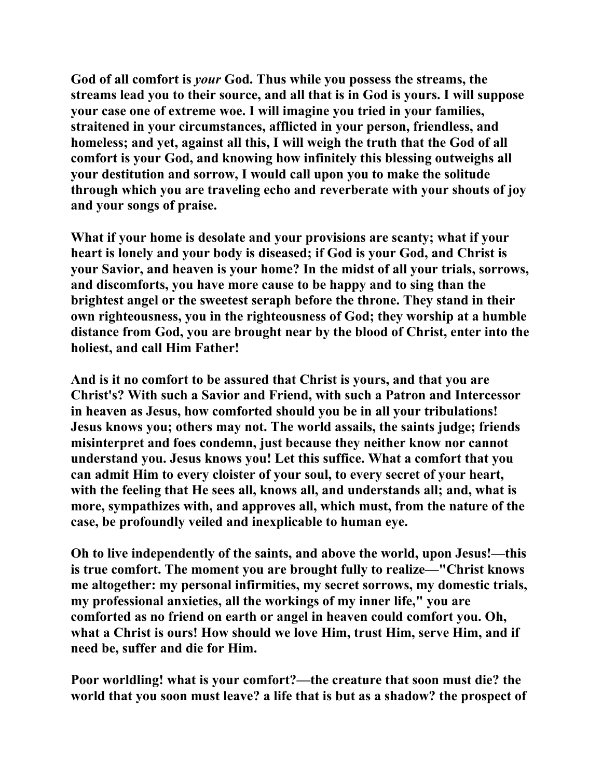**God of all comfort is** *your* **God. Thus while you possess the streams, the streams lead you to their source, and all that is in God is yours. I will suppose your case one of extreme woe. I will imagine you tried in your families, straitened in your circumstances, afflicted in your person, friendless, and homeless; and yet, against all this, I will weigh the truth that the God of all comfort is your God, and knowing how infinitely this blessing outweighs all your destitution and sorrow, I would call upon you to make the solitude through which you are traveling echo and reverberate with your shouts of joy and your songs of praise.** 

**What if your home is desolate and your provisions are scanty; what if your heart is lonely and your body is diseased; if God is your God, and Christ is your Savior, and heaven is your home? In the midst of all your trials, sorrows, and discomforts, you have more cause to be happy and to sing than the brightest angel or the sweetest seraph before the throne. They stand in their own righteousness, you in the righteousness of God; they worship at a humble distance from God, you are brought near by the blood of Christ, enter into the holiest, and call Him Father!** 

**And is it no comfort to be assured that Christ is yours, and that you are Christ's? With such a Savior and Friend, with such a Patron and Intercessor in heaven as Jesus, how comforted should you be in all your tribulations! Jesus knows you; others may not. The world assails, the saints judge; friends misinterpret and foes condemn, just because they neither know nor cannot understand you. Jesus knows you! Let this suffice. What a comfort that you can admit Him to every cloister of your soul, to every secret of your heart, with the feeling that He sees all, knows all, and understands all; and, what is more, sympathizes with, and approves all, which must, from the nature of the case, be profoundly veiled and inexplicable to human eye.** 

**Oh to live independently of the saints, and above the world, upon Jesus!—this is true comfort. The moment you are brought fully to realize—"Christ knows me altogether: my personal infirmities, my secret sorrows, my domestic trials, my professional anxieties, all the workings of my inner life," you are comforted as no friend on earth or angel in heaven could comfort you. Oh, what a Christ is ours! How should we love Him, trust Him, serve Him, and if need be, suffer and die for Him.** 

**Poor worldling! what is your comfort?—the creature that soon must die? the world that you soon must leave? a life that is but as a shadow? the prospect of**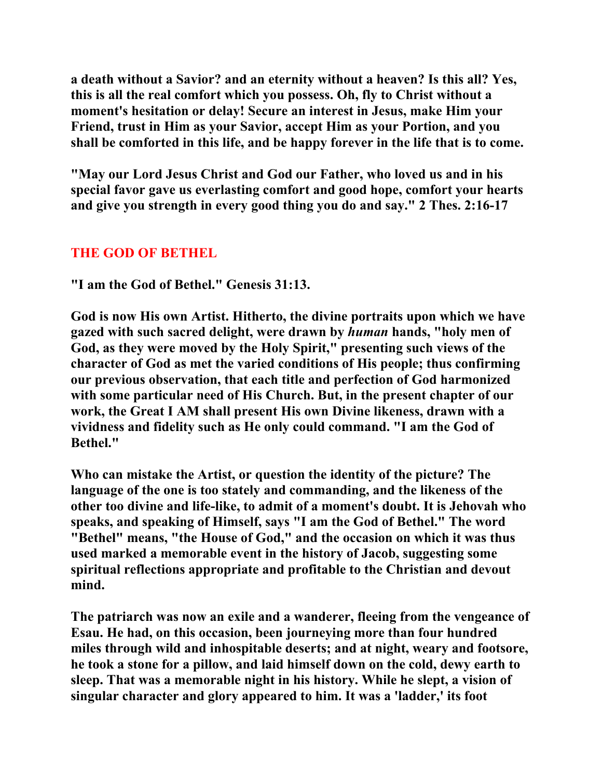**a death without a Savior? and an eternity without a heaven? Is this all? Yes, this is all the real comfort which you possess. Oh, fly to Christ without a moment's hesitation or delay! Secure an interest in Jesus, make Him your Friend, trust in Him as your Savior, accept Him as your Portion, and you shall be comforted in this life, and be happy forever in the life that is to come.** 

**"May our Lord Jesus Christ and God our Father, who loved us and in his special favor gave us everlasting comfort and good hope, comfort your hearts and give you strength in every good thing you do and say." 2 Thes. 2:16-17** 

## **THE GOD OF BETHEL**

**"I am the God of Bethel." Genesis 31:13.** 

**God is now His own Artist. Hitherto, the divine portraits upon which we have gazed with such sacred delight, were drawn by** *human* **hands, "holy men of God, as they were moved by the Holy Spirit," presenting such views of the character of God as met the varied conditions of His people; thus confirming our previous observation, that each title and perfection of God harmonized with some particular need of His Church. But, in the present chapter of our work, the Great I AM shall present His own Divine likeness, drawn with a vividness and fidelity such as He only could command. "I am the God of Bethel."** 

**Who can mistake the Artist, or question the identity of the picture? The language of the one is too stately and commanding, and the likeness of the other too divine and life-like, to admit of a moment's doubt. It is Jehovah who speaks, and speaking of Himself, says "I am the God of Bethel." The word "Bethel" means, "the House of God," and the occasion on which it was thus used marked a memorable event in the history of Jacob, suggesting some spiritual reflections appropriate and profitable to the Christian and devout mind.** 

**The patriarch was now an exile and a wanderer, fleeing from the vengeance of Esau. He had, on this occasion, been journeying more than four hundred miles through wild and inhospitable deserts; and at night, weary and footsore, he took a stone for a pillow, and laid himself down on the cold, dewy earth to sleep. That was a memorable night in his history. While he slept, a vision of singular character and glory appeared to him. It was a 'ladder,' its foot**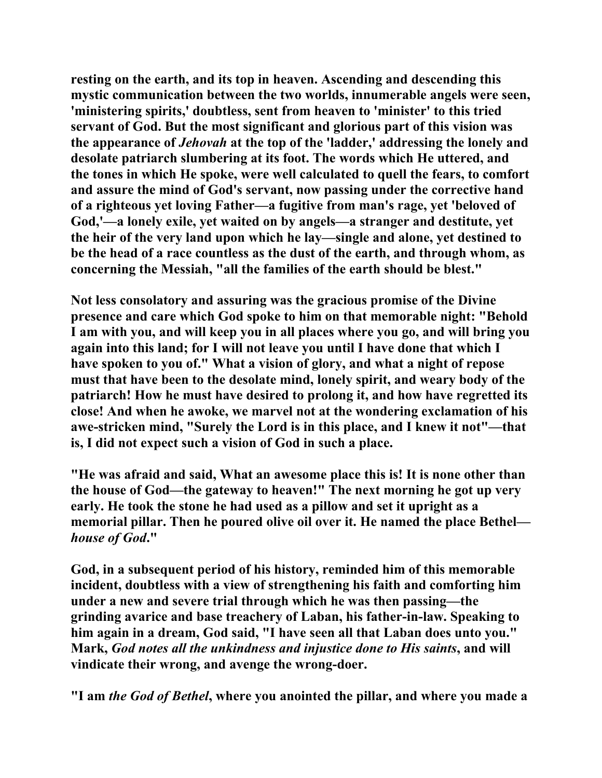**resting on the earth, and its top in heaven. Ascending and descending this mystic communication between the two worlds, innumerable angels were seen, 'ministering spirits,' doubtless, sent from heaven to 'minister' to this tried servant of God. But the most significant and glorious part of this vision was the appearance of** *Jehovah* **at the top of the 'ladder,' addressing the lonely and desolate patriarch slumbering at its foot. The words which He uttered, and the tones in which He spoke, were well calculated to quell the fears, to comfort and assure the mind of God's servant, now passing under the corrective hand of a righteous yet loving Father—a fugitive from man's rage, yet 'beloved of God,'—a lonely exile, yet waited on by angels—a stranger and destitute, yet the heir of the very land upon which he lay—single and alone, yet destined to be the head of a race countless as the dust of the earth, and through whom, as concerning the Messiah, "all the families of the earth should be blest."** 

**Not less consolatory and assuring was the gracious promise of the Divine presence and care which God spoke to him on that memorable night: "Behold I am with you, and will keep you in all places where you go, and will bring you again into this land; for I will not leave you until I have done that which I have spoken to you of." What a vision of glory, and what a night of repose must that have been to the desolate mind, lonely spirit, and weary body of the patriarch! How he must have desired to prolong it, and how have regretted its close! And when he awoke, we marvel not at the wondering exclamation of his awe-stricken mind, "Surely the Lord is in this place, and I knew it not"—that is, I did not expect such a vision of God in such a place.** 

**"He was afraid and said, What an awesome place this is! It is none other than the house of God—the gateway to heaven!" The next morning he got up very early. He took the stone he had used as a pillow and set it upright as a memorial pillar. Then he poured olive oil over it. He named the place Bethel** *house of God***."** 

**God, in a subsequent period of his history, reminded him of this memorable incident, doubtless with a view of strengthening his faith and comforting him under a new and severe trial through which he was then passing—the grinding avarice and base treachery of Laban, his father-in-law. Speaking to him again in a dream, God said, "I have seen all that Laban does unto you." Mark,** *God notes all the unkindness and injustice done to His saints***, and will vindicate their wrong, and avenge the wrong-doer.** 

**"I am** *the God of Bethel***, where you anointed the pillar, and where you made a**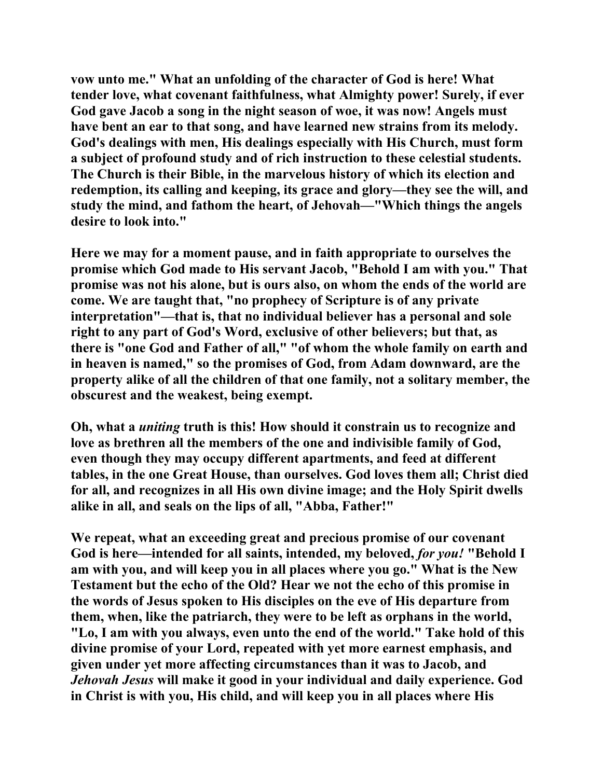**vow unto me." What an unfolding of the character of God is here! What tender love, what covenant faithfulness, what Almighty power! Surely, if ever God gave Jacob a song in the night season of woe, it was now! Angels must have bent an ear to that song, and have learned new strains from its melody. God's dealings with men, His dealings especially with His Church, must form a subject of profound study and of rich instruction to these celestial students. The Church is their Bible, in the marvelous history of which its election and redemption, its calling and keeping, its grace and glory—they see the will, and study the mind, and fathom the heart, of Jehovah—"Which things the angels desire to look into."** 

**Here we may for a moment pause, and in faith appropriate to ourselves the promise which God made to His servant Jacob, "Behold I am with you." That promise was not his alone, but is ours also, on whom the ends of the world are come. We are taught that, "no prophecy of Scripture is of any private interpretation"—that is, that no individual believer has a personal and sole right to any part of God's Word, exclusive of other believers; but that, as there is "one God and Father of all," "of whom the whole family on earth and in heaven is named," so the promises of God, from Adam downward, are the property alike of all the children of that one family, not a solitary member, the obscurest and the weakest, being exempt.** 

**Oh, what a** *uniting* **truth is this! How should it constrain us to recognize and love as brethren all the members of the one and indivisible family of God, even though they may occupy different apartments, and feed at different tables, in the one Great House, than ourselves. God loves them all; Christ died for all, and recognizes in all His own divine image; and the Holy Spirit dwells alike in all, and seals on the lips of all, "Abba, Father!"** 

**We repeat, what an exceeding great and precious promise of our covenant God is here—intended for all saints, intended, my beloved,** *for you!* **"Behold I am with you, and will keep you in all places where you go." What is the New Testament but the echo of the Old? Hear we not the echo of this promise in the words of Jesus spoken to His disciples on the eve of His departure from them, when, like the patriarch, they were to be left as orphans in the world, "Lo, I am with you always, even unto the end of the world." Take hold of this divine promise of your Lord, repeated with yet more earnest emphasis, and given under yet more affecting circumstances than it was to Jacob, and**  *Jehovah Jesus* **will make it good in your individual and daily experience. God in Christ is with you, His child, and will keep you in all places where His**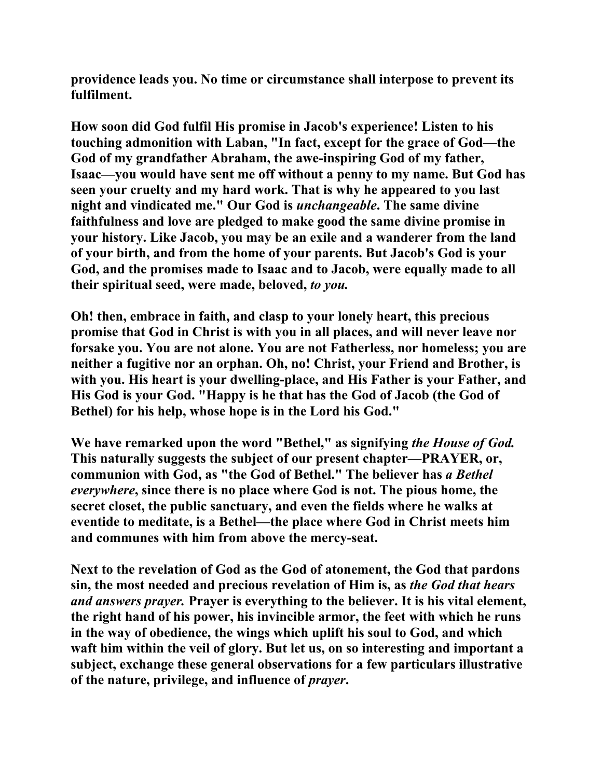**providence leads you. No time or circumstance shall interpose to prevent its fulfilment.** 

**How soon did God fulfil His promise in Jacob's experience! Listen to his touching admonition with Laban, "In fact, except for the grace of God—the God of my grandfather Abraham, the awe-inspiring God of my father, Isaac—you would have sent me off without a penny to my name. But God has seen your cruelty and my hard work. That is why he appeared to you last night and vindicated me." Our God is** *unchangeable***. The same divine faithfulness and love are pledged to make good the same divine promise in your history. Like Jacob, you may be an exile and a wanderer from the land of your birth, and from the home of your parents. But Jacob's God is your God, and the promises made to Isaac and to Jacob, were equally made to all their spiritual seed, were made, beloved,** *to you.*

**Oh! then, embrace in faith, and clasp to your lonely heart, this precious promise that God in Christ is with you in all places, and will never leave nor forsake you. You are not alone. You are not Fatherless, nor homeless; you are neither a fugitive nor an orphan. Oh, no! Christ, your Friend and Brother, is with you. His heart is your dwelling-place, and His Father is your Father, and His God is your God. "Happy is he that has the God of Jacob (the God of Bethel) for his help, whose hope is in the Lord his God."** 

**We have remarked upon the word "Bethel," as signifying** *the House of God.* **This naturally suggests the subject of our present chapter—PRAYER, or, communion with God, as "the God of Bethel." The believer has** *a Bethel everywhere***, since there is no place where God is not. The pious home, the secret closet, the public sanctuary, and even the fields where he walks at eventide to meditate, is a Bethel—the place where God in Christ meets him and communes with him from above the mercy-seat.** 

**Next to the revelation of God as the God of atonement, the God that pardons sin, the most needed and precious revelation of Him is, as** *the God that hears and answers prayer.* **Prayer is everything to the believer. It is his vital element, the right hand of his power, his invincible armor, the feet with which he runs in the way of obedience, the wings which uplift his soul to God, and which waft him within the veil of glory. But let us, on so interesting and important a subject, exchange these general observations for a few particulars illustrative of the nature, privilege, and influence of** *prayer***.**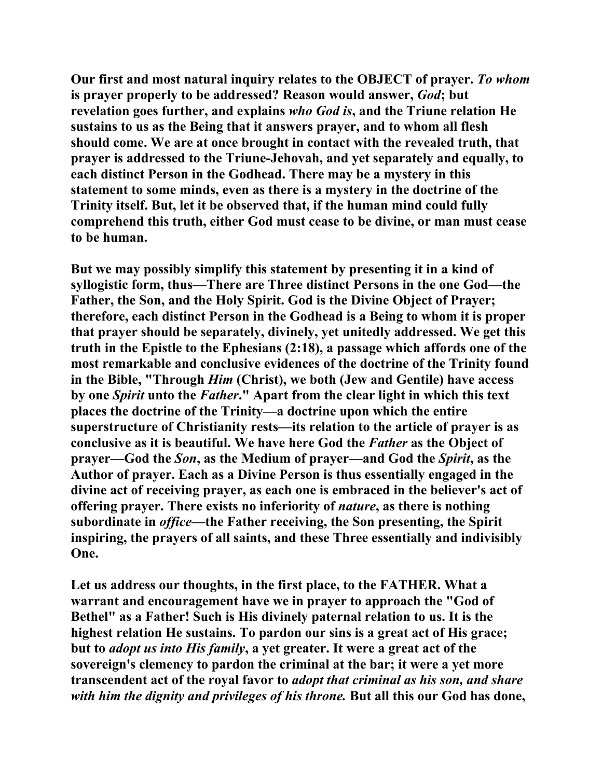**Our first and most natural inquiry relates to the OBJECT of prayer.** *To whom* **is prayer properly to be addressed? Reason would answer,** *God***; but revelation goes further, and explains** *who God is***, and the Triune relation He sustains to us as the Being that it answers prayer, and to whom all flesh should come. We are at once brought in contact with the revealed truth, that prayer is addressed to the Triune-Jehovah, and yet separately and equally, to each distinct Person in the Godhead. There may be a mystery in this statement to some minds, even as there is a mystery in the doctrine of the Trinity itself. But, let it be observed that, if the human mind could fully comprehend this truth, either God must cease to be divine, or man must cease to be human.** 

**But we may possibly simplify this statement by presenting it in a kind of syllogistic form, thus—There are Three distinct Persons in the one God—the Father, the Son, and the Holy Spirit. God is the Divine Object of Prayer; therefore, each distinct Person in the Godhead is a Being to whom it is proper that prayer should be separately, divinely, yet unitedly addressed. We get this truth in the Epistle to the Ephesians (2:18), a passage which affords one of the most remarkable and conclusive evidences of the doctrine of the Trinity found in the Bible, "Through** *Him* **(Christ), we both (Jew and Gentile) have access by one** *Spirit* **unto the** *Father***." Apart from the clear light in which this text places the doctrine of the Trinity—a doctrine upon which the entire superstructure of Christianity rests—its relation to the article of prayer is as conclusive as it is beautiful. We have here God the** *Father* **as the Object of prayer—God the** *Son***, as the Medium of prayer—and God the** *Spirit***, as the Author of prayer. Each as a Divine Person is thus essentially engaged in the divine act of receiving prayer, as each one is embraced in the believer's act of offering prayer. There exists no inferiority of** *nature***, as there is nothing subordinate in** *office***—the Father receiving, the Son presenting, the Spirit inspiring, the prayers of all saints, and these Three essentially and indivisibly One.** 

**Let us address our thoughts, in the first place, to the FATHER. What a warrant and encouragement have we in prayer to approach the "God of Bethel" as a Father! Such is His divinely paternal relation to us. It is the highest relation He sustains. To pardon our sins is a great act of His grace; but to** *adopt us into His family***, a yet greater. It were a great act of the sovereign's clemency to pardon the criminal at the bar; it were a yet more transcendent act of the royal favor to** *adopt that criminal as his son, and share with him the dignity and privileges of his throne.* **But all this our God has done,**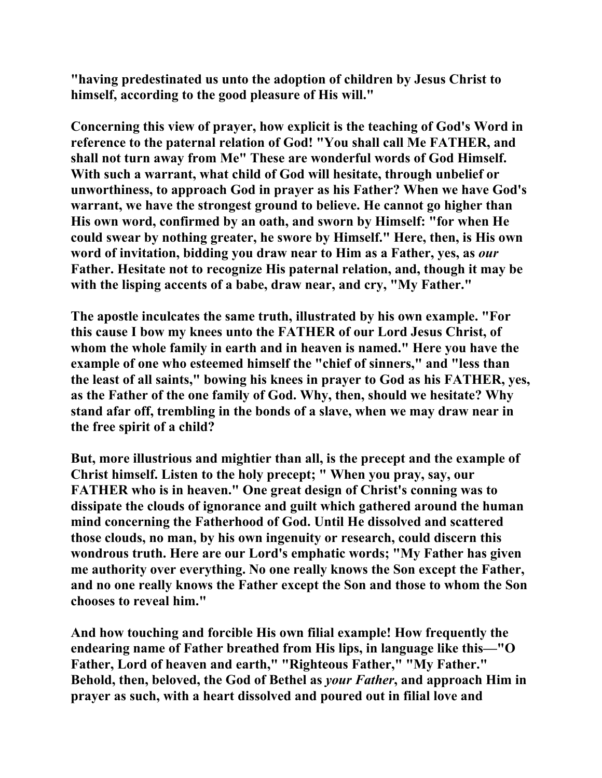**"having predestinated us unto the adoption of children by Jesus Christ to himself, according to the good pleasure of His will."** 

**Concerning this view of prayer, how explicit is the teaching of God's Word in reference to the paternal relation of God! "You shall call Me FATHER, and shall not turn away from Me" These are wonderful words of God Himself. With such a warrant, what child of God will hesitate, through unbelief or unworthiness, to approach God in prayer as his Father? When we have God's warrant, we have the strongest ground to believe. He cannot go higher than His own word, confirmed by an oath, and sworn by Himself: "for when He could swear by nothing greater, he swore by Himself." Here, then, is His own word of invitation, bidding you draw near to Him as a Father, yes, as** *our* **Father. Hesitate not to recognize His paternal relation, and, though it may be with the lisping accents of a babe, draw near, and cry, "My Father."** 

**The apostle inculcates the same truth, illustrated by his own example. "For this cause I bow my knees unto the FATHER of our Lord Jesus Christ, of whom the whole family in earth and in heaven is named." Here you have the example of one who esteemed himself the "chief of sinners," and "less than the least of all saints," bowing his knees in prayer to God as his FATHER, yes, as the Father of the one family of God. Why, then, should we hesitate? Why stand afar off, trembling in the bonds of a slave, when we may draw near in the free spirit of a child?** 

**But, more illustrious and mightier than all, is the precept and the example of Christ himself. Listen to the holy precept; " When you pray, say, our FATHER who is in heaven." One great design of Christ's conning was to dissipate the clouds of ignorance and guilt which gathered around the human mind concerning the Fatherhood of God. Until He dissolved and scattered those clouds, no man, by his own ingenuity or research, could discern this wondrous truth. Here are our Lord's emphatic words; "My Father has given me authority over everything. No one really knows the Son except the Father, and no one really knows the Father except the Son and those to whom the Son chooses to reveal him."** 

**And how touching and forcible His own filial example! How frequently the endearing name of Father breathed from His lips, in language like this—"O Father, Lord of heaven and earth," "Righteous Father," "My Father." Behold, then, beloved, the God of Bethel as** *your Father***, and approach Him in prayer as such, with a heart dissolved and poured out in filial love and**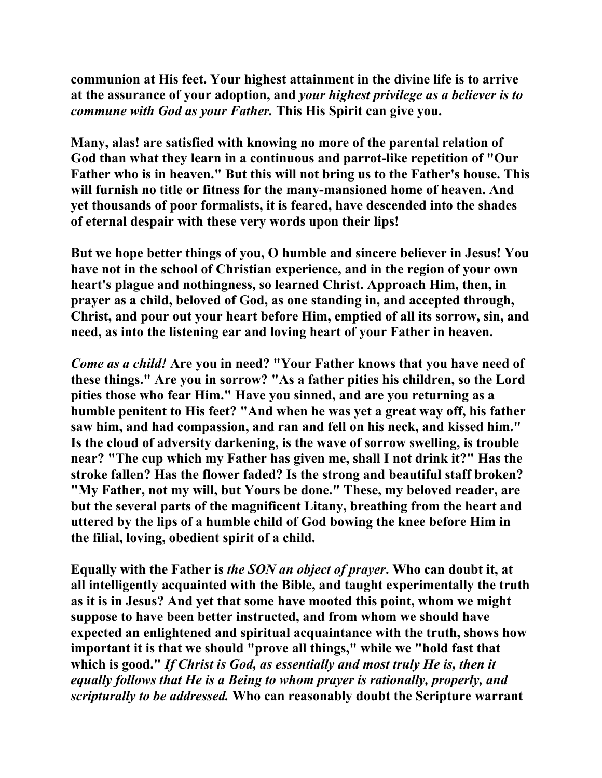**communion at His feet. Your highest attainment in the divine life is to arrive at the assurance of your adoption, and** *your highest privilege as a believer is to commune with God as your Father.* **This His Spirit can give you.** 

**Many, alas! are satisfied with knowing no more of the parental relation of God than what they learn in a continuous and parrot-like repetition of "Our Father who is in heaven." But this will not bring us to the Father's house. This will furnish no title or fitness for the many-mansioned home of heaven. And yet thousands of poor formalists, it is feared, have descended into the shades of eternal despair with these very words upon their lips!** 

**But we hope better things of you, O humble and sincere believer in Jesus! You have not in the school of Christian experience, and in the region of your own heart's plague and nothingness, so learned Christ. Approach Him, then, in prayer as a child, beloved of God, as one standing in, and accepted through, Christ, and pour out your heart before Him, emptied of all its sorrow, sin, and need, as into the listening ear and loving heart of your Father in heaven.** 

*Come as a child!* **Are you in need? "Your Father knows that you have need of these things." Are you in sorrow? "As a father pities his children, so the Lord pities those who fear Him." Have you sinned, and are you returning as a humble penitent to His feet? "And when he was yet a great way off, his father saw him, and had compassion, and ran and fell on his neck, and kissed him." Is the cloud of adversity darkening, is the wave of sorrow swelling, is trouble near? "The cup which my Father has given me, shall I not drink it?" Has the stroke fallen? Has the flower faded? Is the strong and beautiful staff broken? "My Father, not my will, but Yours be done." These, my beloved reader, are but the several parts of the magnificent Litany, breathing from the heart and uttered by the lips of a humble child of God bowing the knee before Him in the filial, loving, obedient spirit of a child.** 

**Equally with the Father is** *the SON an object of prayer***. Who can doubt it, at all intelligently acquainted with the Bible, and taught experimentally the truth as it is in Jesus? And yet that some have mooted this point, whom we might suppose to have been better instructed, and from whom we should have expected an enlightened and spiritual acquaintance with the truth, shows how important it is that we should "prove all things," while we "hold fast that which is good."** *If Christ is God, as essentially and most truly He is, then it equally follows that He is a Being to whom prayer is rationally, properly, and scripturally to be addressed.* **Who can reasonably doubt the Scripture warrant**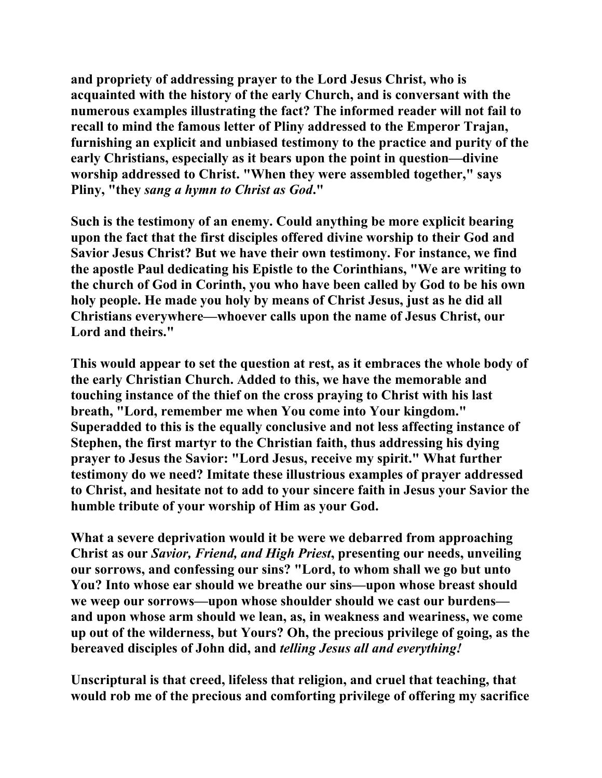**and propriety of addressing prayer to the Lord Jesus Christ, who is acquainted with the history of the early Church, and is conversant with the numerous examples illustrating the fact? The informed reader will not fail to recall to mind the famous letter of Pliny addressed to the Emperor Trajan, furnishing an explicit and unbiased testimony to the practice and purity of the early Christians, especially as it bears upon the point in question—divine worship addressed to Christ. "When they were assembled together," says Pliny, "they** *sang a hymn to Christ as God***."** 

**Such is the testimony of an enemy. Could anything be more explicit bearing upon the fact that the first disciples offered divine worship to their God and Savior Jesus Christ? But we have their own testimony. For instance, we find the apostle Paul dedicating his Epistle to the Corinthians, "We are writing to the church of God in Corinth, you who have been called by God to be his own holy people. He made you holy by means of Christ Jesus, just as he did all Christians everywhere—whoever calls upon the name of Jesus Christ, our Lord and theirs."** 

**This would appear to set the question at rest, as it embraces the whole body of the early Christian Church. Added to this, we have the memorable and touching instance of the thief on the cross praying to Christ with his last breath, "Lord, remember me when You come into Your kingdom." Superadded to this is the equally conclusive and not less affecting instance of Stephen, the first martyr to the Christian faith, thus addressing his dying prayer to Jesus the Savior: "Lord Jesus, receive my spirit." What further testimony do we need? Imitate these illustrious examples of prayer addressed to Christ, and hesitate not to add to your sincere faith in Jesus your Savior the humble tribute of your worship of Him as your God.** 

**What a severe deprivation would it be were we debarred from approaching Christ as our** *Savior, Friend, and High Priest***, presenting our needs, unveiling our sorrows, and confessing our sins? "Lord, to whom shall we go but unto You? Into whose ear should we breathe our sins—upon whose breast should we weep our sorrows—upon whose shoulder should we cast our burdens and upon whose arm should we lean, as, in weakness and weariness, we come up out of the wilderness, but Yours? Oh, the precious privilege of going, as the bereaved disciples of John did, and** *telling Jesus all and everything!*

**Unscriptural is that creed, lifeless that religion, and cruel that teaching, that would rob me of the precious and comforting privilege of offering my sacrifice**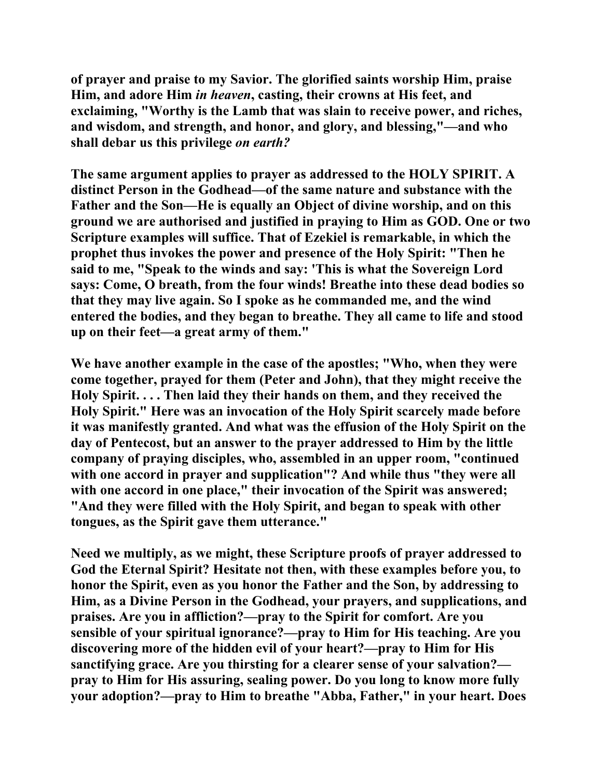**of prayer and praise to my Savior. The glorified saints worship Him, praise Him, and adore Him** *in heaven***, casting, their crowns at His feet, and exclaiming, "Worthy is the Lamb that was slain to receive power, and riches, and wisdom, and strength, and honor, and glory, and blessing,"—and who shall debar us this privilege** *on earth?*

**The same argument applies to prayer as addressed to the HOLY SPIRIT. A distinct Person in the Godhead—of the same nature and substance with the Father and the Son—He is equally an Object of divine worship, and on this ground we are authorised and justified in praying to Him as GOD. One or two Scripture examples will suffice. That of Ezekiel is remarkable, in which the prophet thus invokes the power and presence of the Holy Spirit: "Then he said to me, "Speak to the winds and say: 'This is what the Sovereign Lord says: Come, O breath, from the four winds! Breathe into these dead bodies so that they may live again. So I spoke as he commanded me, and the wind entered the bodies, and they began to breathe. They all came to life and stood up on their feet—a great army of them."** 

**We have another example in the case of the apostles; "Who, when they were come together, prayed for them (Peter and John), that they might receive the Holy Spirit. . . . Then laid they their hands on them, and they received the Holy Spirit." Here was an invocation of the Holy Spirit scarcely made before it was manifestly granted. And what was the effusion of the Holy Spirit on the day of Pentecost, but an answer to the prayer addressed to Him by the little company of praying disciples, who, assembled in an upper room, "continued with one accord in prayer and supplication"? And while thus "they were all with one accord in one place," their invocation of the Spirit was answered; "And they were filled with the Holy Spirit, and began to speak with other tongues, as the Spirit gave them utterance."** 

**Need we multiply, as we might, these Scripture proofs of prayer addressed to God the Eternal Spirit? Hesitate not then, with these examples before you, to honor the Spirit, even as you honor the Father and the Son, by addressing to Him, as a Divine Person in the Godhead, your prayers, and supplications, and praises. Are you in affliction?—pray to the Spirit for comfort. Are you sensible of your spiritual ignorance?—pray to Him for His teaching. Are you discovering more of the hidden evil of your heart?—pray to Him for His sanctifying grace. Are you thirsting for a clearer sense of your salvation? pray to Him for His assuring, sealing power. Do you long to know more fully your adoption?—pray to Him to breathe "Abba, Father," in your heart. Does**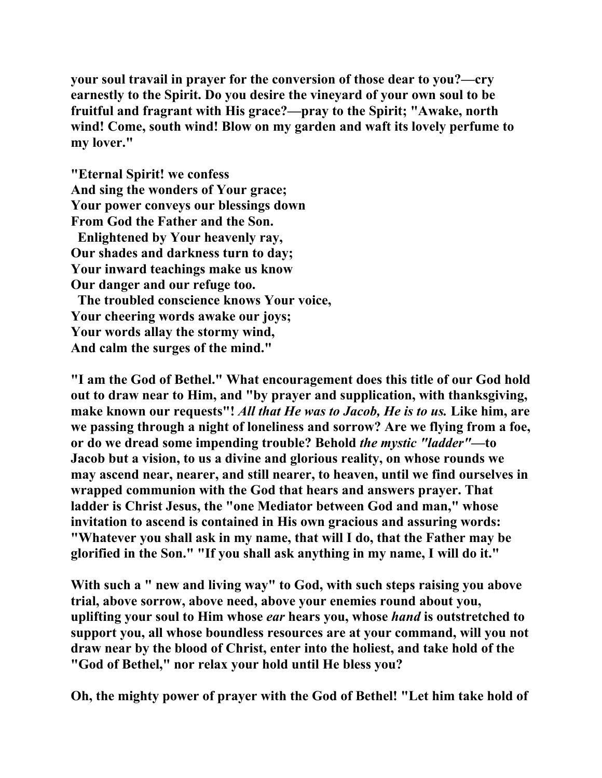**your soul travail in prayer for the conversion of those dear to you?—cry earnestly to the Spirit. Do you desire the vineyard of your own soul to be fruitful and fragrant with His grace?—pray to the Spirit; "Awake, north wind! Come, south wind! Blow on my garden and waft its lovely perfume to my lover."** 

**"Eternal Spirit! we confess And sing the wonders of Your grace; Your power conveys our blessings down From God the Father and the Son. Enlightened by Your heavenly ray, Our shades and darkness turn to day; Your inward teachings make us know Our danger and our refuge too. The troubled conscience knows Your voice, Your cheering words awake our joys; Your words allay the stormy wind, And calm the surges of the mind."** 

**"I am the God of Bethel." What encouragement does this title of our God hold out to draw near to Him, and "by prayer and supplication, with thanksgiving, make known our requests"!** *All that He was to Jacob, He is to us.* **Like him, are we passing through a night of loneliness and sorrow? Are we flying from a foe, or do we dread some impending trouble? Behold** *the mystic "ladder"—***to Jacob but a vision, to us a divine and glorious reality, on whose rounds we may ascend near, nearer, and still nearer, to heaven, until we find ourselves in wrapped communion with the God that hears and answers prayer. That ladder is Christ Jesus, the "one Mediator between God and man," whose invitation to ascend is contained in His own gracious and assuring words: "Whatever you shall ask in my name, that will I do, that the Father may be glorified in the Son." "If you shall ask anything in my name, I will do it."** 

**With such a " new and living way" to God, with such steps raising you above trial, above sorrow, above need, above your enemies round about you, uplifting your soul to Him whose** *ear* **hears you, whose** *hand* **is outstretched to support you, all whose boundless resources are at your command, will you not draw near by the blood of Christ, enter into the holiest, and take hold of the "God of Bethel," nor relax your hold until He bless you?** 

**Oh, the mighty power of prayer with the God of Bethel! "Let him take hold of**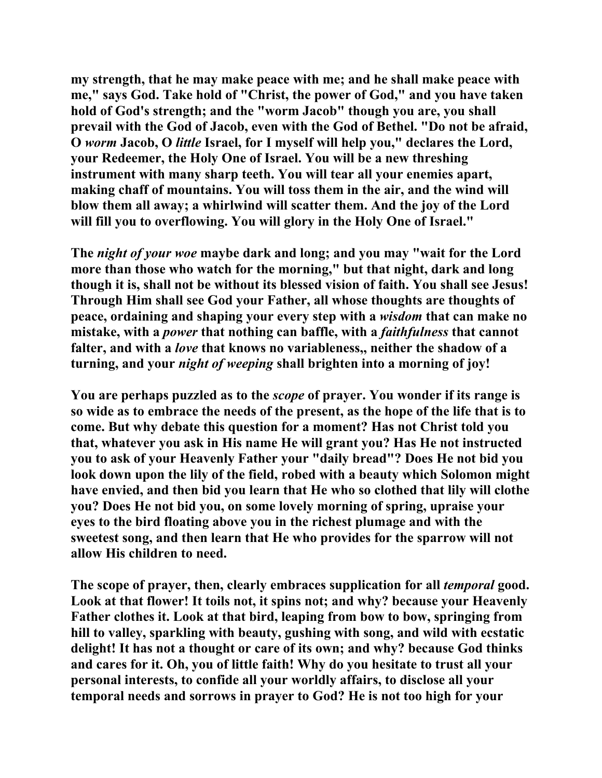**my strength, that he may make peace with me; and he shall make peace with me," says God. Take hold of "Christ, the power of God," and you have taken hold of God's strength; and the "worm Jacob" though you are, you shall prevail with the God of Jacob, even with the God of Bethel. "Do not be afraid, O** *worm* **Jacob, O** *little* **Israel, for I myself will help you," declares the Lord, your Redeemer, the Holy One of Israel. You will be a new threshing instrument with many sharp teeth. You will tear all your enemies apart, making chaff of mountains. You will toss them in the air, and the wind will blow them all away; a whirlwind will scatter them. And the joy of the Lord will fill you to overflowing. You will glory in the Holy One of Israel."** 

**The** *night of your woe* **maybe dark and long; and you may "wait for the Lord more than those who watch for the morning," but that night, dark and long though it is, shall not be without its blessed vision of faith. You shall see Jesus! Through Him shall see God your Father, all whose thoughts are thoughts of peace, ordaining and shaping your every step with a** *wisdom* **that can make no mistake, with a** *power* **that nothing can baffle, with a** *faithfulness* **that cannot falter, and with a** *love* **that knows no variableness,, neither the shadow of a turning, and your** *night of weeping* **shall brighten into a morning of joy!** 

**You are perhaps puzzled as to the** *scope* **of prayer. You wonder if its range is so wide as to embrace the needs of the present, as the hope of the life that is to come. But why debate this question for a moment? Has not Christ told you that, whatever you ask in His name He will grant you? Has He not instructed you to ask of your Heavenly Father your "daily bread"? Does He not bid you look down upon the lily of the field, robed with a beauty which Solomon might have envied, and then bid you learn that He who so clothed that lily will clothe you? Does He not bid you, on some lovely morning of spring, upraise your eyes to the bird floating above you in the richest plumage and with the sweetest song, and then learn that He who provides for the sparrow will not allow His children to need.** 

**The scope of prayer, then, clearly embraces supplication for all** *temporal* **good. Look at that flower! It toils not, it spins not; and why? because your Heavenly Father clothes it. Look at that bird, leaping from bow to bow, springing from hill to valley, sparkling with beauty, gushing with song, and wild with ecstatic delight! It has not a thought or care of its own; and why? because God thinks and cares for it. Oh, you of little faith! Why do you hesitate to trust all your personal interests, to confide all your worldly affairs, to disclose all your temporal needs and sorrows in prayer to God? He is not too high for your**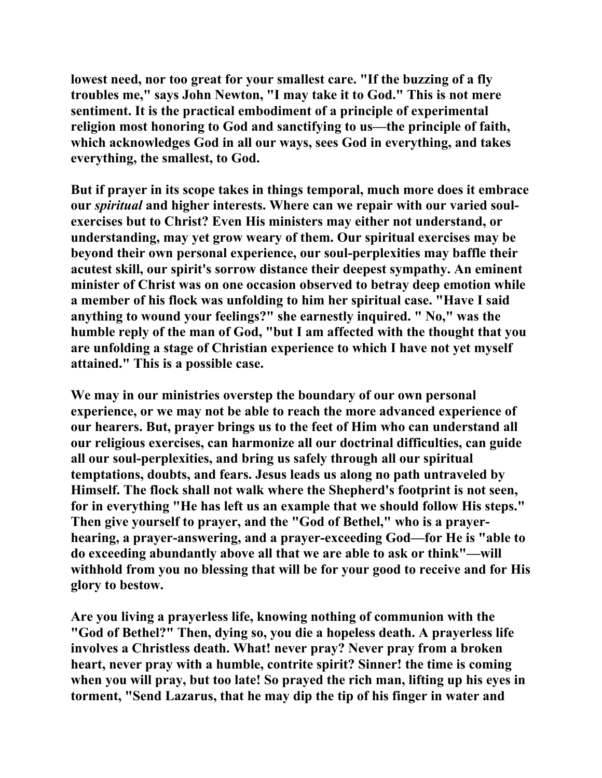**lowest need, nor too great for your smallest care. "If the buzzing of a fly troubles me," says John Newton, "I may take it to God." This is not mere sentiment. It is the practical embodiment of a principle of experimental religion most honoring to God and sanctifying to us—the principle of faith, which acknowledges God in all our ways, sees God in everything, and takes everything, the smallest, to God.** 

**But if prayer in its scope takes in things temporal, much more does it embrace our** *spiritual* **and higher interests. Where can we repair with our varied soulexercises but to Christ? Even His ministers may either not understand, or understanding, may yet grow weary of them. Our spiritual exercises may be beyond their own personal experience, our soul-perplexities may baffle their acutest skill, our spirit's sorrow distance their deepest sympathy. An eminent minister of Christ was on one occasion observed to betray deep emotion while a member of his flock was unfolding to him her spiritual case. "Have I said anything to wound your feelings?" she earnestly inquired. " No," was the humble reply of the man of God, "but I am affected with the thought that you are unfolding a stage of Christian experience to which I have not yet myself attained." This is a possible case.** 

**We may in our ministries overstep the boundary of our own personal experience, or we may not be able to reach the more advanced experience of our hearers. But, prayer brings us to the feet of Him who can understand all our religious exercises, can harmonize all our doctrinal difficulties, can guide all our soul-perplexities, and bring us safely through all our spiritual temptations, doubts, and fears. Jesus leads us along no path untraveled by Himself. The flock shall not walk where the Shepherd's footprint is not seen, for in everything "He has left us an example that we should follow His steps." Then give yourself to prayer, and the "God of Bethel," who is a prayerhearing, a prayer-answering, and a prayer-exceeding God—for He is "able to do exceeding abundantly above all that we are able to ask or think"—will withhold from you no blessing that will be for your good to receive and for His glory to bestow.** 

**Are you living a prayerless life, knowing nothing of communion with the "God of Bethel?" Then, dying so, you die a hopeless death. A prayerless life involves a Christless death. What! never pray? Never pray from a broken heart, never pray with a humble, contrite spirit? Sinner! the time is coming when you will pray, but too late! So prayed the rich man, lifting up his eyes in torment, "Send Lazarus, that he may dip the tip of his finger in water and**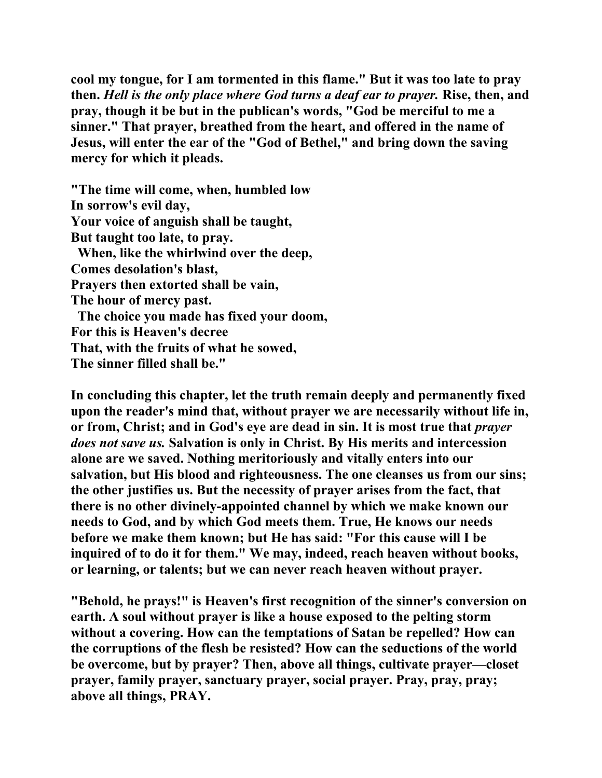**cool my tongue, for I am tormented in this flame." But it was too late to pray then.** *Hell is the only place where God turns a deaf ear to prayer.* **Rise, then, and pray, though it be but in the publican's words, "God be merciful to me a sinner." That prayer, breathed from the heart, and offered in the name of Jesus, will enter the ear of the "God of Bethel," and bring down the saving mercy for which it pleads.** 

**"The time will come, when, humbled low In sorrow's evil day, Your voice of anguish shall be taught, But taught too late, to pray. When, like the whirlwind over the deep, Comes desolation's blast, Prayers then extorted shall be vain, The hour of mercy past. The choice you made has fixed your doom, For this is Heaven's decree That, with the fruits of what he sowed, The sinner filled shall be."** 

**In concluding this chapter, let the truth remain deeply and permanently fixed upon the reader's mind that, without prayer we are necessarily without life in, or from, Christ; and in God's eye are dead in sin. It is most true that** *prayer does not save us.* **Salvation is only in Christ. By His merits and intercession alone are we saved. Nothing meritoriously and vitally enters into our salvation, but His blood and righteousness. The one cleanses us from our sins; the other justifies us. But the necessity of prayer arises from the fact, that there is no other divinely-appointed channel by which we make known our needs to God, and by which God meets them. True, He knows our needs before we make them known; but He has said: "For this cause will I be inquired of to do it for them." We may, indeed, reach heaven without books, or learning, or talents; but we can never reach heaven without prayer.** 

**"Behold, he prays!" is Heaven's first recognition of the sinner's conversion on earth. A soul without prayer is like a house exposed to the pelting storm without a covering. How can the temptations of Satan be repelled? How can the corruptions of the flesh be resisted? How can the seductions of the world be overcome, but by prayer? Then, above all things, cultivate prayer—closet prayer, family prayer, sanctuary prayer, social prayer. Pray, pray, pray; above all things, PRAY.**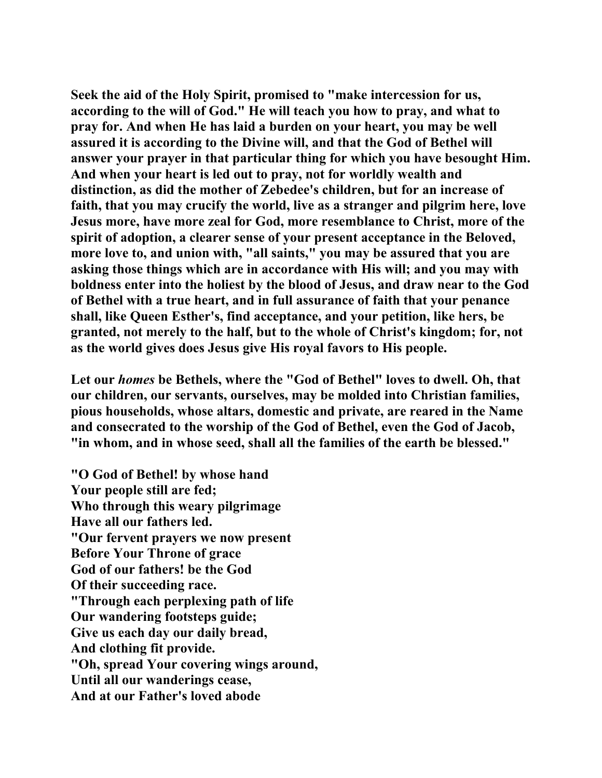**Seek the aid of the Holy Spirit, promised to "make intercession for us, according to the will of God." He will teach you how to pray, and what to pray for. And when He has laid a burden on your heart, you may be well assured it is according to the Divine will, and that the God of Bethel will answer your prayer in that particular thing for which you have besought Him. And when your heart is led out to pray, not for worldly wealth and distinction, as did the mother of Zebedee's children, but for an increase of faith, that you may crucify the world, live as a stranger and pilgrim here, love Jesus more, have more zeal for God, more resemblance to Christ, more of the spirit of adoption, a clearer sense of your present acceptance in the Beloved, more love to, and union with, "all saints," you may be assured that you are asking those things which are in accordance with His will; and you may with boldness enter into the holiest by the blood of Jesus, and draw near to the God of Bethel with a true heart, and in full assurance of faith that your penance shall, like Queen Esther's, find acceptance, and your petition, like hers, be granted, not merely to the half, but to the whole of Christ's kingdom; for, not as the world gives does Jesus give His royal favors to His people.** 

**Let our** *homes* **be Bethels, where the "God of Bethel" loves to dwell. Oh, that our children, our servants, ourselves, may be molded into Christian families, pious households, whose altars, domestic and private, are reared in the Name and consecrated to the worship of the God of Bethel, even the God of Jacob, "in whom, and in whose seed, shall all the families of the earth be blessed."** 

**"O God of Bethel! by whose hand Your people still are fed; Who through this weary pilgrimage Have all our fathers led. "Our fervent prayers we now present Before Your Throne of grace God of our fathers! be the God Of their succeeding race. "Through each perplexing path of life Our wandering footsteps guide; Give us each day our daily bread, And clothing fit provide. "Oh, spread Your covering wings around, Until all our wanderings cease, And at our Father's loved abode**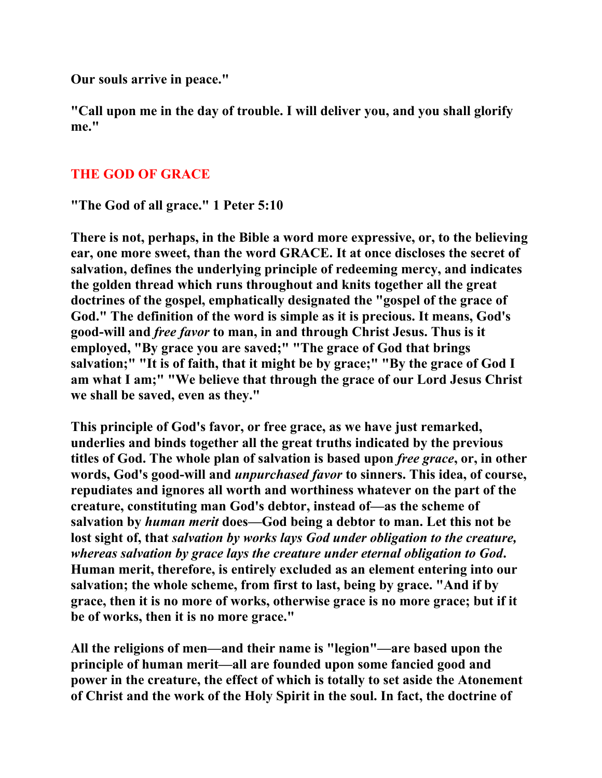**Our souls arrive in peace."** 

**"Call upon me in the day of trouble. I will deliver you, and you shall glorify me."** 

## **THE GOD OF GRACE**

**"The God of all grace." 1 Peter 5:10** 

**There is not, perhaps, in the Bible a word more expressive, or, to the believing ear, one more sweet, than the word GRACE. It at once discloses the secret of salvation, defines the underlying principle of redeeming mercy, and indicates the golden thread which runs throughout and knits together all the great doctrines of the gospel, emphatically designated the "gospel of the grace of God." The definition of the word is simple as it is precious. It means, God's good-will and** *free favor* **to man, in and through Christ Jesus. Thus is it employed, "By grace you are saved;" "The grace of God that brings salvation;" "It is of faith, that it might be by grace;" "By the grace of God I am what I am;" "We believe that through the grace of our Lord Jesus Christ we shall be saved, even as they."** 

**This principle of God's favor, or free grace, as we have just remarked, underlies and binds together all the great truths indicated by the previous titles of God. The whole plan of salvation is based upon** *free grace***, or, in other words, God's good-will and** *unpurchased favor* **to sinners. This idea, of course, repudiates and ignores all worth and worthiness whatever on the part of the creature, constituting man God's debtor, instead of—as the scheme of salvation by** *human merit* **does—God being a debtor to man. Let this not be lost sight of, that** *salvation by works lays God under obligation to the creature, whereas salvation by grace lays the creature under eternal obligation to God***. Human merit, therefore, is entirely excluded as an element entering into our salvation; the whole scheme, from first to last, being by grace. "And if by grace, then it is no more of works, otherwise grace is no more grace; but if it be of works, then it is no more grace."** 

**All the religions of men—and their name is "legion"—are based upon the principle of human merit—all are founded upon some fancied good and power in the creature, the effect of which is totally to set aside the Atonement of Christ and the work of the Holy Spirit in the soul. In fact, the doctrine of**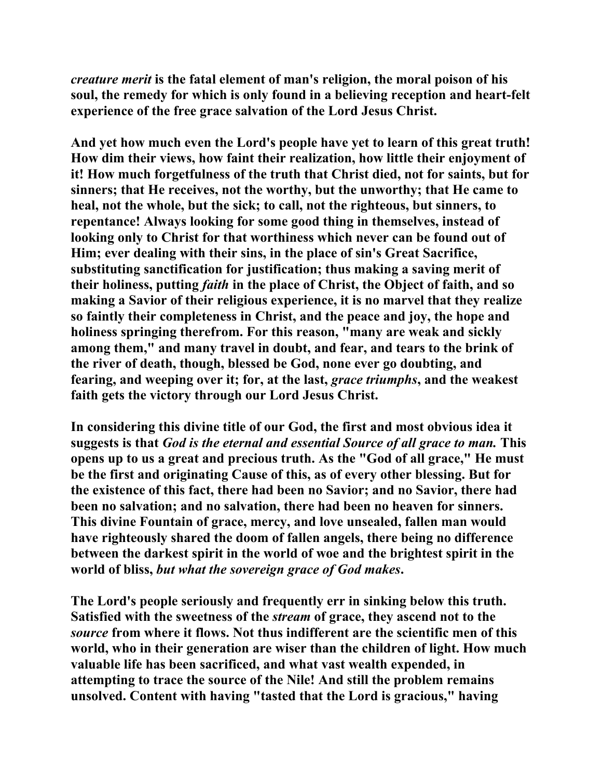*creature merit* **is the fatal element of man's religion, the moral poison of his soul, the remedy for which is only found in a believing reception and heart-felt experience of the free grace salvation of the Lord Jesus Christ.** 

**And yet how much even the Lord's people have yet to learn of this great truth! How dim their views, how faint their realization, how little their enjoyment of it! How much forgetfulness of the truth that Christ died, not for saints, but for sinners; that He receives, not the worthy, but the unworthy; that He came to heal, not the whole, but the sick; to call, not the righteous, but sinners, to repentance! Always looking for some good thing in themselves, instead of looking only to Christ for that worthiness which never can be found out of Him; ever dealing with their sins, in the place of sin's Great Sacrifice, substituting sanctification for justification; thus making a saving merit of their holiness, putting** *faith* **in the place of Christ, the Object of faith, and so making a Savior of their religious experience, it is no marvel that they realize so faintly their completeness in Christ, and the peace and joy, the hope and holiness springing therefrom. For this reason, "many are weak and sickly among them," and many travel in doubt, and fear, and tears to the brink of the river of death, though, blessed be God, none ever go doubting, and fearing, and weeping over it; for, at the last,** *grace triumphs***, and the weakest faith gets the victory through our Lord Jesus Christ.** 

**In considering this divine title of our God, the first and most obvious idea it suggests is that** *God is the eternal and essential Source of all grace to man.* **This opens up to us a great and precious truth. As the "God of all grace," He must be the first and originating Cause of this, as of every other blessing. But for the existence of this fact, there had been no Savior; and no Savior, there had been no salvation; and no salvation, there had been no heaven for sinners. This divine Fountain of grace, mercy, and love unsealed, fallen man would have righteously shared the doom of fallen angels, there being no difference between the darkest spirit in the world of woe and the brightest spirit in the world of bliss,** *but what the sovereign grace of God makes***.** 

**The Lord's people seriously and frequently err in sinking below this truth. Satisfied with the sweetness of the** *stream* **of grace, they ascend not to the**  *source* **from where it flows. Not thus indifferent are the scientific men of this world, who in their generation are wiser than the children of light. How much valuable life has been sacrificed, and what vast wealth expended, in attempting to trace the source of the Nile! And still the problem remains unsolved. Content with having "tasted that the Lord is gracious," having**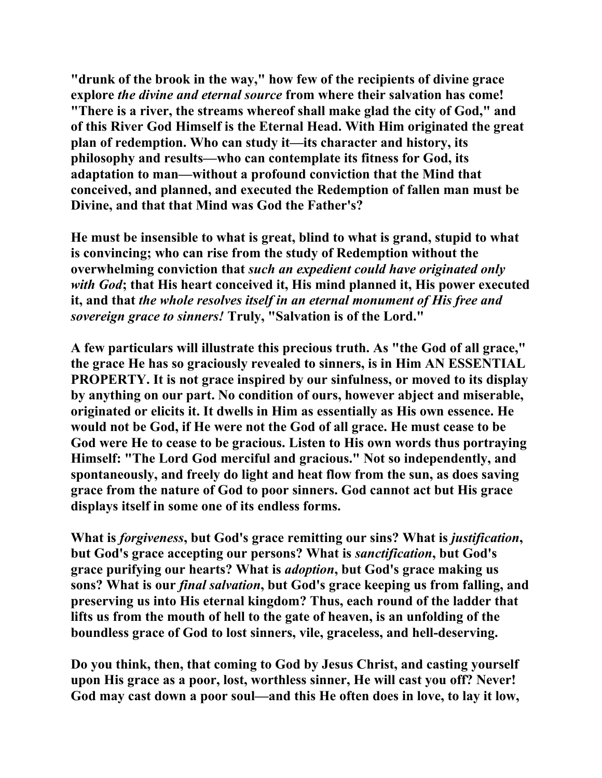**"drunk of the brook in the way," how few of the recipients of divine grace explore** *the divine and eternal source* **from where their salvation has come! "There is a river, the streams whereof shall make glad the city of God," and of this River God Himself is the Eternal Head. With Him originated the great plan of redemption. Who can study it—its character and history, its philosophy and results—who can contemplate its fitness for God, its adaptation to man—without a profound conviction that the Mind that conceived, and planned, and executed the Redemption of fallen man must be Divine, and that that Mind was God the Father's?** 

**He must be insensible to what is great, blind to what is grand, stupid to what is convincing; who can rise from the study of Redemption without the overwhelming conviction that** *such an expedient could have originated only with God***; that His heart conceived it, His mind planned it, His power executed it, and that** *the whole resolves itself in an eternal monument of His free and sovereign grace to sinners!* **Truly, "Salvation is of the Lord."** 

**A few particulars will illustrate this precious truth. As "the God of all grace," the grace He has so graciously revealed to sinners, is in Him AN ESSENTIAL PROPERTY. It is not grace inspired by our sinfulness, or moved to its display by anything on our part. No condition of ours, however abject and miserable, originated or elicits it. It dwells in Him as essentially as His own essence. He would not be God, if He were not the God of all grace. He must cease to be God were He to cease to be gracious. Listen to His own words thus portraying Himself: "The Lord God merciful and gracious." Not so independently, and spontaneously, and freely do light and heat flow from the sun, as does saving grace from the nature of God to poor sinners. God cannot act but His grace displays itself in some one of its endless forms.** 

**What is** *forgiveness***, but God's grace remitting our sins? What is** *justification***, but God's grace accepting our persons? What is** *sanctification***, but God's grace purifying our hearts? What is** *adoption***, but God's grace making us sons? What is our** *final salvation***, but God's grace keeping us from falling, and preserving us into His eternal kingdom? Thus, each round of the ladder that lifts us from the mouth of hell to the gate of heaven, is an unfolding of the boundless grace of God to lost sinners, vile, graceless, and hell-deserving.** 

**Do you think, then, that coming to God by Jesus Christ, and casting yourself upon His grace as a poor, lost, worthless sinner, He will cast you off? Never! God may cast down a poor soul—and this He often does in love, to lay it low,**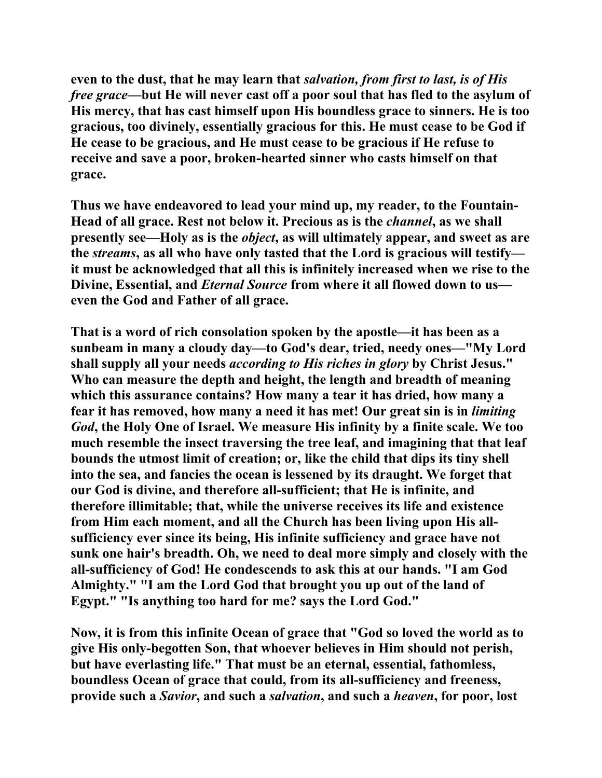**even to the dust, that he may learn that** *salvation, from first to last, is of His free grace***—but He will never cast off a poor soul that has fled to the asylum of His mercy, that has cast himself upon His boundless grace to sinners. He is too gracious, too divinely, essentially gracious for this. He must cease to be God if He cease to be gracious, and He must cease to be gracious if He refuse to receive and save a poor, broken-hearted sinner who casts himself on that grace.** 

**Thus we have endeavored to lead your mind up, my reader, to the Fountain-Head of all grace. Rest not below it. Precious as is the** *channel***, as we shall presently see—Holy as is the** *object***, as will ultimately appear, and sweet as are the** *streams***, as all who have only tasted that the Lord is gracious will testify it must be acknowledged that all this is infinitely increased when we rise to the Divine, Essential, and** *Eternal Source* **from where it all flowed down to us even the God and Father of all grace.** 

**That is a word of rich consolation spoken by the apostle—it has been as a sunbeam in many a cloudy day—to God's dear, tried, needy ones—"My Lord shall supply all your needs** *according to His riches in glory* **by Christ Jesus." Who can measure the depth and height, the length and breadth of meaning which this assurance contains? How many a tear it has dried, how many a fear it has removed, how many a need it has met! Our great sin is in** *limiting God***, the Holy One of Israel. We measure His infinity by a finite scale. We too much resemble the insect traversing the tree leaf, and imagining that that leaf bounds the utmost limit of creation; or, like the child that dips its tiny shell into the sea, and fancies the ocean is lessened by its draught. We forget that our God is divine, and therefore all-sufficient; that He is infinite, and therefore illimitable; that, while the universe receives its life and existence from Him each moment, and all the Church has been living upon His allsufficiency ever since its being, His infinite sufficiency and grace have not sunk one hair's breadth. Oh, we need to deal more simply and closely with the all-sufficiency of God! He condescends to ask this at our hands. "I am God Almighty." "I am the Lord God that brought you up out of the land of Egypt." "Is anything too hard for me? says the Lord God."** 

**Now, it is from this infinite Ocean of grace that "God so loved the world as to give His only-begotten Son, that whoever believes in Him should not perish, but have everlasting life." That must be an eternal, essential, fathomless, boundless Ocean of grace that could, from its all-sufficiency and freeness, provide such a** *Savior***, and such a** *salvation***, and such a** *heaven***, for poor, lost**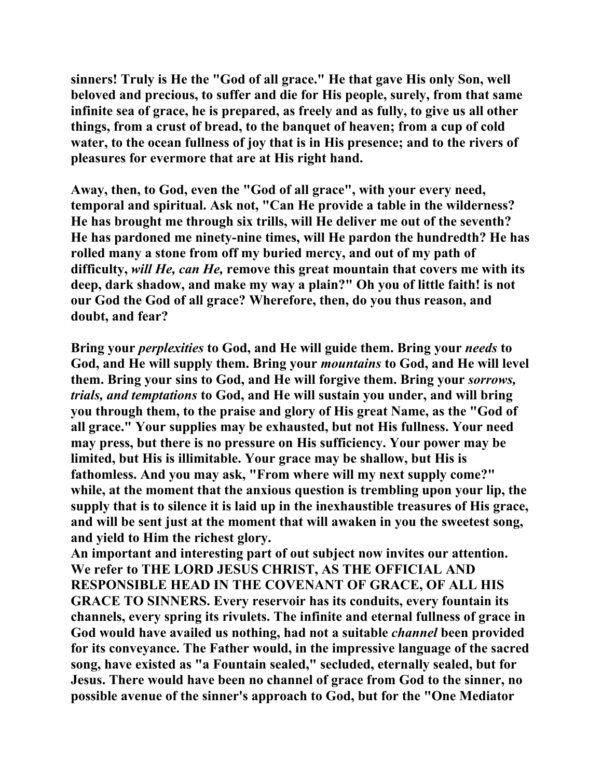**sinners! Truly is He the "God of all grace." He that gave His only Son, well beloved and precious, to suffer and die for His people, surely, from that same infinite sea of grace, he is prepared, as freely and as fully, to give us all other things, from a crust of bread, to the banquet of heaven; from a cup of cold water, to the ocean fullness of joy that is in His presence; and to the rivers of pleasures for evermore that are at His right hand.** 

**Away, then, to God, even the "God of all grace", with your every need, temporal and spiritual. Ask not, "Can He provide a table in the wilderness? He has brought me through six trills, will He deliver me out of the seventh? He has pardoned me ninety-nine times, will He pardon the hundredth? He has rolled many a stone from off my buried mercy, and out of my path of difficulty,** *will He, can He,* **remove this great mountain that covers me with its deep, dark shadow, and make my way a plain?" Oh you of little faith! is not our God the God of all grace? Wherefore, then, do you thus reason, and doubt, and fear?** 

**Bring your** *perplexities* **to God, and He will guide them. Bring your** *needs* **to God, and He will supply them. Bring your** *mountains* **to God, and He will level them. Bring your sins to God, and He will forgive them. Bring your** *sorrows, trials, and temptations* **to God, and He will sustain you under, and will bring you through them, to the praise and glory of His great Name, as the "God of all grace." Your supplies may be exhausted, but not His fullness. Your need may press, but there is no pressure on His sufficiency. Your power may be limited, but His is illimitable. Your grace may be shallow, but His is fathomless. And you may ask, "From where will my next supply come?" while, at the moment that the anxious question is trembling upon your lip, the supply that is to silence it is laid up in the inexhaustible treasures of His grace, and will be sent just at the moment that will awaken in you the sweetest song, and yield to Him the richest glory.** 

**An important and interesting part of out subject now invites our attention. We refer to THE LORD JESUS CHRIST, AS THE OFFICIAL AND RESPONSIBLE HEAD IN THE COVENANT OF GRACE, OF ALL HIS GRACE TO SINNERS. Every reservoir has its conduits, every fountain its channels, every spring its rivulets. The infinite and eternal fullness of grace in God would have availed us nothing, had not a suitable** *channel* **been provided for its conveyance. The Father would, in the impressive language of the sacred song, have existed as "a Fountain sealed," secluded, eternally sealed, but for Jesus. There would have been no channel of grace from God to the sinner, no possible avenue of the sinner's approach to God, but for the "One Mediator**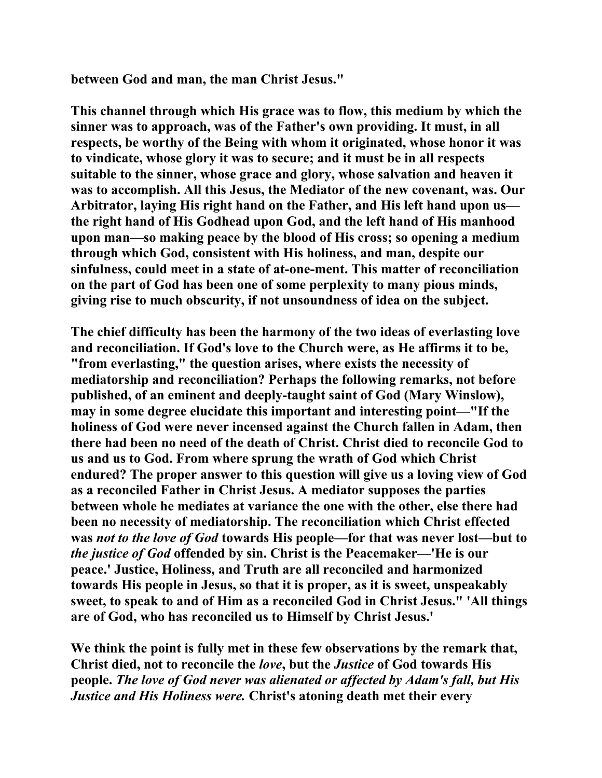**between God and man, the man Christ Jesus."** 

**This channel through which His grace was to flow, this medium by which the sinner was to approach, was of the Father's own providing. It must, in all respects, be worthy of the Being with whom it originated, whose honor it was to vindicate, whose glory it was to secure; and it must be in all respects suitable to the sinner, whose grace and glory, whose salvation and heaven it was to accomplish. All this Jesus, the Mediator of the new covenant, was. Our Arbitrator, laying His right hand on the Father, and His left hand upon us the right hand of His Godhead upon God, and the left hand of His manhood upon man—so making peace by the blood of His cross; so opening a medium through which God, consistent with His holiness, and man, despite our sinfulness, could meet in a state of at-one-ment. This matter of reconciliation on the part of God has been one of some perplexity to many pious minds, giving rise to much obscurity, if not unsoundness of idea on the subject.** 

**The chief difficulty has been the harmony of the two ideas of everlasting love and reconciliation. If God's love to the Church were, as He affirms it to be, "from everlasting," the question arises, where exists the necessity of mediatorship and reconciliation? Perhaps the following remarks, not before published, of an eminent and deeply-taught saint of God (Mary Winslow), may in some degree elucidate this important and interesting point—"If the holiness of God were never incensed against the Church fallen in Adam, then there had been no need of the death of Christ. Christ died to reconcile God to us and us to God. From where sprung the wrath of God which Christ endured? The proper answer to this question will give us a loving view of God as a reconciled Father in Christ Jesus. A mediator supposes the parties between whole he mediates at variance the one with the other, else there had been no necessity of mediatorship. The reconciliation which Christ effected was** *not to the love of God* **towards His people—for that was never lost—but to**  *the justice of God* **offended by sin. Christ is the Peacemaker—'He is our peace.' Justice, Holiness, and Truth are all reconciled and harmonized towards His people in Jesus, so that it is proper, as it is sweet, unspeakably sweet, to speak to and of Him as a reconciled God in Christ Jesus." 'All things are of God, who has reconciled us to Himself by Christ Jesus.'** 

**We think the point is fully met in these few observations by the remark that, Christ died, not to reconcile the** *love***, but the** *Justice* **of God towards His people.** *The love of God never was alienated or affected by Adam's fall, but His Justice and His Holiness were.* **Christ's atoning death met their every**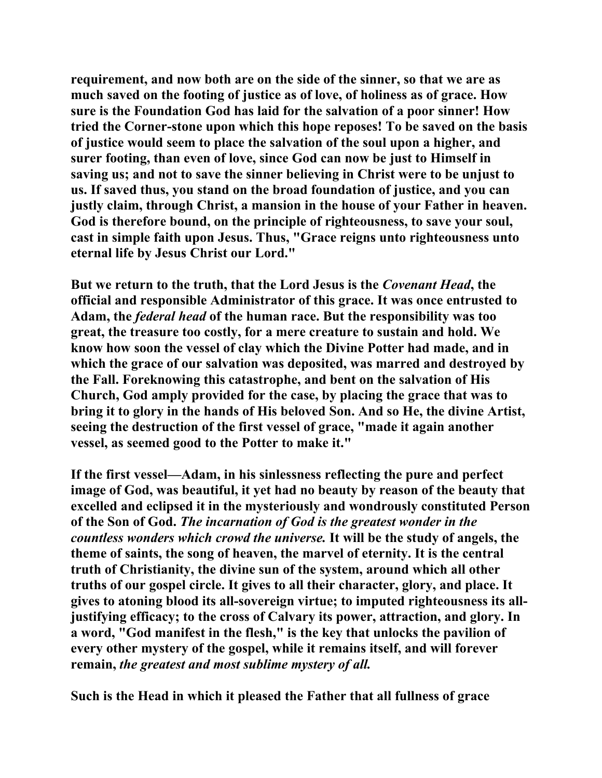**requirement, and now both are on the side of the sinner, so that we are as much saved on the footing of justice as of love, of holiness as of grace. How sure is the Foundation God has laid for the salvation of a poor sinner! How tried the Corner-stone upon which this hope reposes! To be saved on the basis of justice would seem to place the salvation of the soul upon a higher, and surer footing, than even of love, since God can now be just to Himself in saving us; and not to save the sinner believing in Christ were to be unjust to us. If saved thus, you stand on the broad foundation of justice, and you can justly claim, through Christ, a mansion in the house of your Father in heaven. God is therefore bound, on the principle of righteousness, to save your soul, cast in simple faith upon Jesus. Thus, "Grace reigns unto righteousness unto eternal life by Jesus Christ our Lord."** 

**But we return to the truth, that the Lord Jesus is the** *Covenant Head***, the official and responsible Administrator of this grace. It was once entrusted to Adam, the** *federal head* **of the human race. But the responsibility was too great, the treasure too costly, for a mere creature to sustain and hold. We know how soon the vessel of clay which the Divine Potter had made, and in which the grace of our salvation was deposited, was marred and destroyed by the Fall. Foreknowing this catastrophe, and bent on the salvation of His Church, God amply provided for the case, by placing the grace that was to bring it to glory in the hands of His beloved Son. And so He, the divine Artist, seeing the destruction of the first vessel of grace, "made it again another vessel, as seemed good to the Potter to make it."** 

**If the first vessel—Adam, in his sinlessness reflecting the pure and perfect image of God, was beautiful, it yet had no beauty by reason of the beauty that excelled and eclipsed it in the mysteriously and wondrously constituted Person of the Son of God.** *The incarnation of God is the greatest wonder in the countless wonders which crowd the universe.* **It will be the study of angels, the theme of saints, the song of heaven, the marvel of eternity. It is the central truth of Christianity, the divine sun of the system, around which all other truths of our gospel circle. It gives to all their character, glory, and place. It gives to atoning blood its all-sovereign virtue; to imputed righteousness its alljustifying efficacy; to the cross of Calvary its power, attraction, and glory. In a word, "God manifest in the flesh," is the key that unlocks the pavilion of every other mystery of the gospel, while it remains itself, and will forever remain,** *the greatest and most sublime mystery of all.* 

**Such is the Head in which it pleased the Father that all fullness of grace**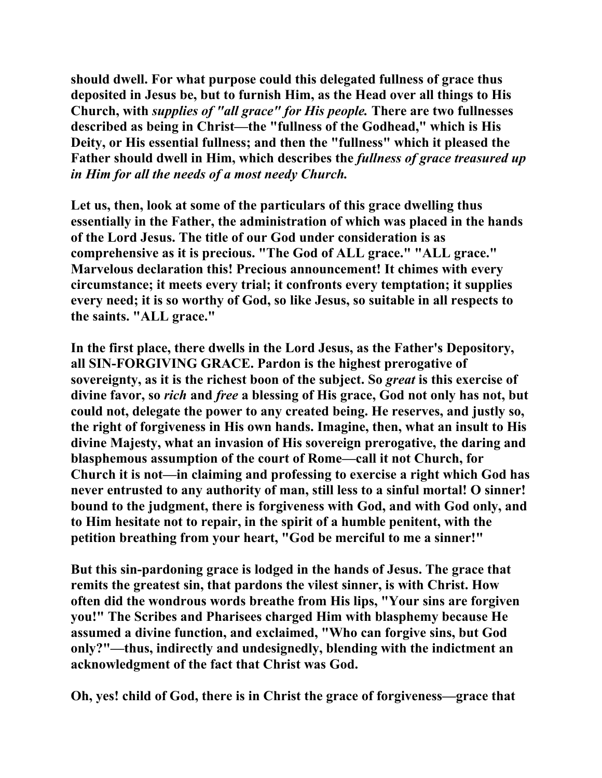**should dwell. For what purpose could this delegated fullness of grace thus deposited in Jesus be, but to furnish Him, as the Head over all things to His Church, with** *supplies of "all grace" for His people.* **There are two fullnesses described as being in Christ—the "fullness of the Godhead," which is His Deity, or His essential fullness; and then the "fullness" which it pleased the Father should dwell in Him, which describes the** *fullness of grace treasured up in Him for all the needs of a most needy Church.*

**Let us, then, look at some of the particulars of this grace dwelling thus essentially in the Father, the administration of which was placed in the hands of the Lord Jesus. The title of our God under consideration is as comprehensive as it is precious. "The God of ALL grace." "ALL grace." Marvelous declaration this! Precious announcement! It chimes with every circumstance; it meets every trial; it confronts every temptation; it supplies every need; it is so worthy of God, so like Jesus, so suitable in all respects to the saints. "ALL grace."** 

**In the first place, there dwells in the Lord Jesus, as the Father's Depository, all SIN-FORGIVING GRACE. Pardon is the highest prerogative of sovereignty, as it is the richest boon of the subject. So** *great* **is this exercise of divine favor, so** *rich* **and** *free* **a blessing of His grace, God not only has not, but could not, delegate the power to any created being. He reserves, and justly so, the right of forgiveness in His own hands. Imagine, then, what an insult to His divine Majesty, what an invasion of His sovereign prerogative, the daring and blasphemous assumption of the court of Rome—call it not Church, for Church it is not—in claiming and professing to exercise a right which God has never entrusted to any authority of man, still less to a sinful mortal! O sinner! bound to the judgment, there is forgiveness with God, and with God only, and to Him hesitate not to repair, in the spirit of a humble penitent, with the petition breathing from your heart, "God be merciful to me a sinner!"** 

**But this sin-pardoning grace is lodged in the hands of Jesus. The grace that remits the greatest sin, that pardons the vilest sinner, is with Christ. How often did the wondrous words breathe from His lips, "Your sins are forgiven you!" The Scribes and Pharisees charged Him with blasphemy because He assumed a divine function, and exclaimed, "Who can forgive sins, but God only?"—thus, indirectly and undesignedly, blending with the indictment an acknowledgment of the fact that Christ was God.** 

**Oh, yes! child of God, there is in Christ the grace of forgiveness—grace that**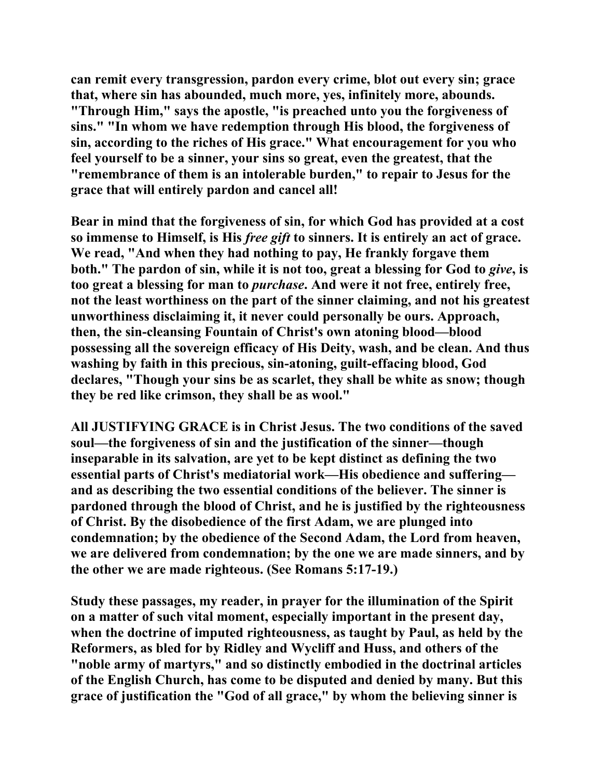**can remit every transgression, pardon every crime, blot out every sin; grace that, where sin has abounded, much more, yes, infinitely more, abounds. "Through Him," says the apostle, "is preached unto you the forgiveness of sins." "In whom we have redemption through His blood, the forgiveness of sin, according to the riches of His grace." What encouragement for you who feel yourself to be a sinner, your sins so great, even the greatest, that the "remembrance of them is an intolerable burden," to repair to Jesus for the grace that will entirely pardon and cancel all!** 

**Bear in mind that the forgiveness of sin, for which God has provided at a cost so immense to Himself, is His** *free gift* **to sinners. It is entirely an act of grace. We read, "And when they had nothing to pay, He frankly forgave them both." The pardon of sin, while it is not too, great a blessing for God to** *give***, is too great a blessing for man to** *purchase***. And were it not free, entirely free, not the least worthiness on the part of the sinner claiming, and not his greatest unworthiness disclaiming it, it never could personally be ours. Approach, then, the sin-cleansing Fountain of Christ's own atoning blood—blood possessing all the sovereign efficacy of His Deity, wash, and be clean. And thus washing by faith in this precious, sin-atoning, guilt-effacing blood, God declares, "Though your sins be as scarlet, they shall be white as snow; though they be red like crimson, they shall be as wool."** 

**All JUSTIFYING GRACE is in Christ Jesus. The two conditions of the saved soul—the forgiveness of sin and the justification of the sinner—though inseparable in its salvation, are yet to be kept distinct as defining the two essential parts of Christ's mediatorial work—His obedience and suffering and as describing the two essential conditions of the believer. The sinner is pardoned through the blood of Christ, and he is justified by the righteousness of Christ. By the disobedience of the first Adam, we are plunged into condemnation; by the obedience of the Second Adam, the Lord from heaven, we are delivered from condemnation; by the one we are made sinners, and by the other we are made righteous. (See Romans 5:17-19.)** 

**Study these passages, my reader, in prayer for the illumination of the Spirit on a matter of such vital moment, especially important in the present day, when the doctrine of imputed righteousness, as taught by Paul, as held by the Reformers, as bled for by Ridley and Wycliff and Huss, and others of the "noble army of martyrs," and so distinctly embodied in the doctrinal articles of the English Church, has come to be disputed and denied by many. But this grace of justification the "God of all grace," by whom the believing sinner is**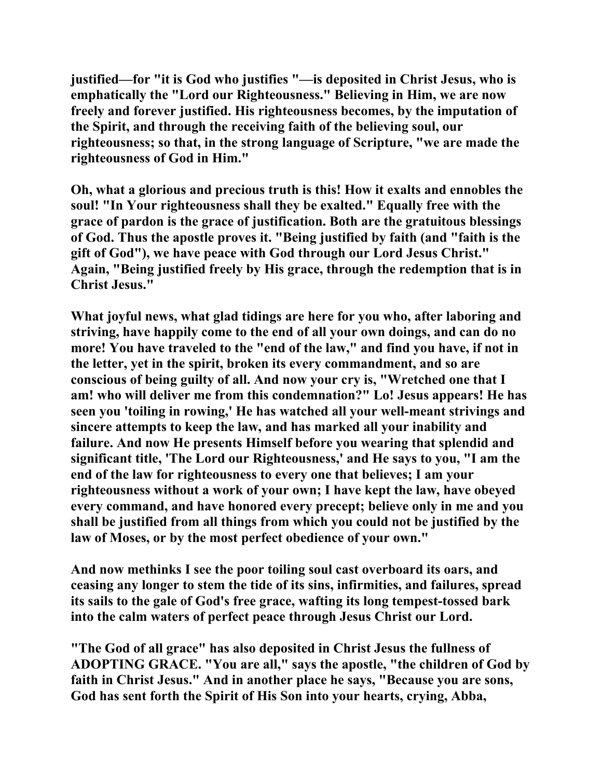**justified—for "it is God who justifies "—is deposited in Christ Jesus, who is emphatically the "Lord our Righteousness." Believing in Him, we are now freely and forever justified. His righteousness becomes, by the imputation of the Spirit, and through the receiving faith of the believing soul, our righteousness; so that, in the strong language of Scripture, "we are made the righteousness of God in Him."** 

**Oh, what a glorious and precious truth is this! How it exalts and ennobles the soul! "In Your righteousness shall they be exalted." Equally free with the grace of pardon is the grace of justification. Both are the gratuitous blessings of God. Thus the apostle proves it. "Being justified by faith (and "faith is the gift of God"), we have peace with God through our Lord Jesus Christ." Again, "Being justified freely by His grace, through the redemption that is in Christ Jesus."** 

**What joyful news, what glad tidings are here for you who, after laboring and striving, have happily come to the end of all your own doings, and can do no more! You have traveled to the "end of the law," and find you have, if not in the letter, yet in the spirit, broken its every commandment, and so are conscious of being guilty of all. And now your cry is, "Wretched one that I am! who will deliver me from this condemnation?" Lo! Jesus appears! He has seen you 'toiling in rowing,' He has watched all your well-meant strivings and sincere attempts to keep the law, and has marked all your inability and failure. And now He presents Himself before you wearing that splendid and significant title, 'The Lord our Righteousness,' and He says to you, "I am the end of the law for righteousness to every one that believes; I am your righteousness without a work of your own; I have kept the law, have obeyed every command, and have honored every precept; believe only in me and you shall be justified from all things from which you could not be justified by the law of Moses, or by the most perfect obedience of your own."** 

**And now methinks I see the poor toiling soul cast overboard its oars, and ceasing any longer to stem the tide of its sins, infirmities, and failures, spread its sails to the gale of God's free grace, wafting its long tempest-tossed bark into the calm waters of perfect peace through Jesus Christ our Lord.** 

**"The God of all grace" has also deposited in Christ Jesus the fullness of ADOPTING GRACE. "You are all," says the apostle, "the children of God by faith in Christ Jesus." And in another place he says, "Because you are sons, God has sent forth the Spirit of His Son into your hearts, crying, Abba,**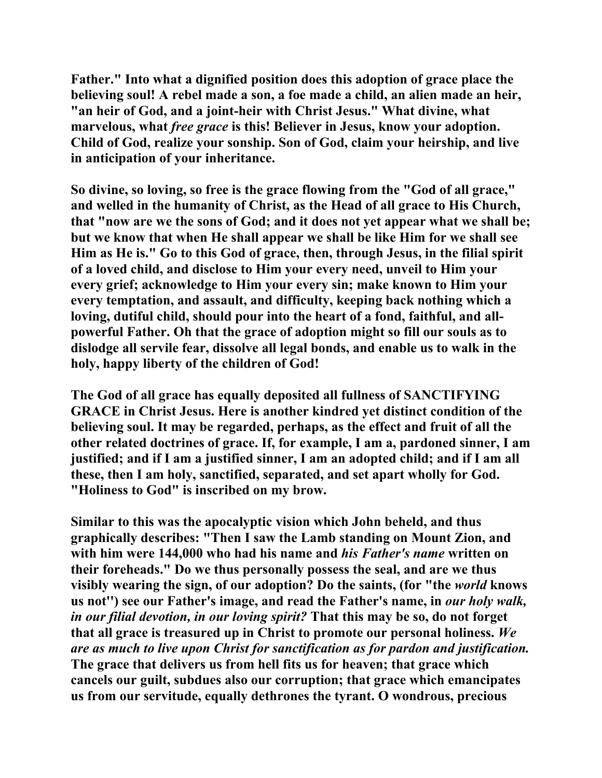**Father." Into what a dignified position does this adoption of grace place the believing soul! A rebel made a son, a foe made a child, an alien made an heir, "an heir of God, and a joint-heir with Christ Jesus." What divine, what marvelous, what** *free grace* **is this! Believer in Jesus, know your adoption. Child of God, realize your sonship. Son of God, claim your heirship, and live in anticipation of your inheritance.** 

**So divine, so loving, so free is the grace flowing from the "God of all grace," and welled in the humanity of Christ, as the Head of all grace to His Church, that "now are we the sons of God; and it does not yet appear what we shall be; but we know that when He shall appear we shall be like Him for we shall see Him as He is." Go to this God of grace, then, through Jesus, in the filial spirit of a loved child, and disclose to Him your every need, unveil to Him your every grief; acknowledge to Him your every sin; make known to Him your every temptation, and assault, and difficulty, keeping back nothing which a loving, dutiful child, should pour into the heart of a fond, faithful, and allpowerful Father. Oh that the grace of adoption might so fill our souls as to dislodge all servile fear, dissolve all legal bonds, and enable us to walk in the holy, happy liberty of the children of God!** 

**The God of all grace has equally deposited all fullness of SANCTIFYING GRACE in Christ Jesus. Here is another kindred yet distinct condition of the believing soul. It may be regarded, perhaps, as the effect and fruit of all the other related doctrines of grace. If, for example, I am a, pardoned sinner, I am justified; and if I am a justified sinner, I am an adopted child; and if I am all these, then I am holy, sanctified, separated, and set apart wholly for God. "Holiness to God" is inscribed on my brow.** 

**Similar to this was the apocalyptic vision which John beheld, and thus graphically describes: "Then I saw the Lamb standing on Mount Zion, and with him were 144,000 who had his name and** *his Father's name* **written on their foreheads." Do we thus personally possess the seal, and are we thus visibly wearing the sign, of our adoption? Do the saints, (for "the** *world* **knows us not'') see our Father's image, and read the Father's name, in** *our holy walk, in our filial devotion, in our loving spirit?* **That this may be so, do not forget that all grace is treasured up in Christ to promote our personal holiness.** *We are as much to live upon Christ for sanctification as for pardon and justification.* **The grace that delivers us from hell fits us for heaven; that grace which cancels our guilt, subdues also our corruption; that grace which emancipates us from our servitude, equally dethrones the tyrant. O wondrous, precious**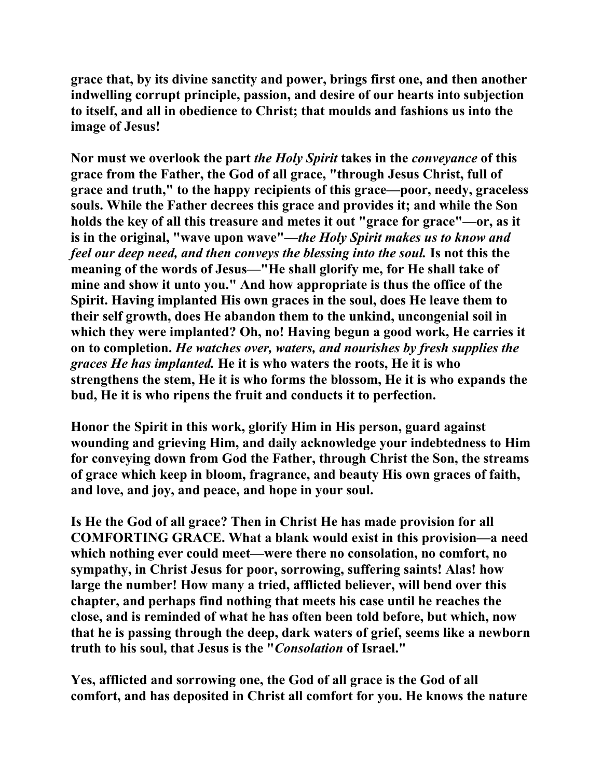**grace that, by its divine sanctity and power, brings first one, and then another indwelling corrupt principle, passion, and desire of our hearts into subjection to itself, and all in obedience to Christ; that moulds and fashions us into the image of Jesus!** 

**Nor must we overlook the part** *the Holy Spirit* **takes in the** *conveyance* **of this grace from the Father, the God of all grace, "through Jesus Christ, full of grace and truth," to the happy recipients of this grace—poor, needy, graceless souls. While the Father decrees this grace and provides it; and while the Son holds the key of all this treasure and metes it out "grace for grace"—or, as it is in the original, "wave upon wave"—***the Holy Spirit makes us to know and feel our deep need, and then conveys the blessing into the soul.* **Is not this the meaning of the words of Jesus—"He shall glorify me, for He shall take of mine and show it unto you." And how appropriate is thus the office of the Spirit. Having implanted His own graces in the soul, does He leave them to their self growth, does He abandon them to the unkind, uncongenial soil in which they were implanted? Oh, no! Having begun a good work, He carries it on to completion.** *He watches over, waters, and nourishes by fresh supplies the graces He has implanted.* **He it is who waters the roots, He it is who strengthens the stem, He it is who forms the blossom, He it is who expands the bud, He it is who ripens the fruit and conducts it to perfection.** 

**Honor the Spirit in this work, glorify Him in His person, guard against wounding and grieving Him, and daily acknowledge your indebtedness to Him for conveying down from God the Father, through Christ the Son, the streams of grace which keep in bloom, fragrance, and beauty His own graces of faith, and love, and joy, and peace, and hope in your soul.** 

**Is He the God of all grace? Then in Christ He has made provision for all COMFORTING GRACE. What a blank would exist in this provision—a need which nothing ever could meet—were there no consolation, no comfort, no sympathy, in Christ Jesus for poor, sorrowing, suffering saints! Alas! how large the number! How many a tried, afflicted believer, will bend over this chapter, and perhaps find nothing that meets his case until he reaches the close, and is reminded of what he has often been told before, but which, now that he is passing through the deep, dark waters of grief, seems like a newborn truth to his soul, that Jesus is the "***Consolation* **of Israel."** 

**Yes, afflicted and sorrowing one, the God of all grace is the God of all comfort, and has deposited in Christ all comfort for you. He knows the nature**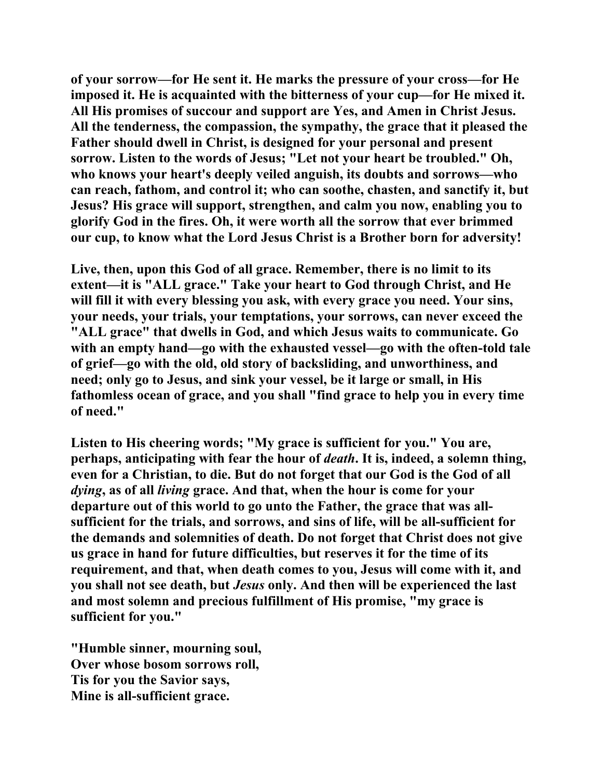**of your sorrow—for He sent it. He marks the pressure of your cross—for He imposed it. He is acquainted with the bitterness of your cup—for He mixed it. All His promises of succour and support are Yes, and Amen in Christ Jesus. All the tenderness, the compassion, the sympathy, the grace that it pleased the Father should dwell in Christ, is designed for your personal and present sorrow. Listen to the words of Jesus; "Let not your heart be troubled." Oh, who knows your heart's deeply veiled anguish, its doubts and sorrows—who can reach, fathom, and control it; who can soothe, chasten, and sanctify it, but Jesus? His grace will support, strengthen, and calm you now, enabling you to glorify God in the fires. Oh, it were worth all the sorrow that ever brimmed our cup, to know what the Lord Jesus Christ is a Brother born for adversity!** 

**Live, then, upon this God of all grace. Remember, there is no limit to its extent—it is "ALL grace." Take your heart to God through Christ, and He will fill it with every blessing you ask, with every grace you need. Your sins, your needs, your trials, your temptations, your sorrows, can never exceed the "ALL grace" that dwells in God, and which Jesus waits to communicate. Go with an empty hand—go with the exhausted vessel—go with the often-told tale of grief—go with the old, old story of backsliding, and unworthiness, and need; only go to Jesus, and sink your vessel, be it large or small, in His fathomless ocean of grace, and you shall "find grace to help you in every time of need."** 

**Listen to His cheering words; "My grace is sufficient for you." You are, perhaps, anticipating with fear the hour of** *death***. It is, indeed, a solemn thing, even for a Christian, to die. But do not forget that our God is the God of all**  *dying***, as of all** *living* **grace. And that, when the hour is come for your departure out of this world to go unto the Father, the grace that was allsufficient for the trials, and sorrows, and sins of life, will be all-sufficient for the demands and solemnities of death. Do not forget that Christ does not give us grace in hand for future difficulties, but reserves it for the time of its requirement, and that, when death comes to you, Jesus will come with it, and you shall not see death, but** *Jesus* **only. And then will be experienced the last and most solemn and precious fulfillment of His promise, "my grace is sufficient for you."** 

**"Humble sinner, mourning soul, Over whose bosom sorrows roll, Tis for you the Savior says, Mine is all-sufficient grace.**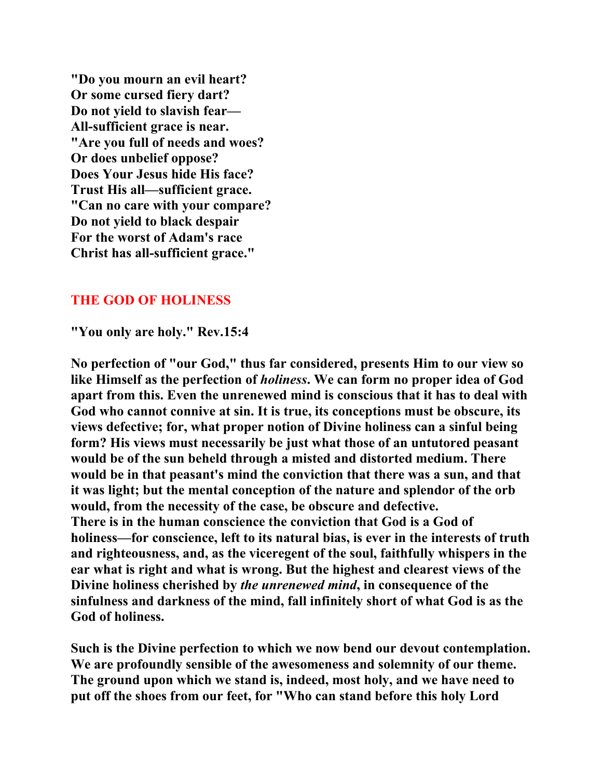**"Do you mourn an evil heart? Or some cursed fiery dart? Do not yield to slavish fear— All-sufficient grace is near. "Are you full of needs and woes? Or does unbelief oppose? Does Your Jesus hide His face? Trust His all—sufficient grace. "Can no care with your compare? Do not yield to black despair For the worst of Adam's race Christ has all-sufficient grace."** 

## **THE GOD OF HOLINESS**

**"You only are holy." Rev.15:4** 

**No perfection of "our God," thus far considered, presents Him to our view so like Himself as the perfection of** *holiness***. We can form no proper idea of God apart from this. Even the unrenewed mind is conscious that it has to deal with God who cannot connive at sin. It is true, its conceptions must be obscure, its views defective; for, what proper notion of Divine holiness can a sinful being form? His views must necessarily be just what those of an untutored peasant would be of the sun beheld through a misted and distorted medium. There would be in that peasant's mind the conviction that there was a sun, and that it was light; but the mental conception of the nature and splendor of the orb would, from the necessity of the case, be obscure and defective. There is in the human conscience the conviction that God is a God of holiness—for conscience, left to its natural bias, is ever in the interests of truth and righteousness, and, as the viceregent of the soul, faithfully whispers in the ear what is right and what is wrong. But the highest and clearest views of the Divine holiness cherished by** *the unrenewed mind***, in consequence of the sinfulness and darkness of the mind, fall infinitely short of what God is as the God of holiness.** 

**Such is the Divine perfection to which we now bend our devout contemplation. We are profoundly sensible of the awesomeness and solemnity of our theme. The ground upon which we stand is, indeed, most holy, and we have need to put off the shoes from our feet, for "Who can stand before this holy Lord**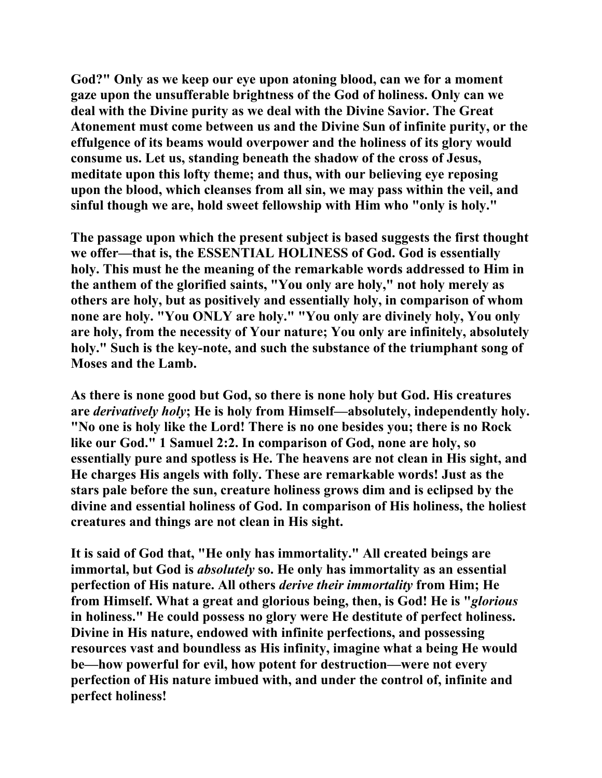**God?" Only as we keep our eye upon atoning blood, can we for a moment gaze upon the unsufferable brightness of the God of holiness. Only can we deal with the Divine purity as we deal with the Divine Savior. The Great Atonement must come between us and the Divine Sun of infinite purity, or the effulgence of its beams would overpower and the holiness of its glory would consume us. Let us, standing beneath the shadow of the cross of Jesus, meditate upon this lofty theme; and thus, with our believing eye reposing upon the blood, which cleanses from all sin, we may pass within the veil, and sinful though we are, hold sweet fellowship with Him who "only is holy."** 

**The passage upon which the present subject is based suggests the first thought we offer—that is, the ESSENTIAL HOLINESS of God. God is essentially holy. This must he the meaning of the remarkable words addressed to Him in the anthem of the glorified saints, "You only are holy," not holy merely as others are holy, but as positively and essentially holy, in comparison of whom none are holy. "You ONLY are holy." "You only are divinely holy, You only are holy, from the necessity of Your nature; You only are infinitely, absolutely holy." Such is the key-note, and such the substance of the triumphant song of Moses and the Lamb.** 

**As there is none good but God, so there is none holy but God. His creatures are** *derivatively holy***; He is holy from Himself—absolutely, independently holy. "No one is holy like the Lord! There is no one besides you; there is no Rock like our God." 1 Samuel 2:2. In comparison of God, none are holy, so essentially pure and spotless is He. The heavens are not clean in His sight, and He charges His angels with folly. These are remarkable words! Just as the stars pale before the sun, creature holiness grows dim and is eclipsed by the divine and essential holiness of God. In comparison of His holiness, the holiest creatures and things are not clean in His sight.** 

**It is said of God that, "He only has immortality." All created beings are immortal, but God is** *absolutely* **so. He only has immortality as an essential perfection of His nature. All others** *derive their immortality* **from Him; He from Himself. What a great and glorious being, then, is God! He is "***glorious* **in holiness." He could possess no glory were He destitute of perfect holiness. Divine in His nature, endowed with infinite perfections, and possessing resources vast and boundless as His infinity, imagine what a being He would be—how powerful for evil, how potent for destruction—were not every perfection of His nature imbued with, and under the control of, infinite and perfect holiness!**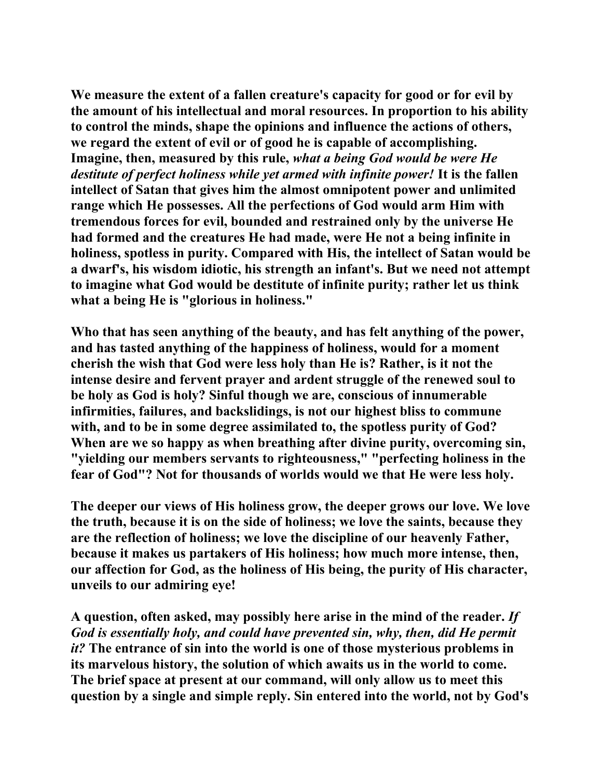**We measure the extent of a fallen creature's capacity for good or for evil by the amount of his intellectual and moral resources. In proportion to his ability to control the minds, shape the opinions and influence the actions of others, we regard the extent of evil or of good he is capable of accomplishing. Imagine, then, measured by this rule,** *what a being God would be were He destitute of perfect holiness while yet armed with infinite power!* **It is the fallen intellect of Satan that gives him the almost omnipotent power and unlimited range which He possesses. All the perfections of God would arm Him with tremendous forces for evil, bounded and restrained only by the universe He had formed and the creatures He had made, were He not a being infinite in holiness, spotless in purity. Compared with His, the intellect of Satan would be a dwarf's, his wisdom idiotic, his strength an infant's. But we need not attempt to imagine what God would be destitute of infinite purity; rather let us think what a being He is "glorious in holiness."** 

**Who that has seen anything of the beauty, and has felt anything of the power, and has tasted anything of the happiness of holiness, would for a moment cherish the wish that God were less holy than He is? Rather, is it not the intense desire and fervent prayer and ardent struggle of the renewed soul to be holy as God is holy? Sinful though we are, conscious of innumerable infirmities, failures, and backslidings, is not our highest bliss to commune with, and to be in some degree assimilated to, the spotless purity of God? When are we so happy as when breathing after divine purity, overcoming sin, "yielding our members servants to righteousness," "perfecting holiness in the fear of God"? Not for thousands of worlds would we that He were less holy.** 

**The deeper our views of His holiness grow, the deeper grows our love. We love the truth, because it is on the side of holiness; we love the saints, because they are the reflection of holiness; we love the discipline of our heavenly Father, because it makes us partakers of His holiness; how much more intense, then, our affection for God, as the holiness of His being, the purity of His character, unveils to our admiring eye!** 

**A question, often asked, may possibly here arise in the mind of the reader.** *If God is essentially holy, and could have prevented sin, why, then, did He permit it?* **The entrance of sin into the world is one of those mysterious problems in its marvelous history, the solution of which awaits us in the world to come. The brief space at present at our command, will only allow us to meet this question by a single and simple reply. Sin entered into the world, not by God's**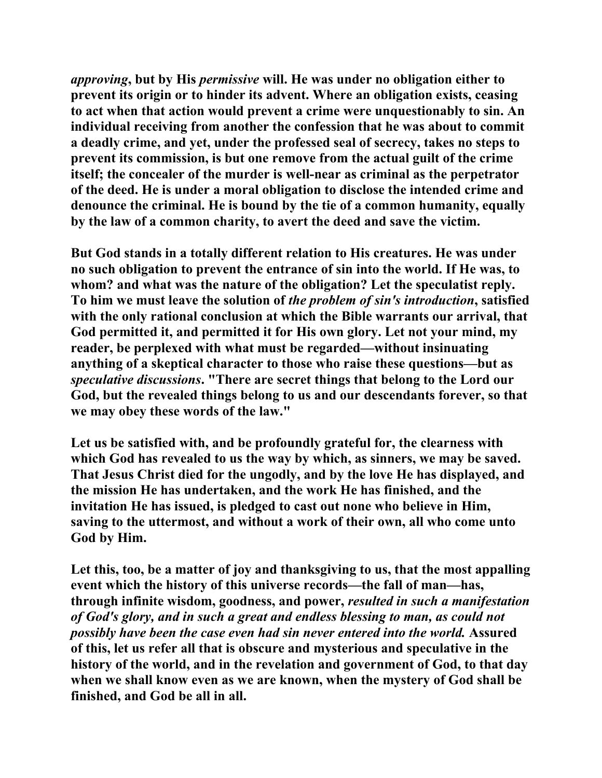*approving***, but by His** *permissive* **will. He was under no obligation either to prevent its origin or to hinder its advent. Where an obligation exists, ceasing to act when that action would prevent a crime were unquestionably to sin. An individual receiving from another the confession that he was about to commit a deadly crime, and yet, under the professed seal of secrecy, takes no steps to prevent its commission, is but one remove from the actual guilt of the crime itself; the concealer of the murder is well-near as criminal as the perpetrator of the deed. He is under a moral obligation to disclose the intended crime and denounce the criminal. He is bound by the tie of a common humanity, equally by the law of a common charity, to avert the deed and save the victim.** 

**But God stands in a totally different relation to His creatures. He was under no such obligation to prevent the entrance of sin into the world. If He was, to whom? and what was the nature of the obligation? Let the speculatist reply. To him we must leave the solution of** *the problem of sin's introduction***, satisfied with the only rational conclusion at which the Bible warrants our arrival, that God permitted it, and permitted it for His own glory. Let not your mind, my reader, be perplexed with what must be regarded—without insinuating anything of a skeptical character to those who raise these questions—but as**  *speculative discussions***. "There are secret things that belong to the Lord our God, but the revealed things belong to us and our descendants forever, so that we may obey these words of the law."** 

**Let us be satisfied with, and be profoundly grateful for, the clearness with which God has revealed to us the way by which, as sinners, we may be saved. That Jesus Christ died for the ungodly, and by the love He has displayed, and the mission He has undertaken, and the work He has finished, and the invitation He has issued, is pledged to cast out none who believe in Him, saving to the uttermost, and without a work of their own, all who come unto God by Him.** 

**Let this, too, be a matter of joy and thanksgiving to us, that the most appalling event which the history of this universe records—the fall of man—has, through infinite wisdom, goodness, and power,** *resulted in such a manifestation of God's glory, and in such a great and endless blessing to man, as could not possibly have been the case even had sin never entered into the world.* **Assured of this, let us refer all that is obscure and mysterious and speculative in the history of the world, and in the revelation and government of God, to that day when we shall know even as we are known, when the mystery of God shall be finished, and God be all in all.**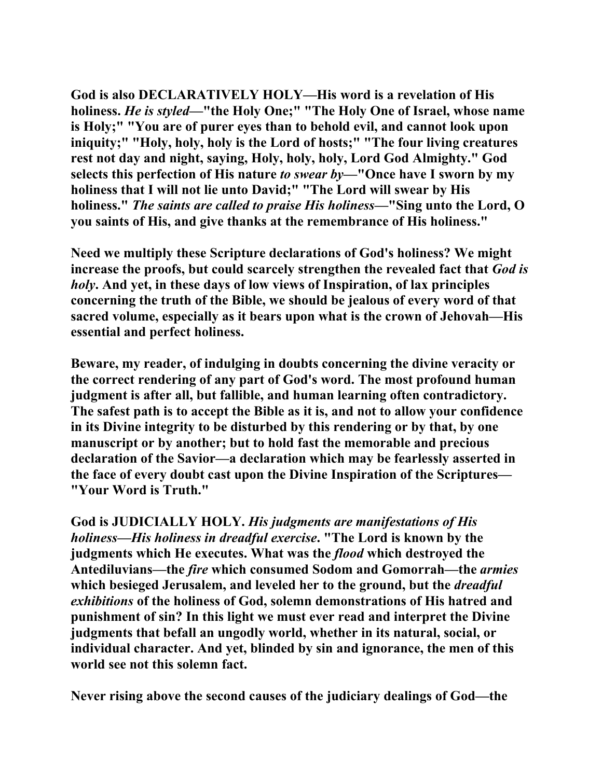**God is also DECLARATIVELY HOLY—His word is a revelation of His holiness.** *He is styled***—"the Holy One;" "The Holy One of Israel, whose name is Holy;" "You are of purer eyes than to behold evil, and cannot look upon iniquity;" "Holy, holy, holy is the Lord of hosts;" "The four living creatures rest not day and night, saying, Holy, holy, holy, Lord God Almighty." God selects this perfection of His nature** *to swear by—***"Once have I sworn by my holiness that I will not lie unto David;" "The Lord will swear by His holiness."** *The saints are called to praise His holiness—***"Sing unto the Lord, O you saints of His, and give thanks at the remembrance of His holiness."** 

**Need we multiply these Scripture declarations of God's holiness? We might increase the proofs, but could scarcely strengthen the revealed fact that** *God is holy***. And yet, in these days of low views of Inspiration, of lax principles concerning the truth of the Bible, we should be jealous of every word of that sacred volume, especially as it bears upon what is the crown of Jehovah—His essential and perfect holiness.** 

**Beware, my reader, of indulging in doubts concerning the divine veracity or the correct rendering of any part of God's word. The most profound human judgment is after all, but fallible, and human learning often contradictory. The safest path is to accept the Bible as it is, and not to allow your confidence in its Divine integrity to be disturbed by this rendering or by that, by one manuscript or by another; but to hold fast the memorable and precious declaration of the Savior—a declaration which may be fearlessly asserted in the face of every doubt cast upon the Divine Inspiration of the Scriptures— "Your Word is Truth."** 

**God is JUDICIALLY HOLY.** *His judgments are manifestations of His holiness—His holiness in dreadful exercise***. "The Lord is known by the judgments which He executes. What was the** *flood* **which destroyed the Antediluvians—the** *fire* **which consumed Sodom and Gomorrah—the** *armies* **which besieged Jerusalem, and leveled her to the ground, but the** *dreadful exhibitions* **of the holiness of God, solemn demonstrations of His hatred and punishment of sin? In this light we must ever read and interpret the Divine judgments that befall an ungodly world, whether in its natural, social, or individual character. And yet, blinded by sin and ignorance, the men of this world see not this solemn fact.** 

**Never rising above the second causes of the judiciary dealings of God—the**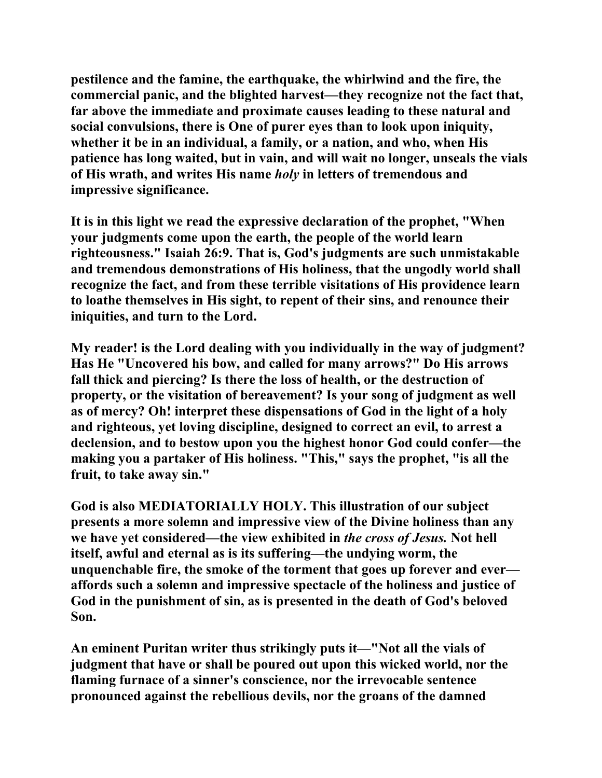**pestilence and the famine, the earthquake, the whirlwind and the fire, the commercial panic, and the blighted harvest—they recognize not the fact that, far above the immediate and proximate causes leading to these natural and social convulsions, there is One of purer eyes than to look upon iniquity, whether it be in an individual, a family, or a nation, and who, when His patience has long waited, but in vain, and will wait no longer, unseals the vials of His wrath, and writes His name** *holy* **in letters of tremendous and impressive significance.** 

**It is in this light we read the expressive declaration of the prophet, "When your judgments come upon the earth, the people of the world learn righteousness." Isaiah 26:9. That is, God's judgments are such unmistakable and tremendous demonstrations of His holiness, that the ungodly world shall recognize the fact, and from these terrible visitations of His providence learn to loathe themselves in His sight, to repent of their sins, and renounce their iniquities, and turn to the Lord.** 

**My reader! is the Lord dealing with you individually in the way of judgment? Has He "Uncovered his bow, and called for many arrows?" Do His arrows fall thick and piercing? Is there the loss of health, or the destruction of property, or the visitation of bereavement? Is your song of judgment as well as of mercy? Oh! interpret these dispensations of God in the light of a holy and righteous, yet loving discipline, designed to correct an evil, to arrest a declension, and to bestow upon you the highest honor God could confer—the making you a partaker of His holiness. "This," says the prophet, "is all the fruit, to take away sin."** 

**God is also MEDIATORIALLY HOLY. This illustration of our subject presents a more solemn and impressive view of the Divine holiness than any we have yet considered—the view exhibited in** *the cross of Jesus.* **Not hell itself, awful and eternal as is its suffering—the undying worm, the unquenchable fire, the smoke of the torment that goes up forever and ever affords such a solemn and impressive spectacle of the holiness and justice of God in the punishment of sin, as is presented in the death of God's beloved Son.** 

**An eminent Puritan writer thus strikingly puts it—"Not all the vials of judgment that have or shall be poured out upon this wicked world, nor the flaming furnace of a sinner's conscience, nor the irrevocable sentence pronounced against the rebellious devils, nor the groans of the damned**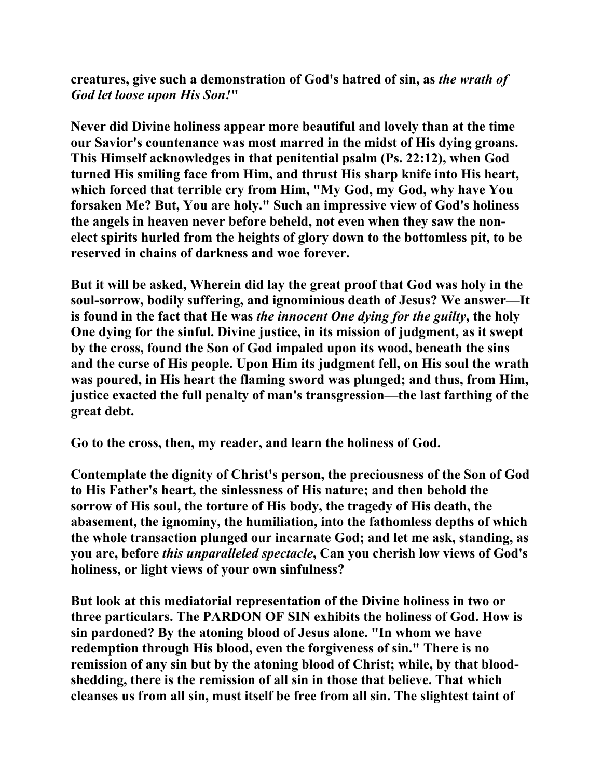**creatures, give such a demonstration of God's hatred of sin, as** *the wrath of God let loose upon His Son!***"** 

**Never did Divine holiness appear more beautiful and lovely than at the time our Savior's countenance was most marred in the midst of His dying groans. This Himself acknowledges in that penitential psalm (Ps. 22:12), when God turned His smiling face from Him, and thrust His sharp knife into His heart, which forced that terrible cry from Him, "My God, my God, why have You forsaken Me? But, You are holy." Such an impressive view of God's holiness the angels in heaven never before beheld, not even when they saw the nonelect spirits hurled from the heights of glory down to the bottomless pit, to be reserved in chains of darkness and woe forever.** 

**But it will be asked, Wherein did lay the great proof that God was holy in the soul-sorrow, bodily suffering, and ignominious death of Jesus? We answer—It is found in the fact that He was** *the innocent One dying for the guilty***, the holy One dying for the sinful. Divine justice, in its mission of judgment, as it swept by the cross, found the Son of God impaled upon its wood, beneath the sins and the curse of His people. Upon Him its judgment fell, on His soul the wrath was poured, in His heart the flaming sword was plunged; and thus, from Him, justice exacted the full penalty of man's transgression—the last farthing of the great debt.** 

**Go to the cross, then, my reader, and learn the holiness of God.** 

**Contemplate the dignity of Christ's person, the preciousness of the Son of God to His Father's heart, the sinlessness of His nature; and then behold the sorrow of His soul, the torture of His body, the tragedy of His death, the abasement, the ignominy, the humiliation, into the fathomless depths of which the whole transaction plunged our incarnate God; and let me ask, standing, as you are, before** *this unparalleled spectacle***, Can you cherish low views of God's holiness, or light views of your own sinfulness?** 

**But look at this mediatorial representation of the Divine holiness in two or three particulars. The PARDON OF SIN exhibits the holiness of God. How is sin pardoned? By the atoning blood of Jesus alone. "In whom we have redemption through His blood, even the forgiveness of sin." There is no remission of any sin but by the atoning blood of Christ; while, by that bloodshedding, there is the remission of all sin in those that believe. That which cleanses us from all sin, must itself be free from all sin. The slightest taint of**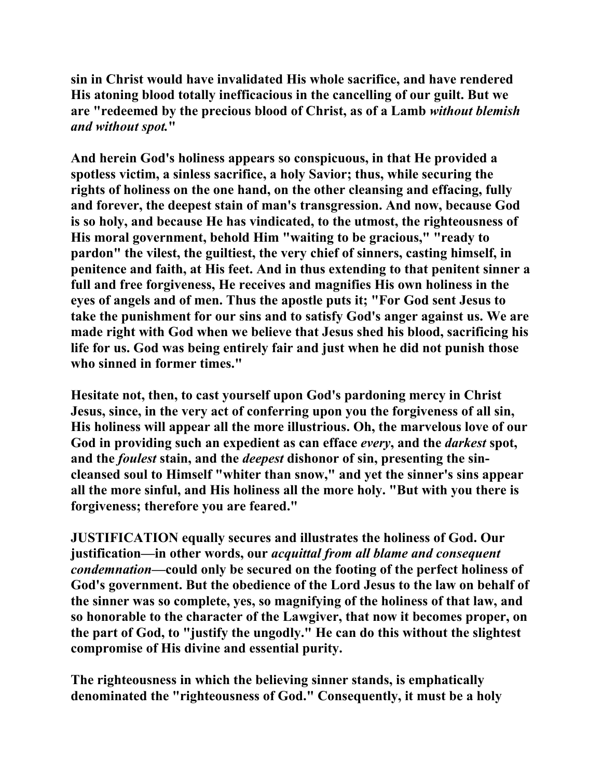**sin in Christ would have invalidated His whole sacrifice, and have rendered His atoning blood totally inefficacious in the cancelling of our guilt. But we are "redeemed by the precious blood of Christ, as of a Lamb** *without blemish and without spot.***"** 

**And herein God's holiness appears so conspicuous, in that He provided a spotless victim, a sinless sacrifice, a holy Savior; thus, while securing the rights of holiness on the one hand, on the other cleansing and effacing, fully and forever, the deepest stain of man's transgression. And now, because God is so holy, and because He has vindicated, to the utmost, the righteousness of His moral government, behold Him "waiting to be gracious," "ready to pardon" the vilest, the guiltiest, the very chief of sinners, casting himself, in penitence and faith, at His feet. And in thus extending to that penitent sinner a full and free forgiveness, He receives and magnifies His own holiness in the eyes of angels and of men. Thus the apostle puts it; "For God sent Jesus to take the punishment for our sins and to satisfy God's anger against us. We are made right with God when we believe that Jesus shed his blood, sacrificing his life for us. God was being entirely fair and just when he did not punish those who sinned in former times."** 

**Hesitate not, then, to cast yourself upon God's pardoning mercy in Christ Jesus, since, in the very act of conferring upon you the forgiveness of all sin, His holiness will appear all the more illustrious. Oh, the marvelous love of our God in providing such an expedient as can efface** *every***, and the** *darkest* **spot, and the** *foulest* **stain, and the** *deepest* **dishonor of sin, presenting the sincleansed soul to Himself "whiter than snow," and yet the sinner's sins appear all the more sinful, and His holiness all the more holy. "But with you there is forgiveness; therefore you are feared."** 

**JUSTIFICATION equally secures and illustrates the holiness of God. Our justification—in other words, our** *acquittal from all blame and consequent condemnation***—could only be secured on the footing of the perfect holiness of God's government. But the obedience of the Lord Jesus to the law on behalf of the sinner was so complete, yes, so magnifying of the holiness of that law, and so honorable to the character of the Lawgiver, that now it becomes proper, on the part of God, to "justify the ungodly." He can do this without the slightest compromise of His divine and essential purity.** 

**The righteousness in which the believing sinner stands, is emphatically denominated the "righteousness of God." Consequently, it must be a holy**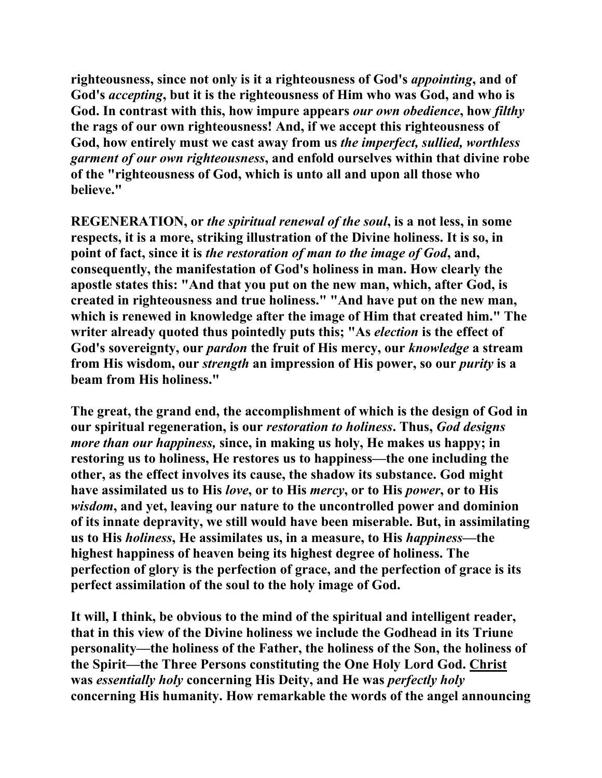**righteousness, since not only is it a righteousness of God's** *appointing***, and of God's** *accepting***, but it is the righteousness of Him who was God, and who is God. In contrast with this, how impure appears** *our own obedience***, how** *filthy* **the rags of our own righteousness! And, if we accept this righteousness of God, how entirely must we cast away from us** *the imperfect, sullied, worthless garment of our own righteousness***, and enfold ourselves within that divine robe of the "righteousness of God, which is unto all and upon all those who believe."** 

**REGENERATION, or** *the spiritual renewal of the soul***, is a not less, in some respects, it is a more, striking illustration of the Divine holiness. It is so, in point of fact, since it is** *the restoration of man to the image of God***, and, consequently, the manifestation of God's holiness in man. How clearly the apostle states this: "And that you put on the new man, which, after God, is created in righteousness and true holiness." "And have put on the new man, which is renewed in knowledge after the image of Him that created him." The writer already quoted thus pointedly puts this; "As** *election* **is the effect of God's sovereignty, our** *pardon* **the fruit of His mercy, our** *knowledge* **a stream from His wisdom, our** *strength* **an impression of His power, so our** *purity* **is a beam from His holiness."** 

**The great, the grand end, the accomplishment of which is the design of God in our spiritual regeneration, is our** *restoration to holiness***. Thus,** *God designs more than our happiness,* **since, in making us holy, He makes us happy; in restoring us to holiness, He restores us to happiness—the one including the other, as the effect involves its cause, the shadow its substance. God might have assimilated us to His** *love***, or to His** *mercy***, or to His** *power***, or to His**  *wisdom***, and yet, leaving our nature to the uncontrolled power and dominion of its innate depravity, we still would have been miserable. But, in assimilating us to His** *holiness***, He assimilates us, in a measure, to His** *happiness***—the highest happiness of heaven being its highest degree of holiness. The perfection of glory is the perfection of grace, and the perfection of grace is its perfect assimilation of the soul to the holy image of God.** 

**It will, I think, be obvious to the mind of the spiritual and intelligent reader, that in this view of the Divine holiness we include the Godhead in its Triune personality—the holiness of the Father, the holiness of the Son, the holiness of the Spirit—the Three Persons constituting the One Holy Lord God. Christ was** *essentially holy* **concerning His Deity, and He was** *perfectly holy* **concerning His humanity. How remarkable the words of the angel announcing**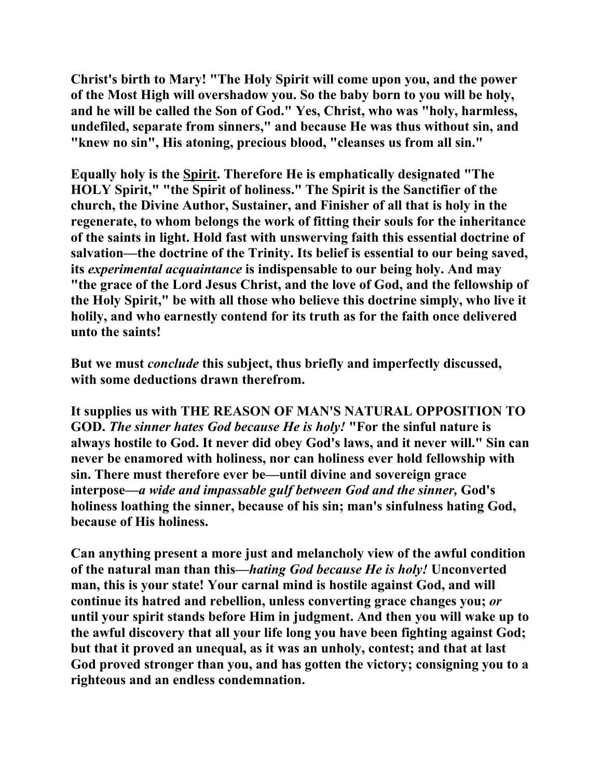**Christ's birth to Mary! "The Holy Spirit will come upon you, and the power of the Most High will overshadow you. So the baby born to you will be holy, and he will be called the Son of God." Yes, Christ, who was "holy, harmless, undefiled, separate from sinners," and because He was thus without sin, and "knew no sin", His atoning, precious blood, "cleanses us from all sin."** 

**Equally holy is the Spirit. Therefore He is emphatically designated "The HOLY Spirit," "the Spirit of holiness." The Spirit is the Sanctifier of the church, the Divine Author, Sustainer, and Finisher of all that is holy in the regenerate, to whom belongs the work of fitting their souls for the inheritance of the saints in light. Hold fast with unswerving faith this essential doctrine of salvation—the doctrine of the Trinity. Its belief is essential to our being saved, its** *experimental acquaintance* **is indispensable to our being holy. And may "the grace of the Lord Jesus Christ, and the love of God, and the fellowship of the Holy Spirit," be with all those who believe this doctrine simply, who live it holily, and who earnestly contend for its truth as for the faith once delivered unto the saints!** 

**But we must** *conclude* **this subject, thus briefly and imperfectly discussed, with some deductions drawn therefrom.** 

**It supplies us with THE REASON OF MAN'S NATURAL OPPOSITION TO GOD.** *The sinner hates God because He is holy!* **"For the sinful nature is always hostile to God. It never did obey God's laws, and it never will." Sin can never be enamored with holiness, nor can holiness ever hold fellowship with sin. There must therefore ever be—until divine and sovereign grace interpose—***a wide and impassable gulf between God and the sinner,* **God's holiness loathing the sinner, because of his sin; man's sinfulness hating God, because of His holiness.** 

**Can anything present a more just and melancholy view of the awful condition of the natural man than this—***hating God because He is holy!* **Unconverted man, this is your state! Your carnal mind is hostile against God, and will continue its hatred and rebellion, unless converting grace changes you;** *or*  **until your spirit stands before Him in judgment. And then you will wake up to the awful discovery that all your life long you have been fighting against God; but that it proved an unequal, as it was an unholy, contest; and that at last God proved stronger than you, and has gotten the victory; consigning you to a righteous and an endless condemnation.**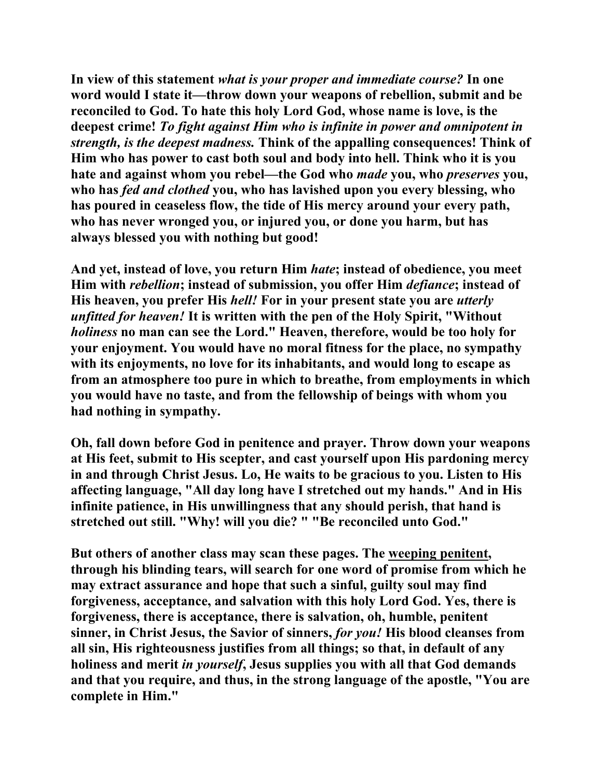**In view of this statement** *what is your proper and immediate course?* **In one word would I state it—throw down your weapons of rebellion, submit and be reconciled to God. To hate this holy Lord God, whose name is love, is the deepest crime!** *To fight against Him who is infinite in power and omnipotent in strength, is the deepest madness.* **Think of the appalling consequences! Think of Him who has power to cast both soul and body into hell. Think who it is you hate and against whom you rebel—the God who** *made* **you, who** *preserves* **you, who has** *fed and clothed* **you, who has lavished upon you every blessing, who has poured in ceaseless flow, the tide of His mercy around your every path, who has never wronged you, or injured you, or done you harm, but has always blessed you with nothing but good!** 

**And yet, instead of love, you return Him** *hate***; instead of obedience, you meet Him with** *rebellion***; instead of submission, you offer Him** *defiance***; instead of His heaven, you prefer His** *hell!* **For in your present state you are** *utterly unfitted for heaven!* **It is written with the pen of the Holy Spirit, "Without**  *holiness* **no man can see the Lord." Heaven, therefore, would be too holy for your enjoyment. You would have no moral fitness for the place, no sympathy with its enjoyments, no love for its inhabitants, and would long to escape as from an atmosphere too pure in which to breathe, from employments in which you would have no taste, and from the fellowship of beings with whom you had nothing in sympathy.** 

**Oh, fall down before God in penitence and prayer. Throw down your weapons at His feet, submit to His scepter, and cast yourself upon His pardoning mercy in and through Christ Jesus. Lo, He waits to be gracious to you. Listen to His affecting language, "All day long have I stretched out my hands." And in His infinite patience, in His unwillingness that any should perish, that hand is stretched out still. "Why! will you die? " "Be reconciled unto God."** 

**But others of another class may scan these pages. The weeping penitent, through his blinding tears, will search for one word of promise from which he may extract assurance and hope that such a sinful, guilty soul may find forgiveness, acceptance, and salvation with this holy Lord God. Yes, there is forgiveness, there is acceptance, there is salvation, oh, humble, penitent sinner, in Christ Jesus, the Savior of sinners,** *for you!* **His blood cleanses from all sin, His righteousness justifies from all things; so that, in default of any holiness and merit** *in yourself***, Jesus supplies you with all that God demands and that you require, and thus, in the strong language of the apostle, "You are complete in Him."**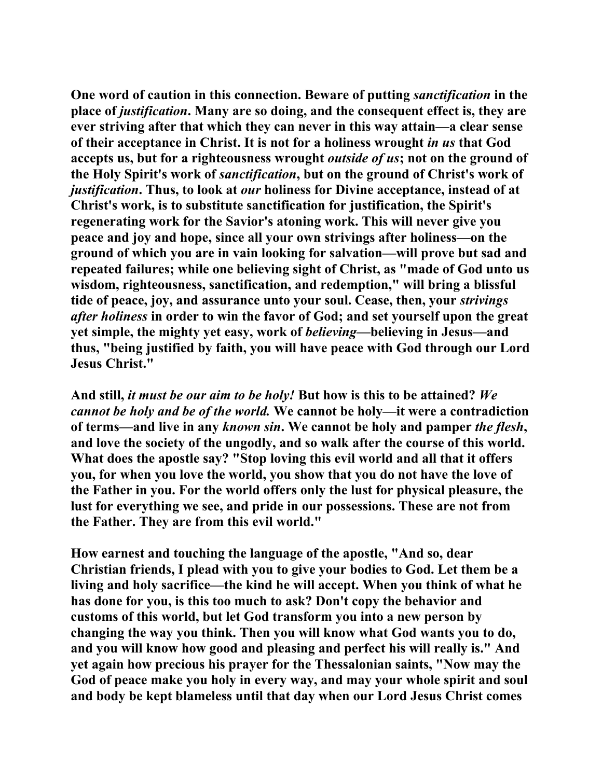**One word of caution in this connection. Beware of putting** *sanctification* **in the place of** *justification***. Many are so doing, and the consequent effect is, they are ever striving after that which they can never in this way attain—a clear sense of their acceptance in Christ. It is not for a holiness wrought** *in us* **that God accepts us, but for a righteousness wrought** *outside of us***; not on the ground of the Holy Spirit's work of** *sanctification***, but on the ground of Christ's work of**  *justification***. Thus, to look at** *our* **holiness for Divine acceptance, instead of at Christ's work, is to substitute sanctification for justification, the Spirit's regenerating work for the Savior's atoning work. This will never give you peace and joy and hope, since all your own strivings after holiness—on the ground of which you are in vain looking for salvation—will prove but sad and repeated failures; while one believing sight of Christ, as "made of God unto us wisdom, righteousness, sanctification, and redemption," will bring a blissful tide of peace, joy, and assurance unto your soul. Cease, then, your** *strivings after holiness* **in order to win the favor of God; and set yourself upon the great yet simple, the mighty yet easy, work of** *believing***—believing in Jesus—and thus, "being justified by faith, you will have peace with God through our Lord Jesus Christ."** 

**And still,** *it must be our aim to be holy!* **But how is this to be attained?** *We cannot be holy and be of the world.* **We cannot be holy—it were a contradiction of terms—and live in any** *known sin***. We cannot be holy and pamper** *the flesh***, and love the society of the ungodly, and so walk after the course of this world. What does the apostle say? "Stop loving this evil world and all that it offers you, for when you love the world, you show that you do not have the love of the Father in you. For the world offers only the lust for physical pleasure, the lust for everything we see, and pride in our possessions. These are not from the Father. They are from this evil world."** 

**How earnest and touching the language of the apostle, "And so, dear Christian friends, I plead with you to give your bodies to God. Let them be a living and holy sacrifice—the kind he will accept. When you think of what he has done for you, is this too much to ask? Don't copy the behavior and customs of this world, but let God transform you into a new person by changing the way you think. Then you will know what God wants you to do, and you will know how good and pleasing and perfect his will really is." And yet again how precious his prayer for the Thessalonian saints, "Now may the God of peace make you holy in every way, and may your whole spirit and soul and body be kept blameless until that day when our Lord Jesus Christ comes**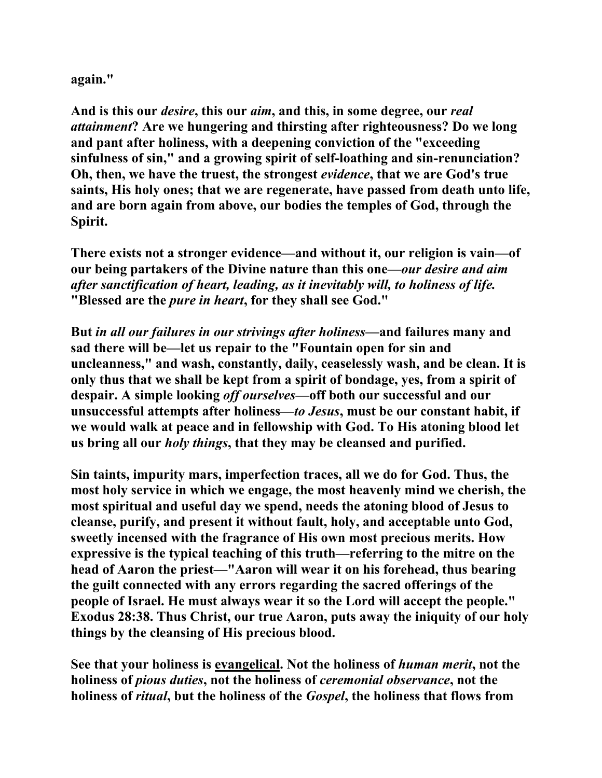**again."** 

**And is this our** *desire***, this our** *aim***, and this, in some degree, our** *real attainment***? Are we hungering and thirsting after righteousness? Do we long and pant after holiness, with a deepening conviction of the "exceeding sinfulness of sin," and a growing spirit of self-loathing and sin-renunciation? Oh, then, we have the truest, the strongest** *evidence***, that we are God's true saints, His holy ones; that we are regenerate, have passed from death unto life, and are born again from above, our bodies the temples of God, through the Spirit.** 

**There exists not a stronger evidence—and without it, our religion is vain—of our being partakers of the Divine nature than this one—***our desire and aim after sanctification of heart, leading, as it inevitably will, to holiness of life.* **"Blessed are the** *pure in heart***, for they shall see God."** 

**But** *in all our failures in our strivings after holiness***—and failures many and sad there will be—let us repair to the "Fountain open for sin and uncleanness," and wash, constantly, daily, ceaselessly wash, and be clean. It is only thus that we shall be kept from a spirit of bondage, yes, from a spirit of despair. A simple looking** *off ourselves***—off both our successful and our unsuccessful attempts after holiness—***to Jesus***, must be our constant habit, if we would walk at peace and in fellowship with God. To His atoning blood let us bring all our** *holy things***, that they may be cleansed and purified.** 

**Sin taints, impurity mars, imperfection traces, all we do for God. Thus, the most holy service in which we engage, the most heavenly mind we cherish, the most spiritual and useful day we spend, needs the atoning blood of Jesus to cleanse, purify, and present it without fault, holy, and acceptable unto God, sweetly incensed with the fragrance of His own most precious merits. How expressive is the typical teaching of this truth—referring to the mitre on the head of Aaron the priest—"Aaron will wear it on his forehead, thus bearing the guilt connected with any errors regarding the sacred offerings of the people of Israel. He must always wear it so the Lord will accept the people." Exodus 28:38. Thus Christ, our true Aaron, puts away the iniquity of our holy things by the cleansing of His precious blood.** 

**See that your holiness is evangelical. Not the holiness of** *human merit***, not the holiness of** *pious duties***, not the holiness of** *ceremonial observance***, not the holiness of** *ritual***, but the holiness of the** *Gospel***, the holiness that flows from**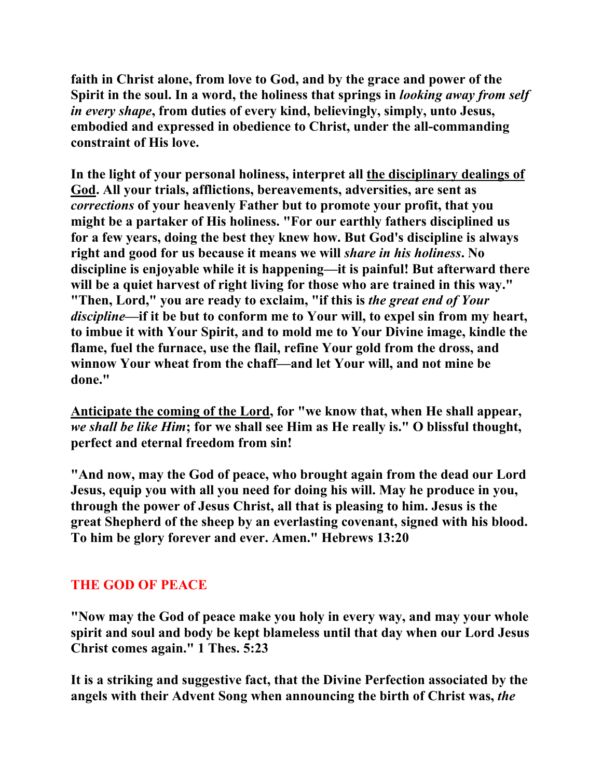**faith in Christ alone, from love to God, and by the grace and power of the Spirit in the soul. In a word, the holiness that springs in** *looking away from self in every shape***, from duties of every kind, believingly, simply, unto Jesus, embodied and expressed in obedience to Christ, under the all-commanding constraint of His love.** 

**In the light of your personal holiness, interpret all the disciplinary dealings of God. All your trials, afflictions, bereavements, adversities, are sent as**  *corrections* **of your heavenly Father but to promote your profit, that you might be a partaker of His holiness. "For our earthly fathers disciplined us for a few years, doing the best they knew how. But God's discipline is always right and good for us because it means we will** *share in his holiness***. No discipline is enjoyable while it is happening—it is painful! But afterward there will be a quiet harvest of right living for those who are trained in this way." "Then, Lord," you are ready to exclaim, "if this is** *the great end of Your discipline***—if it be but to conform me to Your will, to expel sin from my heart, to imbue it with Your Spirit, and to mold me to Your Divine image, kindle the flame, fuel the furnace, use the flail, refine Your gold from the dross, and winnow Your wheat from the chaff—and let Your will, and not mine be done."** 

**Anticipate the coming of the Lord, for "we know that, when He shall appear,**  *we shall be like Him***; for we shall see Him as He really is." O blissful thought, perfect and eternal freedom from sin!** 

**"And now, may the God of peace, who brought again from the dead our Lord Jesus, equip you with all you need for doing his will. May he produce in you, through the power of Jesus Christ, all that is pleasing to him. Jesus is the great Shepherd of the sheep by an everlasting covenant, signed with his blood. To him be glory forever and ever. Amen." Hebrews 13:20** 

## **THE GOD OF PEACE**

**"Now may the God of peace make you holy in every way, and may your whole spirit and soul and body be kept blameless until that day when our Lord Jesus Christ comes again." 1 Thes. 5:23** 

**It is a striking and suggestive fact, that the Divine Perfection associated by the angels with their Advent Song when announcing the birth of Christ was,** *the*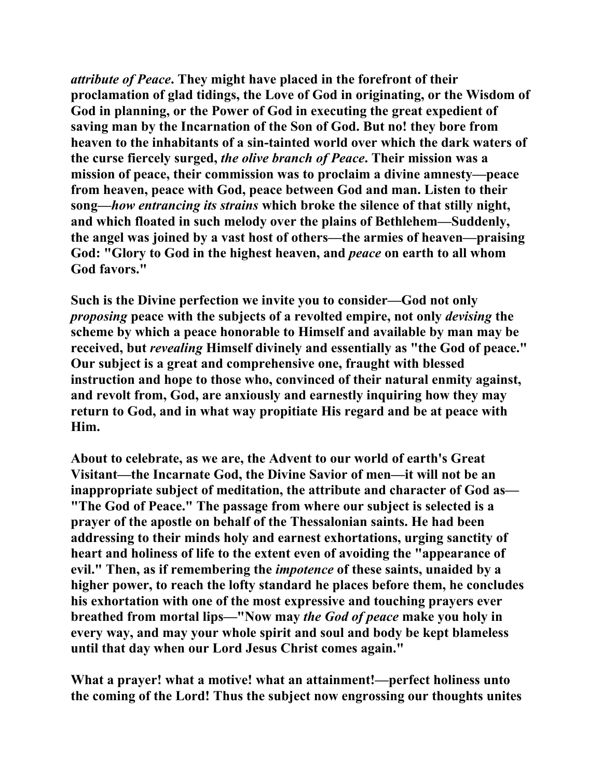*attribute of Peace***. They might have placed in the forefront of their proclamation of glad tidings, the Love of God in originating, or the Wisdom of God in planning, or the Power of God in executing the great expedient of saving man by the Incarnation of the Son of God. But no! they bore from heaven to the inhabitants of a sin-tainted world over which the dark waters of the curse fiercely surged,** *the olive branch of Peace***. Their mission was a mission of peace, their commission was to proclaim a divine amnesty—peace from heaven, peace with God, peace between God and man. Listen to their song—***how entrancing its strains* **which broke the silence of that stilly night, and which floated in such melody over the plains of Bethlehem—Suddenly, the angel was joined by a vast host of others—the armies of heaven—praising God: "Glory to God in the highest heaven, and** *peace* **on earth to all whom God favors."** 

**Such is the Divine perfection we invite you to consider—God not only**  *proposing* **peace with the subjects of a revolted empire, not only** *devising* **the scheme by which a peace honorable to Himself and available by man may be received, but** *revealing* **Himself divinely and essentially as "the God of peace." Our subject is a great and comprehensive one, fraught with blessed instruction and hope to those who, convinced of their natural enmity against, and revolt from, God, are anxiously and earnestly inquiring how they may return to God, and in what way propitiate His regard and be at peace with Him.** 

**About to celebrate, as we are, the Advent to our world of earth's Great Visitant—the Incarnate God, the Divine Savior of men—it will not be an inappropriate subject of meditation, the attribute and character of God as— "The God of Peace." The passage from where our subject is selected is a prayer of the apostle on behalf of the Thessalonian saints. He had been addressing to their minds holy and earnest exhortations, urging sanctity of heart and holiness of life to the extent even of avoiding the "appearance of evil." Then, as if remembering the** *impotence* **of these saints, unaided by a higher power, to reach the lofty standard he places before them, he concludes his exhortation with one of the most expressive and touching prayers ever breathed from mortal lips—"Now may** *the God of peace* **make you holy in every way, and may your whole spirit and soul and body be kept blameless until that day when our Lord Jesus Christ comes again."** 

**What a prayer! what a motive! what an attainment!—perfect holiness unto the coming of the Lord! Thus the subject now engrossing our thoughts unites**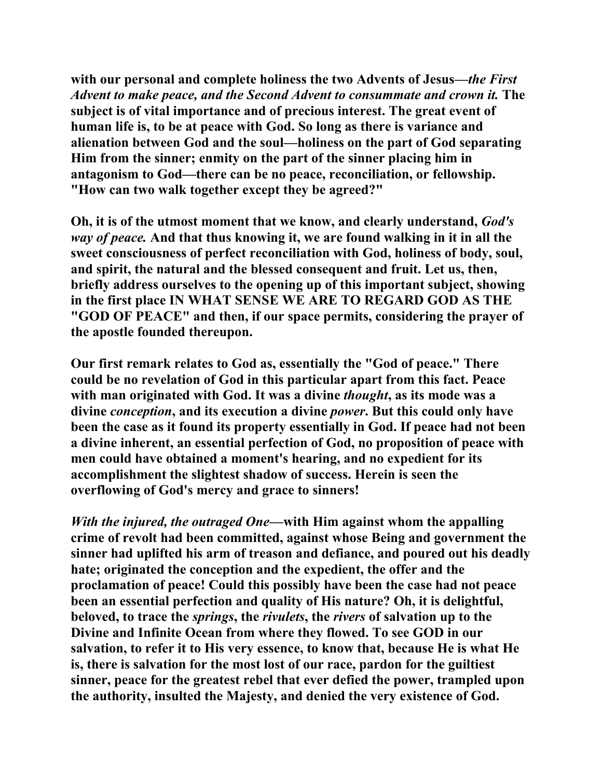**with our personal and complete holiness the two Advents of Jesus—***the First Advent to make peace, and the Second Advent to consummate and crown it.* **The subject is of vital importance and of precious interest. The great event of human life is, to be at peace with God. So long as there is variance and alienation between God and the soul—holiness on the part of God separating Him from the sinner; enmity on the part of the sinner placing him in antagonism to God—there can be no peace, reconciliation, or fellowship. "How can two walk together except they be agreed?"** 

**Oh, it is of the utmost moment that we know, and clearly understand,** *God's way of peace.* **And that thus knowing it, we are found walking in it in all the sweet consciousness of perfect reconciliation with God, holiness of body, soul, and spirit, the natural and the blessed consequent and fruit. Let us, then, briefly address ourselves to the opening up of this important subject, showing in the first place IN WHAT SENSE WE ARE TO REGARD GOD AS THE "GOD OF PEACE" and then, if our space permits, considering the prayer of the apostle founded thereupon.** 

**Our first remark relates to God as, essentially the "God of peace." There could be no revelation of God in this particular apart from this fact. Peace with man originated with God. It was a divine** *thought***, as its mode was a divine** *conception***, and its execution a divine** *power***. But this could only have been the case as it found its property essentially in God. If peace had not been a divine inherent, an essential perfection of God, no proposition of peace with men could have obtained a moment's hearing, and no expedient for its accomplishment the slightest shadow of success. Herein is seen the overflowing of God's mercy and grace to sinners!** 

*With the injured, the outraged One***—with Him against whom the appalling crime of revolt had been committed, against whose Being and government the sinner had uplifted his arm of treason and defiance, and poured out his deadly hate; originated the conception and the expedient, the offer and the proclamation of peace! Could this possibly have been the case had not peace been an essential perfection and quality of His nature? Oh, it is delightful, beloved, to trace the** *springs***, the** *rivulets***, the** *rivers* **of salvation up to the Divine and Infinite Ocean from where they flowed. To see GOD in our salvation, to refer it to His very essence, to know that, because He is what He is, there is salvation for the most lost of our race, pardon for the guiltiest sinner, peace for the greatest rebel that ever defied the power, trampled upon the authority, insulted the Majesty, and denied the very existence of God.**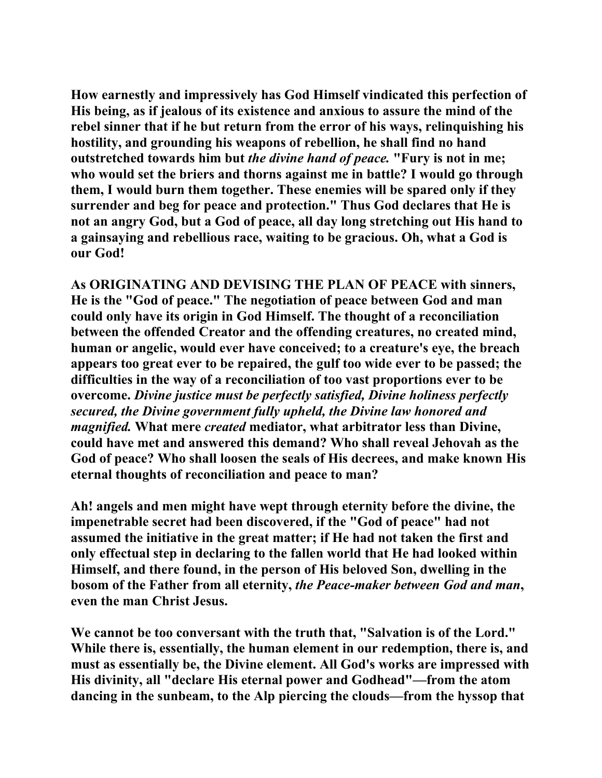**How earnestly and impressively has God Himself vindicated this perfection of His being, as if jealous of its existence and anxious to assure the mind of the rebel sinner that if he but return from the error of his ways, relinquishing his hostility, and grounding his weapons of rebellion, he shall find no hand outstretched towards him but** *the divine hand of peace.* **"Fury is not in me; who would set the briers and thorns against me in battle? I would go through them, I would burn them together. These enemies will be spared only if they surrender and beg for peace and protection." Thus God declares that He is not an angry God, but a God of peace, all day long stretching out His hand to a gainsaying and rebellious race, waiting to be gracious. Oh, what a God is our God!** 

**As ORIGINATING AND DEVISING THE PLAN OF PEACE with sinners, He is the "God of peace." The negotiation of peace between God and man could only have its origin in God Himself. The thought of a reconciliation between the offended Creator and the offending creatures, no created mind, human or angelic, would ever have conceived; to a creature's eye, the breach appears too great ever to be repaired, the gulf too wide ever to be passed; the difficulties in the way of a reconciliation of too vast proportions ever to be overcome.** *Divine justice must be perfectly satisfied, Divine holiness perfectly secured, the Divine government fully upheld, the Divine law honored and magnified.* **What mere** *created* **mediator, what arbitrator less than Divine, could have met and answered this demand? Who shall reveal Jehovah as the God of peace? Who shall loosen the seals of His decrees, and make known His eternal thoughts of reconciliation and peace to man?** 

**Ah! angels and men might have wept through eternity before the divine, the impenetrable secret had been discovered, if the "God of peace" had not assumed the initiative in the great matter; if He had not taken the first and only effectual step in declaring to the fallen world that He had looked within Himself, and there found, in the person of His beloved Son, dwelling in the bosom of the Father from all eternity,** *the Peace-maker between God and man***, even the man Christ Jesus.** 

**We cannot be too conversant with the truth that, "Salvation is of the Lord." While there is, essentially, the human element in our redemption, there is, and must as essentially be, the Divine element. All God's works are impressed with His divinity, all "declare His eternal power and Godhead"—from the atom dancing in the sunbeam, to the Alp piercing the clouds—from the hyssop that**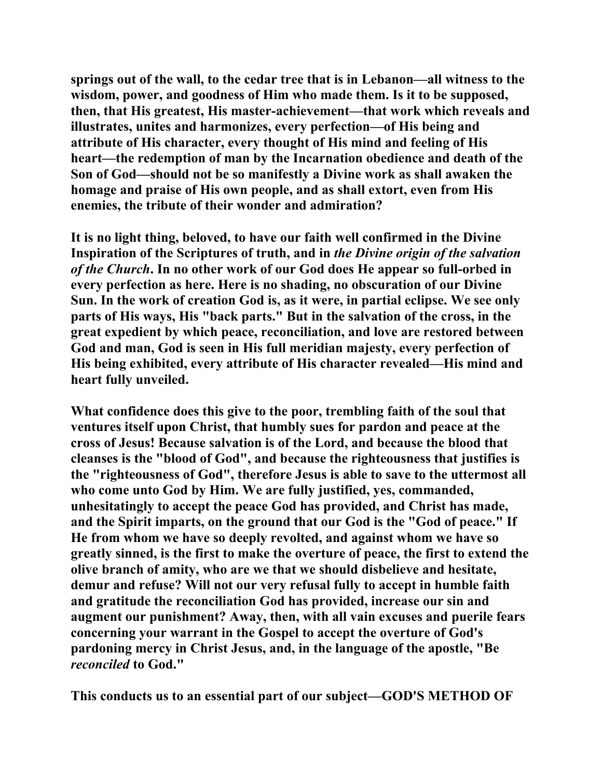**springs out of the wall, to the cedar tree that is in Lebanon—all witness to the wisdom, power, and goodness of Him who made them. Is it to be supposed, then, that His greatest, His master-achievement—that work which reveals and illustrates, unites and harmonizes, every perfection—of His being and attribute of His character, every thought of His mind and feeling of His heart—the redemption of man by the Incarnation obedience and death of the Son of God—should not be so manifestly a Divine work as shall awaken the homage and praise of His own people, and as shall extort, even from His enemies, the tribute of their wonder and admiration?** 

**It is no light thing, beloved, to have our faith well confirmed in the Divine Inspiration of the Scriptures of truth, and in** *the Divine origin of the salvation of the Church***. In no other work of our God does He appear so full-orbed in every perfection as here. Here is no shading, no obscuration of our Divine Sun. In the work of creation God is, as it were, in partial eclipse. We see only parts of His ways, His "back parts." But in the salvation of the cross, in the great expedient by which peace, reconciliation, and love are restored between God and man, God is seen in His full meridian majesty, every perfection of His being exhibited, every attribute of His character revealed—His mind and heart fully unveiled.** 

**What confidence does this give to the poor, trembling faith of the soul that ventures itself upon Christ, that humbly sues for pardon and peace at the cross of Jesus! Because salvation is of the Lord, and because the blood that cleanses is the "blood of God", and because the righteousness that justifies is the "righteousness of God", therefore Jesus is able to save to the uttermost all who come unto God by Him. We are fully justified, yes, commanded, unhesitatingly to accept the peace God has provided, and Christ has made, and the Spirit imparts, on the ground that our God is the "God of peace." If He from whom we have so deeply revolted, and against whom we have so greatly sinned, is the first to make the overture of peace, the first to extend the olive branch of amity, who are we that we should disbelieve and hesitate, demur and refuse? Will not our very refusal fully to accept in humble faith and gratitude the reconciliation God has provided, increase our sin and augment our punishment? Away, then, with all vain excuses and puerile fears concerning your warrant in the Gospel to accept the overture of God's pardoning mercy in Christ Jesus, and, in the language of the apostle, "Be**  *reconciled* **to God."** 

**This conducts us to an essential part of our subject—GOD'S METHOD OF**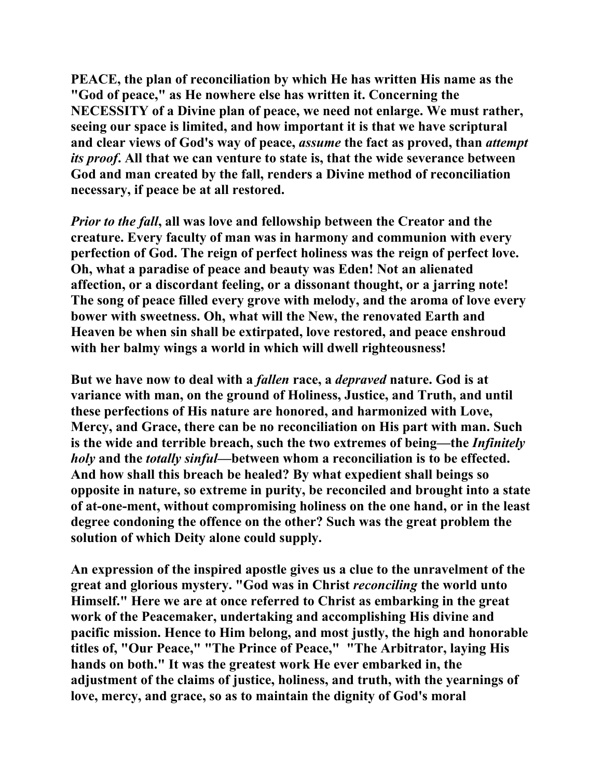**PEACE, the plan of reconciliation by which He has written His name as the "God of peace," as He nowhere else has written it. Concerning the NECESSITY of a Divine plan of peace, we need not enlarge. We must rather, seeing our space is limited, and how important it is that we have scriptural and clear views of God's way of peace,** *assume* **the fact as proved, than** *attempt its proof***. All that we can venture to state is, that the wide severance between God and man created by the fall, renders a Divine method of reconciliation necessary, if peace be at all restored.** 

*Prior to the fall***, all was love and fellowship between the Creator and the creature. Every faculty of man was in harmony and communion with every perfection of God. The reign of perfect holiness was the reign of perfect love. Oh, what a paradise of peace and beauty was Eden! Not an alienated affection, or a discordant feeling, or a dissonant thought, or a jarring note! The song of peace filled every grove with melody, and the aroma of love every bower with sweetness. Oh, what will the New, the renovated Earth and Heaven be when sin shall be extirpated, love restored, and peace enshroud with her balmy wings a world in which will dwell righteousness!** 

**But we have now to deal with a** *fallen* **race, a** *depraved* **nature. God is at variance with man, on the ground of Holiness, Justice, and Truth, and until these perfections of His nature are honored, and harmonized with Love, Mercy, and Grace, there can be no reconciliation on His part with man. Such is the wide and terrible breach, such the two extremes of being—the** *Infinitely holy* **and the** *totally sinful***—between whom a reconciliation is to be effected. And how shall this breach be healed? By what expedient shall beings so opposite in nature, so extreme in purity, be reconciled and brought into a state of at-one-ment, without compromising holiness on the one hand, or in the least degree condoning the offence on the other? Such was the great problem the solution of which Deity alone could supply.** 

**An expression of the inspired apostle gives us a clue to the unravelment of the great and glorious mystery. "God was in Christ** *reconciling* **the world unto Himself." Here we are at once referred to Christ as embarking in the great work of the Peacemaker, undertaking and accomplishing His divine and pacific mission. Hence to Him belong, and most justly, the high and honorable titles of, "Our Peace," "The Prince of Peace," "The Arbitrator, laying His hands on both." It was the greatest work He ever embarked in, the adjustment of the claims of justice, holiness, and truth, with the yearnings of love, mercy, and grace, so as to maintain the dignity of God's moral**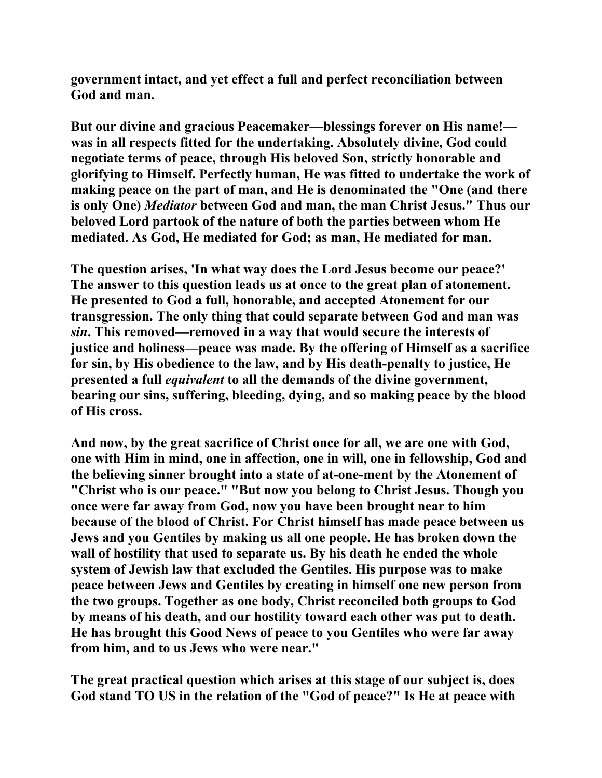**government intact, and yet effect a full and perfect reconciliation between God and man.** 

**But our divine and gracious Peacemaker—blessings forever on His name! was in all respects fitted for the undertaking. Absolutely divine, God could negotiate terms of peace, through His beloved Son, strictly honorable and glorifying to Himself. Perfectly human, He was fitted to undertake the work of making peace on the part of man, and He is denominated the "One (and there is only One)** *Mediator* **between God and man, the man Christ Jesus." Thus our beloved Lord partook of the nature of both the parties between whom He mediated. As God, He mediated for God; as man, He mediated for man.** 

**The question arises, 'In what way does the Lord Jesus become our peace?' The answer to this question leads us at once to the great plan of atonement. He presented to God a full, honorable, and accepted Atonement for our transgression. The only thing that could separate between God and man was**  *sin***. This removed—removed in a way that would secure the interests of justice and holiness—peace was made. By the offering of Himself as a sacrifice for sin, by His obedience to the law, and by His death-penalty to justice, He presented a full** *equivalent* **to all the demands of the divine government, bearing our sins, suffering, bleeding, dying, and so making peace by the blood of His cross.** 

**And now, by the great sacrifice of Christ once for all, we are one with God, one with Him in mind, one in affection, one in will, one in fellowship, God and the believing sinner brought into a state of at-one-ment by the Atonement of "Christ who is our peace." "But now you belong to Christ Jesus. Though you once were far away from God, now you have been brought near to him because of the blood of Christ. For Christ himself has made peace between us Jews and you Gentiles by making us all one people. He has broken down the wall of hostility that used to separate us. By his death he ended the whole system of Jewish law that excluded the Gentiles. His purpose was to make peace between Jews and Gentiles by creating in himself one new person from the two groups. Together as one body, Christ reconciled both groups to God by means of his death, and our hostility toward each other was put to death. He has brought this Good News of peace to you Gentiles who were far away from him, and to us Jews who were near."** 

**The great practical question which arises at this stage of our subject is, does God stand TO US in the relation of the "God of peace?" Is He at peace with**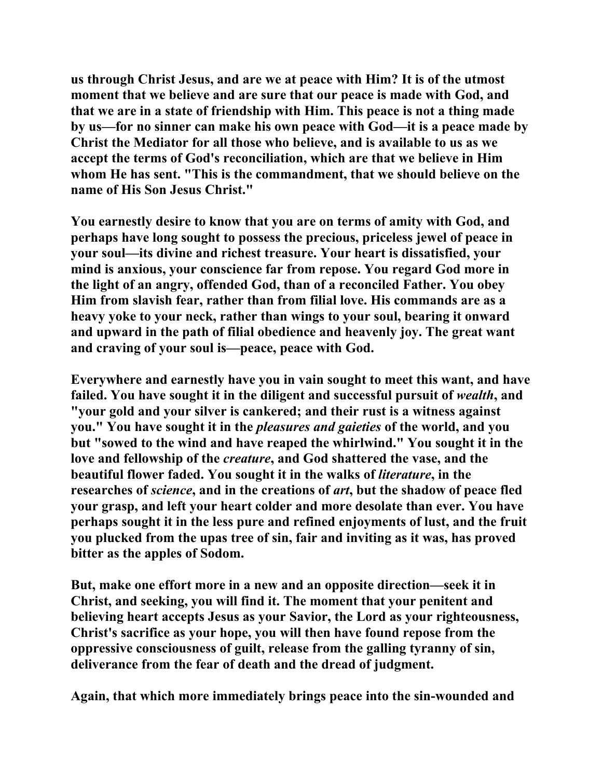**us through Christ Jesus, and are we at peace with Him? It is of the utmost moment that we believe and are sure that our peace is made with God, and that we are in a state of friendship with Him. This peace is not a thing made by us—for no sinner can make his own peace with God—it is a peace made by Christ the Mediator for all those who believe, and is available to us as we accept the terms of God's reconciliation, which are that we believe in Him whom He has sent. "This is the commandment, that we should believe on the name of His Son Jesus Christ."** 

**You earnestly desire to know that you are on terms of amity with God, and perhaps have long sought to possess the precious, priceless jewel of peace in your soul—its divine and richest treasure. Your heart is dissatisfied, your mind is anxious, your conscience far from repose. You regard God more in the light of an angry, offended God, than of a reconciled Father. You obey Him from slavish fear, rather than from filial love. His commands are as a heavy yoke to your neck, rather than wings to your soul, bearing it onward and upward in the path of filial obedience and heavenly joy. The great want and craving of your soul is—peace, peace with God.** 

**Everywhere and earnestly have you in vain sought to meet this want, and have failed. You have sought it in the diligent and successful pursuit of** *wealth***, and "your gold and your silver is cankered; and their rust is a witness against you." You have sought it in the** *pleasures and gaieties* **of the world, and you but "sowed to the wind and have reaped the whirlwind." You sought it in the love and fellowship of the** *creature***, and God shattered the vase, and the beautiful flower faded. You sought it in the walks of** *literature***, in the researches of** *science***, and in the creations of** *art***, but the shadow of peace fled your grasp, and left your heart colder and more desolate than ever. You have perhaps sought it in the less pure and refined enjoyments of lust, and the fruit you plucked from the upas tree of sin, fair and inviting as it was, has proved bitter as the apples of Sodom.** 

**But, make one effort more in a new and an opposite direction—seek it in Christ, and seeking, you will find it. The moment that your penitent and believing heart accepts Jesus as your Savior, the Lord as your righteousness, Christ's sacrifice as your hope, you will then have found repose from the oppressive consciousness of guilt, release from the galling tyranny of sin, deliverance from the fear of death and the dread of judgment.** 

**Again, that which more immediately brings peace into the sin-wounded and**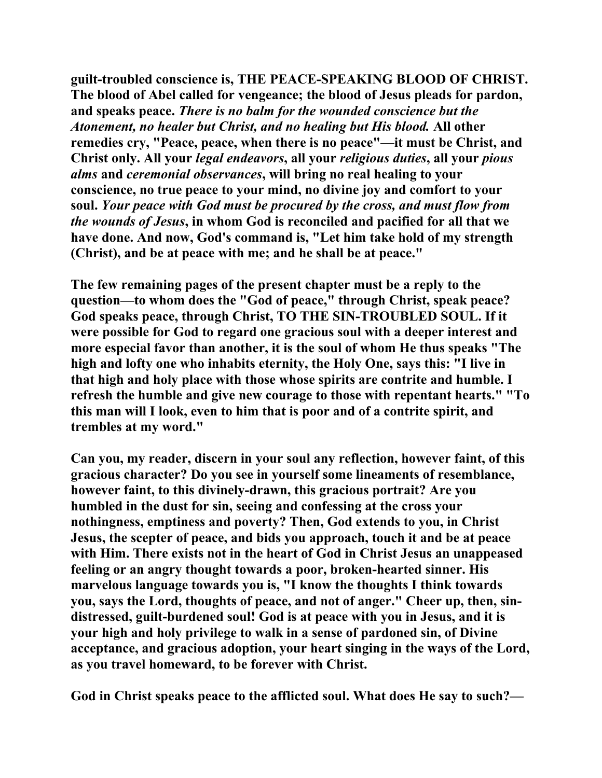**guilt-troubled conscience is, THE PEACE-SPEAKING BLOOD OF CHRIST. The blood of Abel called for vengeance; the blood of Jesus pleads for pardon, and speaks peace.** *There is no balm for the wounded conscience but the Atonement, no healer but Christ, and no healing but His blood.* **All other remedies cry, "Peace, peace, when there is no peace"—it must be Christ, and Christ only. All your** *legal endeavors***, all your** *religious duties***, all your** *pious alms* **and** *ceremonial observances***, will bring no real healing to your conscience, no true peace to your mind, no divine joy and comfort to your soul.** *Your peace with God must be procured by the cross, and must flow from the wounds of Jesus***, in whom God is reconciled and pacified for all that we have done. And now, God's command is, "Let him take hold of my strength (Christ), and be at peace with me; and he shall be at peace."** 

**The few remaining pages of the present chapter must be a reply to the question—to whom does the "God of peace," through Christ, speak peace? God speaks peace, through Christ, TO THE SIN-TROUBLED SOUL. If it were possible for God to regard one gracious soul with a deeper interest and more especial favor than another, it is the soul of whom He thus speaks "The high and lofty one who inhabits eternity, the Holy One, says this: "I live in that high and holy place with those whose spirits are contrite and humble. I refresh the humble and give new courage to those with repentant hearts." "To this man will I look, even to him that is poor and of a contrite spirit, and trembles at my word."** 

**Can you, my reader, discern in your soul any reflection, however faint, of this gracious character? Do you see in yourself some lineaments of resemblance, however faint, to this divinely-drawn, this gracious portrait? Are you humbled in the dust for sin, seeing and confessing at the cross your nothingness, emptiness and poverty? Then, God extends to you, in Christ Jesus, the scepter of peace, and bids you approach, touch it and be at peace with Him. There exists not in the heart of God in Christ Jesus an unappeased feeling or an angry thought towards a poor, broken-hearted sinner. His marvelous language towards you is, "I know the thoughts I think towards you, says the Lord, thoughts of peace, and not of anger." Cheer up, then, sindistressed, guilt-burdened soul! God is at peace with you in Jesus, and it is your high and holy privilege to walk in a sense of pardoned sin, of Divine acceptance, and gracious adoption, your heart singing in the ways of the Lord, as you travel homeward, to be forever with Christ.** 

**God in Christ speaks peace to the afflicted soul. What does He say to such?—**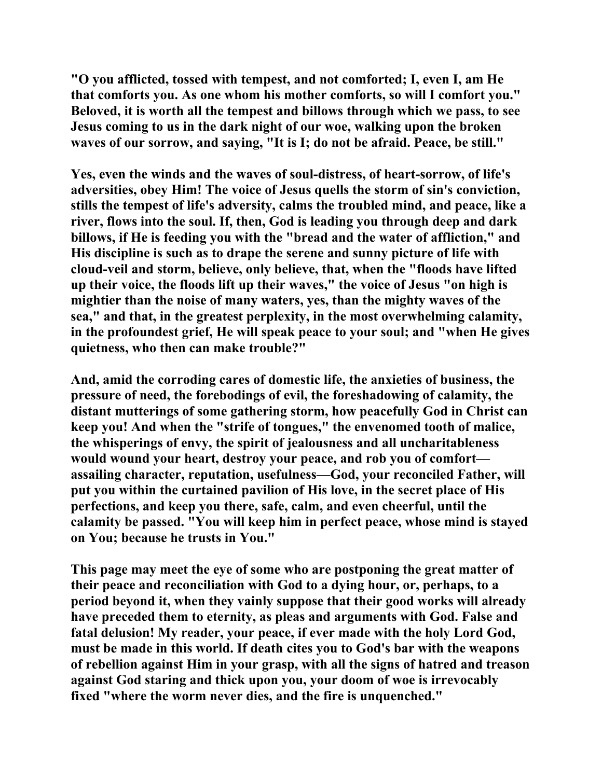**"O you afflicted, tossed with tempest, and not comforted; I, even I, am He that comforts you. As one whom his mother comforts, so will I comfort you." Beloved, it is worth all the tempest and billows through which we pass, to see Jesus coming to us in the dark night of our woe, walking upon the broken waves of our sorrow, and saying, "It is I; do not be afraid. Peace, be still."** 

**Yes, even the winds and the waves of soul-distress, of heart-sorrow, of life's adversities, obey Him! The voice of Jesus quells the storm of sin's conviction, stills the tempest of life's adversity, calms the troubled mind, and peace, like a river, flows into the soul. If, then, God is leading you through deep and dark billows, if He is feeding you with the "bread and the water of affliction," and His discipline is such as to drape the serene and sunny picture of life with cloud-veil and storm, believe, only believe, that, when the "floods have lifted up their voice, the floods lift up their waves," the voice of Jesus "on high is mightier than the noise of many waters, yes, than the mighty waves of the sea," and that, in the greatest perplexity, in the most overwhelming calamity, in the profoundest grief, He will speak peace to your soul; and "when He gives quietness, who then can make trouble?"** 

**And, amid the corroding cares of domestic life, the anxieties of business, the pressure of need, the forebodings of evil, the foreshadowing of calamity, the distant mutterings of some gathering storm, how peacefully God in Christ can keep you! And when the "strife of tongues," the envenomed tooth of malice, the whisperings of envy, the spirit of jealousness and all uncharitableness would wound your heart, destroy your peace, and rob you of comfort assailing character, reputation, usefulness—God, your reconciled Father, will put you within the curtained pavilion of His love, in the secret place of His perfections, and keep you there, safe, calm, and even cheerful, until the calamity be passed. "You will keep him in perfect peace, whose mind is stayed on You; because he trusts in You."** 

**This page may meet the eye of some who are postponing the great matter of their peace and reconciliation with God to a dying hour, or, perhaps, to a period beyond it, when they vainly suppose that their good works will already have preceded them to eternity, as pleas and arguments with God. False and fatal delusion! My reader, your peace, if ever made with the holy Lord God, must be made in this world. If death cites you to God's bar with the weapons of rebellion against Him in your grasp, with all the signs of hatred and treason against God staring and thick upon you, your doom of woe is irrevocably fixed "where the worm never dies, and the fire is unquenched."**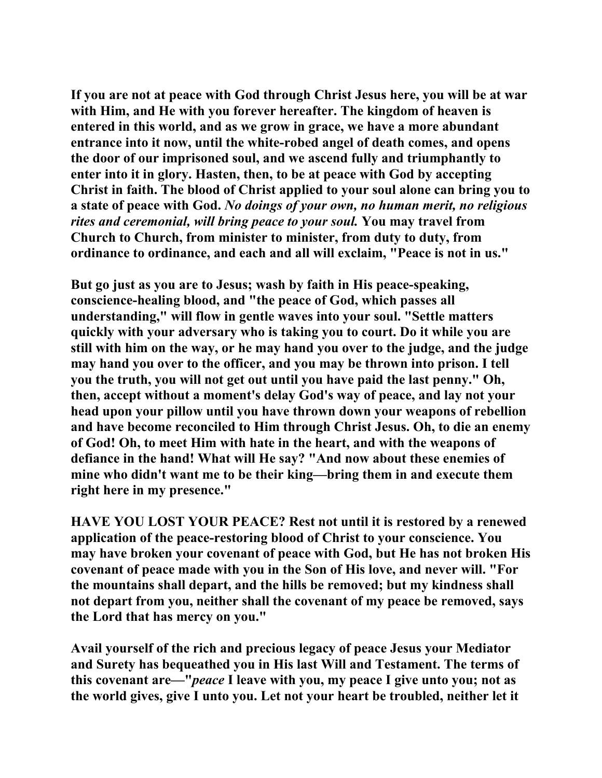**If you are not at peace with God through Christ Jesus here, you will be at war with Him, and He with you forever hereafter. The kingdom of heaven is entered in this world, and as we grow in grace, we have a more abundant entrance into it now, until the white-robed angel of death comes, and opens the door of our imprisoned soul, and we ascend fully and triumphantly to enter into it in glory. Hasten, then, to be at peace with God by accepting Christ in faith. The blood of Christ applied to your soul alone can bring you to a state of peace with God.** *No doings of your own, no human merit, no religious rites and ceremonial, will bring peace to your soul.* **You may travel from Church to Church, from minister to minister, from duty to duty, from ordinance to ordinance, and each and all will exclaim, "Peace is not in us."** 

**But go just as you are to Jesus; wash by faith in His peace-speaking, conscience-healing blood, and "the peace of God, which passes all understanding," will flow in gentle waves into your soul. "Settle matters quickly with your adversary who is taking you to court. Do it while you are still with him on the way, or he may hand you over to the judge, and the judge may hand you over to the officer, and you may be thrown into prison. I tell you the truth, you will not get out until you have paid the last penny." Oh, then, accept without a moment's delay God's way of peace, and lay not your head upon your pillow until you have thrown down your weapons of rebellion and have become reconciled to Him through Christ Jesus. Oh, to die an enemy of God! Oh, to meet Him with hate in the heart, and with the weapons of defiance in the hand! What will He say? "And now about these enemies of mine who didn't want me to be their king—bring them in and execute them right here in my presence."** 

**HAVE YOU LOST YOUR PEACE? Rest not until it is restored by a renewed application of the peace-restoring blood of Christ to your conscience. You may have broken your covenant of peace with God, but He has not broken His covenant of peace made with you in the Son of His love, and never will. "For the mountains shall depart, and the hills be removed; but my kindness shall not depart from you, neither shall the covenant of my peace be removed, says the Lord that has mercy on you."** 

**Avail yourself of the rich and precious legacy of peace Jesus your Mediator and Surety has bequeathed you in His last Will and Testament. The terms of this covenant are—"***peace* **I leave with you, my peace I give unto you; not as the world gives, give I unto you. Let not your heart be troubled, neither let it**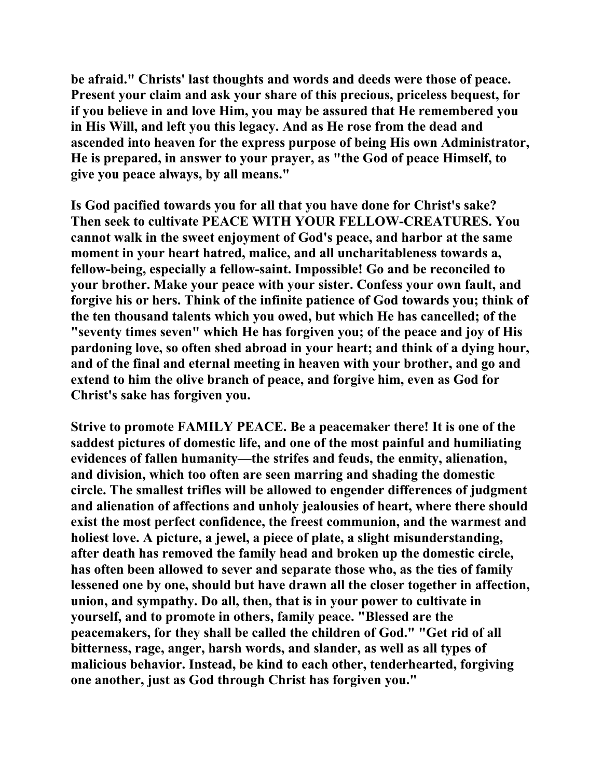**be afraid." Christs' last thoughts and words and deeds were those of peace. Present your claim and ask your share of this precious, priceless bequest, for if you believe in and love Him, you may be assured that He remembered you in His Will, and left you this legacy. And as He rose from the dead and ascended into heaven for the express purpose of being His own Administrator, He is prepared, in answer to your prayer, as "the God of peace Himself, to give you peace always, by all means."** 

**Is God pacified towards you for all that you have done for Christ's sake? Then seek to cultivate PEACE WITH YOUR FELLOW-CREATURES. You cannot walk in the sweet enjoyment of God's peace, and harbor at the same moment in your heart hatred, malice, and all uncharitableness towards a, fellow-being, especially a fellow-saint. Impossible! Go and be reconciled to your brother. Make your peace with your sister. Confess your own fault, and forgive his or hers. Think of the infinite patience of God towards you; think of the ten thousand talents which you owed, but which He has cancelled; of the "seventy times seven" which He has forgiven you; of the peace and joy of His pardoning love, so often shed abroad in your heart; and think of a dying hour, and of the final and eternal meeting in heaven with your brother, and go and extend to him the olive branch of peace, and forgive him, even as God for Christ's sake has forgiven you.** 

**Strive to promote FAMILY PEACE. Be a peacemaker there! It is one of the saddest pictures of domestic life, and one of the most painful and humiliating evidences of fallen humanity—the strifes and feuds, the enmity, alienation, and division, which too often are seen marring and shading the domestic circle. The smallest trifles will be allowed to engender differences of judgment and alienation of affections and unholy jealousies of heart, where there should exist the most perfect confidence, the freest communion, and the warmest and holiest love. A picture, a jewel, a piece of plate, a slight misunderstanding, after death has removed the family head and broken up the domestic circle, has often been allowed to sever and separate those who, as the ties of family lessened one by one, should but have drawn all the closer together in affection, union, and sympathy. Do all, then, that is in your power to cultivate in yourself, and to promote in others, family peace. "Blessed are the peacemakers, for they shall be called the children of God." "Get rid of all bitterness, rage, anger, harsh words, and slander, as well as all types of malicious behavior. Instead, be kind to each other, tenderhearted, forgiving one another, just as God through Christ has forgiven you."**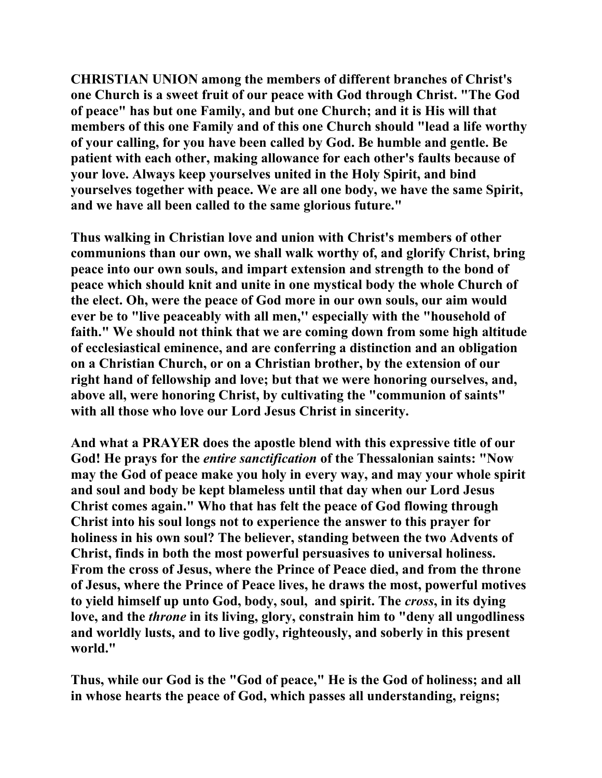**CHRISTIAN UNION among the members of different branches of Christ's one Church is a sweet fruit of our peace with God through Christ. "The God of peace" has but one Family, and but one Church; and it is His will that members of this one Family and of this one Church should "lead a life worthy of your calling, for you have been called by God. Be humble and gentle. Be patient with each other, making allowance for each other's faults because of your love. Always keep yourselves united in the Holy Spirit, and bind yourselves together with peace. We are all one body, we have the same Spirit, and we have all been called to the same glorious future."** 

**Thus walking in Christian love and union with Christ's members of other communions than our own, we shall walk worthy of, and glorify Christ, bring peace into our own souls, and impart extension and strength to the bond of peace which should knit and unite in one mystical body the whole Church of the elect. Oh, were the peace of God more in our own souls, our aim would ever be to "live peaceably with all men,'' especially with the "household of faith." We should not think that we are coming down from some high altitude of ecclesiastical eminence, and are conferring a distinction and an obligation on a Christian Church, or on a Christian brother, by the extension of our right hand of fellowship and love; but that we were honoring ourselves, and, above all, were honoring Christ, by cultivating the "communion of saints" with all those who love our Lord Jesus Christ in sincerity.** 

**And what a PRAYER does the apostle blend with this expressive title of our God! He prays for the** *entire sanctification* **of the Thessalonian saints: "Now may the God of peace make you holy in every way, and may your whole spirit and soul and body be kept blameless until that day when our Lord Jesus Christ comes again." Who that has felt the peace of God flowing through Christ into his soul longs not to experience the answer to this prayer for holiness in his own soul? The believer, standing between the two Advents of Christ, finds in both the most powerful persuasives to universal holiness. From the cross of Jesus, where the Prince of Peace died, and from the throne of Jesus, where the Prince of Peace lives, he draws the most, powerful motives to yield himself up unto God, body, soul, and spirit. The** *cross***, in its dying love, and the** *throne* **in its living, glory, constrain him to "deny all ungodliness and worldly lusts, and to live godly, righteously, and soberly in this present world."** 

**Thus, while our God is the "God of peace," He is the God of holiness; and all in whose hearts the peace of God, which passes all understanding, reigns;**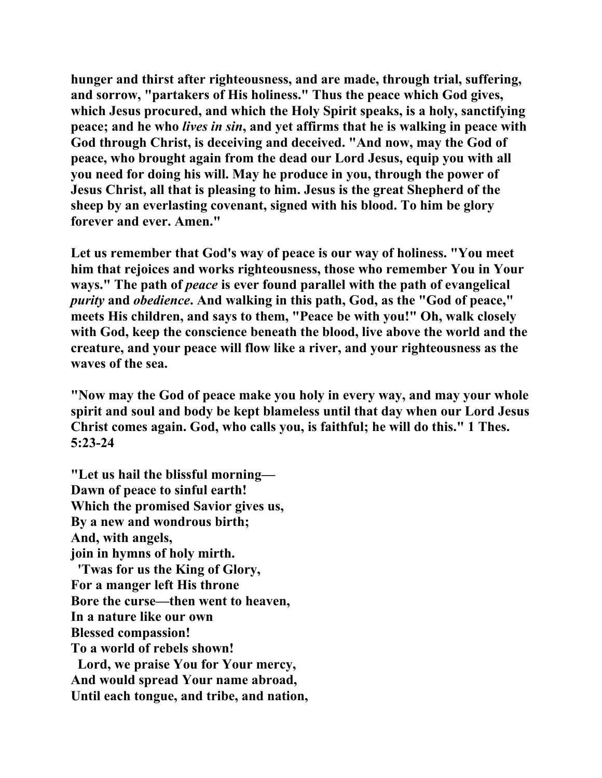**hunger and thirst after righteousness, and are made, through trial, suffering, and sorrow, "partakers of His holiness." Thus the peace which God gives, which Jesus procured, and which the Holy Spirit speaks, is a holy, sanctifying peace; and he who** *lives in sin***, and yet affirms that he is walking in peace with God through Christ, is deceiving and deceived. "And now, may the God of peace, who brought again from the dead our Lord Jesus, equip you with all you need for doing his will. May he produce in you, through the power of Jesus Christ, all that is pleasing to him. Jesus is the great Shepherd of the sheep by an everlasting covenant, signed with his blood. To him be glory forever and ever. Amen."** 

**Let us remember that God's way of peace is our way of holiness. "You meet him that rejoices and works righteousness, those who remember You in Your ways.**" The path of *peace* is ever found parallel with the path of evangelical *purity* **and** *obedience***. And walking in this path, God, as the "God of peace," meets His children, and says to them, "Peace be with you!" Oh, walk closely with God, keep the conscience beneath the blood, live above the world and the creature, and your peace will flow like a river, and your righteousness as the waves of the sea.** 

**"Now may the God of peace make you holy in every way, and may your whole spirit and soul and body be kept blameless until that day when our Lord Jesus Christ comes again. God, who calls you, is faithful; he will do this." 1 Thes. 5:23-24** 

**"Let us hail the blissful morning— Dawn of peace to sinful earth! Which the promised Savior gives us, By a new and wondrous birth; And, with angels, join in hymns of holy mirth. 'Twas for us the King of Glory, For a manger left His throne Bore the curse—then went to heaven, In a nature like our own Blessed compassion! To a world of rebels shown! Lord, we praise You for Your mercy, And would spread Your name abroad, Until each tongue, and tribe, and nation,**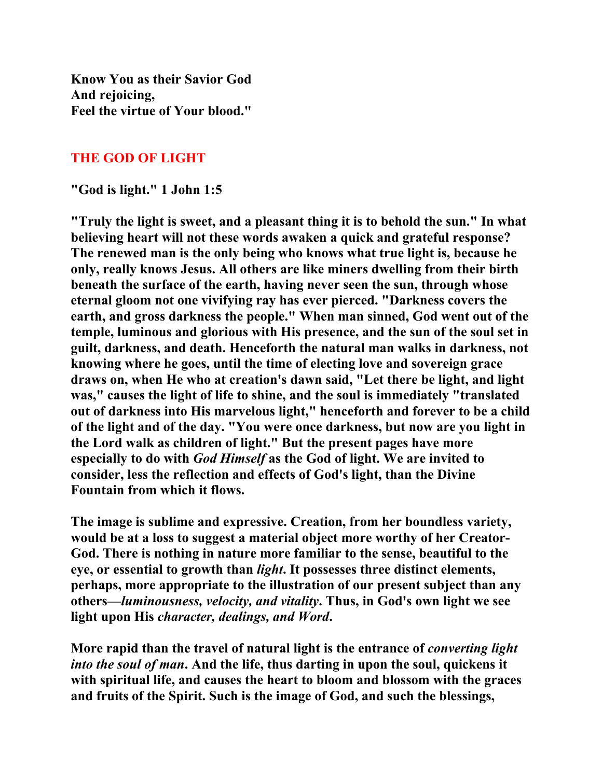**Know You as their Savior God And rejoicing, Feel the virtue of Your blood."** 

## **THE GOD OF LIGHT**

**"God is light." 1 John 1:5** 

**"Truly the light is sweet, and a pleasant thing it is to behold the sun." In what believing heart will not these words awaken a quick and grateful response? The renewed man is the only being who knows what true light is, because he only, really knows Jesus. All others are like miners dwelling from their birth beneath the surface of the earth, having never seen the sun, through whose eternal gloom not one vivifying ray has ever pierced. "Darkness covers the earth, and gross darkness the people." When man sinned, God went out of the temple, luminous and glorious with His presence, and the sun of the soul set in guilt, darkness, and death. Henceforth the natural man walks in darkness, not knowing where he goes, until the time of electing love and sovereign grace draws on, when He who at creation's dawn said, "Let there be light, and light was," causes the light of life to shine, and the soul is immediately "translated out of darkness into His marvelous light," henceforth and forever to be a child of the light and of the day. "You were once darkness, but now are you light in the Lord walk as children of light." But the present pages have more especially to do with** *God Himself* **as the God of light. We are invited to consider, less the reflection and effects of God's light, than the Divine Fountain from which it flows.** 

**The image is sublime and expressive. Creation, from her boundless variety, would be at a loss to suggest a material object more worthy of her Creator-God. There is nothing in nature more familiar to the sense, beautiful to the eye, or essential to growth than** *light***. It possesses three distinct elements, perhaps, more appropriate to the illustration of our present subject than any others—***luminousness, velocity, and vitality***. Thus, in God's own light we see light upon His** *character, dealings, and Word***.** 

**More rapid than the travel of natural light is the entrance of** *converting light into the soul of man***. And the life, thus darting in upon the soul, quickens it with spiritual life, and causes the heart to bloom and blossom with the graces and fruits of the Spirit. Such is the image of God, and such the blessings,**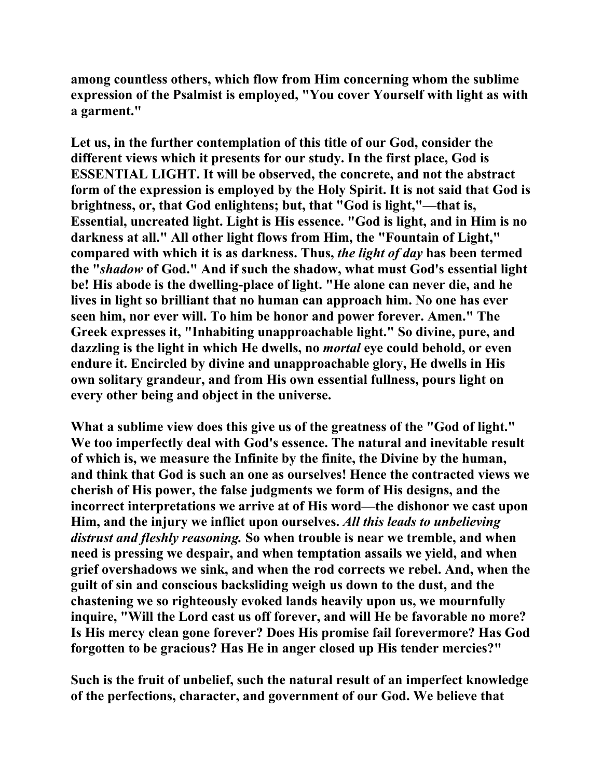**among countless others, which flow from Him concerning whom the sublime expression of the Psalmist is employed, "You cover Yourself with light as with a garment."** 

**Let us, in the further contemplation of this title of our God, consider the different views which it presents for our study. In the first place, God is ESSENTIAL LIGHT. It will be observed, the concrete, and not the abstract form of the expression is employed by the Holy Spirit. It is not said that God is brightness, or, that God enlightens; but, that "God is light,"—that is, Essential, uncreated light. Light is His essence. "God is light, and in Him is no darkness at all." All other light flows from Him, the "Fountain of Light," compared with which it is as darkness. Thus,** *the light of day* **has been termed the "***shadow* **of God." And if such the shadow, what must God's essential light be! His abode is the dwelling-place of light. "He alone can never die, and he lives in light so brilliant that no human can approach him. No one has ever seen him, nor ever will. To him be honor and power forever. Amen." The Greek expresses it, "Inhabiting unapproachable light." So divine, pure, and dazzling is the light in which He dwells, no** *mortal* **eye could behold, or even endure it. Encircled by divine and unapproachable glory, He dwells in His own solitary grandeur, and from His own essential fullness, pours light on every other being and object in the universe.** 

**What a sublime view does this give us of the greatness of the "God of light." We too imperfectly deal with God's essence. The natural and inevitable result of which is, we measure the Infinite by the finite, the Divine by the human, and think that God is such an one as ourselves! Hence the contracted views we cherish of His power, the false judgments we form of His designs, and the incorrect interpretations we arrive at of His word—the dishonor we cast upon Him, and the injury we inflict upon ourselves.** *All this leads to unbelieving distrust and fleshly reasoning.* **So when trouble is near we tremble, and when need is pressing we despair, and when temptation assails we yield, and when grief overshadows we sink, and when the rod corrects we rebel. And, when the guilt of sin and conscious backsliding weigh us down to the dust, and the chastening we so righteously evoked lands heavily upon us, we mournfully inquire, "Will the Lord cast us off forever, and will He be favorable no more? Is His mercy clean gone forever? Does His promise fail forevermore? Has God forgotten to be gracious? Has He in anger closed up His tender mercies?"** 

**Such is the fruit of unbelief, such the natural result of an imperfect knowledge of the perfections, character, and government of our God. We believe that**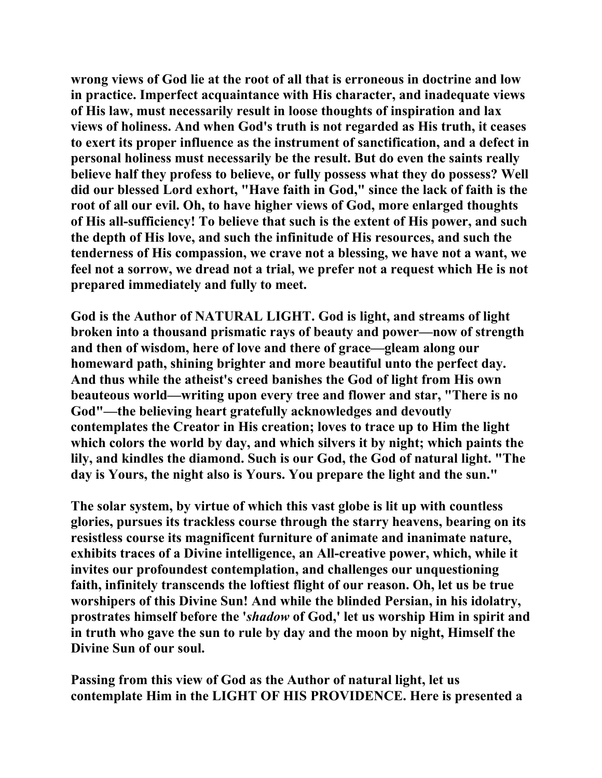**wrong views of God lie at the root of all that is erroneous in doctrine and low in practice. Imperfect acquaintance with His character, and inadequate views of His law, must necessarily result in loose thoughts of inspiration and lax views of holiness. And when God's truth is not regarded as His truth, it ceases to exert its proper influence as the instrument of sanctification, and a defect in personal holiness must necessarily be the result. But do even the saints really believe half they profess to believe, or fully possess what they do possess? Well did our blessed Lord exhort, "Have faith in God," since the lack of faith is the root of all our evil. Oh, to have higher views of God, more enlarged thoughts of His all-sufficiency! To believe that such is the extent of His power, and such the depth of His love, and such the infinitude of His resources, and such the tenderness of His compassion, we crave not a blessing, we have not a want, we feel not a sorrow, we dread not a trial, we prefer not a request which He is not prepared immediately and fully to meet.** 

**God is the Author of NATURAL LIGHT. God is light, and streams of light broken into a thousand prismatic rays of beauty and power—now of strength and then of wisdom, here of love and there of grace—gleam along our homeward path, shining brighter and more beautiful unto the perfect day. And thus while the atheist's creed banishes the God of light from His own beauteous world—writing upon every tree and flower and star, "There is no God"—the believing heart gratefully acknowledges and devoutly contemplates the Creator in His creation; loves to trace up to Him the light which colors the world by day, and which silvers it by night; which paints the lily, and kindles the diamond. Such is our God, the God of natural light. "The day is Yours, the night also is Yours. You prepare the light and the sun."** 

**The solar system, by virtue of which this vast globe is lit up with countless glories, pursues its trackless course through the starry heavens, bearing on its resistless course its magnificent furniture of animate and inanimate nature, exhibits traces of a Divine intelligence, an All-creative power, which, while it invites our profoundest contemplation, and challenges our unquestioning faith, infinitely transcends the loftiest flight of our reason. Oh, let us be true worshipers of this Divine Sun! And while the blinded Persian, in his idolatry, prostrates himself before the '***shadow* **of God,' let us worship Him in spirit and in truth who gave the sun to rule by day and the moon by night, Himself the Divine Sun of our soul.** 

**Passing from this view of God as the Author of natural light, let us contemplate Him in the LIGHT OF HIS PROVIDENCE. Here is presented a**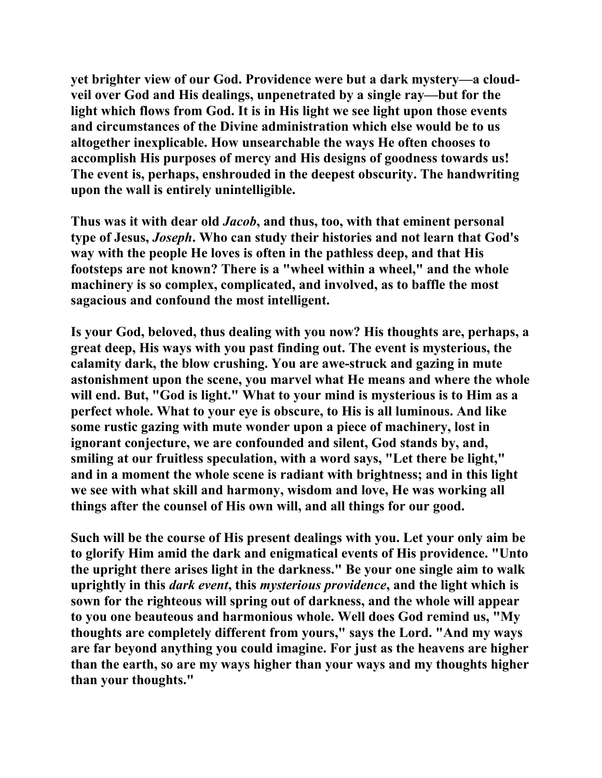**yet brighter view of our God. Providence were but a dark mystery—a cloudveil over God and His dealings, unpenetrated by a single ray—but for the light which flows from God. It is in His light we see light upon those events and circumstances of the Divine administration which else would be to us altogether inexplicable. How unsearchable the ways He often chooses to accomplish His purposes of mercy and His designs of goodness towards us! The event is, perhaps, enshrouded in the deepest obscurity. The handwriting upon the wall is entirely unintelligible.** 

**Thus was it with dear old** *Jacob***, and thus, too, with that eminent personal type of Jesus,** *Joseph***. Who can study their histories and not learn that God's way with the people He loves is often in the pathless deep, and that His footsteps are not known? There is a "wheel within a wheel," and the whole machinery is so complex, complicated, and involved, as to baffle the most sagacious and confound the most intelligent.** 

**Is your God, beloved, thus dealing with you now? His thoughts are, perhaps, a great deep, His ways with you past finding out. The event is mysterious, the calamity dark, the blow crushing. You are awe-struck and gazing in mute astonishment upon the scene, you marvel what He means and where the whole will end. But, "God is light." What to your mind is mysterious is to Him as a perfect whole. What to your eye is obscure, to His is all luminous. And like some rustic gazing with mute wonder upon a piece of machinery, lost in ignorant conjecture, we are confounded and silent, God stands by, and, smiling at our fruitless speculation, with a word says, "Let there be light," and in a moment the whole scene is radiant with brightness; and in this light we see with what skill and harmony, wisdom and love, He was working all things after the counsel of His own will, and all things for our good.** 

**Such will be the course of His present dealings with you. Let your only aim be to glorify Him amid the dark and enigmatical events of His providence. "Unto the upright there arises light in the darkness." Be your one single aim to walk uprightly in this** *dark event***, this** *mysterious providence***, and the light which is sown for the righteous will spring out of darkness, and the whole will appear to you one beauteous and harmonious whole. Well does God remind us, "My thoughts are completely different from yours," says the Lord. "And my ways are far beyond anything you could imagine. For just as the heavens are higher than the earth, so are my ways higher than your ways and my thoughts higher than your thoughts."**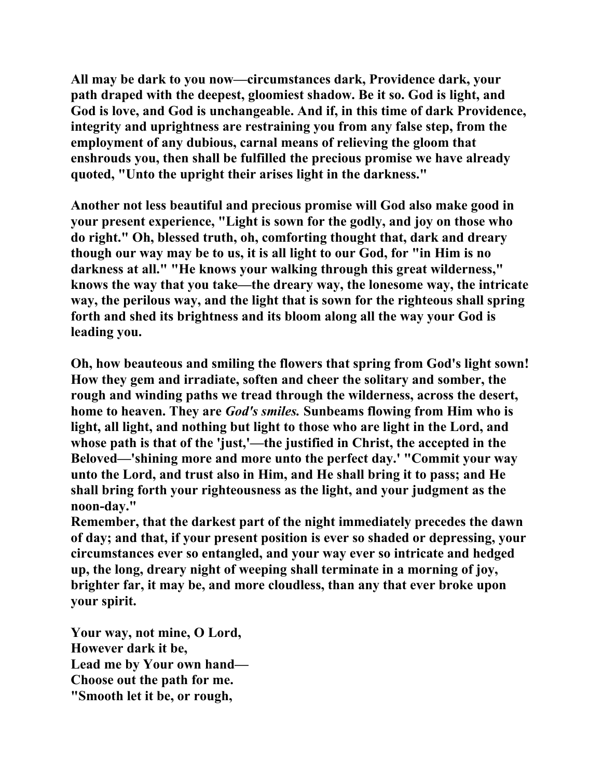**All may be dark to you now—circumstances dark, Providence dark, your path draped with the deepest, gloomiest shadow. Be it so. God is light, and God is love, and God is unchangeable. And if, in this time of dark Providence, integrity and uprightness are restraining you from any false step, from the employment of any dubious, carnal means of relieving the gloom that enshrouds you, then shall be fulfilled the precious promise we have already quoted, "Unto the upright their arises light in the darkness."** 

**Another not less beautiful and precious promise will God also make good in your present experience, "Light is sown for the godly, and joy on those who do right." Oh, blessed truth, oh, comforting thought that, dark and dreary though our way may be to us, it is all light to our God, for "in Him is no darkness at all." "He knows your walking through this great wilderness," knows the way that you take—the dreary way, the lonesome way, the intricate way, the perilous way, and the light that is sown for the righteous shall spring forth and shed its brightness and its bloom along all the way your God is leading you.** 

**Oh, how beauteous and smiling the flowers that spring from God's light sown! How they gem and irradiate, soften and cheer the solitary and somber, the rough and winding paths we tread through the wilderness, across the desert, home to heaven. They are** *God's smiles.* **Sunbeams flowing from Him who is light, all light, and nothing but light to those who are light in the Lord, and whose path is that of the 'just,'—the justified in Christ, the accepted in the Beloved—'shining more and more unto the perfect day.' "Commit your way unto the Lord, and trust also in Him, and He shall bring it to pass; and He shall bring forth your righteousness as the light, and your judgment as the noon-day."** 

**Remember, that the darkest part of the night immediately precedes the dawn of day; and that, if your present position is ever so shaded or depressing, your circumstances ever so entangled, and your way ever so intricate and hedged up, the long, dreary night of weeping shall terminate in a morning of joy, brighter far, it may be, and more cloudless, than any that ever broke upon your spirit.** 

**Your way, not mine, O Lord, However dark it be, Lead me by Your own hand— Choose out the path for me. "Smooth let it be, or rough,**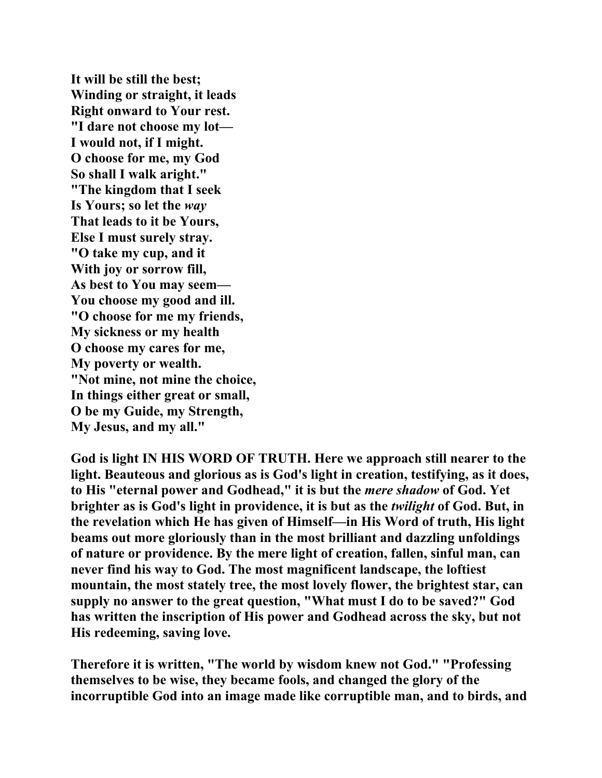**It will be still the best; Winding or straight, it leads Right onward to Your rest. "I dare not choose my lot— I would not, if I might. O choose for me, my God So shall I walk aright." "The kingdom that I seek Is Yours; so let the** *way* **That leads to it be Yours, Else I must surely stray. "O take my cup, and it With joy or sorrow fill, As best to You may seem— You choose my good and ill. "O choose for me my friends, My sickness or my health O choose my cares for me, My poverty or wealth. "Not mine, not mine the choice, In things either great or small, O be my Guide, my Strength, My Jesus, and my all."** 

**God is light IN HIS WORD OF TRUTH. Here we approach still nearer to the light. Beauteous and glorious as is God's light in creation, testifying, as it does, to His "eternal power and Godhead," it is but the** *mere shadow* **of God. Yet brighter as is God's light in providence, it is but as the** *twilight* **of God. But, in the revelation which He has given of Himself—in His Word of truth, His light beams out more gloriously than in the most brilliant and dazzling unfoldings of nature or providence. By the mere light of creation, fallen, sinful man, can never find his way to God. The most magnificent landscape, the loftiest mountain, the most stately tree, the most lovely flower, the brightest star, can supply no answer to the great question, "What must I do to be saved?" God has written the inscription of His power and Godhead across the sky, but not His redeeming, saving love.** 

**Therefore it is written, "The world by wisdom knew not God." "Professing themselves to be wise, they became fools, and changed the glory of the incorruptible God into an image made like corruptible man, and to birds, and**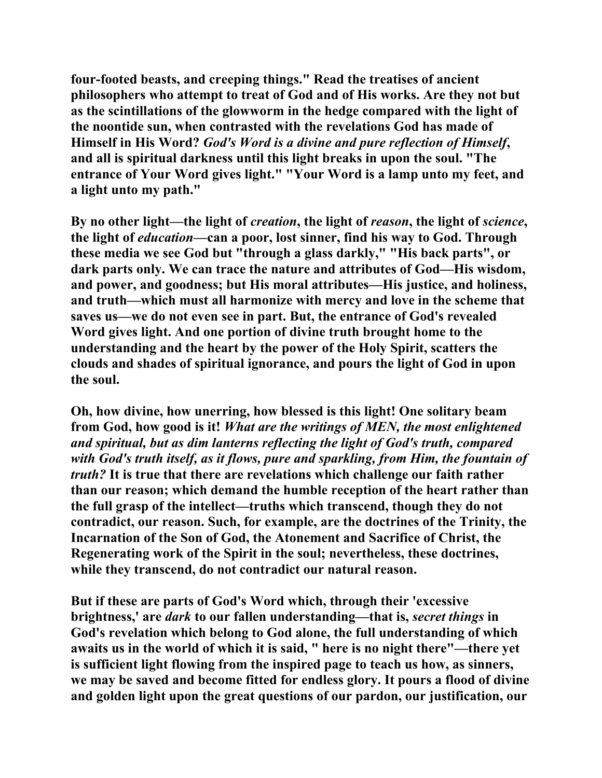**four-footed beasts, and creeping things." Read the treatises of ancient philosophers who attempt to treat of God and of His works. Are they not but as the scintillations of the glowworm in the hedge compared with the light of the noontide sun, when contrasted with the revelations God has made of Himself in His Word?** *God's Word is a divine and pure reflection of Himself***, and all is spiritual darkness until this light breaks in upon the soul. "The entrance of Your Word gives light." "Your Word is a lamp unto my feet, and a light unto my path."** 

**By no other light—the light of** *creation***, the light of** *reason***, the light of** *science***, the light of** *education***—can a poor, lost sinner, find his way to God. Through these media we see God but "through a glass darkly," "His back parts", or dark parts only. We can trace the nature and attributes of God—His wisdom, and power, and goodness; but His moral attributes—His justice, and holiness, and truth—which must all harmonize with mercy and love in the scheme that saves us—we do not even see in part. But, the entrance of God's revealed Word gives light. And one portion of divine truth brought home to the understanding and the heart by the power of the Holy Spirit, scatters the clouds and shades of spiritual ignorance, and pours the light of God in upon the soul.** 

**Oh, how divine, how unerring, how blessed is this light! One solitary beam from God, how good is it!** *What are the writings of MEN, the most enlightened and spiritual, but as dim lanterns reflecting the light of God's truth, compared with God's truth itself, as it flows, pure and sparkling, from Him, the fountain of truth?* **It is true that there are revelations which challenge our faith rather than our reason; which demand the humble reception of the heart rather than the full grasp of the intellect—truths which transcend, though they do not contradict, our reason. Such, for example, are the doctrines of the Trinity, the Incarnation of the Son of God, the Atonement and Sacrifice of Christ, the Regenerating work of the Spirit in the soul; nevertheless, these doctrines, while they transcend, do not contradict our natural reason.** 

**But if these are parts of God's Word which, through their 'excessive brightness,' are** *dark* **to our fallen understanding—that is,** *secret things* **in God's revelation which belong to God alone, the full understanding of which awaits us in the world of which it is said, " here is no night there"—there yet is sufficient light flowing from the inspired page to teach us how, as sinners, we may be saved and become fitted for endless glory. It pours a flood of divine and golden light upon the great questions of our pardon, our justification, our**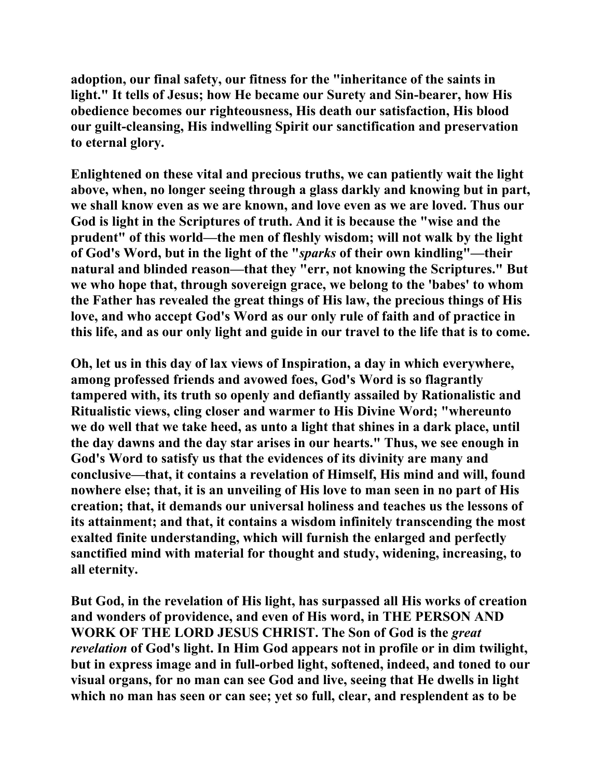**adoption, our final safety, our fitness for the "inheritance of the saints in light." It tells of Jesus; how He became our Surety and Sin-bearer, how His obedience becomes our righteousness, His death our satisfaction, His blood our guilt-cleansing, His indwelling Spirit our sanctification and preservation to eternal glory.** 

**Enlightened on these vital and precious truths, we can patiently wait the light above, when, no longer seeing through a glass darkly and knowing but in part, we shall know even as we are known, and love even as we are loved. Thus our God is light in the Scriptures of truth. And it is because the "wise and the prudent" of this world—the men of fleshly wisdom; will not walk by the light of God's Word, but in the light of the "***sparks* **of their own kindling"—their natural and blinded reason—that they "err, not knowing the Scriptures." But we who hope that, through sovereign grace, we belong to the 'babes' to whom the Father has revealed the great things of His law, the precious things of His love, and who accept God's Word as our only rule of faith and of practice in this life, and as our only light and guide in our travel to the life that is to come.** 

**Oh, let us in this day of lax views of Inspiration, a day in which everywhere, among professed friends and avowed foes, God's Word is so flagrantly tampered with, its truth so openly and defiantly assailed by Rationalistic and Ritualistic views, cling closer and warmer to His Divine Word; "whereunto we do well that we take heed, as unto a light that shines in a dark place, until the day dawns and the day star arises in our hearts." Thus, we see enough in God's Word to satisfy us that the evidences of its divinity are many and conclusive—that, it contains a revelation of Himself, His mind and will, found nowhere else; that, it is an unveiling of His love to man seen in no part of His creation; that, it demands our universal holiness and teaches us the lessons of its attainment; and that, it contains a wisdom infinitely transcending the most exalted finite understanding, which will furnish the enlarged and perfectly sanctified mind with material for thought and study, widening, increasing, to all eternity.** 

**But God, in the revelation of His light, has surpassed all His works of creation and wonders of providence, and even of His word, in THE PERSON AND WORK OF THE LORD JESUS CHRIST. The Son of God is the** *great revelation* **of God's light. In Him God appears not in profile or in dim twilight, but in express image and in full-orbed light, softened, indeed, and toned to our visual organs, for no man can see God and live, seeing that He dwells in light which no man has seen or can see; yet so full, clear, and resplendent as to be**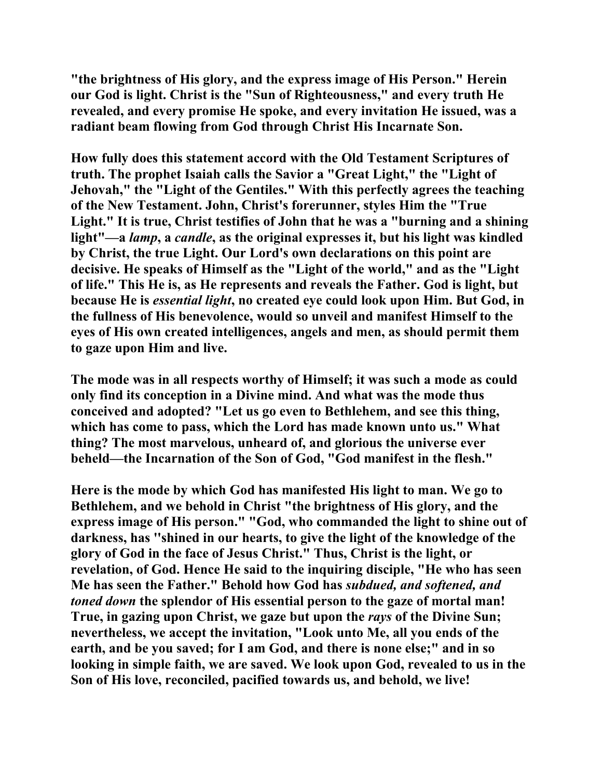**"the brightness of His glory, and the express image of His Person." Herein our God is light. Christ is the "Sun of Righteousness," and every truth He revealed, and every promise He spoke, and every invitation He issued, was a radiant beam flowing from God through Christ His Incarnate Son.** 

**How fully does this statement accord with the Old Testament Scriptures of truth. The prophet Isaiah calls the Savior a "Great Light," the "Light of Jehovah," the "Light of the Gentiles." With this perfectly agrees the teaching of the New Testament. John, Christ's forerunner, styles Him the "True Light." It is true, Christ testifies of John that he was a "burning and a shining light"—a** *lamp***, a** *candle***, as the original expresses it, but his light was kindled by Christ, the true Light. Our Lord's own declarations on this point are decisive. He speaks of Himself as the "Light of the world," and as the "Light of life." This He is, as He represents and reveals the Father. God is light, but because He is** *essential light***, no created eye could look upon Him. But God, in the fullness of His benevolence, would so unveil and manifest Himself to the eyes of His own created intelligences, angels and men, as should permit them to gaze upon Him and live.** 

**The mode was in all respects worthy of Himself; it was such a mode as could only find its conception in a Divine mind. And what was the mode thus conceived and adopted? "Let us go even to Bethlehem, and see this thing, which has come to pass, which the Lord has made known unto us." What thing? The most marvelous, unheard of, and glorious the universe ever beheld—the Incarnation of the Son of God, "God manifest in the flesh."** 

**Here is the mode by which God has manifested His light to man. We go to Bethlehem, and we behold in Christ "the brightness of His glory, and the express image of His person." "God, who commanded the light to shine out of darkness, has ''shined in our hearts, to give the light of the knowledge of the glory of God in the face of Jesus Christ." Thus, Christ is the light, or revelation, of God. Hence He said to the inquiring disciple, "He who has seen Me has seen the Father." Behold how God has** *subdued, and softened, and toned down* **the splendor of His essential person to the gaze of mortal man! True, in gazing upon Christ, we gaze but upon the** *rays* **of the Divine Sun; nevertheless, we accept the invitation, "Look unto Me, all you ends of the earth, and be you saved; for I am God, and there is none else;" and in so looking in simple faith, we are saved. We look upon God, revealed to us in the Son of His love, reconciled, pacified towards us, and behold, we live!**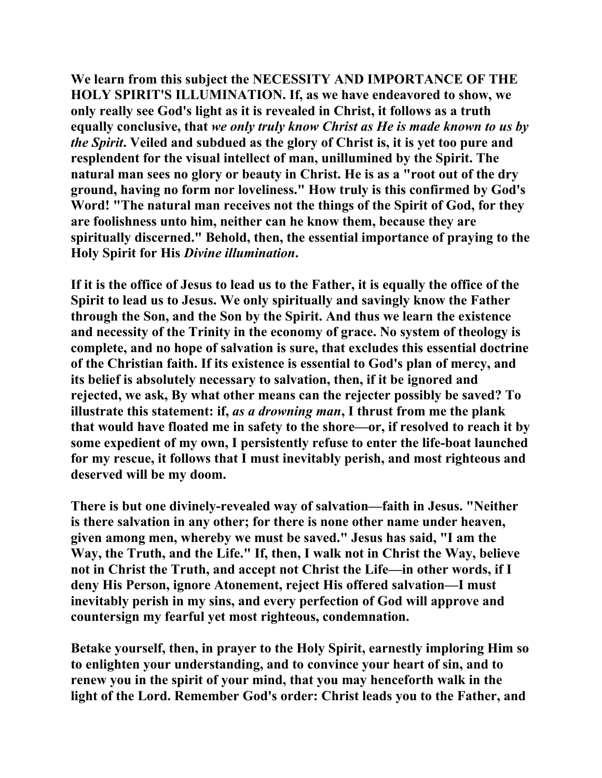**We learn from this subject the NECESSITY AND IMPORTANCE OF THE HOLY SPIRIT'S ILLUMINATION. If, as we have endeavored to show, we only really see God's light as it is revealed in Christ, it follows as a truth equally conclusive, that** *we only truly know Christ as He is made known to us by the Spirit***. Veiled and subdued as the glory of Christ is, it is yet too pure and resplendent for the visual intellect of man, unillumined by the Spirit. The natural man sees no glory or beauty in Christ. He is as a "root out of the dry ground, having no form nor loveliness." How truly is this confirmed by God's Word! "The natural man receives not the things of the Spirit of God, for they are foolishness unto him, neither can he know them, because they are spiritually discerned." Behold, then, the essential importance of praying to the Holy Spirit for His** *Divine illumination***.** 

**If it is the office of Jesus to lead us to the Father, it is equally the office of the Spirit to lead us to Jesus. We only spiritually and savingly know the Father through the Son, and the Son by the Spirit. And thus we learn the existence and necessity of the Trinity in the economy of grace. No system of theology is complete, and no hope of salvation is sure, that excludes this essential doctrine of the Christian faith. If its existence is essential to God's plan of mercy, and its belief is absolutely necessary to salvation, then, if it be ignored and rejected, we ask, By what other means can the rejecter possibly be saved? To illustrate this statement: if,** *as a drowning man***, I thrust from me the plank that would have floated me in safety to the shore—or, if resolved to reach it by some expedient of my own, I persistently refuse to enter the life-boat launched for my rescue, it follows that I must inevitably perish, and most righteous and deserved will be my doom.** 

**There is but one divinely-revealed way of salvation—faith in Jesus. "Neither is there salvation in any other; for there is none other name under heaven, given among men, whereby we must be saved." Jesus has said, "I am the Way, the Truth, and the Life." If, then, I walk not in Christ the Way, believe not in Christ the Truth, and accept not Christ the Life—in other words, if I deny His Person, ignore Atonement, reject His offered salvation—I must inevitably perish in my sins, and every perfection of God will approve and countersign my fearful yet most righteous, condemnation.** 

**Betake yourself, then, in prayer to the Holy Spirit, earnestly imploring Him so to enlighten your understanding, and to convince your heart of sin, and to renew you in the spirit of your mind, that you may henceforth walk in the light of the Lord. Remember God's order: Christ leads you to the Father, and**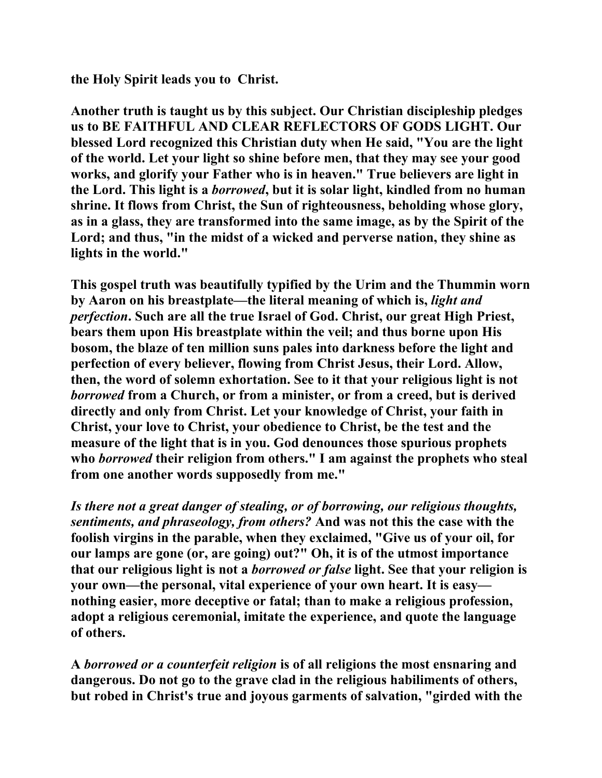**the Holy Spirit leads you to Christ.** 

**Another truth is taught us by this subject. Our Christian discipleship pledges us to BE FAITHFUL AND CLEAR REFLECTORS OF GODS LIGHT. Our blessed Lord recognized this Christian duty when He said, "You are the light of the world. Let your light so shine before men, that they may see your good works, and glorify your Father who is in heaven." True believers are light in the Lord. This light is a** *borrowed***, but it is solar light, kindled from no human shrine. It flows from Christ, the Sun of righteousness, beholding whose glory, as in a glass, they are transformed into the same image, as by the Spirit of the Lord; and thus, "in the midst of a wicked and perverse nation, they shine as lights in the world."** 

**This gospel truth was beautifully typified by the Urim and the Thummin worn by Aaron on his breastplate—the literal meaning of which is,** *light and perfection***. Such are all the true Israel of God. Christ, our great High Priest, bears them upon His breastplate within the veil; and thus borne upon His bosom, the blaze of ten million suns pales into darkness before the light and perfection of every believer, flowing from Christ Jesus, their Lord. Allow, then, the word of solemn exhortation. See to it that your religious light is not**  *borrowed* **from a Church, or from a minister, or from a creed, but is derived directly and only from Christ. Let your knowledge of Christ, your faith in Christ, your love to Christ, your obedience to Christ, be the test and the measure of the light that is in you. God denounces those spurious prophets who** *borrowed* **their religion from others." I am against the prophets who steal from one another words supposedly from me."** 

*Is there not a great danger of stealing, or of borrowing, our religious thoughts, sentiments, and phraseology, from others?* **And was not this the case with the foolish virgins in the parable, when they exclaimed, "Give us of your oil, for our lamps are gone (or, are going) out?" Oh, it is of the utmost importance that our religious light is not a** *borrowed or false* **light. See that your religion is your own—the personal, vital experience of your own heart. It is easy nothing easier, more deceptive or fatal; than to make a religious profession, adopt a religious ceremonial, imitate the experience, and quote the language of others.** 

**A** *borrowed or a counterfeit religion* **is of all religions the most ensnaring and dangerous. Do not go to the grave clad in the religious habiliments of others, but robed in Christ's true and joyous garments of salvation, "girded with the**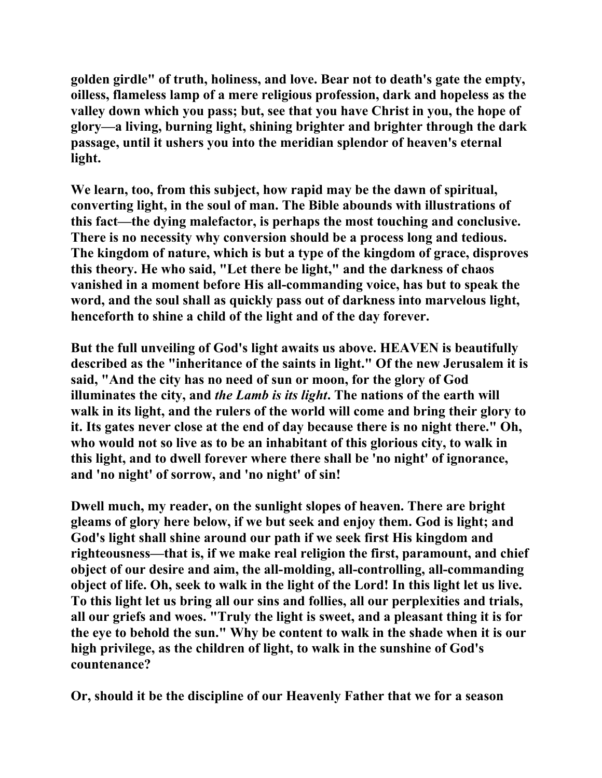**golden girdle" of truth, holiness, and love. Bear not to death's gate the empty, oilless, flameless lamp of a mere religious profession, dark and hopeless as the valley down which you pass; but, see that you have Christ in you, the hope of glory—a living, burning light, shining brighter and brighter through the dark passage, until it ushers you into the meridian splendor of heaven's eternal light.** 

**We learn, too, from this subject, how rapid may be the dawn of spiritual, converting light, in the soul of man. The Bible abounds with illustrations of this fact—the dying malefactor, is perhaps the most touching and conclusive. There is no necessity why conversion should be a process long and tedious. The kingdom of nature, which is but a type of the kingdom of grace, disproves this theory. He who said, "Let there be light," and the darkness of chaos vanished in a moment before His all-commanding voice, has but to speak the word, and the soul shall as quickly pass out of darkness into marvelous light, henceforth to shine a child of the light and of the day forever.** 

**But the full unveiling of God's light awaits us above. HEAVEN is beautifully described as the "inheritance of the saints in light." Of the new Jerusalem it is said, "And the city has no need of sun or moon, for the glory of God illuminates the city, and** *the Lamb is its light***. The nations of the earth will walk in its light, and the rulers of the world will come and bring their glory to it. Its gates never close at the end of day because there is no night there." Oh, who would not so live as to be an inhabitant of this glorious city, to walk in this light, and to dwell forever where there shall be 'no night' of ignorance, and 'no night' of sorrow, and 'no night' of sin!** 

**Dwell much, my reader, on the sunlight slopes of heaven. There are bright gleams of glory here below, if we but seek and enjoy them. God is light; and God's light shall shine around our path if we seek first His kingdom and righteousness—that is, if we make real religion the first, paramount, and chief object of our desire and aim, the all-molding, all-controlling, all-commanding object of life. Oh, seek to walk in the light of the Lord! In this light let us live. To this light let us bring all our sins and follies, all our perplexities and trials, all our griefs and woes. "Truly the light is sweet, and a pleasant thing it is for the eye to behold the sun." Why be content to walk in the shade when it is our high privilege, as the children of light, to walk in the sunshine of God's countenance?** 

**Or, should it be the discipline of our Heavenly Father that we for a season**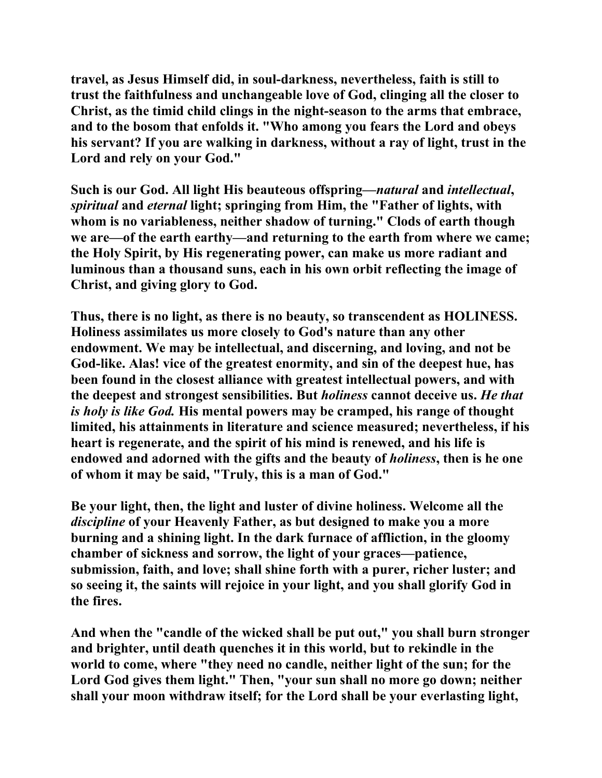**travel, as Jesus Himself did, in soul-darkness, nevertheless, faith is still to trust the faithfulness and unchangeable love of God, clinging all the closer to Christ, as the timid child clings in the night-season to the arms that embrace, and to the bosom that enfolds it. "Who among you fears the Lord and obeys his servant? If you are walking in darkness, without a ray of light, trust in the Lord and rely on your God."** 

**Such is our God. All light His beauteous offspring—***natural* **and** *intellectual***,**  *spiritual* **and** *eternal* **light; springing from Him, the "Father of lights, with whom is no variableness, neither shadow of turning." Clods of earth though we are—of the earth earthy—and returning to the earth from where we came; the Holy Spirit, by His regenerating power, can make us more radiant and luminous than a thousand suns, each in his own orbit reflecting the image of Christ, and giving glory to God.** 

**Thus, there is no light, as there is no beauty, so transcendent as HOLINESS. Holiness assimilates us more closely to God's nature than any other endowment. We may be intellectual, and discerning, and loving, and not be God-like. Alas! vice of the greatest enormity, and sin of the deepest hue, has been found in the closest alliance with greatest intellectual powers, and with the deepest and strongest sensibilities. But** *holiness* **cannot deceive us.** *He that is holy is like God.* **His mental powers may be cramped, his range of thought limited, his attainments in literature and science measured; nevertheless, if his heart is regenerate, and the spirit of his mind is renewed, and his life is endowed and adorned with the gifts and the beauty of** *holiness***, then is he one of whom it may be said, "Truly, this is a man of God."** 

**Be your light, then, the light and luster of divine holiness. Welcome all the**  *discipline* **of your Heavenly Father, as but designed to make you a more burning and a shining light. In the dark furnace of affliction, in the gloomy chamber of sickness and sorrow, the light of your graces—patience, submission, faith, and love; shall shine forth with a purer, richer luster; and so seeing it, the saints will rejoice in your light, and you shall glorify God in the fires.** 

**And when the "candle of the wicked shall be put out," you shall burn stronger and brighter, until death quenches it in this world, but to rekindle in the world to come, where "they need no candle, neither light of the sun; for the Lord God gives them light." Then, "your sun shall no more go down; neither shall your moon withdraw itself; for the Lord shall be your everlasting light,**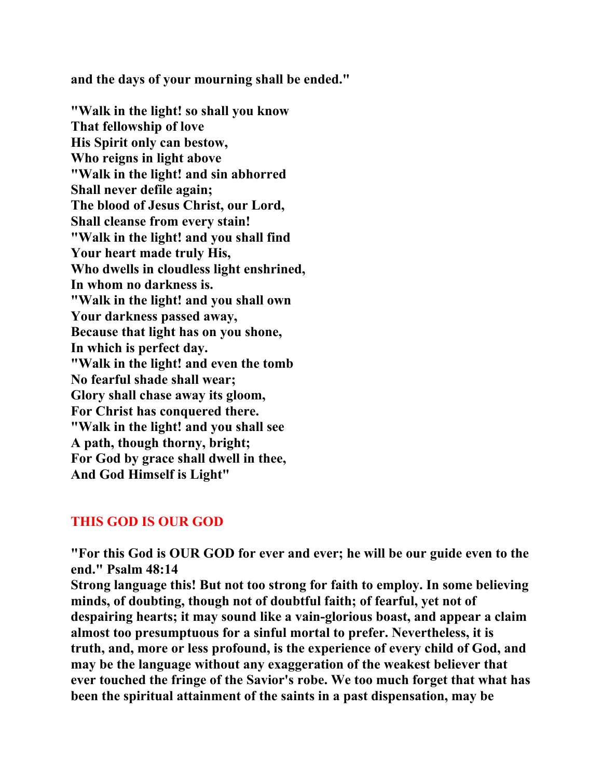**and the days of your mourning shall be ended."** 

**"Walk in the light! so shall you know That fellowship of love His Spirit only can bestow, Who reigns in light above "Walk in the light! and sin abhorred Shall never defile again; The blood of Jesus Christ, our Lord, Shall cleanse from every stain! "Walk in the light! and you shall find Your heart made truly His, Who dwells in cloudless light enshrined, In whom no darkness is. "Walk in the light! and you shall own Your darkness passed away, Because that light has on you shone, In which is perfect day. "Walk in the light! and even the tomb No fearful shade shall wear; Glory shall chase away its gloom, For Christ has conquered there. "Walk in the light! and you shall see A path, though thorny, bright; For God by grace shall dwell in thee, And God Himself is Light"** 

## **THIS GOD IS OUR GOD**

**"For this God is OUR GOD for ever and ever; he will be our guide even to the end." Psalm 48:14** 

**Strong language this! But not too strong for faith to employ. In some believing minds, of doubting, though not of doubtful faith; of fearful, yet not of despairing hearts; it may sound like a vain-glorious boast, and appear a claim almost too presumptuous for a sinful mortal to prefer. Nevertheless, it is truth, and, more or less profound, is the experience of every child of God, and may be the language without any exaggeration of the weakest believer that ever touched the fringe of the Savior's robe. We too much forget that what has been the spiritual attainment of the saints in a past dispensation, may be**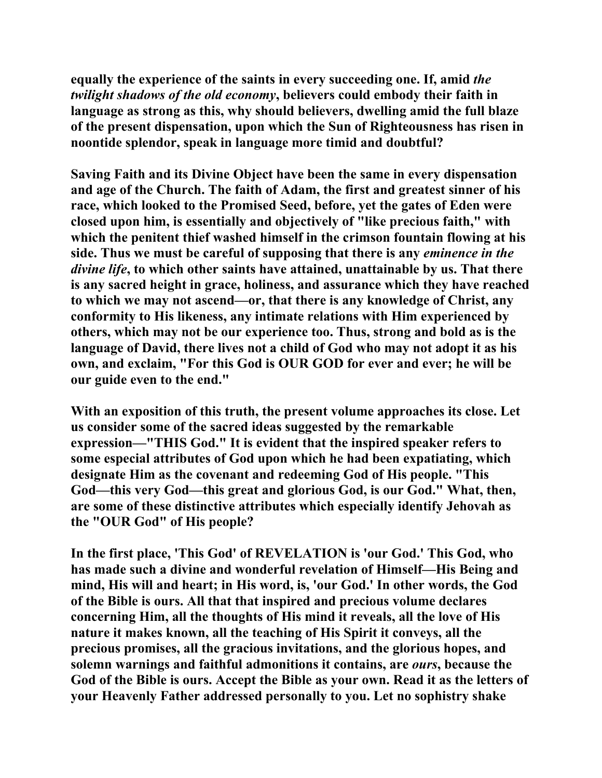**equally the experience of the saints in every succeeding one. If, amid** *the twilight shadows of the old economy***, believers could embody their faith in language as strong as this, why should believers, dwelling amid the full blaze of the present dispensation, upon which the Sun of Righteousness has risen in noontide splendor, speak in language more timid and doubtful?** 

**Saving Faith and its Divine Object have been the same in every dispensation and age of the Church. The faith of Adam, the first and greatest sinner of his race, which looked to the Promised Seed, before, yet the gates of Eden were closed upon him, is essentially and objectively of "like precious faith," with which the penitent thief washed himself in the crimson fountain flowing at his side. Thus we must be careful of supposing that there is any** *eminence in the divine life***, to which other saints have attained, unattainable by us. That there is any sacred height in grace, holiness, and assurance which they have reached to which we may not ascend—or, that there is any knowledge of Christ, any conformity to His likeness, any intimate relations with Him experienced by others, which may not be our experience too. Thus, strong and bold as is the language of David, there lives not a child of God who may not adopt it as his own, and exclaim, "For this God is OUR GOD for ever and ever; he will be our guide even to the end."** 

**With an exposition of this truth, the present volume approaches its close. Let us consider some of the sacred ideas suggested by the remarkable expression—"THIS God." It is evident that the inspired speaker refers to some especial attributes of God upon which he had been expatiating, which designate Him as the covenant and redeeming God of His people. "This God—this very God—this great and glorious God, is our God." What, then, are some of these distinctive attributes which especially identify Jehovah as the "OUR God" of His people?** 

**In the first place, 'This God' of REVELATION is 'our God.' This God, who has made such a divine and wonderful revelation of Himself—His Being and mind, His will and heart; in His word, is, 'our God.' In other words, the God of the Bible is ours. All that that inspired and precious volume declares concerning Him, all the thoughts of His mind it reveals, all the love of His nature it makes known, all the teaching of His Spirit it conveys, all the precious promises, all the gracious invitations, and the glorious hopes, and solemn warnings and faithful admonitions it contains, are** *ours***, because the God of the Bible is ours. Accept the Bible as your own. Read it as the letters of your Heavenly Father addressed personally to you. Let no sophistry shake**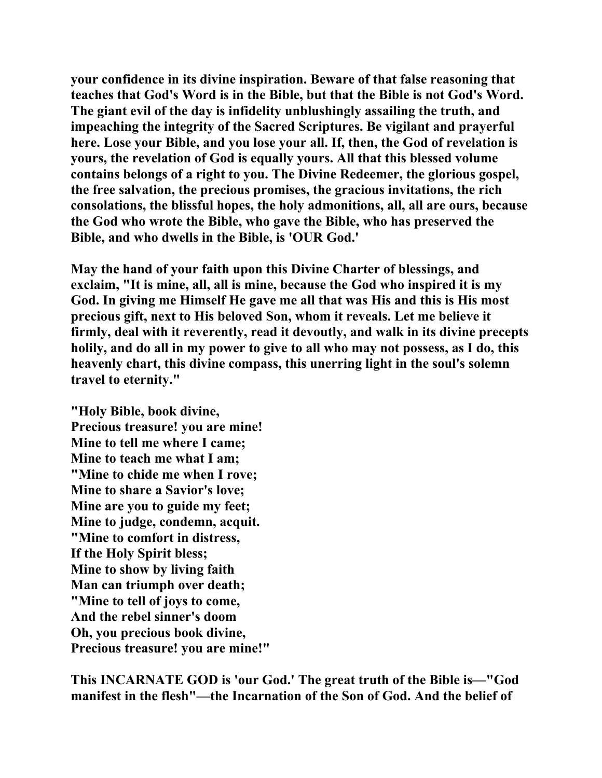**your confidence in its divine inspiration. Beware of that false reasoning that teaches that God's Word is in the Bible, but that the Bible is not God's Word. The giant evil of the day is infidelity unblushingly assailing the truth, and impeaching the integrity of the Sacred Scriptures. Be vigilant and prayerful here. Lose your Bible, and you lose your all. If, then, the God of revelation is yours, the revelation of God is equally yours. All that this blessed volume contains belongs of a right to you. The Divine Redeemer, the glorious gospel, the free salvation, the precious promises, the gracious invitations, the rich consolations, the blissful hopes, the holy admonitions, all, all are ours, because the God who wrote the Bible, who gave the Bible, who has preserved the Bible, and who dwells in the Bible, is 'OUR God.'** 

**May the hand of your faith upon this Divine Charter of blessings, and exclaim, "It is mine, all, all is mine, because the God who inspired it is my God. In giving me Himself He gave me all that was His and this is His most precious gift, next to His beloved Son, whom it reveals. Let me believe it firmly, deal with it reverently, read it devoutly, and walk in its divine precepts holily, and do all in my power to give to all who may not possess, as I do, this heavenly chart, this divine compass, this unerring light in the soul's solemn travel to eternity."** 

**"Holy Bible, book divine, Precious treasure! you are mine! Mine to tell me where I came; Mine to teach me what I am; "Mine to chide me when I rove; Mine to share a Savior's love; Mine are you to guide my feet; Mine to judge, condemn, acquit. "Mine to comfort in distress, If the Holy Spirit bless; Mine to show by living faith Man can triumph over death; "Mine to tell of joys to come, And the rebel sinner's doom Oh, you precious book divine, Precious treasure! you are mine!"** 

**This INCARNATE GOD is 'our God.' The great truth of the Bible is—"God manifest in the flesh"—the Incarnation of the Son of God. And the belief of**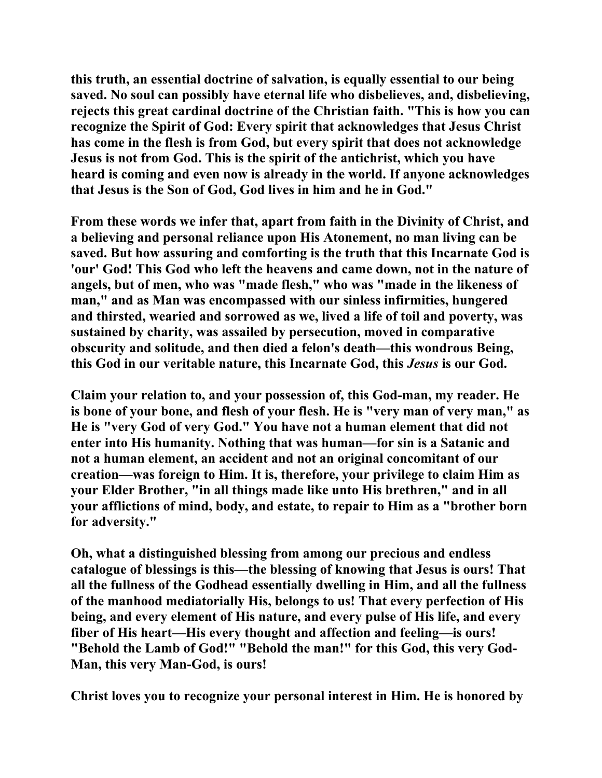**this truth, an essential doctrine of salvation, is equally essential to our being saved. No soul can possibly have eternal life who disbelieves, and, disbelieving, rejects this great cardinal doctrine of the Christian faith. "This is how you can recognize the Spirit of God: Every spirit that acknowledges that Jesus Christ has come in the flesh is from God, but every spirit that does not acknowledge Jesus is not from God. This is the spirit of the antichrist, which you have heard is coming and even now is already in the world. If anyone acknowledges that Jesus is the Son of God, God lives in him and he in God."** 

**From these words we infer that, apart from faith in the Divinity of Christ, and a believing and personal reliance upon His Atonement, no man living can be saved. But how assuring and comforting is the truth that this Incarnate God is 'our' God! This God who left the heavens and came down, not in the nature of angels, but of men, who was "made flesh," who was "made in the likeness of man," and as Man was encompassed with our sinless infirmities, hungered and thirsted, wearied and sorrowed as we, lived a life of toil and poverty, was sustained by charity, was assailed by persecution, moved in comparative obscurity and solitude, and then died a felon's death—this wondrous Being, this God in our veritable nature, this Incarnate God, this** *Jesus* **is our God.** 

**Claim your relation to, and your possession of, this God-man, my reader. He is bone of your bone, and flesh of your flesh. He is "very man of very man," as He is "very God of very God." You have not a human element that did not enter into His humanity. Nothing that was human—for sin is a Satanic and not a human element, an accident and not an original concomitant of our creation—was foreign to Him. It is, therefore, your privilege to claim Him as your Elder Brother, "in all things made like unto His brethren," and in all your afflictions of mind, body, and estate, to repair to Him as a "brother born for adversity."** 

**Oh, what a distinguished blessing from among our precious and endless catalogue of blessings is this—the blessing of knowing that Jesus is ours! That all the fullness of the Godhead essentially dwelling in Him, and all the fullness of the manhood mediatorially His, belongs to us! That every perfection of His being, and every element of His nature, and every pulse of His life, and every fiber of His heart—His every thought and affection and feeling—is ours! "Behold the Lamb of God!" "Behold the man!" for this God, this very God-Man, this very Man-God, is ours!** 

**Christ loves you to recognize your personal interest in Him. He is honored by**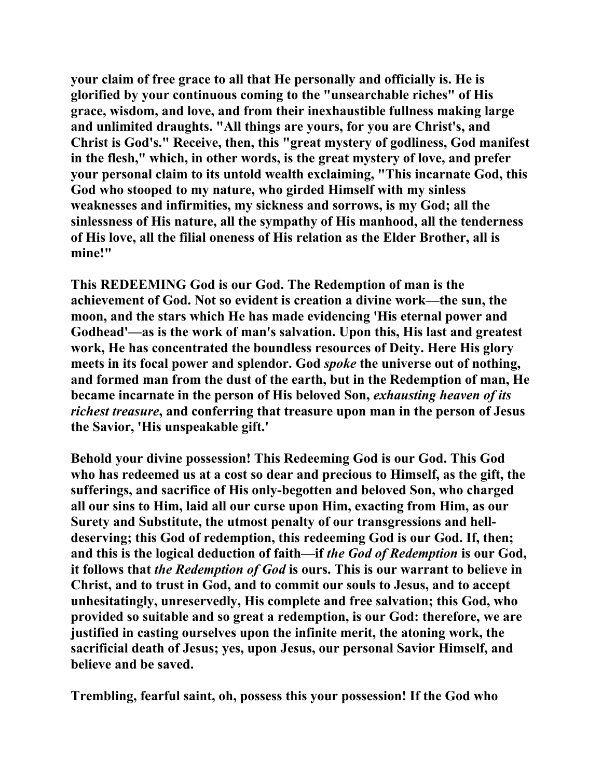**your claim of free grace to all that He personally and officially is. He is glorified by your continuous coming to the "unsearchable riches" of His grace, wisdom, and love, and from their inexhaustible fullness making large and unlimited draughts. "All things are yours, for you are Christ's, and Christ is God's." Receive, then, this "great mystery of godliness, God manifest in the flesh," which, in other words, is the great mystery of love, and prefer your personal claim to its untold wealth exclaiming, "This incarnate God, this God who stooped to my nature, who girded Himself with my sinless weaknesses and infirmities, my sickness and sorrows, is my God; all the sinlessness of His nature, all the sympathy of His manhood, all the tenderness of His love, all the filial oneness of His relation as the Elder Brother, all is mine!"** 

**This REDEEMING God is our God. The Redemption of man is the achievement of God. Not so evident is creation a divine work—the sun, the moon, and the stars which He has made evidencing 'His eternal power and Godhead'—as is the work of man's salvation. Upon this, His last and greatest work, He has concentrated the boundless resources of Deity. Here His glory meets in its focal power and splendor. God** *spoke* **the universe out of nothing, and formed man from the dust of the earth, but in the Redemption of man, He became incarnate in the person of His beloved Son,** *exhausting heaven of its richest treasure***, and conferring that treasure upon man in the person of Jesus the Savior, 'His unspeakable gift.'** 

**Behold your divine possession! This Redeeming God is our God. This God who has redeemed us at a cost so dear and precious to Himself, as the gift, the sufferings, and sacrifice of His only-begotten and beloved Son, who charged all our sins to Him, laid all our curse upon Him, exacting from Him, as our Surety and Substitute, the utmost penalty of our transgressions and helldeserving; this God of redemption, this redeeming God is our God. If, then; and this is the logical deduction of faith—if** *the God of Redemption* **is our God, it follows that** *the Redemption of God* **is ours. This is our warrant to believe in Christ, and to trust in God, and to commit our souls to Jesus, and to accept unhesitatingly, unreservedly, His complete and free salvation; this God, who provided so suitable and so great a redemption, is our God: therefore, we are justified in casting ourselves upon the infinite merit, the atoning work, the sacrificial death of Jesus; yes, upon Jesus, our personal Savior Himself, and believe and be saved.** 

**Trembling, fearful saint, oh, possess this your possession! If the God who**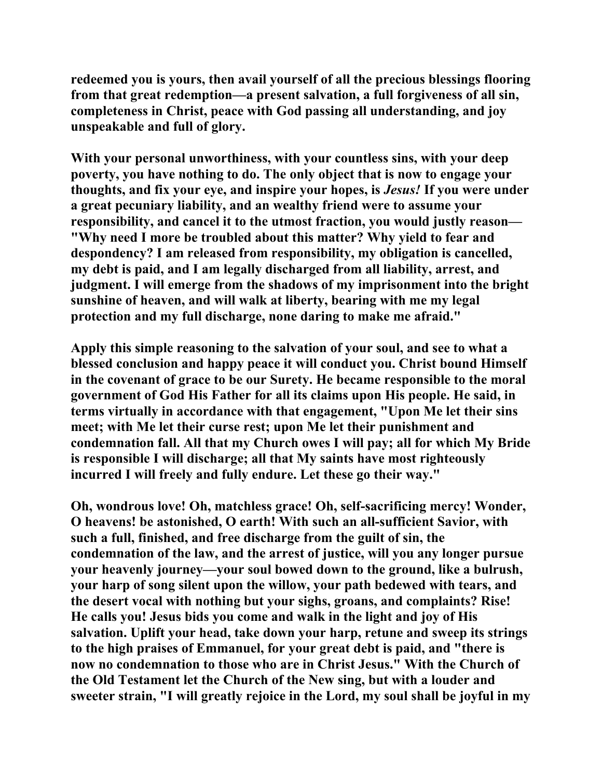**redeemed you is yours, then avail yourself of all the precious blessings flooring from that great redemption—a present salvation, a full forgiveness of all sin, completeness in Christ, peace with God passing all understanding, and joy unspeakable and full of glory.** 

**With your personal unworthiness, with your countless sins, with your deep poverty, you have nothing to do. The only object that is now to engage your thoughts, and fix your eye, and inspire your hopes, is** *Jesus!* **If you were under a great pecuniary liability, and an wealthy friend were to assume your responsibility, and cancel it to the utmost fraction, you would justly reason— "Why need I more be troubled about this matter? Why yield to fear and despondency? I am released from responsibility, my obligation is cancelled, my debt is paid, and I am legally discharged from all liability, arrest, and judgment. I will emerge from the shadows of my imprisonment into the bright sunshine of heaven, and will walk at liberty, bearing with me my legal protection and my full discharge, none daring to make me afraid."** 

**Apply this simple reasoning to the salvation of your soul, and see to what a blessed conclusion and happy peace it will conduct you. Christ bound Himself in the covenant of grace to be our Surety. He became responsible to the moral government of God His Father for all its claims upon His people. He said, in terms virtually in accordance with that engagement, "Upon Me let their sins meet; with Me let their curse rest; upon Me let their punishment and condemnation fall. All that my Church owes I will pay; all for which My Bride is responsible I will discharge; all that My saints have most righteously incurred I will freely and fully endure. Let these go their way."** 

**Oh, wondrous love! Oh, matchless grace! Oh, self-sacrificing mercy! Wonder, O heavens! be astonished, O earth! With such an all-sufficient Savior, with such a full, finished, and free discharge from the guilt of sin, the condemnation of the law, and the arrest of justice, will you any longer pursue your heavenly journey—your soul bowed down to the ground, like a bulrush, your harp of song silent upon the willow, your path bedewed with tears, and the desert vocal with nothing but your sighs, groans, and complaints? Rise! He calls you! Jesus bids you come and walk in the light and joy of His salvation. Uplift your head, take down your harp, retune and sweep its strings to the high praises of Emmanuel, for your great debt is paid, and "there is now no condemnation to those who are in Christ Jesus." With the Church of the Old Testament let the Church of the New sing, but with a louder and sweeter strain, "I will greatly rejoice in the Lord, my soul shall be joyful in my**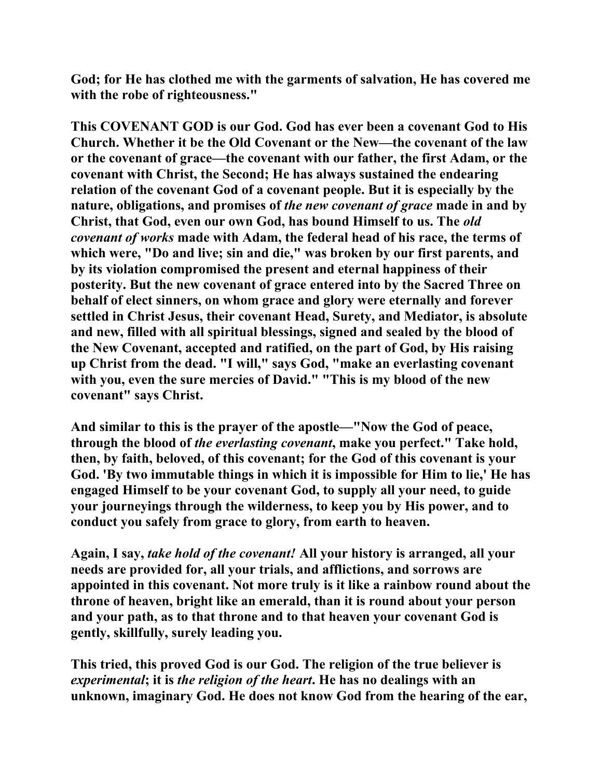**God; for He has clothed me with the garments of salvation, He has covered me with the robe of righteousness."** 

**This COVENANT GOD is our God. God has ever been a covenant God to His Church. Whether it be the Old Covenant or the New—the covenant of the law or the covenant of grace—the covenant with our father, the first Adam, or the covenant with Christ, the Second; He has always sustained the endearing relation of the covenant God of a covenant people. But it is especially by the nature, obligations, and promises of** *the new covenant of grace* **made in and by Christ, that God, even our own God, has bound Himself to us. The** *old covenant of works* **made with Adam, the federal head of his race, the terms of which were, "Do and live; sin and die," was broken by our first parents, and by its violation compromised the present and eternal happiness of their posterity. But the new covenant of grace entered into by the Sacred Three on behalf of elect sinners, on whom grace and glory were eternally and forever settled in Christ Jesus, their covenant Head, Surety, and Mediator, is absolute and new, filled with all spiritual blessings, signed and sealed by the blood of the New Covenant, accepted and ratified, on the part of God, by His raising up Christ from the dead. "I will," says God, "make an everlasting covenant with you, even the sure mercies of David." "This is my blood of the new covenant" says Christ.** 

**And similar to this is the prayer of the apostle—"Now the God of peace, through the blood of** *the everlasting covenant***, make you perfect." Take hold, then, by faith, beloved, of this covenant; for the God of this covenant is your God. 'By two immutable things in which it is impossible for Him to lie,' He has engaged Himself to be your covenant God, to supply all your need, to guide your journeyings through the wilderness, to keep you by His power, and to conduct you safely from grace to glory, from earth to heaven.** 

**Again, I say,** *take hold of the covenant!* **All your history is arranged, all your needs are provided for, all your trials, and afflictions, and sorrows are appointed in this covenant. Not more truly is it like a rainbow round about the throne of heaven, bright like an emerald, than it is round about your person and your path, as to that throne and to that heaven your covenant God is gently, skillfully, surely leading you.** 

**This tried, this proved God is our God. The religion of the true believer is**  *experimental***; it is** *the religion of the heart***. He has no dealings with an unknown, imaginary God. He does not know God from the hearing of the ear,**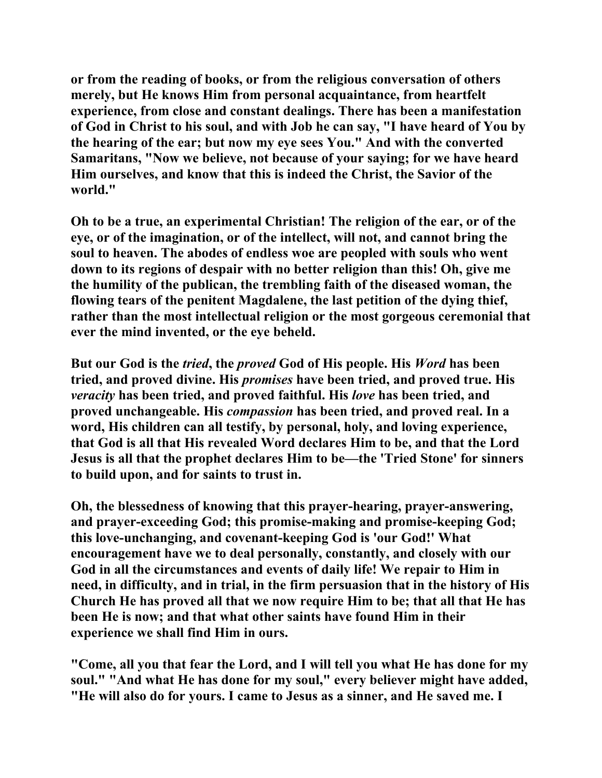**or from the reading of books, or from the religious conversation of others merely, but He knows Him from personal acquaintance, from heartfelt experience, from close and constant dealings. There has been a manifestation of God in Christ to his soul, and with Job he can say, "I have heard of You by the hearing of the ear; but now my eye sees You." And with the converted Samaritans, "Now we believe, not because of your saying; for we have heard Him ourselves, and know that this is indeed the Christ, the Savior of the world."** 

**Oh to be a true, an experimental Christian! The religion of the ear, or of the eye, or of the imagination, or of the intellect, will not, and cannot bring the soul to heaven. The abodes of endless woe are peopled with souls who went down to its regions of despair with no better religion than this! Oh, give me the humility of the publican, the trembling faith of the diseased woman, the flowing tears of the penitent Magdalene, the last petition of the dying thief, rather than the most intellectual religion or the most gorgeous ceremonial that ever the mind invented, or the eye beheld.** 

**But our God is the** *tried***, the** *proved* **God of His people. His** *Word* **has been tried, and proved divine. His** *promises* **have been tried, and proved true. His**  *veracity* **has been tried, and proved faithful. His** *love* **has been tried, and proved unchangeable. His** *compassion* **has been tried, and proved real. In a word, His children can all testify, by personal, holy, and loving experience, that God is all that His revealed Word declares Him to be, and that the Lord Jesus is all that the prophet declares Him to be—the 'Tried Stone' for sinners to build upon, and for saints to trust in.** 

**Oh, the blessedness of knowing that this prayer-hearing, prayer-answering, and prayer-exceeding God; this promise-making and promise-keeping God; this love-unchanging, and covenant-keeping God is 'our God!' What encouragement have we to deal personally, constantly, and closely with our God in all the circumstances and events of daily life! We repair to Him in need, in difficulty, and in trial, in the firm persuasion that in the history of His Church He has proved all that we now require Him to be; that all that He has been He is now; and that what other saints have found Him in their experience we shall find Him in ours.** 

**"Come, all you that fear the Lord, and I will tell you what He has done for my soul." "And what He has done for my soul," every believer might have added, "He will also do for yours. I came to Jesus as a sinner, and He saved me. I**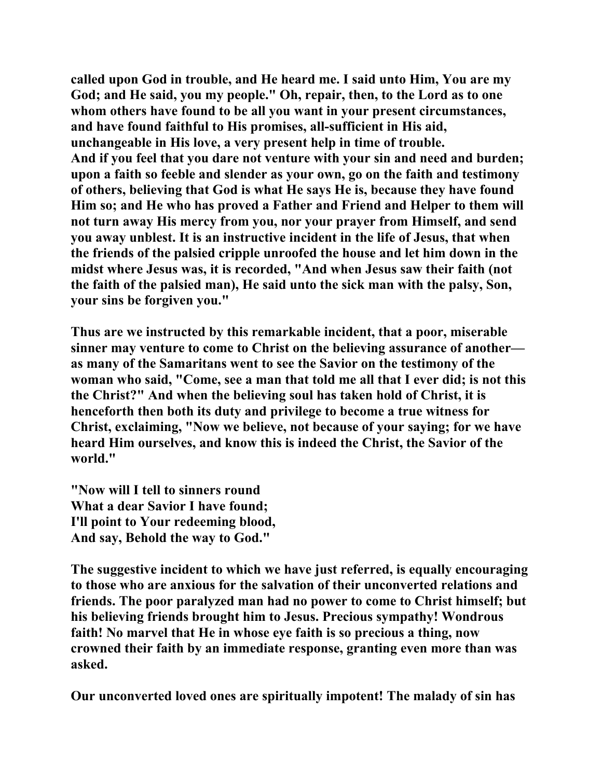**called upon God in trouble, and He heard me. I said unto Him, You are my God; and He said, you my people." Oh, repair, then, to the Lord as to one whom others have found to be all you want in your present circumstances, and have found faithful to His promises, all-sufficient in His aid, unchangeable in His love, a very present help in time of trouble. And if you feel that you dare not venture with your sin and need and burden; upon a faith so feeble and slender as your own, go on the faith and testimony of others, believing that God is what He says He is, because they have found Him so; and He who has proved a Father and Friend and Helper to them will not turn away His mercy from you, nor your prayer from Himself, and send you away unblest. It is an instructive incident in the life of Jesus, that when the friends of the palsied cripple unroofed the house and let him down in the midst where Jesus was, it is recorded, "And when Jesus saw their faith (not the faith of the palsied man), He said unto the sick man with the palsy, Son, your sins be forgiven you."** 

**Thus are we instructed by this remarkable incident, that a poor, miserable sinner may venture to come to Christ on the believing assurance of another as many of the Samaritans went to see the Savior on the testimony of the woman who said, "Come, see a man that told me all that I ever did; is not this the Christ?" And when the believing soul has taken hold of Christ, it is henceforth then both its duty and privilege to become a true witness for Christ, exclaiming, "Now we believe, not because of your saying; for we have heard Him ourselves, and know this is indeed the Christ, the Savior of the world."** 

**"Now will I tell to sinners round What a dear Savior I have found; I'll point to Your redeeming blood, And say, Behold the way to God."** 

**The suggestive incident to which we have just referred, is equally encouraging to those who are anxious for the salvation of their unconverted relations and friends. The poor paralyzed man had no power to come to Christ himself; but his believing friends brought him to Jesus. Precious sympathy! Wondrous faith! No marvel that He in whose eye faith is so precious a thing, now crowned their faith by an immediate response, granting even more than was asked.** 

**Our unconverted loved ones are spiritually impotent! The malady of sin has**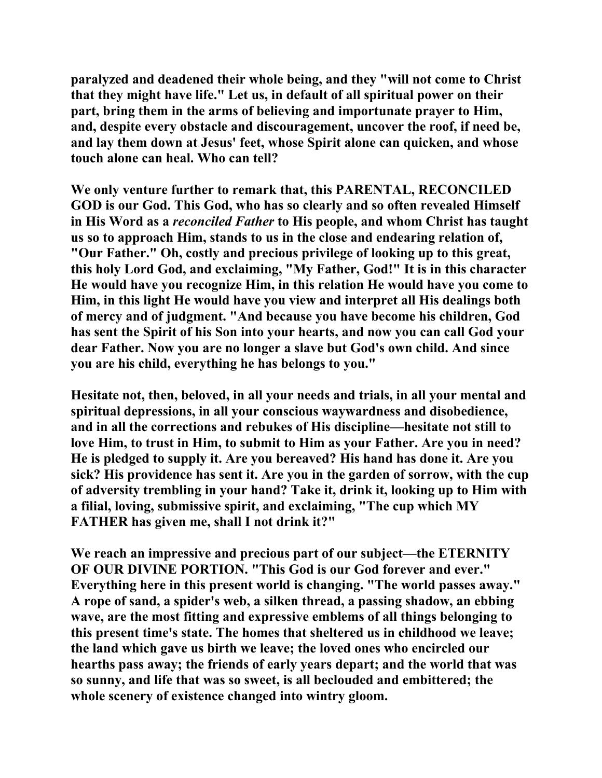**paralyzed and deadened their whole being, and they "will not come to Christ that they might have life." Let us, in default of all spiritual power on their part, bring them in the arms of believing and importunate prayer to Him, and, despite every obstacle and discouragement, uncover the roof, if need be, and lay them down at Jesus' feet, whose Spirit alone can quicken, and whose touch alone can heal. Who can tell?** 

**We only venture further to remark that, this PARENTAL, RECONCILED GOD is our God. This God, who has so clearly and so often revealed Himself in His Word as a** *reconciled Father* **to His people, and whom Christ has taught us so to approach Him, stands to us in the close and endearing relation of, "Our Father." Oh, costly and precious privilege of looking up to this great, this holy Lord God, and exclaiming, "My Father, God!" It is in this character He would have you recognize Him, in this relation He would have you come to Him, in this light He would have you view and interpret all His dealings both of mercy and of judgment. "And because you have become his children, God has sent the Spirit of his Son into your hearts, and now you can call God your dear Father. Now you are no longer a slave but God's own child. And since you are his child, everything he has belongs to you."** 

**Hesitate not, then, beloved, in all your needs and trials, in all your mental and spiritual depressions, in all your conscious waywardness and disobedience, and in all the corrections and rebukes of His discipline—hesitate not still to love Him, to trust in Him, to submit to Him as your Father. Are you in need? He is pledged to supply it. Are you bereaved? His hand has done it. Are you sick? His providence has sent it. Are you in the garden of sorrow, with the cup of adversity trembling in your hand? Take it, drink it, looking up to Him with a filial, loving, submissive spirit, and exclaiming, "The cup which MY FATHER has given me, shall I not drink it?"** 

**We reach an impressive and precious part of our subject—the ETERNITY OF OUR DIVINE PORTION. "This God is our God forever and ever." Everything here in this present world is changing. "The world passes away." A rope of sand, a spider's web, a silken thread, a passing shadow, an ebbing wave, are the most fitting and expressive emblems of all things belonging to this present time's state. The homes that sheltered us in childhood we leave; the land which gave us birth we leave; the loved ones who encircled our hearths pass away; the friends of early years depart; and the world that was so sunny, and life that was so sweet, is all beclouded and embittered; the whole scenery of existence changed into wintry gloom.**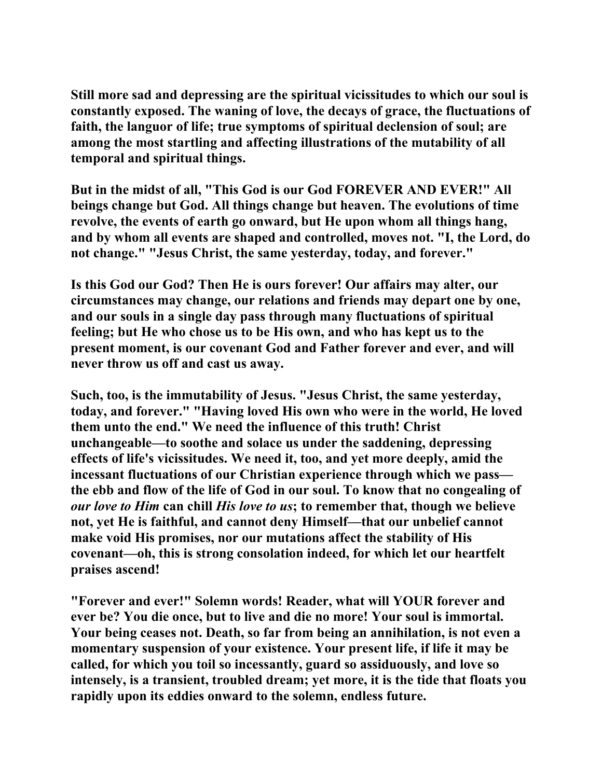**Still more sad and depressing are the spiritual vicissitudes to which our soul is constantly exposed. The waning of love, the decays of grace, the fluctuations of faith, the languor of life; true symptoms of spiritual declension of soul; are among the most startling and affecting illustrations of the mutability of all temporal and spiritual things.** 

**But in the midst of all, "This God is our God FOREVER AND EVER!" All beings change but God. All things change but heaven. The evolutions of time revolve, the events of earth go onward, but He upon whom all things hang, and by whom all events are shaped and controlled, moves not. "I, the Lord, do not change." "Jesus Christ, the same yesterday, today, and forever."** 

**Is this God our God? Then He is ours forever! Our affairs may alter, our circumstances may change, our relations and friends may depart one by one, and our souls in a single day pass through many fluctuations of spiritual feeling; but He who chose us to be His own, and who has kept us to the present moment, is our covenant God and Father forever and ever, and will never throw us off and cast us away.** 

**Such, too, is the immutability of Jesus. "Jesus Christ, the same yesterday, today, and forever." "Having loved His own who were in the world, He loved them unto the end." We need the influence of this truth! Christ unchangeable—to soothe and solace us under the saddening, depressing effects of life's vicissitudes. We need it, too, and yet more deeply, amid the incessant fluctuations of our Christian experience through which we pass the ebb and flow of the life of God in our soul. To know that no congealing of**  *our love to Him* **can chill** *His love to us***; to remember that, though we believe not, yet He is faithful, and cannot deny Himself—that our unbelief cannot make void His promises, nor our mutations affect the stability of His covenant—oh, this is strong consolation indeed, for which let our heartfelt praises ascend!** 

**"Forever and ever!" Solemn words! Reader, what will YOUR forever and ever be? You die once, but to live and die no more! Your soul is immortal. Your being ceases not. Death, so far from being an annihilation, is not even a momentary suspension of your existence. Your present life, if life it may be called, for which you toil so incessantly, guard so assiduously, and love so intensely, is a transient, troubled dream; yet more, it is the tide that floats you rapidly upon its eddies onward to the solemn, endless future.**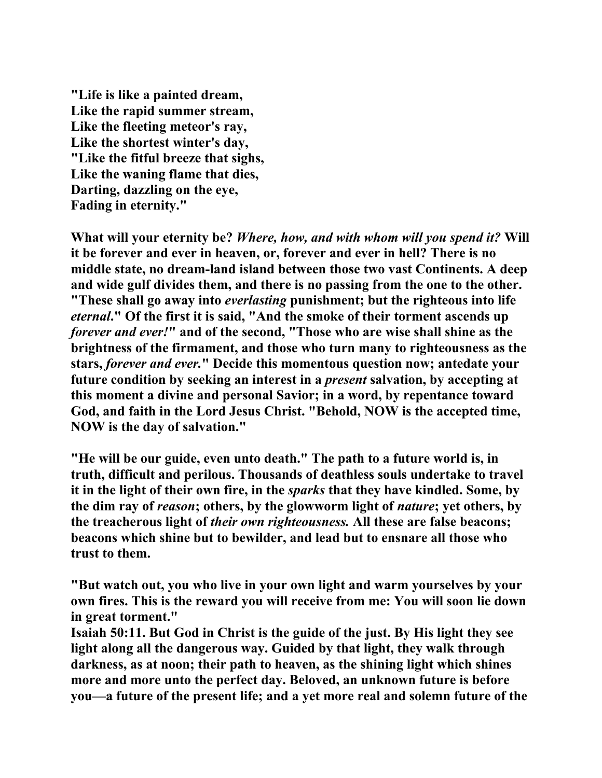**"Life is like a painted dream, Like the rapid summer stream, Like the fleeting meteor's ray, Like the shortest winter's day, "Like the fitful breeze that sighs, Like the waning flame that dies, Darting, dazzling on the eye, Fading in eternity."** 

**What will your eternity be?** *Where, how, and with whom will you spend it?* **Will it be forever and ever in heaven, or, forever and ever in hell? There is no middle state, no dream-land island between those two vast Continents. A deep and wide gulf divides them, and there is no passing from the one to the other. "These shall go away into** *everlasting* **punishment; but the righteous into life**  *eternal***." Of the first it is said, "And the smoke of their torment ascends up**  *forever and ever!***" and of the second, "Those who are wise shall shine as the brightness of the firmament, and those who turn many to righteousness as the stars,** *forever and ever.***" Decide this momentous question now; antedate your future condition by seeking an interest in a** *present* **salvation, by accepting at this moment a divine and personal Savior; in a word, by repentance toward God, and faith in the Lord Jesus Christ. "Behold, NOW is the accepted time, NOW is the day of salvation."** 

**"He will be our guide, even unto death." The path to a future world is, in truth, difficult and perilous. Thousands of deathless souls undertake to travel it in the light of their own fire, in the** *sparks* **that they have kindled. Some, by the dim ray of** *reason***; others, by the glowworm light of** *nature***; yet others, by the treacherous light of** *their own righteousness.* **All these are false beacons; beacons which shine but to bewilder, and lead but to ensnare all those who trust to them.** 

**"But watch out, you who live in your own light and warm yourselves by your own fires. This is the reward you will receive from me: You will soon lie down in great torment."** 

**Isaiah 50:11. But God in Christ is the guide of the just. By His light they see light along all the dangerous way. Guided by that light, they walk through darkness, as at noon; their path to heaven, as the shining light which shines more and more unto the perfect day. Beloved, an unknown future is before you—a future of the present life; and a yet more real and solemn future of the**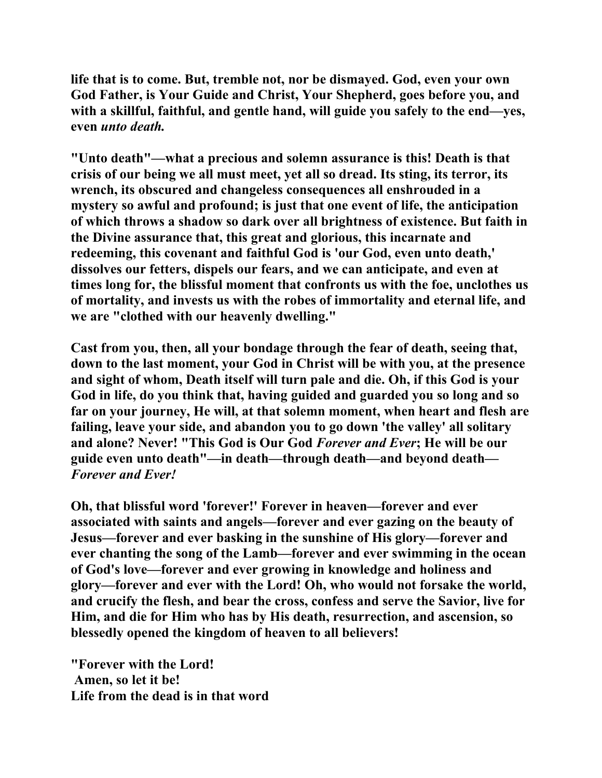**life that is to come. But, tremble not, nor be dismayed. God, even your own God Father, is Your Guide and Christ, Your Shepherd, goes before you, and with a skillful, faithful, and gentle hand, will guide you safely to the end—yes, even** *unto death.*

**"Unto death"—what a precious and solemn assurance is this! Death is that crisis of our being we all must meet, yet all so dread. Its sting, its terror, its wrench, its obscured and changeless consequences all enshrouded in a mystery so awful and profound; is just that one event of life, the anticipation of which throws a shadow so dark over all brightness of existence. But faith in the Divine assurance that, this great and glorious, this incarnate and redeeming, this covenant and faithful God is 'our God, even unto death,' dissolves our fetters, dispels our fears, and we can anticipate, and even at times long for, the blissful moment that confronts us with the foe, unclothes us of mortality, and invests us with the robes of immortality and eternal life, and we are "clothed with our heavenly dwelling."** 

**Cast from you, then, all your bondage through the fear of death, seeing that, down to the last moment, your God in Christ will be with you, at the presence and sight of whom, Death itself will turn pale and die. Oh, if this God is your God in life, do you think that, having guided and guarded you so long and so far on your journey, He will, at that solemn moment, when heart and flesh are failing, leave your side, and abandon you to go down 'the valley' all solitary and alone? Never! "This God is Our God** *Forever and Ever***; He will be our guide even unto death"—in death—through death—and beyond death—** *Forever and Ever!*

**Oh, that blissful word 'forever!' Forever in heaven—forever and ever associated with saints and angels—forever and ever gazing on the beauty of Jesus—forever and ever basking in the sunshine of His glory—forever and ever chanting the song of the Lamb—forever and ever swimming in the ocean of God's love—forever and ever growing in knowledge and holiness and glory—forever and ever with the Lord! Oh, who would not forsake the world, and crucify the flesh, and bear the cross, confess and serve the Savior, live for Him, and die for Him who has by His death, resurrection, and ascension, so blessedly opened the kingdom of heaven to all believers!** 

**"Forever with the Lord! Amen, so let it be! Life from the dead is in that word**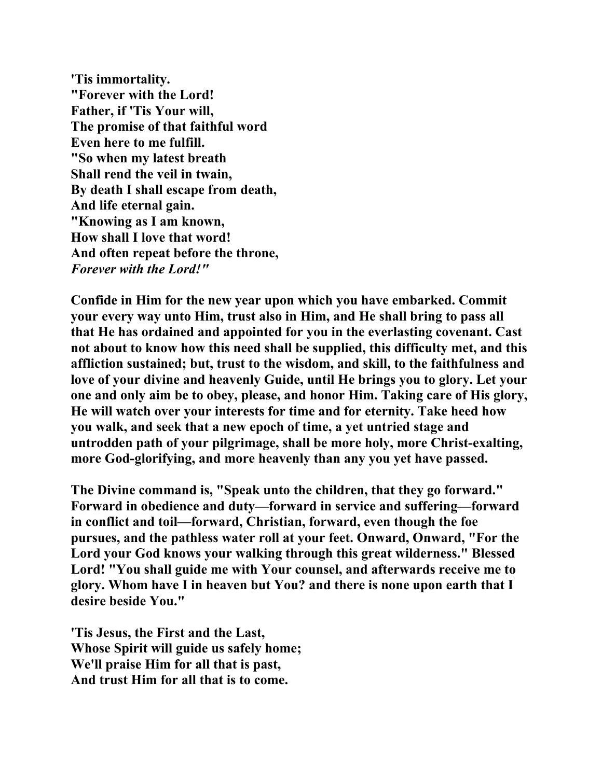**'Tis immortality. "Forever with the Lord! Father, if 'Tis Your will, The promise of that faithful word Even here to me fulfill. "So when my latest breath Shall rend the veil in twain, By death I shall escape from death, And life eternal gain. "Knowing as I am known, How shall I love that word! And often repeat before the throne,**  *Forever with the Lord!"*

**Confide in Him for the new year upon which you have embarked. Commit your every way unto Him, trust also in Him, and He shall bring to pass all that He has ordained and appointed for you in the everlasting covenant. Cast not about to know how this need shall be supplied, this difficulty met, and this affliction sustained; but, trust to the wisdom, and skill, to the faithfulness and love of your divine and heavenly Guide, until He brings you to glory. Let your one and only aim be to obey, please, and honor Him. Taking care of His glory, He will watch over your interests for time and for eternity. Take heed how you walk, and seek that a new epoch of time, a yet untried stage and untrodden path of your pilgrimage, shall be more holy, more Christ-exalting, more God-glorifying, and more heavenly than any you yet have passed.** 

**The Divine command is, "Speak unto the children, that they go forward." Forward in obedience and duty—forward in service and suffering—forward in conflict and toil—forward, Christian, forward, even though the foe pursues, and the pathless water roll at your feet. Onward, Onward, "For the Lord your God knows your walking through this great wilderness." Blessed Lord! "You shall guide me with Your counsel, and afterwards receive me to glory. Whom have I in heaven but You? and there is none upon earth that I desire beside You."** 

**'Tis Jesus, the First and the Last, Whose Spirit will guide us safely home; We'll praise Him for all that is past, And trust Him for all that is to come.**